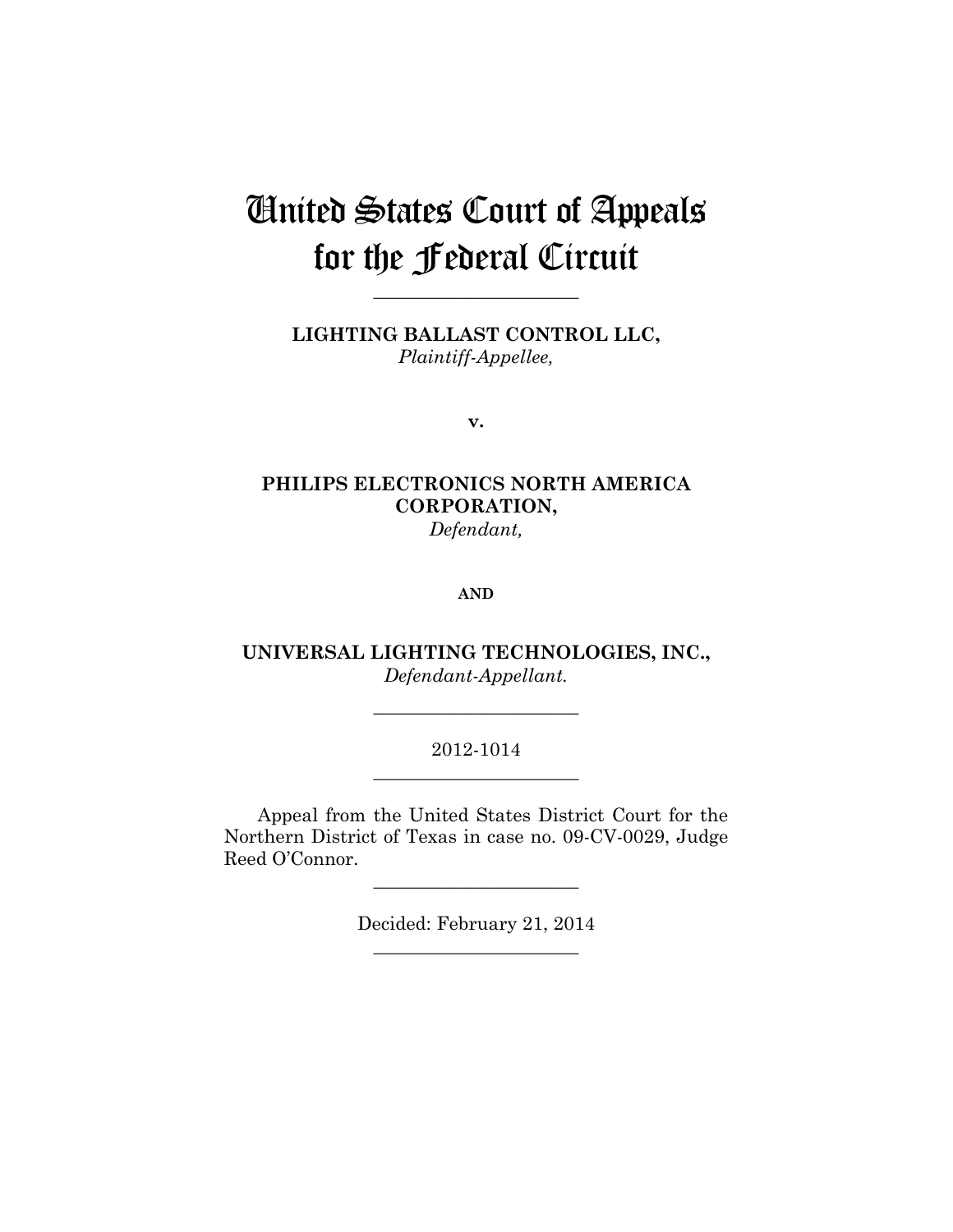# United States Court of Appeals for the Federal Circuit

**\_\_\_\_\_\_\_\_\_\_\_\_\_\_\_\_\_\_\_\_\_\_** 

**LIGHTING BALLAST CONTROL LLC,** *Plaintiff-Appellee,*

**v.**

# **PHILIPS ELECTRONICS NORTH AMERICA CORPORATION,** *Defendant,*

#### **AND**

**UNIVERSAL LIGHTING TECHNOLOGIES, INC.,** *Defendant-Appellant.*

**\_\_\_\_\_\_\_\_\_\_\_\_\_\_\_\_\_\_\_\_\_\_** 

## 2012-1014 **\_\_\_\_\_\_\_\_\_\_\_\_\_\_\_\_\_\_\_\_\_\_**

Appeal from the United States District Court for the Northern District of Texas in case no. 09-CV-0029, Judge Reed O'Connor.

> Decided: February 21, 2014 **\_\_\_\_\_\_\_\_\_\_\_\_\_\_\_\_\_\_\_\_\_\_**

**\_\_\_\_\_\_\_\_\_\_\_\_\_\_\_\_\_\_\_\_\_\_**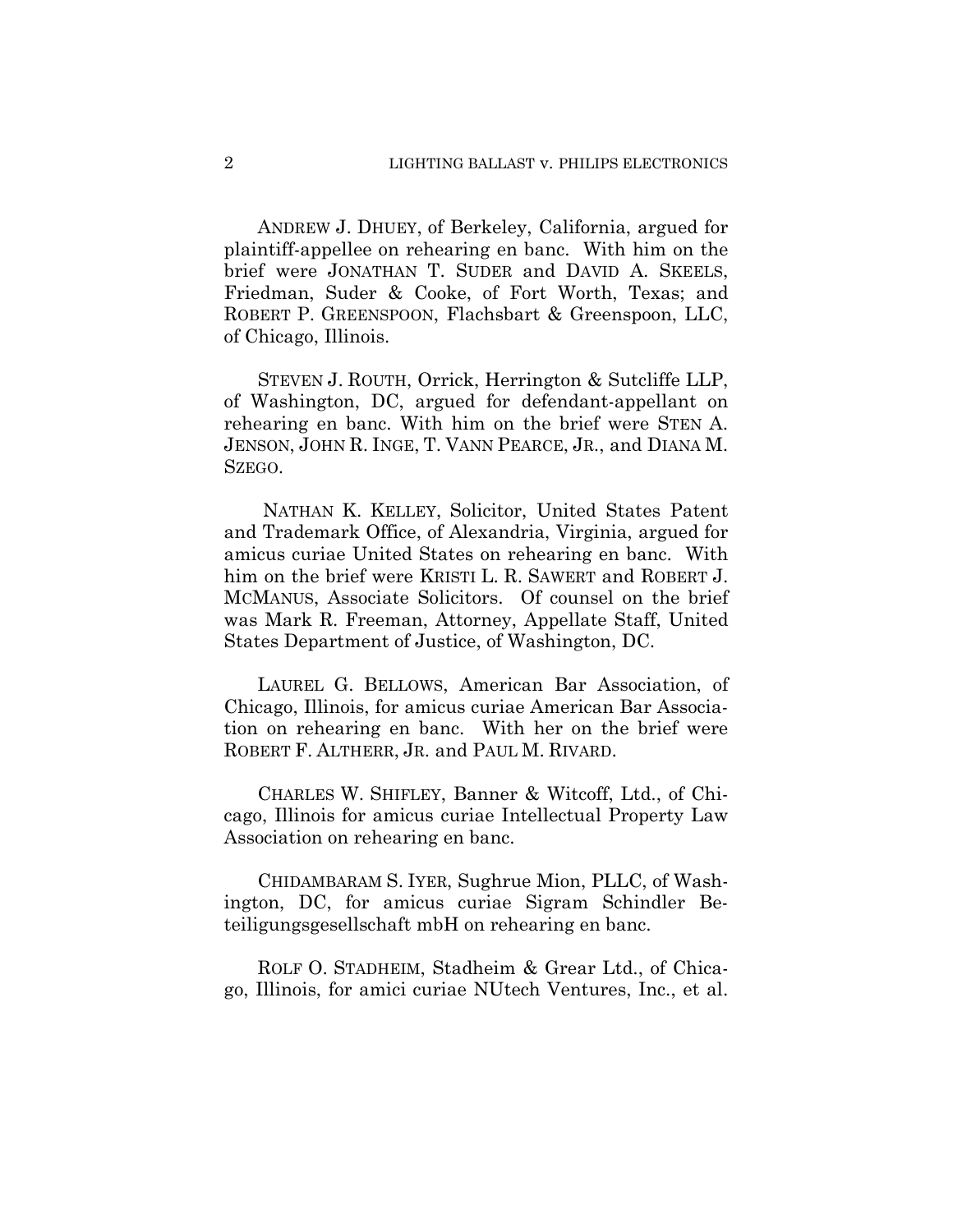ANDREW J. DHUEY, of Berkeley, California, argued for plaintiff-appellee on rehearing en banc. With him on the brief were JONATHAN T. SUDER and DAVID A. SKEELS, Friedman, Suder & Cooke, of Fort Worth, Texas; and ROBERT P. GREENSPOON, Flachsbart & Greenspoon, LLC, of Chicago, Illinois.

STEVEN J. ROUTH, Orrick, Herrington & Sutcliffe LLP, of Washington, DC, argued for defendant-appellant on rehearing en banc. With him on the brief were STEN A. JENSON, JOHN R. INGE, T. VANN PEARCE, JR., and DIANA M. SZEGO.

 NATHAN K. KELLEY, Solicitor, United States Patent and Trademark Office, of Alexandria, Virginia, argued for amicus curiae United States on rehearing en banc. With him on the brief were KRISTI L. R. SAWERT and ROBERT J. MCMANUS, Associate Solicitors. Of counsel on the brief was Mark R. Freeman, Attorney, Appellate Staff, United States Department of Justice, of Washington, DC.

LAUREL G. BELLOWS, American Bar Association, of Chicago, Illinois, for amicus curiae American Bar Association on rehearing en banc. With her on the brief were ROBERT F. ALTHERR, JR. and PAUL M. RIVARD.

CHARLES W. SHIFLEY, Banner & Witcoff, Ltd., of Chicago, Illinois for amicus curiae Intellectual Property Law Association on rehearing en banc.

CHIDAMBARAM S. IYER, Sughrue Mion, PLLC, of Washington, DC, for amicus curiae Sigram Schindler Beteiligungsgesellschaft mbH on rehearing en banc.

ROLF O. STADHEIM, Stadheim & Grear Ltd., of Chicago, Illinois, for amici curiae NUtech Ventures, Inc., et al.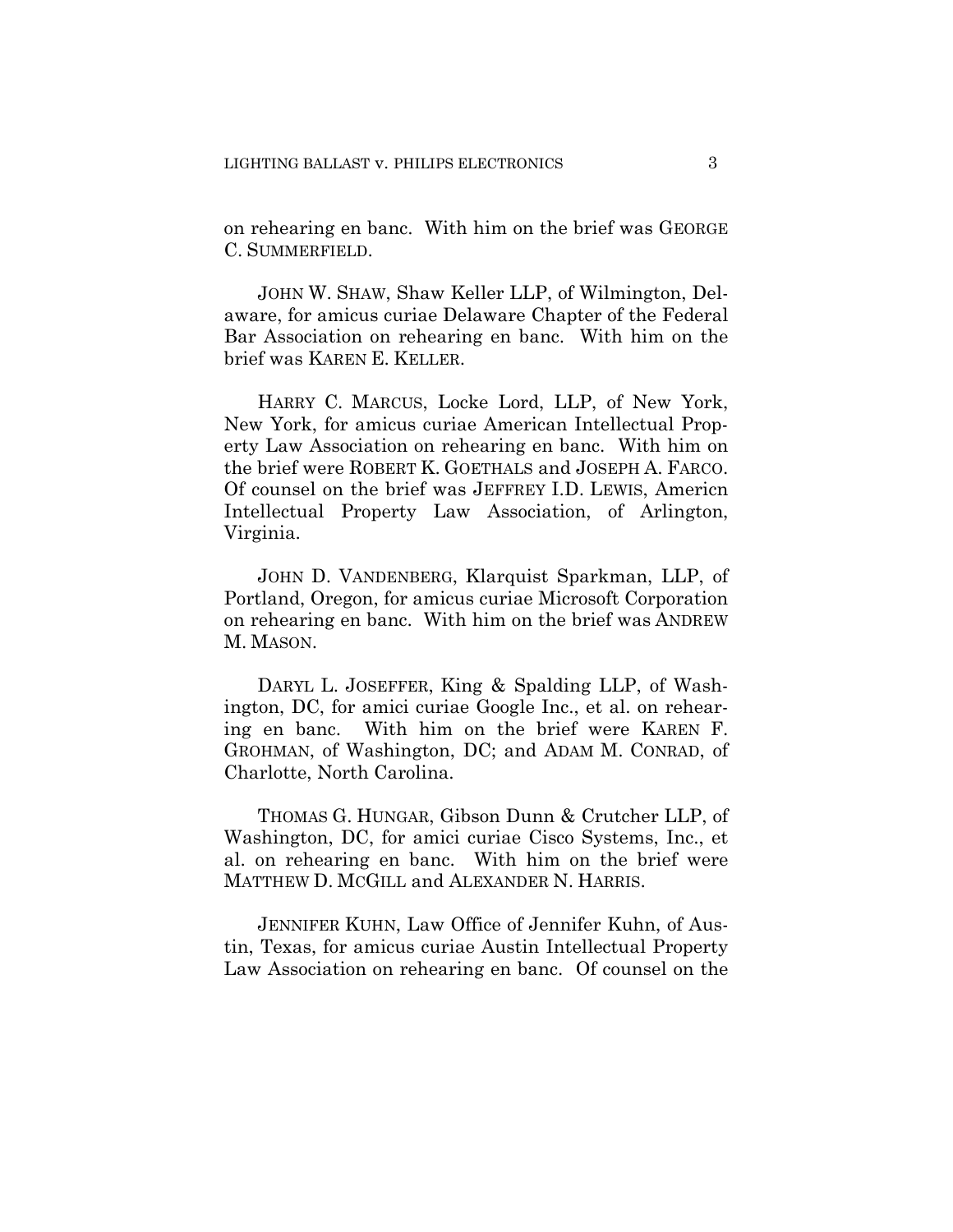on rehearing en banc. With him on the brief was GEORGE C. SUMMERFIELD.

JOHN W. SHAW, Shaw Keller LLP, of Wilmington, Delaware, for amicus curiae Delaware Chapter of the Federal Bar Association on rehearing en banc. With him on the brief was KAREN E. KELLER.

HARRY C. MARCUS, Locke Lord, LLP, of New York, New York, for amicus curiae American Intellectual Property Law Association on rehearing en banc. With him on the brief were ROBERT K. GOETHALS and JOSEPH A. FARCO. Of counsel on the brief was JEFFREY I.D. LEWIS, Americn Intellectual Property Law Association, of Arlington, Virginia.

JOHN D. VANDENBERG, Klarquist Sparkman, LLP, of Portland, Oregon, for amicus curiae Microsoft Corporation on rehearing en banc. With him on the brief was ANDREW M. MASON.

DARYL L. JOSEFFER, King & Spalding LLP, of Washington, DC, for amici curiae Google Inc., et al. on rehearing en banc. With him on the brief were KAREN F. GROHMAN, of Washington, DC; and ADAM M. CONRAD, of Charlotte, North Carolina.

THOMAS G. HUNGAR, Gibson Dunn & Crutcher LLP, of Washington, DC, for amici curiae Cisco Systems, Inc., et al. on rehearing en banc. With him on the brief were MATTHEW D. MCGILL and ALEXANDER N. HARRIS.

JENNIFER KUHN, Law Office of Jennifer Kuhn, of Austin, Texas, for amicus curiae Austin Intellectual Property Law Association on rehearing en banc. Of counsel on the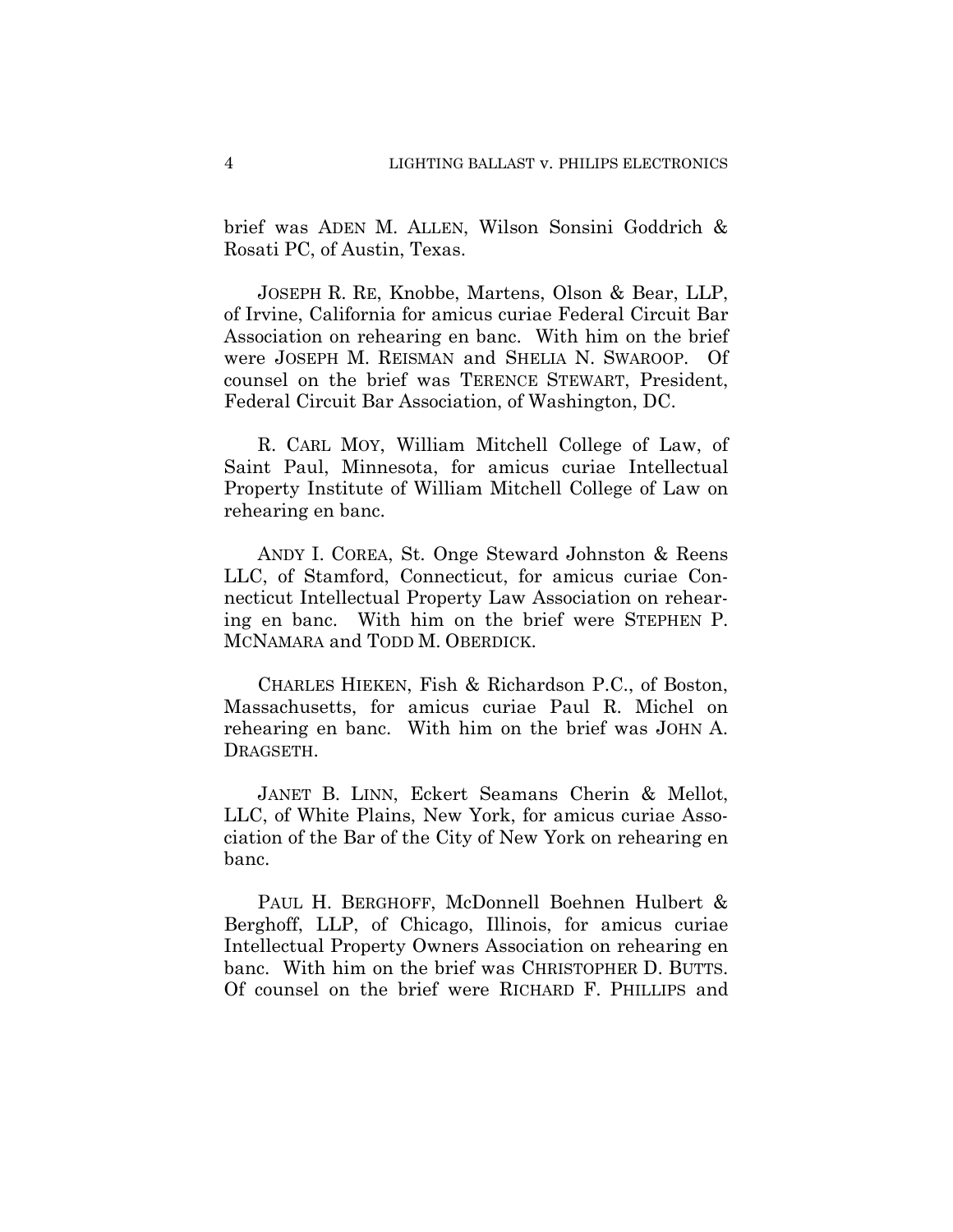brief was ADEN M. ALLEN, Wilson Sonsini Goddrich & Rosati PC, of Austin, Texas.

JOSEPH R. RE, Knobbe, Martens, Olson & Bear, LLP, of Irvine, California for amicus curiae Federal Circuit Bar Association on rehearing en banc. With him on the brief were JOSEPH M. REISMAN and SHELIA N. SWAROOP. Of counsel on the brief was TERENCE STEWART, President, Federal Circuit Bar Association, of Washington, DC.

R. CARL MOY, William Mitchell College of Law, of Saint Paul, Minnesota, for amicus curiae Intellectual Property Institute of William Mitchell College of Law on rehearing en banc.

ANDY I. COREA, St. Onge Steward Johnston & Reens LLC, of Stamford, Connecticut, for amicus curiae Connecticut Intellectual Property Law Association on rehearing en banc. With him on the brief were STEPHEN P. MCNAMARA and TODD M. OBERDICK.

CHARLES HIEKEN, Fish & Richardson P.C., of Boston, Massachusetts, for amicus curiae Paul R. Michel on rehearing en banc. With him on the brief was JOHN A. DRAGSETH.

JANET B. LINN, Eckert Seamans Cherin & Mellot, LLC, of White Plains, New York, for amicus curiae Association of the Bar of the City of New York on rehearing en banc.

PAUL H. BERGHOFF, McDonnell Boehnen Hulbert & Berghoff, LLP, of Chicago, Illinois, for amicus curiae Intellectual Property Owners Association on rehearing en banc. With him on the brief was CHRISTOPHER D. BUTTS. Of counsel on the brief were RICHARD F. PHILLIPS and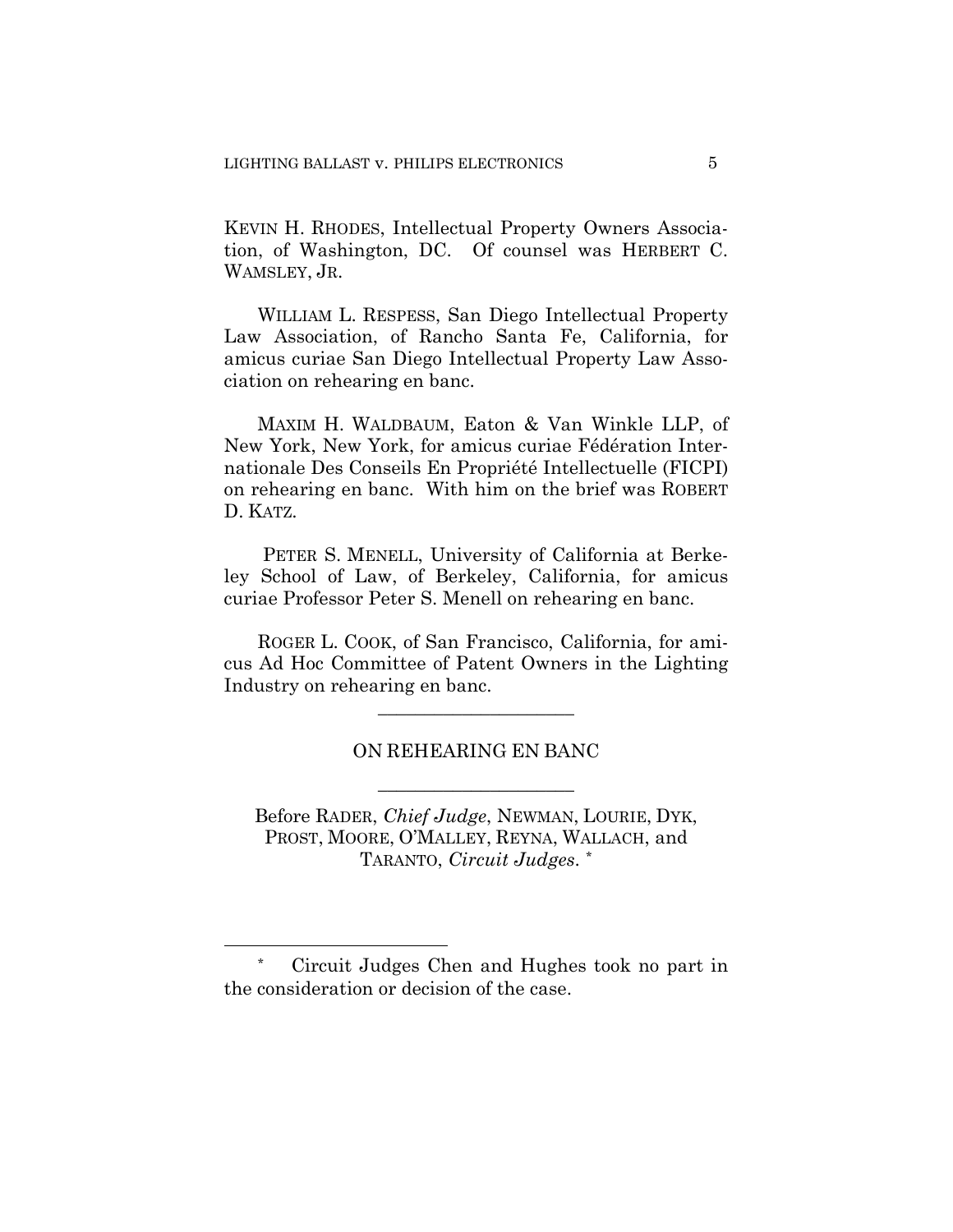KEVIN H. RHODES, Intellectual Property Owners Association, of Washington, DC. Of counsel was HERBERT C. WAMSLEY, JR.

WILLIAM L. RESPESS, San Diego Intellectual Property Law Association, of Rancho Santa Fe, California, for amicus curiae San Diego Intellectual Property Law Association on rehearing en banc.

MAXIM H. WALDBAUM, Eaton & Van Winkle LLP, of New York, New York, for amicus curiae Fédération Internationale Des Conseils En Propriété Intellectuelle (FICPI) on rehearing en banc. With him on the brief was ROBERT D. KATZ.

 PETER S. MENELL, University of California at Berkeley School of Law, of Berkeley, California, for amicus curiae Professor Peter S. Menell on rehearing en banc.

ROGER L. COOK, of San Francisco, California, for amicus Ad Hoc Committee of Patent Owners in the Lighting Industry on rehearing en banc.

## ON REHEARING EN BANC

 $\overline{\phantom{a}}$  , where  $\overline{\phantom{a}}$  , where  $\overline{\phantom{a}}$  , where  $\overline{\phantom{a}}$  , where  $\overline{\phantom{a}}$ 

 $\overline{\phantom{a}}$  , where  $\overline{\phantom{a}}$  , where  $\overline{\phantom{a}}$  , where  $\overline{\phantom{a}}$  , where  $\overline{\phantom{a}}$ 

Before RADER, *Chief Judge*, NEWMAN, LOURIE, DYK, PROST, MOORE, O'MALLEY, REYNA, WALLACH, and TARANTO, *Circuit Judges*. \*

<sup>\*</sup> Circuit Judges Chen and Hughes took no part in the consideration or decision of the case.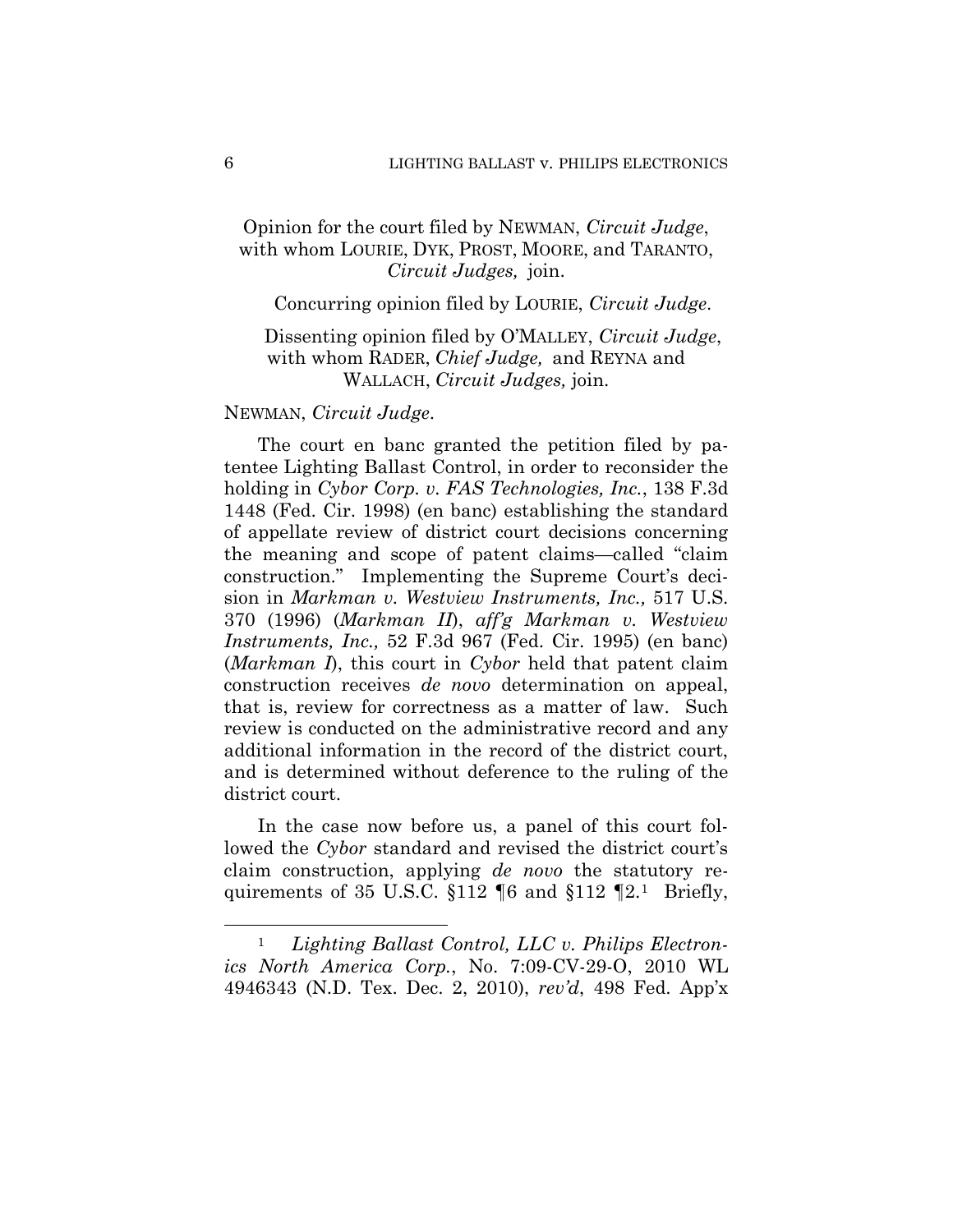# Opinion for the court filed by NEWMAN, *Circuit Judge*, with whom LOURIE, DYK, PROST, MOORE, and TARANTO, *Circuit Judges,* join.

## Concurring opinion filed by LOURIE, *Circuit Judge*.

## Dissenting opinion filed by O'MALLEY, *Circuit Judge*, with whom RADER, *Chief Judge,* and REYNA and WALLACH, *Circuit Judges,* join.

## NEWMAN, *Circuit Judge*.

The court en banc granted the petition filed by patentee Lighting Ballast Control, in order to reconsider the holding in *Cybor Corp. v. FAS Technologies, Inc.*, 138 F.3d 1448 (Fed. Cir. 1998) (en banc) establishing the standard of appellate review of district court decisions concerning the meaning and scope of patent claims—called "claim construction." Implementing the Supreme Court's decision in *Markman v. Westview Instruments, Inc.,* 517 U.S. 370 (1996) (*Markman II*), *aff'g Markman v. Westview Instruments, Inc.,* 52 F.3d 967 (Fed. Cir. 1995) (en banc) (*Markman I*), this court in *Cybor* held that patent claim construction receives *de novo* determination on appeal, that is, review for correctness as a matter of law. Such review is conducted on the administrative record and any additional information in the record of the district court, and is determined without deference to the ruling of the district court.

In the case now before us, a panel of this court followed the *Cybor* standard and revised the district court's claim construction, applying *de novo* the statutory requirements of 35 U.S.C.  $$112 \text{ } \degree$6$  and  $$112 \text{ } \degree$2.1$  Briefly,

<sup>1</sup> *Lighting Ballast Control, LLC v. Philips Electronics North America Corp.*, No. 7:09-CV-29-O, 2010 WL 4946343 (N.D. Tex. Dec. 2, 2010), *rev'd*, 498 Fed. App'x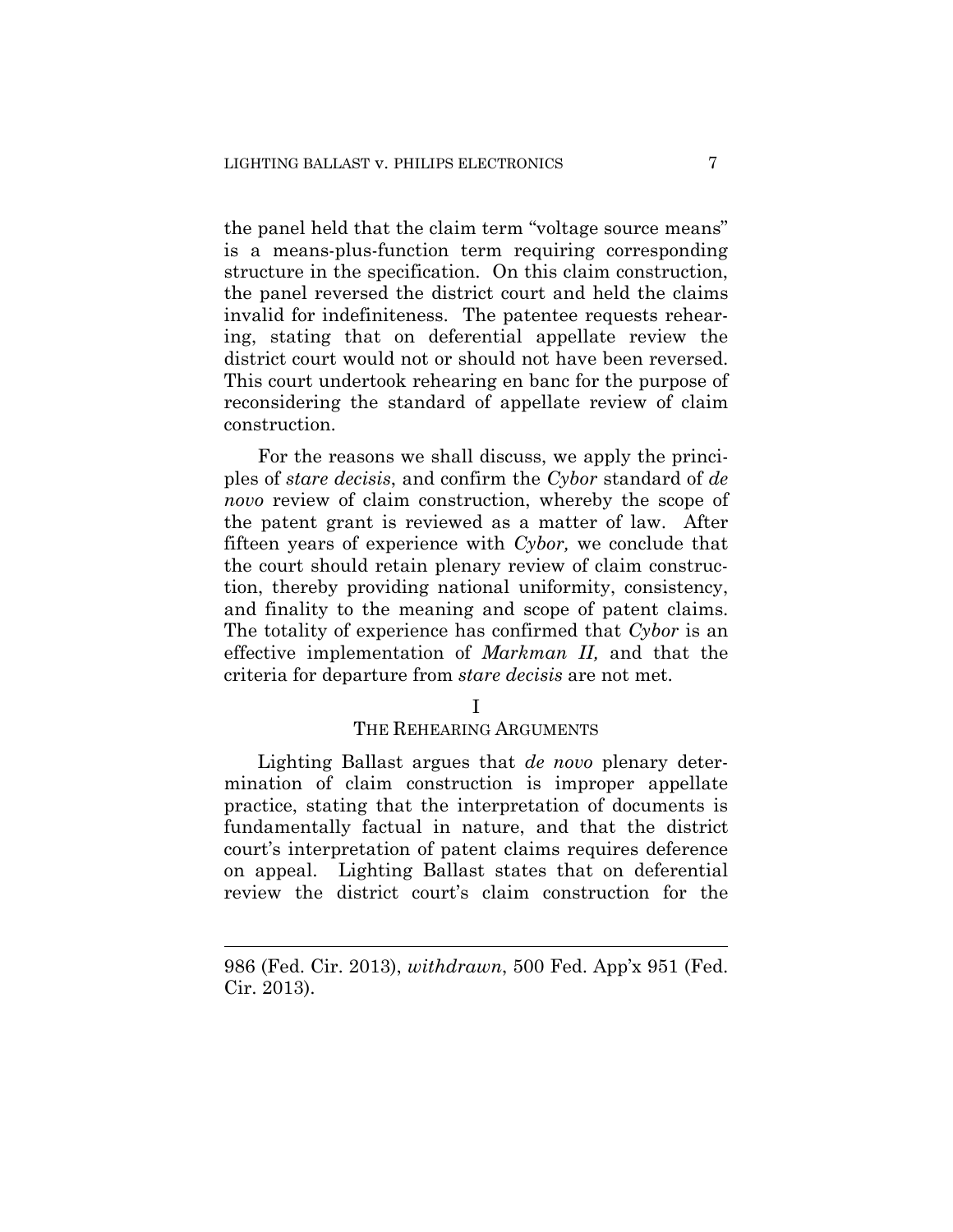the panel held that the claim term "voltage source means" is a means-plus-function term requiring corresponding structure in the specification. On this claim construction, the panel reversed the district court and held the claims invalid for indefiniteness. The patentee requests rehearing, stating that on deferential appellate review the district court would not or should not have been reversed. This court undertook rehearing en banc for the purpose of reconsidering the standard of appellate review of claim construction.

For the reasons we shall discuss, we apply the principles of *stare decisis*, and confirm the *Cybor* standard of *de novo* review of claim construction, whereby the scope of the patent grant is reviewed as a matter of law. After fifteen years of experience with *Cybor,* we conclude that the court should retain plenary review of claim construction, thereby providing national uniformity, consistency, and finality to the meaning and scope of patent claims. The totality of experience has confirmed that *Cybor* is an effective implementation of *Markman II,* and that the criteria for departure from *stare decisis* are not met.

#### I

#### THE REHEARING ARGUMENTS

Lighting Ballast argues that *de novo* plenary determination of claim construction is improper appellate practice, stating that the interpretation of documents is fundamentally factual in nature, and that the district court's interpretation of patent claims requires deference on appeal. Lighting Ballast states that on deferential review the district court's claim construction for the

<sup>986 (</sup>Fed. Cir. 2013), *withdrawn*, 500 Fed. App'x 951 (Fed. Cir. 2013).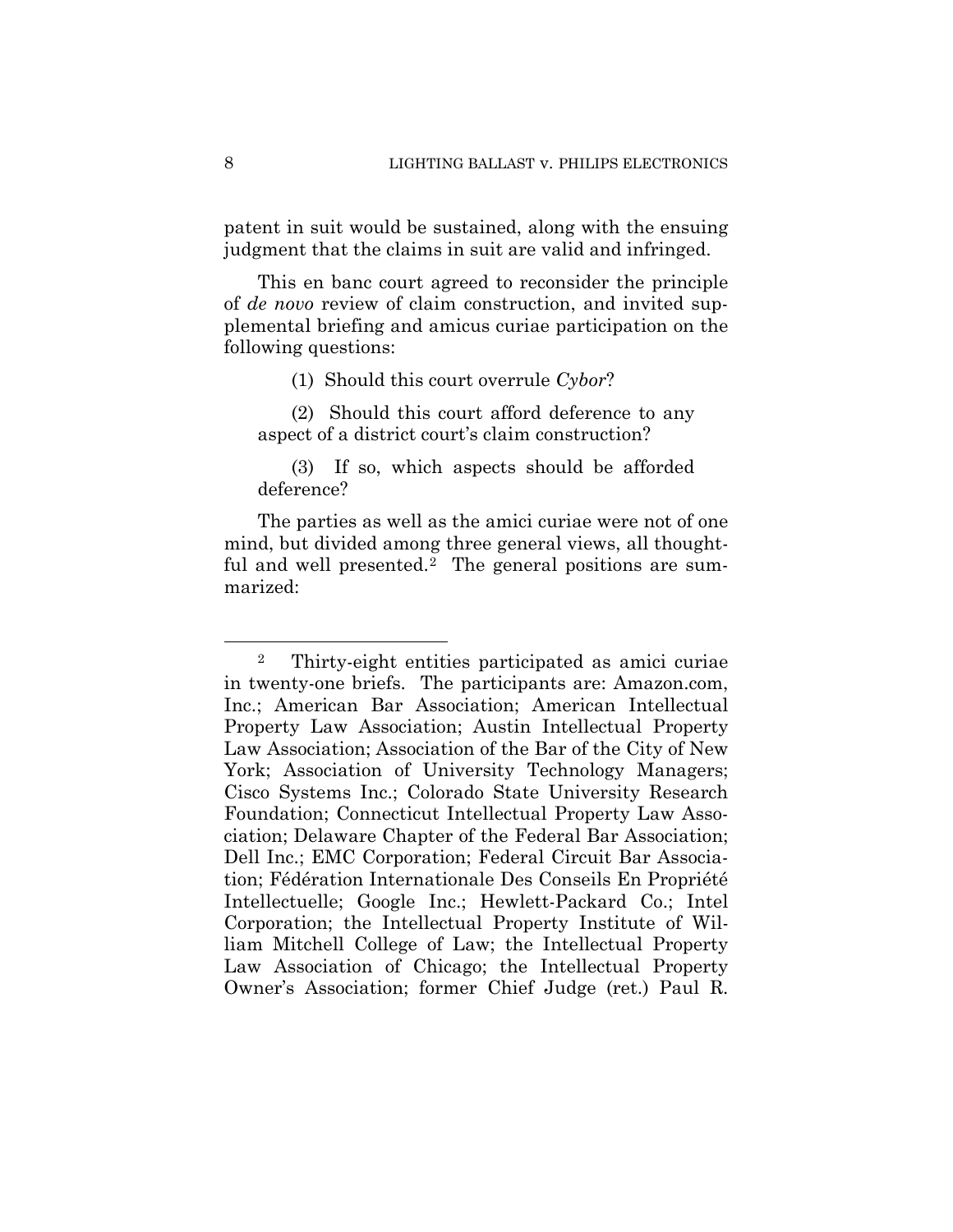patent in suit would be sustained, along with the ensuing judgment that the claims in suit are valid and infringed.

This en banc court agreed to reconsider the principle of *de novo* review of claim construction, and invited supplemental briefing and amicus curiae participation on the following questions:

(1) Should this court overrule *Cybor*?

(2) Should this court afford deference to any aspect of a district court's claim construction?

(3) If so, which aspects should be afforded deference?

The parties as well as the amici curiae were not of one mind, but divided among three general views, all thoughtful and well presented.<sup>2</sup> The general positions are summarized:

<sup>2</sup> Thirty-eight entities participated as amici curiae in twenty-one briefs. The participants are: Amazon.com, Inc.; American Bar Association; American Intellectual Property Law Association; Austin Intellectual Property Law Association; Association of the Bar of the City of New York; Association of University Technology Managers; Cisco Systems Inc.; Colorado State University Research Foundation; Connecticut Intellectual Property Law Association; Delaware Chapter of the Federal Bar Association; Dell Inc.; EMC Corporation; Federal Circuit Bar Association; Fédération Internationale Des Conseils En Propriété Intellectuelle; Google Inc.; Hewlett-Packard Co.; Intel Corporation; the Intellectual Property Institute of William Mitchell College of Law; the Intellectual Property Law Association of Chicago; the Intellectual Property Owner's Association; former Chief Judge (ret.) Paul R.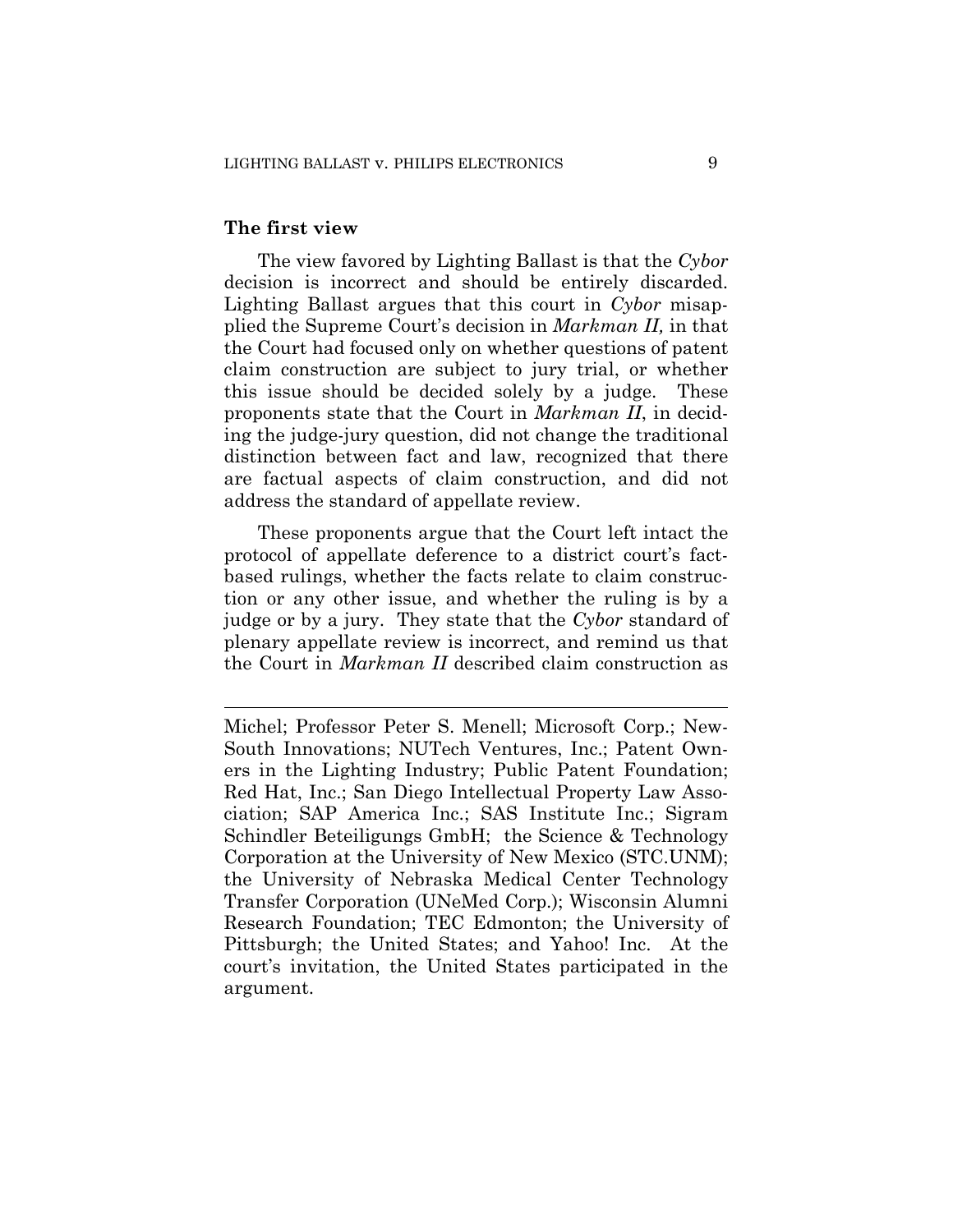#### **The first view**

 $\overline{a}$ 

The view favored by Lighting Ballast is that the *Cybor*  decision is incorrect and should be entirely discarded. Lighting Ballast argues that this court in *Cybor* misapplied the Supreme Court's decision in *Markman II,* in that the Court had focused only on whether questions of patent claim construction are subject to jury trial, or whether this issue should be decided solely by a judge. These proponents state that the Court in *Markman II*, in deciding the judge-jury question, did not change the traditional distinction between fact and law, recognized that there are factual aspects of claim construction, and did not address the standard of appellate review.

These proponents argue that the Court left intact the protocol of appellate deference to a district court's factbased rulings, whether the facts relate to claim construction or any other issue, and whether the ruling is by a judge or by a jury. They state that the *Cybor* standard of plenary appellate review is incorrect, and remind us that the Court in *Markman II* described claim construction as

Michel; Professor Peter S. Menell; Microsoft Corp.; New-South Innovations; NUTech Ventures, Inc.; Patent Owners in the Lighting Industry; Public Patent Foundation; Red Hat, Inc.; San Diego Intellectual Property Law Association; SAP America Inc.; SAS Institute Inc.; Sigram Schindler Beteiligungs GmbH; the Science & Technology Corporation at the University of New Mexico (STC.UNM); the University of Nebraska Medical Center Technology Transfer Corporation (UNeMed Corp.); Wisconsin Alumni Research Foundation; TEC Edmonton; the University of Pittsburgh; the United States; and Yahoo! Inc. At the court's invitation, the United States participated in the argument.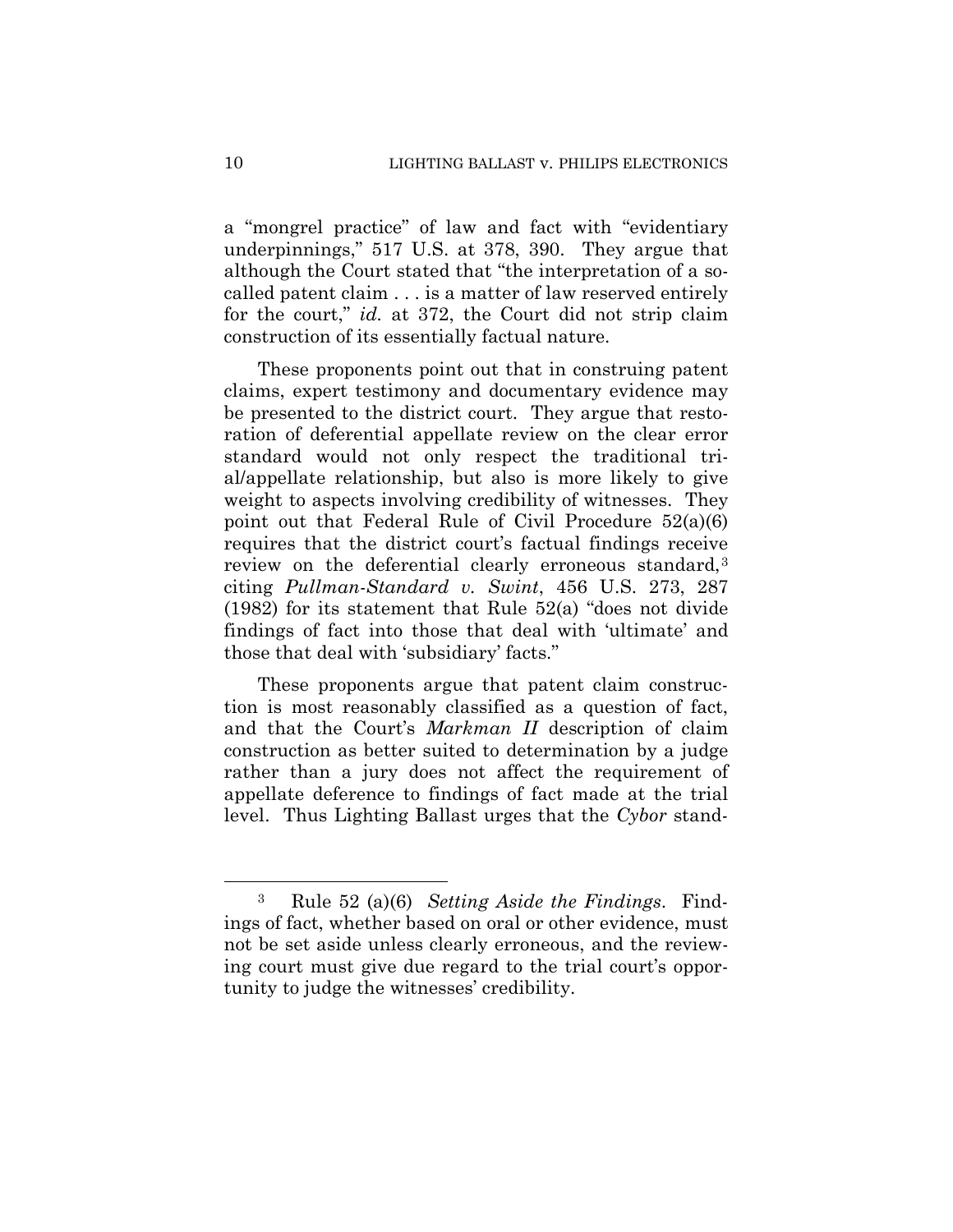a "mongrel practice" of law and fact with "evidentiary underpinnings," 517 U.S. at 378, 390. They argue that although the Court stated that "the interpretation of a socalled patent claim . . . is a matter of law reserved entirely for the court," *id.* at 372, the Court did not strip claim construction of its essentially factual nature.

These proponents point out that in construing patent claims, expert testimony and documentary evidence may be presented to the district court. They argue that restoration of deferential appellate review on the clear error standard would not only respect the traditional trial/appellate relationship, but also is more likely to give weight to aspects involving credibility of witnesses. They point out that Federal Rule of Civil Procedure 52(a)(6) requires that the district court's factual findings receive review on the deferential clearly erroneous standard,<sup>3</sup> citing *Pullman-Standard v. Swint*, 456 U.S. 273, 287 (1982) for its statement that Rule 52(a) "does not divide findings of fact into those that deal with 'ultimate' and those that deal with 'subsidiary' facts."

These proponents argue that patent claim construction is most reasonably classified as a question of fact, and that the Court's *Markman II* description of claim construction as better suited to determination by a judge rather than a jury does not affect the requirement of appellate deference to findings of fact made at the trial level. Thus Lighting Ballast urges that the *Cybor* stand-

<sup>3</sup> Rule 52 (a)(6) *Setting Aside the Findings*. Findings of fact, whether based on oral or other evidence, must not be set aside unless clearly erroneous, and the reviewing court must give due regard to the trial court's opportunity to judge the witnesses' credibility.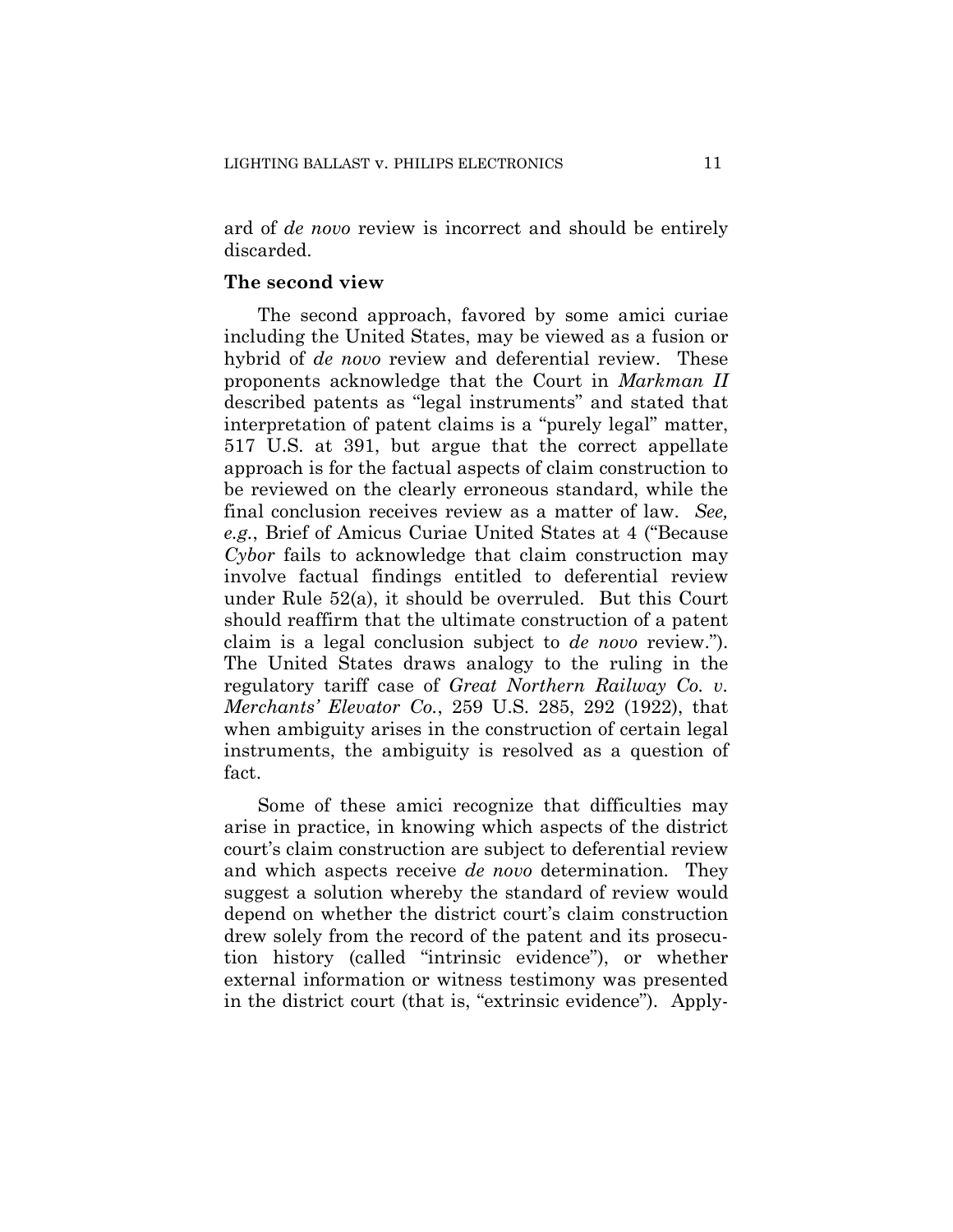ard of *de novo* review is incorrect and should be entirely discarded.

#### **The second view**

The second approach, favored by some amici curiae including the United States, may be viewed as a fusion or hybrid of *de novo* review and deferential review. These proponents acknowledge that the Court in *Markman II*  described patents as "legal instruments" and stated that interpretation of patent claims is a "purely legal" matter, 517 U.S. at 391, but argue that the correct appellate approach is for the factual aspects of claim construction to be reviewed on the clearly erroneous standard, while the final conclusion receives review as a matter of law. *See, e.g.*, Brief of Amicus Curiae United States at 4 ("Because *Cybor* fails to acknowledge that claim construction may involve factual findings entitled to deferential review under Rule 52(a), it should be overruled. But this Court should reaffirm that the ultimate construction of a patent claim is a legal conclusion subject to *de novo* review."). The United States draws analogy to the ruling in the regulatory tariff case of *Great Northern Railway Co. v. Merchants' Elevator Co.*, 259 U.S. 285, 292 (1922), that when ambiguity arises in the construction of certain legal instruments, the ambiguity is resolved as a question of fact.

Some of these amici recognize that difficulties may arise in practice, in knowing which aspects of the district court's claim construction are subject to deferential review and which aspects receive *de novo* determination. They suggest a solution whereby the standard of review would depend on whether the district court's claim construction drew solely from the record of the patent and its prosecution history (called "intrinsic evidence"), or whether external information or witness testimony was presented in the district court (that is, "extrinsic evidence"). Apply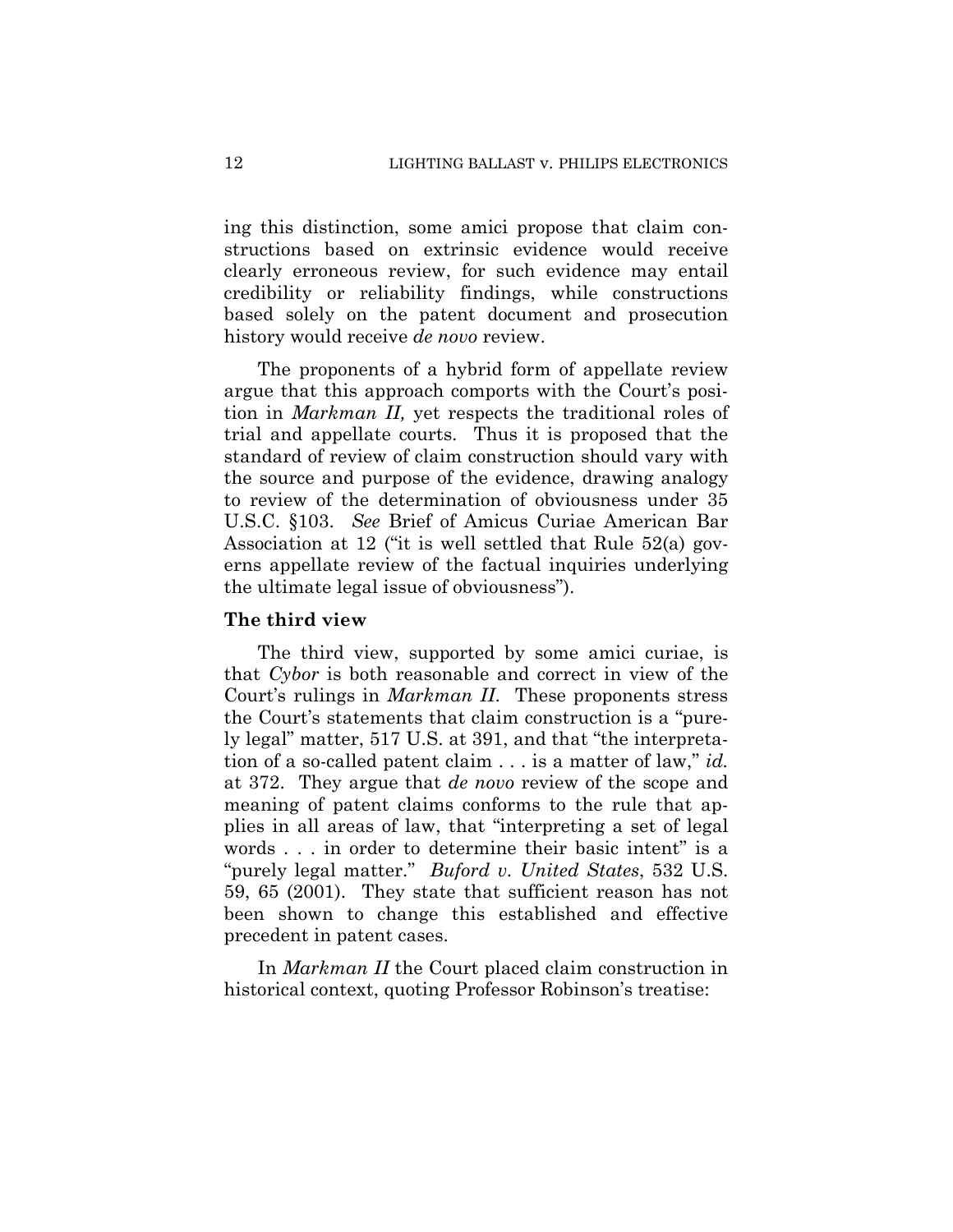ing this distinction, some amici propose that claim constructions based on extrinsic evidence would receive clearly erroneous review, for such evidence may entail credibility or reliability findings, while constructions based solely on the patent document and prosecution history would receive *de novo* review.

The proponents of a hybrid form of appellate review argue that this approach comports with the Court's position in *Markman II,* yet respects the traditional roles of trial and appellate courts. Thus it is proposed that the standard of review of claim construction should vary with the source and purpose of the evidence, drawing analogy to review of the determination of obviousness under 35 U.S.C. §103. *See* Brief of Amicus Curiae American Bar Association at 12 ("it is well settled that Rule 52(a) governs appellate review of the factual inquiries underlying the ultimate legal issue of obviousness").

## **The third view**

The third view, supported by some amici curiae, is that *Cybor* is both reasonable and correct in view of the Court's rulings in *Markman II*. These proponents stress the Court's statements that claim construction is a "purely legal" matter, 517 U.S. at 391, and that "the interpretation of a so-called patent claim . . . is a matter of law," *id.*  at 372. They argue that *de novo* review of the scope and meaning of patent claims conforms to the rule that applies in all areas of law, that "interpreting a set of legal words . . . in order to determine their basic intent" is a "purely legal matter." *Buford v. United States*, 532 U.S. 59, 65 (2001). They state that sufficient reason has not been shown to change this established and effective precedent in patent cases.

In *Markman II* the Court placed claim construction in historical context, quoting Professor Robinson's treatise: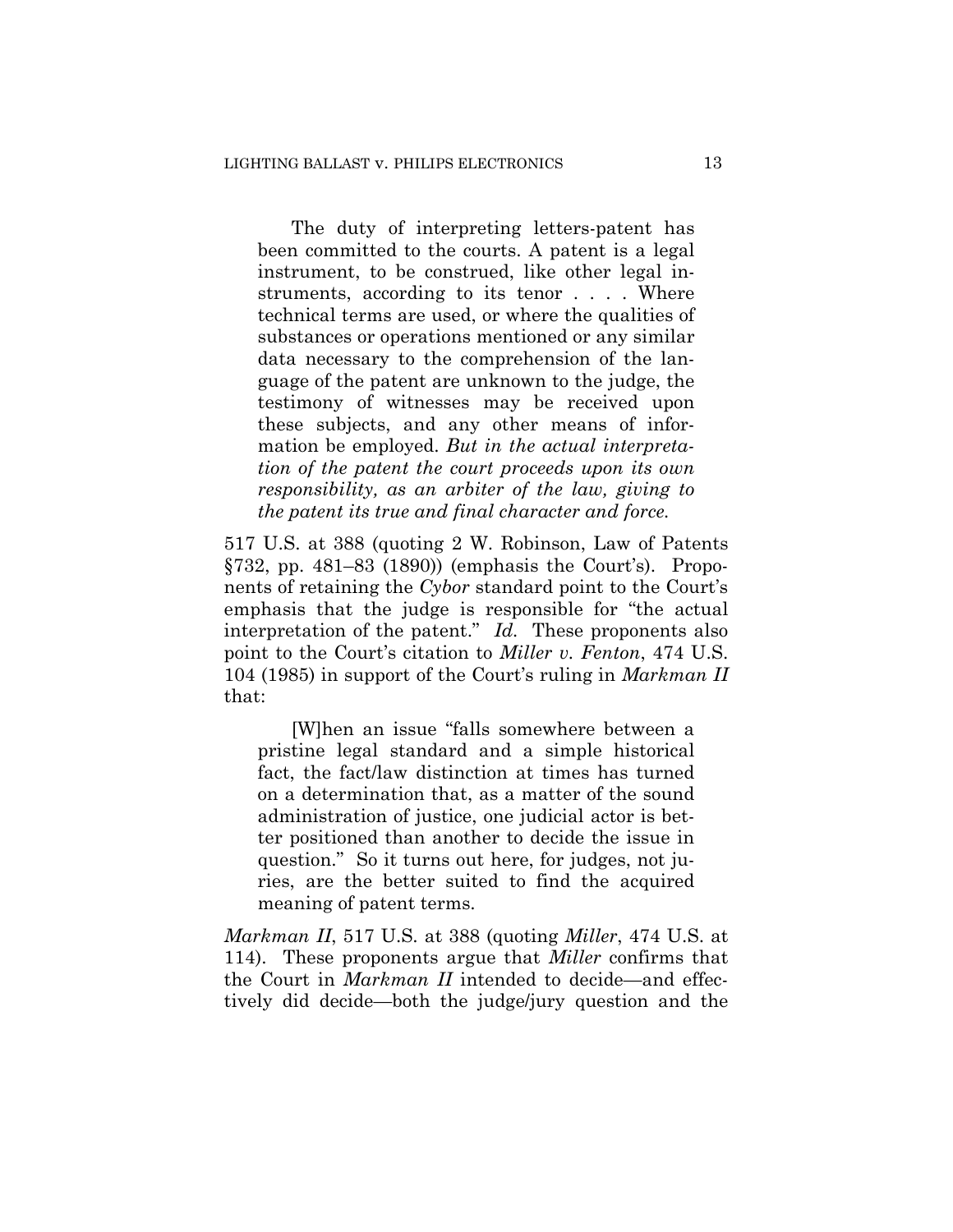The duty of interpreting letters-patent has been committed to the courts. A patent is a legal instrument, to be construed, like other legal instruments, according to its tenor . . . . Where technical terms are used, or where the qualities of substances or operations mentioned or any similar data necessary to the comprehension of the language of the patent are unknown to the judge, the testimony of witnesses may be received upon these subjects, and any other means of information be employed. *But in the actual interpretation of the patent the court proceeds upon its own responsibility, as an arbiter of the law, giving to the patent its true and final character and force.*

517 U.S. at 388 (quoting 2 W. Robinson, Law of Patents §732, pp. 481–83 (1890)) (emphasis the Court's). Proponents of retaining the *Cybor* standard point to the Court's emphasis that the judge is responsible for "the actual interpretation of the patent." *Id.* These proponents also point to the Court's citation to *Miller v. Fenton*, 474 U.S. 104 (1985) in support of the Court's ruling in *Markman II* that:

[W]hen an issue "falls somewhere between a pristine legal standard and a simple historical fact, the fact/law distinction at times has turned on a determination that, as a matter of the sound administration of justice, one judicial actor is better positioned than another to decide the issue in question." So it turns out here, for judges, not juries, are the better suited to find the acquired meaning of patent terms.

*Markman II*, 517 U.S. at 388 (quoting *Miller*, 474 U.S. at 114). These proponents argue that *Miller* confirms that the Court in *Markman II* intended to decide—and effectively did decide—both the judge/jury question and the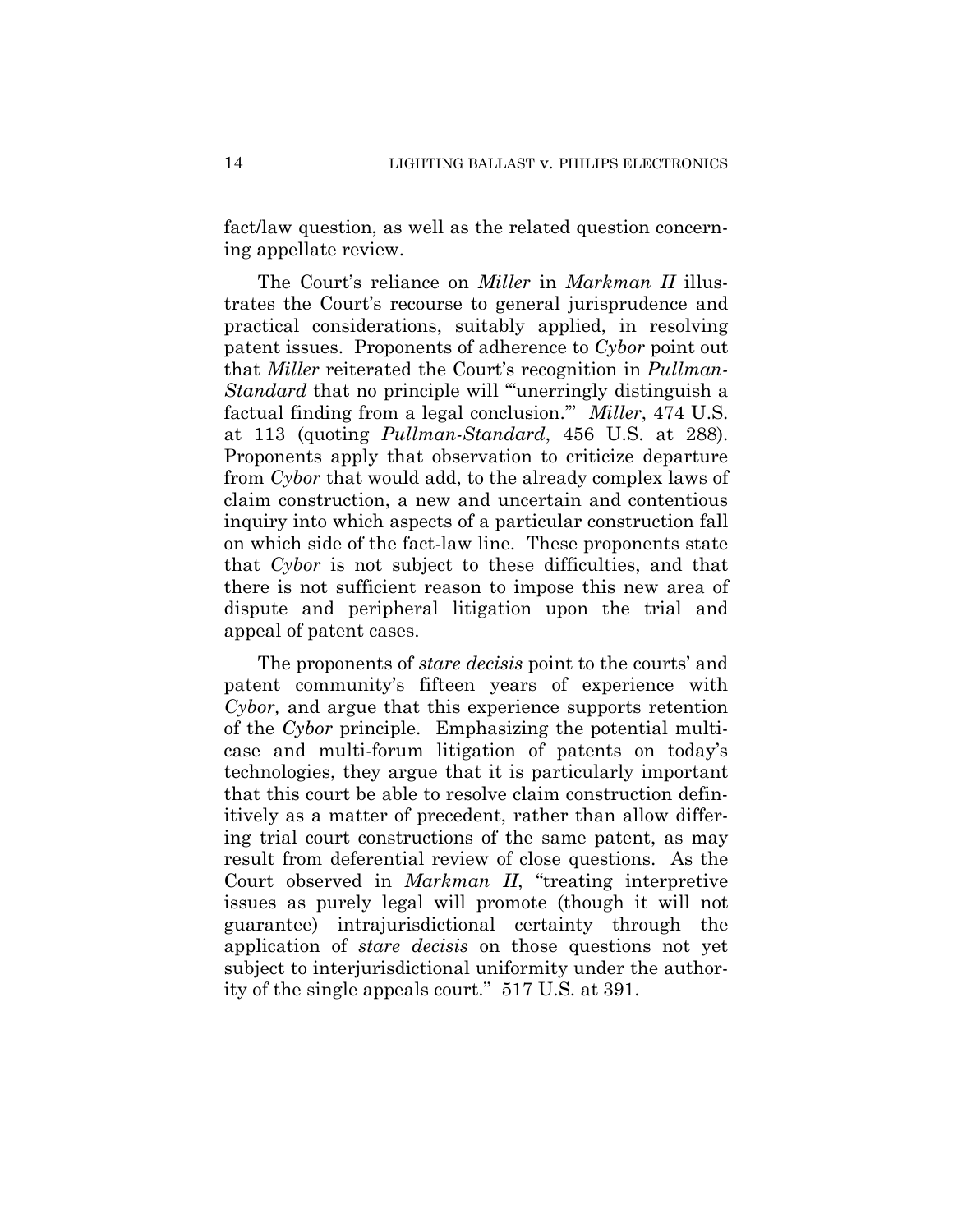fact/law question, as well as the related question concerning appellate review.

The Court's reliance on *Miller* in *Markman II* illustrates the Court's recourse to general jurisprudence and practical considerations, suitably applied, in resolving patent issues. Proponents of adherence to *Cybor* point out that *Miller* reiterated the Court's recognition in *Pullman-Standard* that no principle will "unerringly distinguish a factual finding from a legal conclusion.'" *Miller*, 474 U.S. at 113 (quoting *Pullman-Standard*, 456 U.S. at 288). Proponents apply that observation to criticize departure from *Cybor* that would add, to the already complex laws of claim construction, a new and uncertain and contentious inquiry into which aspects of a particular construction fall on which side of the fact-law line. These proponents state that *Cybor* is not subject to these difficulties, and that there is not sufficient reason to impose this new area of dispute and peripheral litigation upon the trial and appeal of patent cases.

The proponents of *stare decisis* point to the courts' and patent community's fifteen years of experience with *Cybor,* and argue that this experience supports retention of the *Cybor* principle. Emphasizing the potential multicase and multi-forum litigation of patents on today's technologies, they argue that it is particularly important that this court be able to resolve claim construction definitively as a matter of precedent, rather than allow differing trial court constructions of the same patent, as may result from deferential review of close questions. As the Court observed in *Markman II*, "treating interpretive issues as purely legal will promote (though it will not guarantee) intrajurisdictional certainty through the application of *stare decisis* on those questions not yet subject to interjurisdictional uniformity under the authority of the single appeals court." 517 U.S. at 391.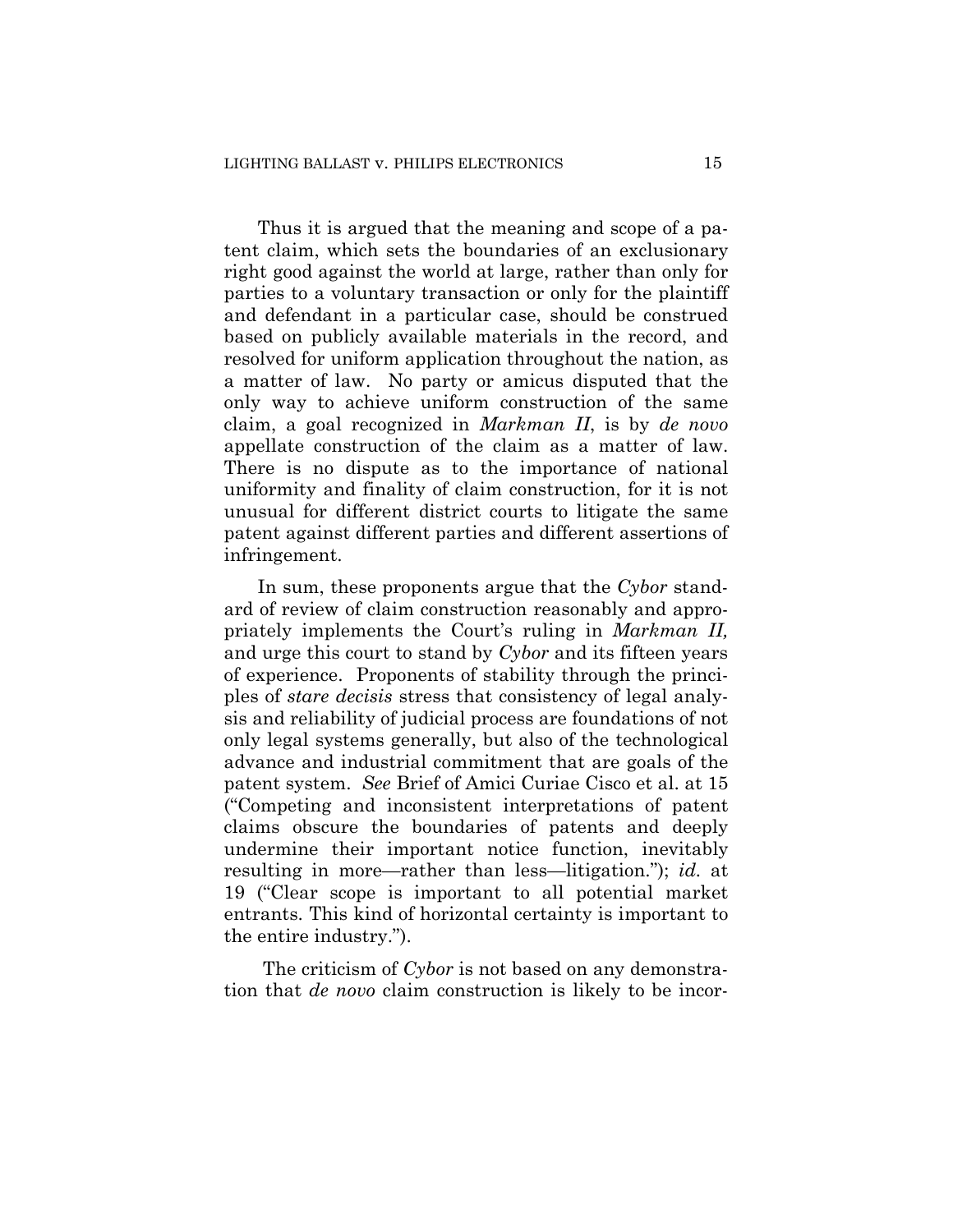Thus it is argued that the meaning and scope of a patent claim, which sets the boundaries of an exclusionary right good against the world at large, rather than only for parties to a voluntary transaction or only for the plaintiff and defendant in a particular case, should be construed based on publicly available materials in the record, and resolved for uniform application throughout the nation, as a matter of law. No party or amicus disputed that the only way to achieve uniform construction of the same claim, a goal recognized in *Markman II*, is by *de novo* appellate construction of the claim as a matter of law. There is no dispute as to the importance of national uniformity and finality of claim construction, for it is not unusual for different district courts to litigate the same patent against different parties and different assertions of infringement.

In sum, these proponents argue that the *Cybor* standard of review of claim construction reasonably and appropriately implements the Court's ruling in *Markman II,*  and urge this court to stand by *Cybor* and its fifteen years of experience. Proponents of stability through the principles of *stare decisis* stress that consistency of legal analysis and reliability of judicial process are foundations of not only legal systems generally, but also of the technological advance and industrial commitment that are goals of the patent system. *See* Brief of Amici Curiae Cisco et al. at 15 ("Competing and inconsistent interpretations of patent claims obscure the boundaries of patents and deeply undermine their important notice function, inevitably resulting in more—rather than less—litigation."); *id.* at 19 ("Clear scope is important to all potential market entrants. This kind of horizontal certainty is important to the entire industry.").

The criticism of *Cybor* is not based on any demonstration that *de novo* claim construction is likely to be incor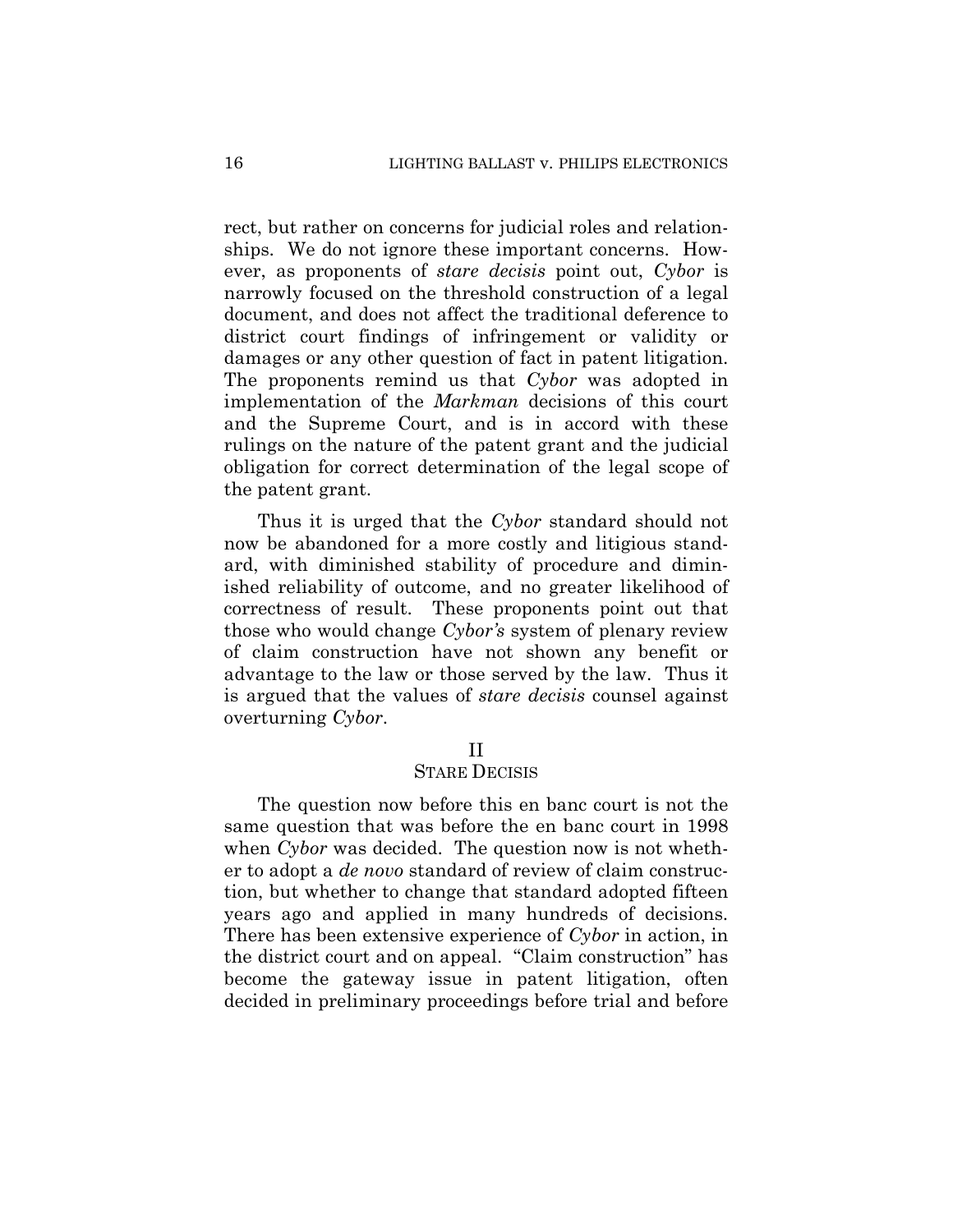rect, but rather on concerns for judicial roles and relationships. We do not ignore these important concerns. However, as proponents of *stare decisis* point out, *Cybor* is narrowly focused on the threshold construction of a legal document, and does not affect the traditional deference to district court findings of infringement or validity or damages or any other question of fact in patent litigation. The proponents remind us that *Cybor* was adopted in implementation of the *Markman* decisions of this court and the Supreme Court, and is in accord with these rulings on the nature of the patent grant and the judicial obligation for correct determination of the legal scope of the patent grant.

Thus it is urged that the *Cybor* standard should not now be abandoned for a more costly and litigious standard, with diminished stability of procedure and diminished reliability of outcome, and no greater likelihood of correctness of result. These proponents point out that those who would change *Cybor's* system of plenary review of claim construction have not shown any benefit or advantage to the law or those served by the law. Thus it is argued that the values of *stare decisis* counsel against overturning *Cybor*.

#### II

## STARE DECISIS

The question now before this en banc court is not the same question that was before the en banc court in 1998 when *Cybor* was decided. The question now is not whether to adopt a *de novo* standard of review of claim construction, but whether to change that standard adopted fifteen years ago and applied in many hundreds of decisions. There has been extensive experience of *Cybor* in action, in the district court and on appeal. "Claim construction" has become the gateway issue in patent litigation, often decided in preliminary proceedings before trial and before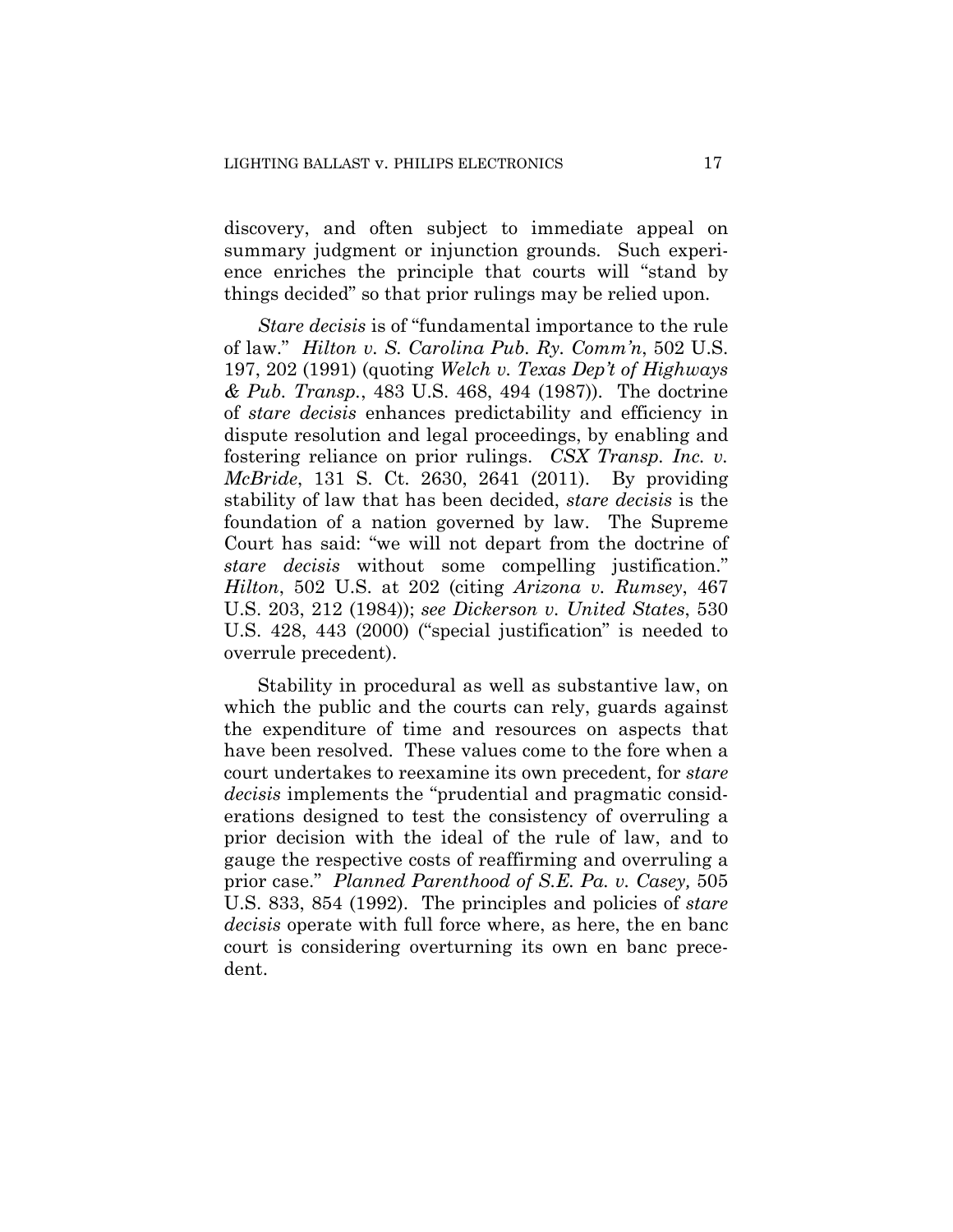discovery, and often subject to immediate appeal on summary judgment or injunction grounds. Such experience enriches the principle that courts will "stand by things decided" so that prior rulings may be relied upon.

*Stare decisis* is of "fundamental importance to the rule of law." *Hilton v. S. Carolina Pub. Ry. Comm'n*, 502 U.S. 197, 202 (1991) (quoting *Welch v. Texas Dep't of Highways & Pub. Transp.*, 483 U.S. 468, 494 (1987)). The doctrine of *stare decisis* enhances predictability and efficiency in dispute resolution and legal proceedings, by enabling and fostering reliance on prior rulings. *CSX Transp. Inc. v. McBride*, 131 S. Ct. 2630, 2641 (2011). By providing stability of law that has been decided, *stare decisis* is the foundation of a nation governed by law. The Supreme Court has said: "we will not depart from the doctrine of *stare decisis* without some compelling justification." *Hilton*, 502 U.S. at 202 (citing *Arizona v. Rumsey*, 467 U.S. 203, 212 (1984)); *see Dickerson v. United States*, 530 U.S. 428, 443 (2000) ("special justification" is needed to overrule precedent).

Stability in procedural as well as substantive law, on which the public and the courts can rely, guards against the expenditure of time and resources on aspects that have been resolved. These values come to the fore when a court undertakes to reexamine its own precedent, for *stare decisis* implements the "prudential and pragmatic considerations designed to test the consistency of overruling a prior decision with the ideal of the rule of law, and to gauge the respective costs of reaffirming and overruling a prior case." *Planned Parenthood of S.E. Pa. v. Casey,* 505 U.S. 833, 854 (1992). The principles and policies of *stare decisis* operate with full force where, as here, the en banc court is considering overturning its own en banc precedent.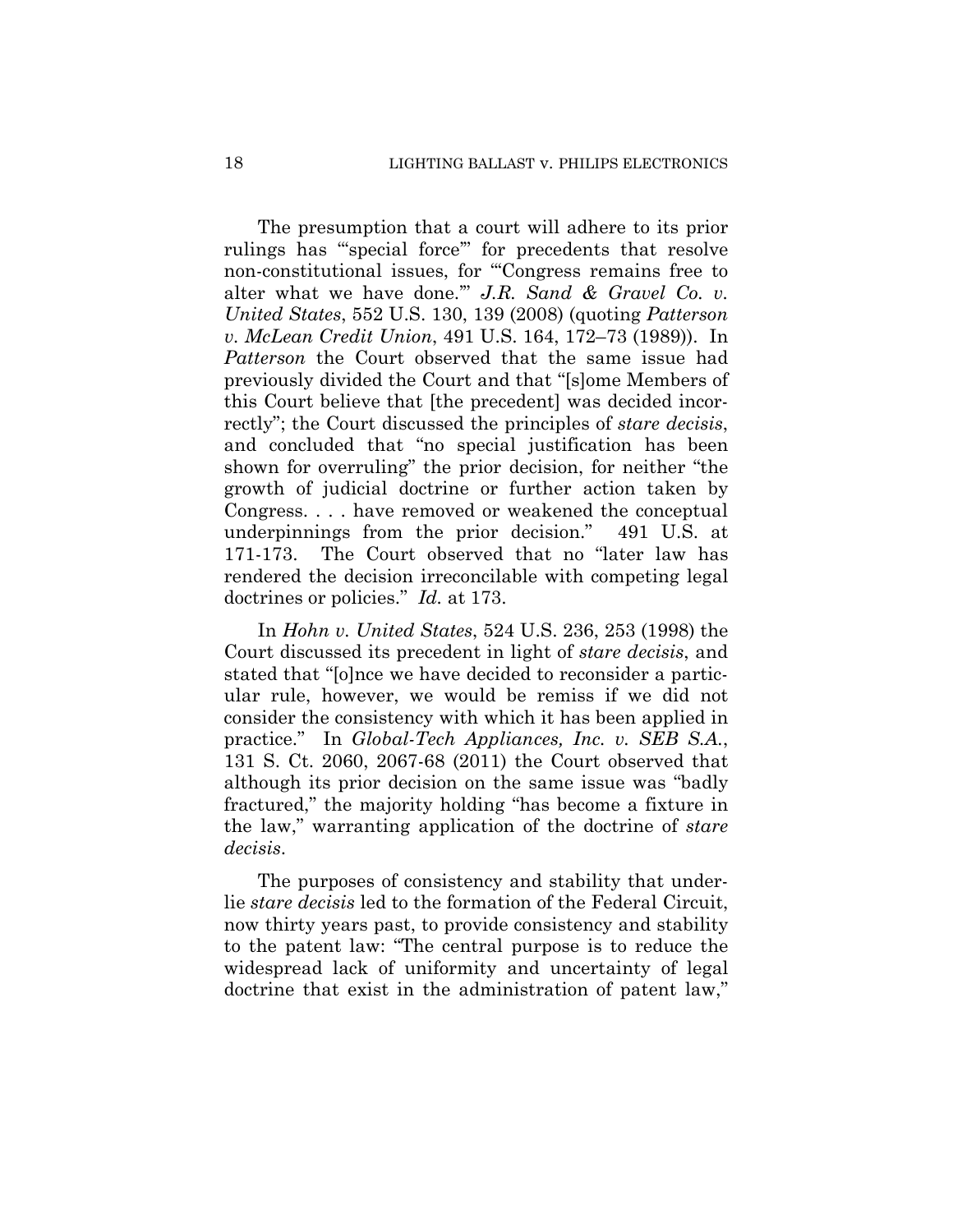The presumption that a court will adhere to its prior rulings has "'special force'" for precedents that resolve non-constitutional issues, for "'Congress remains free to alter what we have done.'" *J.R. Sand & Gravel Co. v. United States*, 552 U.S. 130, 139 (2008) (quoting *Patterson v. McLean Credit Union*, 491 U.S. 164, 172–73 (1989)). In *Patterson* the Court observed that the same issue had previously divided the Court and that "[s]ome Members of this Court believe that [the precedent] was decided incorrectly"; the Court discussed the principles of *stare decisis*, and concluded that "no special justification has been shown for overruling" the prior decision, for neither "the growth of judicial doctrine or further action taken by Congress. . . . have removed or weakened the conceptual underpinnings from the prior decision." 491 U.S. at 171-173. The Court observed that no "later law has rendered the decision irreconcilable with competing legal doctrines or policies." *Id.* at 173.

In *Hohn v. United States*, 524 U.S. 236, 253 (1998) the Court discussed its precedent in light of *stare decisis*, and stated that "[o]nce we have decided to reconsider a particular rule, however, we would be remiss if we did not consider the consistency with which it has been applied in practice." In *Global-Tech Appliances, Inc. v. SEB S.A.*, 131 S. Ct. 2060, 2067-68 (2011) the Court observed that although its prior decision on the same issue was "badly fractured," the majority holding "has become a fixture in the law," warranting application of the doctrine of *stare decisis*.

The purposes of consistency and stability that underlie *stare decisis* led to the formation of the Federal Circuit, now thirty years past, to provide consistency and stability to the patent law: "The central purpose is to reduce the widespread lack of uniformity and uncertainty of legal doctrine that exist in the administration of patent law,"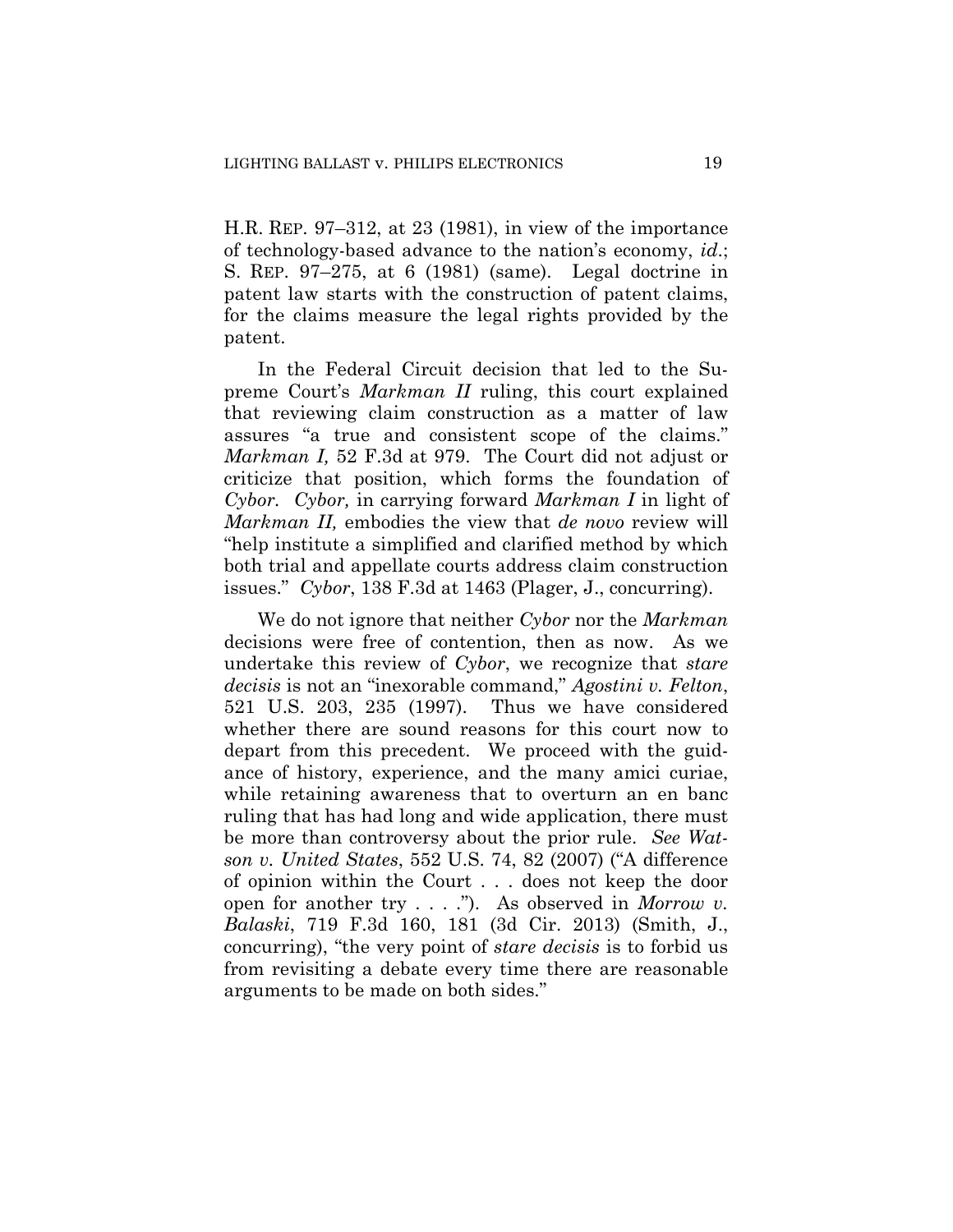H.R. REP. 97–312, at 23 (1981), in view of the importance of technology-based advance to the nation's economy, *id*.; S. REP. 97–275, at 6 (1981) (same). Legal doctrine in patent law starts with the construction of patent claims, for the claims measure the legal rights provided by the patent.

In the Federal Circuit decision that led to the Supreme Court's *Markman II* ruling, this court explained that reviewing claim construction as a matter of law assures "a true and consistent scope of the claims." *Markman I,* 52 F.3d at 979. The Court did not adjust or criticize that position, which forms the foundation of *Cybor. Cybor,* in carrying forward *Markman I* in light of *Markman II,* embodies the view that *de novo* review will "help institute a simplified and clarified method by which both trial and appellate courts address claim construction issues." *Cybor*, 138 F.3d at 1463 (Plager, J., concurring).

We do not ignore that neither *Cybor* nor the *Markman* decisions were free of contention, then as now. As we undertake this review of *Cybor*, we recognize that *stare decisis* is not an "inexorable command," *Agostini v. Felton*, 521 U.S. 203, 235 (1997). Thus we have considered whether there are sound reasons for this court now to depart from this precedent. We proceed with the guidance of history, experience, and the many amici curiae, while retaining awareness that to overturn an en banc ruling that has had long and wide application, there must be more than controversy about the prior rule. *See Watson v. United States*, 552 U.S. 74, 82 (2007) ("A difference of opinion within the Court . . . does not keep the door open for another try . . . ."). As observed in *Morrow v. Balaski*, 719 F.3d 160, 181 (3d Cir. 2013) (Smith, J., concurring), "the very point of *stare decisis* is to forbid us from revisiting a debate every time there are reasonable arguments to be made on both sides."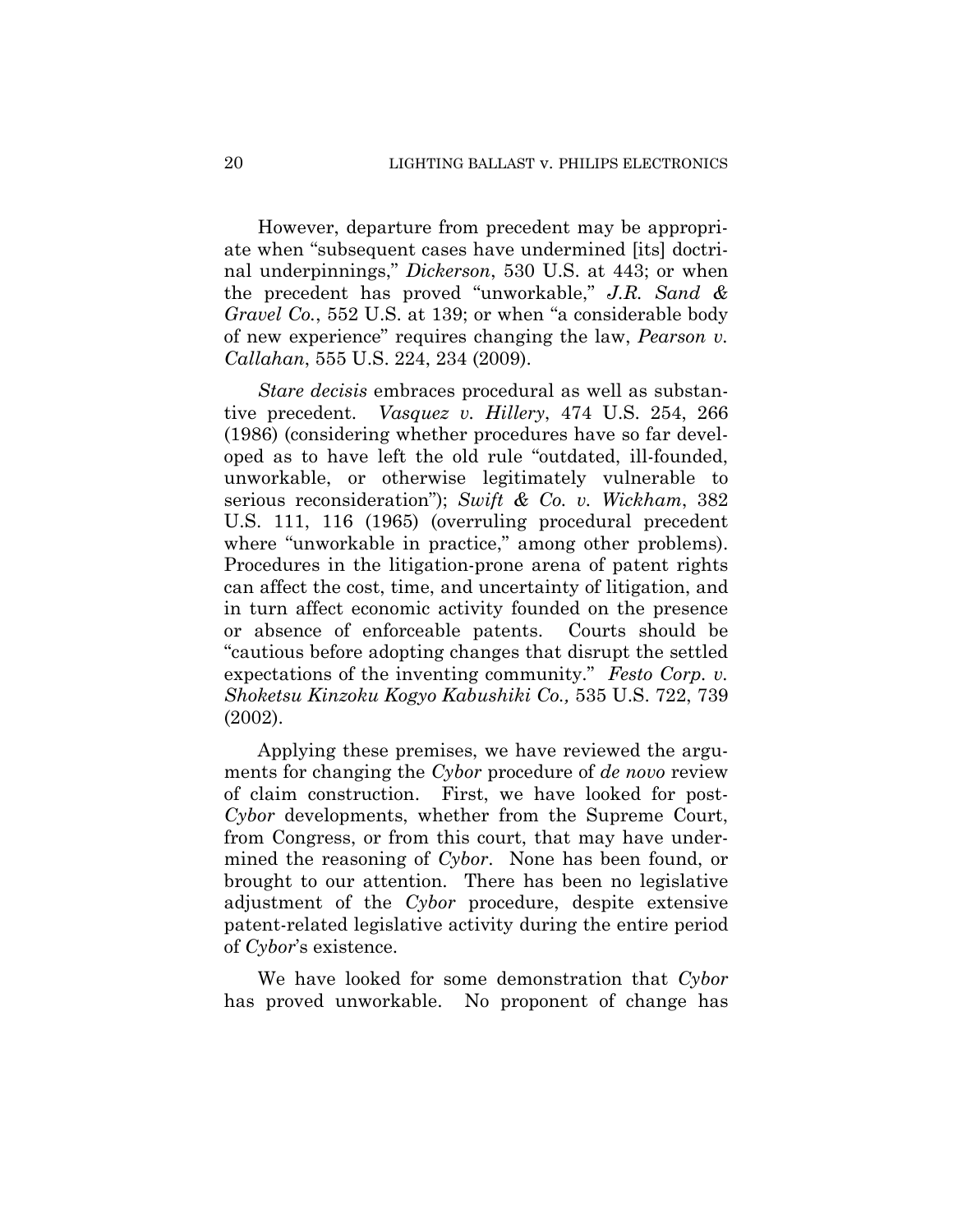However, departure from precedent may be appropriate when "subsequent cases have undermined [its] doctrinal underpinnings," *Dickerson*, 530 U.S. at 443; or when the precedent has proved "unworkable," *J.R. Sand & Gravel Co.*, 552 U.S. at 139; or when "a considerable body of new experience" requires changing the law, *Pearson v. Callahan*, 555 U.S. 224, 234 (2009).

*Stare decisis* embraces procedural as well as substantive precedent. *Vasquez v. Hillery*, 474 U.S. 254, 266 (1986) (considering whether procedures have so far developed as to have left the old rule "outdated, ill-founded, unworkable, or otherwise legitimately vulnerable to serious reconsideration"); *Swift & Co. v. Wickham*, 382 U.S. 111, 116 (1965) (overruling procedural precedent where "unworkable in practice," among other problems). Procedures in the litigation-prone arena of patent rights can affect the cost, time, and uncertainty of litigation, and in turn affect economic activity founded on the presence or absence of enforceable patents. Courts should be "cautious before adopting changes that disrupt the settled expectations of the inventing community." *Festo Corp. v. Shoketsu Kinzoku Kogyo Kabushiki Co.,* 535 U.S. 722, 739 (2002).

Applying these premises, we have reviewed the arguments for changing the *Cybor* procedure of *de novo* review of claim construction. First, we have looked for post-*Cybor* developments, whether from the Supreme Court, from Congress, or from this court, that may have undermined the reasoning of *Cybor*. None has been found, or brought to our attention. There has been no legislative adjustment of the *Cybor* procedure, despite extensive patent-related legislative activity during the entire period of *Cybor*'s existence.

We have looked for some demonstration that *Cybor*  has proved unworkable. No proponent of change has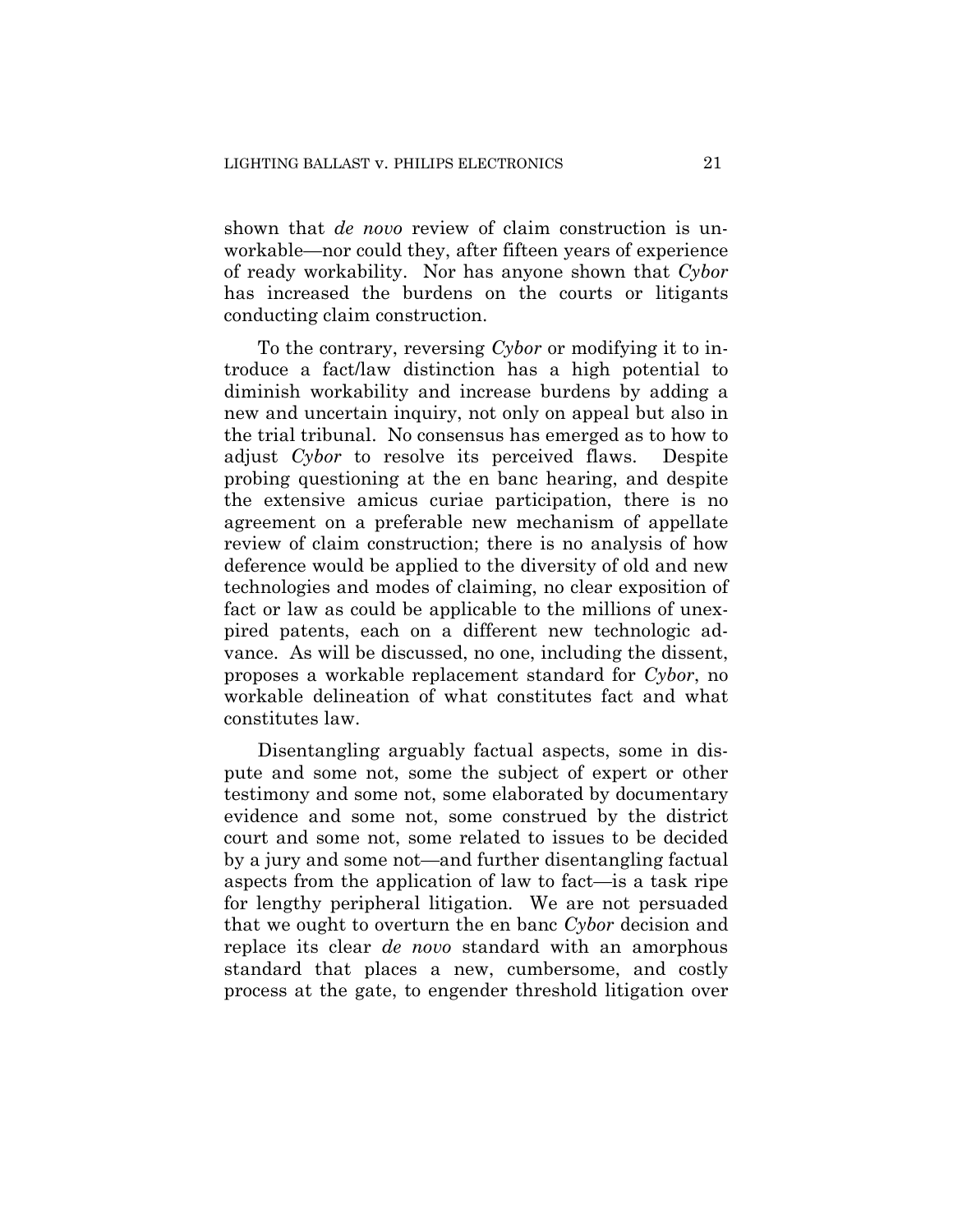shown that *de novo* review of claim construction is unworkable—nor could they, after fifteen years of experience of ready workability. Nor has anyone shown that *Cybor*  has increased the burdens on the courts or litigants conducting claim construction.

To the contrary, reversing *Cybor* or modifying it to introduce a fact/law distinction has a high potential to diminish workability and increase burdens by adding a new and uncertain inquiry, not only on appeal but also in the trial tribunal. No consensus has emerged as to how to adjust *Cybor* to resolve its perceived flaws. Despite probing questioning at the en banc hearing, and despite the extensive amicus curiae participation, there is no agreement on a preferable new mechanism of appellate review of claim construction; there is no analysis of how deference would be applied to the diversity of old and new technologies and modes of claiming, no clear exposition of fact or law as could be applicable to the millions of unexpired patents, each on a different new technologic advance. As will be discussed, no one, including the dissent, proposes a workable replacement standard for *Cybor*, no workable delineation of what constitutes fact and what constitutes law.

Disentangling arguably factual aspects, some in dispute and some not, some the subject of expert or other testimony and some not, some elaborated by documentary evidence and some not, some construed by the district court and some not, some related to issues to be decided by a jury and some not—and further disentangling factual aspects from the application of law to fact—is a task ripe for lengthy peripheral litigation. We are not persuaded that we ought to overturn the en banc *Cybor* decision and replace its clear *de novo* standard with an amorphous standard that places a new, cumbersome, and costly process at the gate, to engender threshold litigation over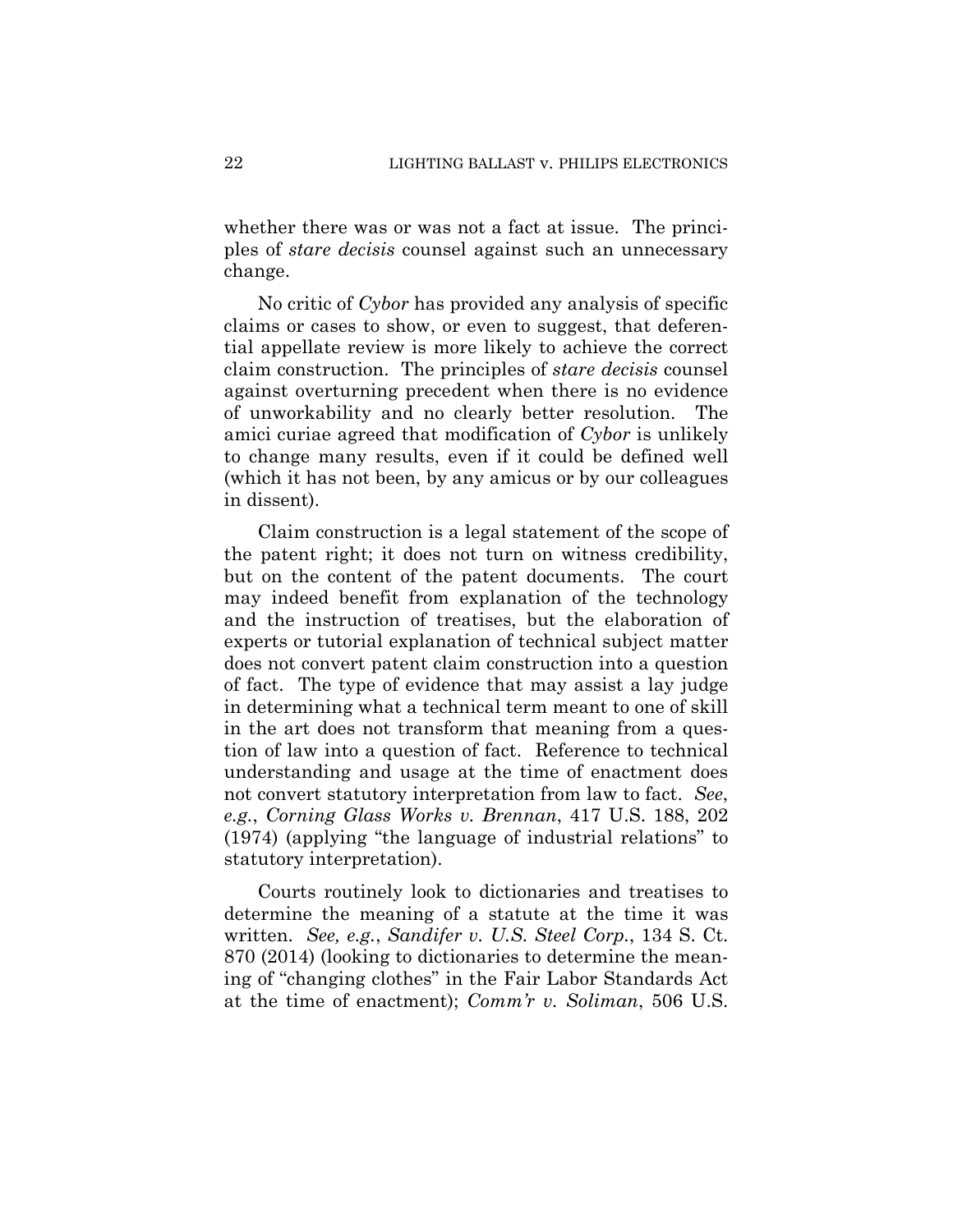whether there was or was not a fact at issue. The principles of *stare decisis* counsel against such an unnecessary change.

No critic of *Cybor* has provided any analysis of specific claims or cases to show, or even to suggest, that deferential appellate review is more likely to achieve the correct claim construction. The principles of *stare decisis* counsel against overturning precedent when there is no evidence of unworkability and no clearly better resolution. The amici curiae agreed that modification of *Cybor* is unlikely to change many results, even if it could be defined well (which it has not been, by any amicus or by our colleagues in dissent).

Claim construction is a legal statement of the scope of the patent right; it does not turn on witness credibility, but on the content of the patent documents. The court may indeed benefit from explanation of the technology and the instruction of treatises, but the elaboration of experts or tutorial explanation of technical subject matter does not convert patent claim construction into a question of fact. The type of evidence that may assist a lay judge in determining what a technical term meant to one of skill in the art does not transform that meaning from a question of law into a question of fact. Reference to technical understanding and usage at the time of enactment does not convert statutory interpretation from law to fact. *See*, *e.g.*, *Corning Glass Works v. Brennan*, 417 U.S. 188, 202 (1974) (applying "the language of industrial relations" to statutory interpretation).

Courts routinely look to dictionaries and treatises to determine the meaning of a statute at the time it was written. *See, e.g.*, *Sandifer v. U.S. Steel Corp.*, 134 S. Ct. 870 (2014) (looking to dictionaries to determine the meaning of "changing clothes" in the Fair Labor Standards Act at the time of enactment); *Comm'r v. Soliman*, 506 U.S.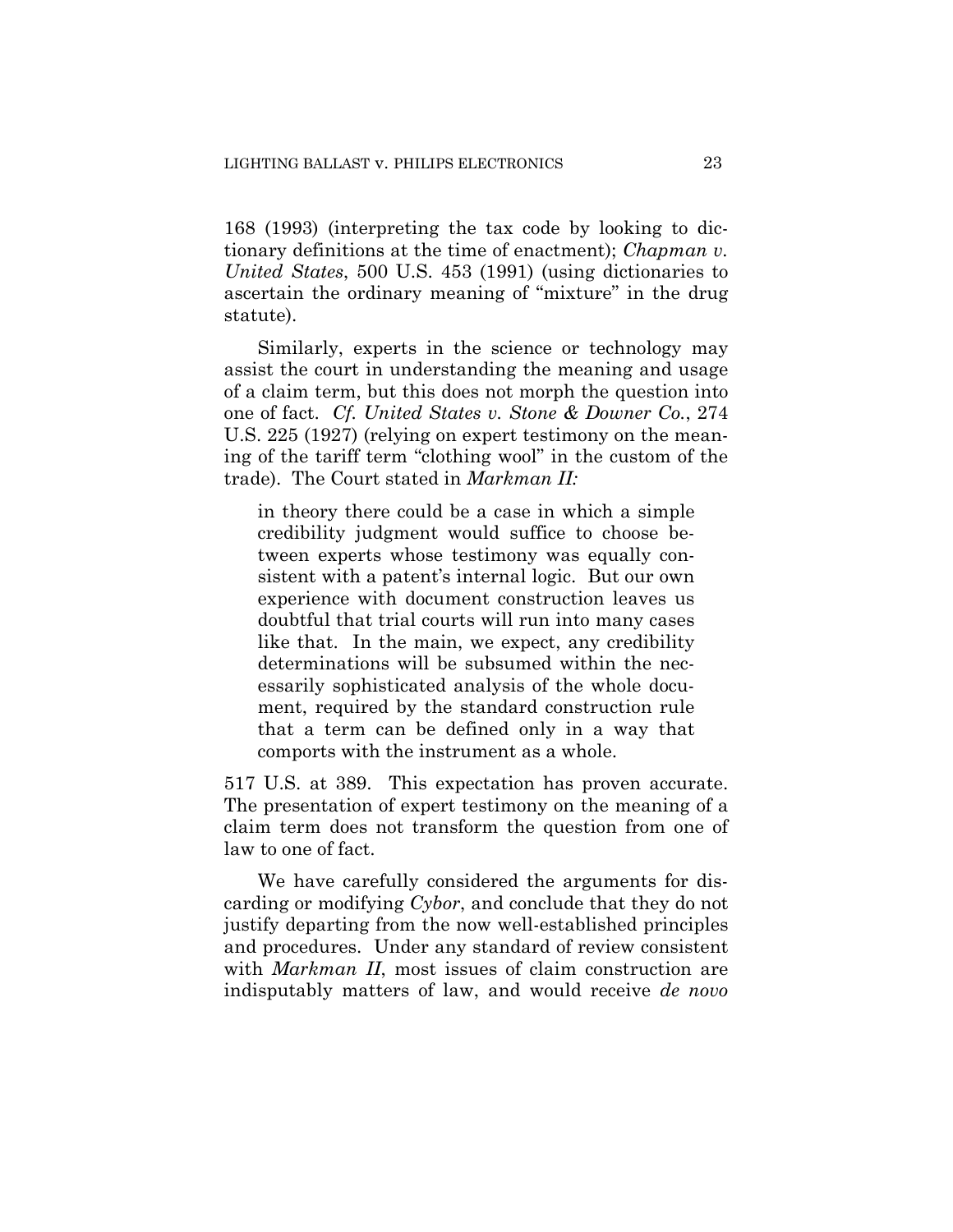168 (1993) (interpreting the tax code by looking to dictionary definitions at the time of enactment); *Chapman v. United States*, 500 U.S. 453 (1991) (using dictionaries to ascertain the ordinary meaning of "mixture" in the drug statute).

Similarly, experts in the science or technology may assist the court in understanding the meaning and usage of a claim term, but this does not morph the question into one of fact. *Cf. United States v. Stone & Downer Co.*, 274 U.S. 225 (1927) (relying on expert testimony on the meaning of the tariff term "clothing wool" in the custom of the trade). The Court stated in *Markman II:* 

in theory there could be a case in which a simple credibility judgment would suffice to choose between experts whose testimony was equally consistent with a patent's internal logic. But our own experience with document construction leaves us doubtful that trial courts will run into many cases like that. In the main, we expect, any credibility determinations will be subsumed within the necessarily sophisticated analysis of the whole document, required by the standard construction rule that a term can be defined only in a way that comports with the instrument as a whole.

517 U.S. at 389. This expectation has proven accurate. The presentation of expert testimony on the meaning of a claim term does not transform the question from one of law to one of fact.

We have carefully considered the arguments for discarding or modifying *Cybor*, and conclude that they do not justify departing from the now well-established principles and procedures. Under any standard of review consistent with *Markman II*, most issues of claim construction are indisputably matters of law, and would receive *de novo*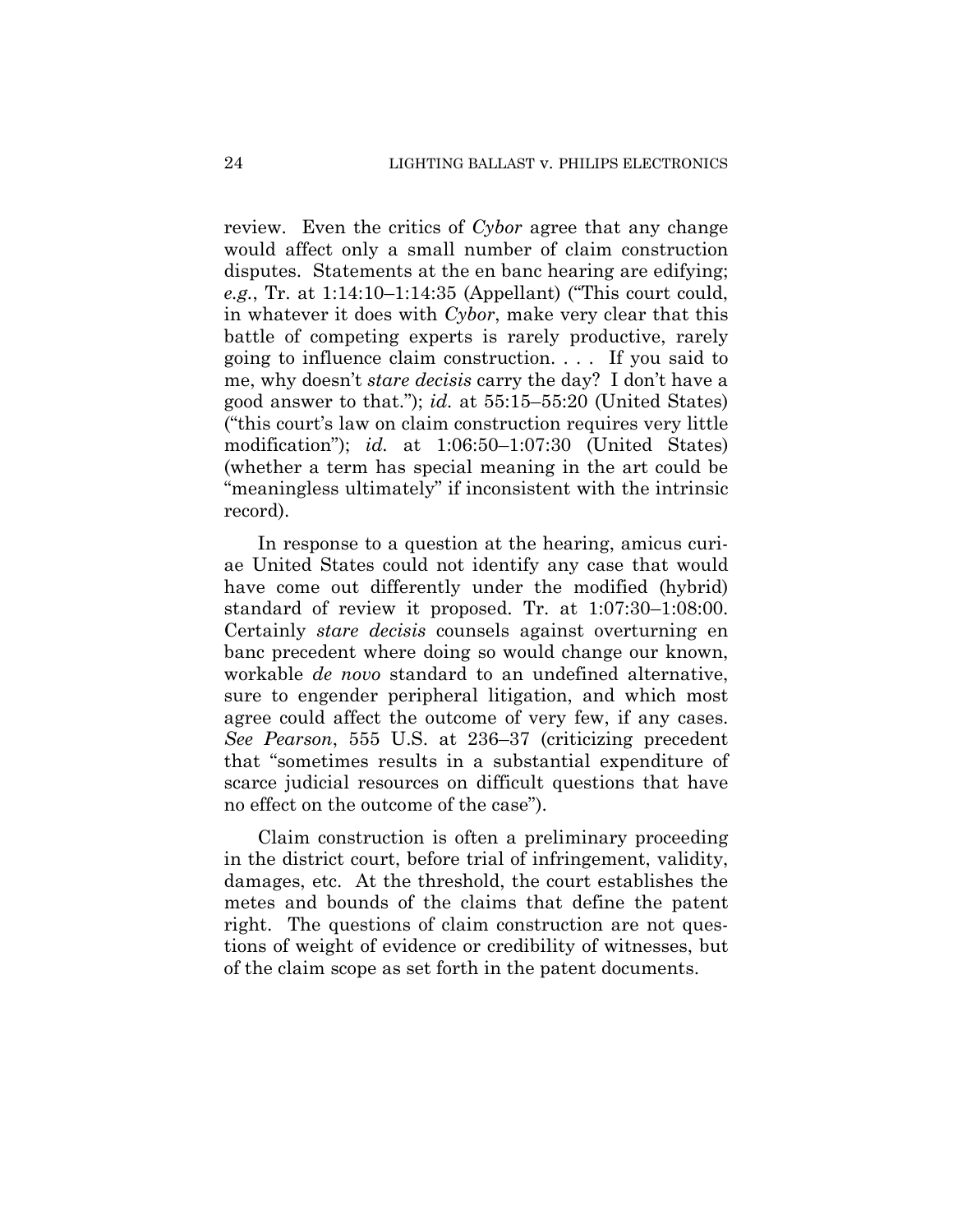review. Even the critics of *Cybor* agree that any change would affect only a small number of claim construction disputes. Statements at the en banc hearing are edifying; *e.g.*, Tr. at 1:14:10–1:14:35 (Appellant) ("This court could, in whatever it does with *Cybor*, make very clear that this battle of competing experts is rarely productive, rarely going to influence claim construction. . . . If you said to me, why doesn't *stare decisis* carry the day? I don't have a good answer to that."); *id.* at 55:15–55:20 (United States) ("this court's law on claim construction requires very little modification"); *id.* at 1:06:50–1:07:30 (United States) (whether a term has special meaning in the art could be "meaningless ultimately" if inconsistent with the intrinsic record).

In response to a question at the hearing, amicus curiae United States could not identify any case that would have come out differently under the modified (hybrid) standard of review it proposed. Tr. at 1:07:30–1:08:00. Certainly *stare decisis* counsels against overturning en banc precedent where doing so would change our known, workable *de novo* standard to an undefined alternative, sure to engender peripheral litigation, and which most agree could affect the outcome of very few, if any cases. *See Pearson*, 555 U.S. at 236–37 (criticizing precedent that "sometimes results in a substantial expenditure of scarce judicial resources on difficult questions that have no effect on the outcome of the case").

Claim construction is often a preliminary proceeding in the district court, before trial of infringement, validity, damages, etc. At the threshold, the court establishes the metes and bounds of the claims that define the patent right. The questions of claim construction are not questions of weight of evidence or credibility of witnesses, but of the claim scope as set forth in the patent documents.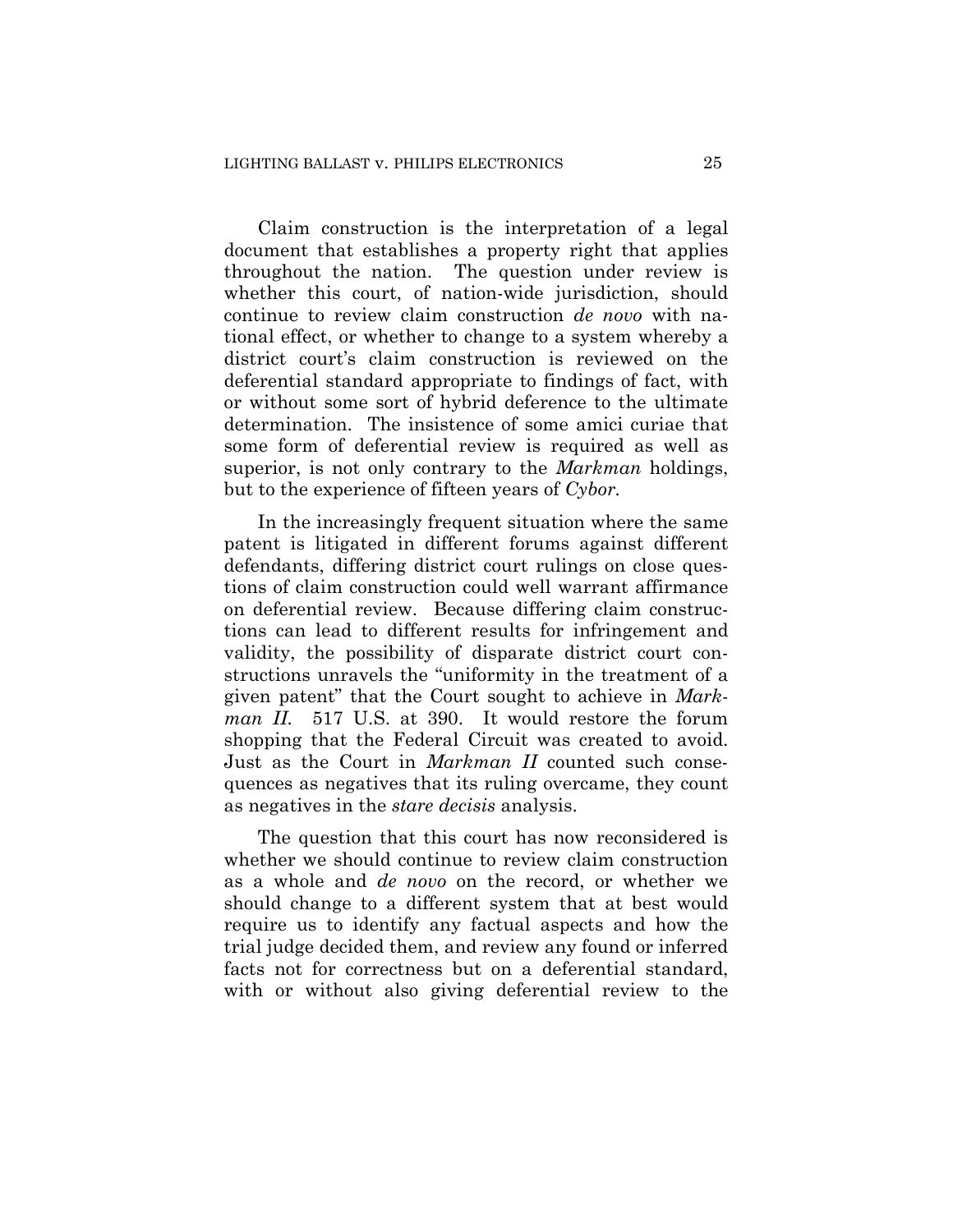Claim construction is the interpretation of a legal document that establishes a property right that applies throughout the nation. The question under review is whether this court, of nation-wide jurisdiction, should continue to review claim construction *de novo* with national effect, or whether to change to a system whereby a district court's claim construction is reviewed on the deferential standard appropriate to findings of fact, with or without some sort of hybrid deference to the ultimate determination. The insistence of some amici curiae that some form of deferential review is required as well as superior, is not only contrary to the *Markman* holdings, but to the experience of fifteen years of *Cybor.* 

In the increasingly frequent situation where the same patent is litigated in different forums against different defendants, differing district court rulings on close questions of claim construction could well warrant affirmance on deferential review. Because differing claim constructions can lead to different results for infringement and validity, the possibility of disparate district court constructions unravels the "uniformity in the treatment of a given patent" that the Court sought to achieve in *Markman II.* 517 U.S. at 390. It would restore the forum shopping that the Federal Circuit was created to avoid. Just as the Court in *Markman II* counted such consequences as negatives that its ruling overcame, they count as negatives in the *stare decisis* analysis.

The question that this court has now reconsidered is whether we should continue to review claim construction as a whole and *de novo* on the record, or whether we should change to a different system that at best would require us to identify any factual aspects and how the trial judge decided them, and review any found or inferred facts not for correctness but on a deferential standard, with or without also giving deferential review to the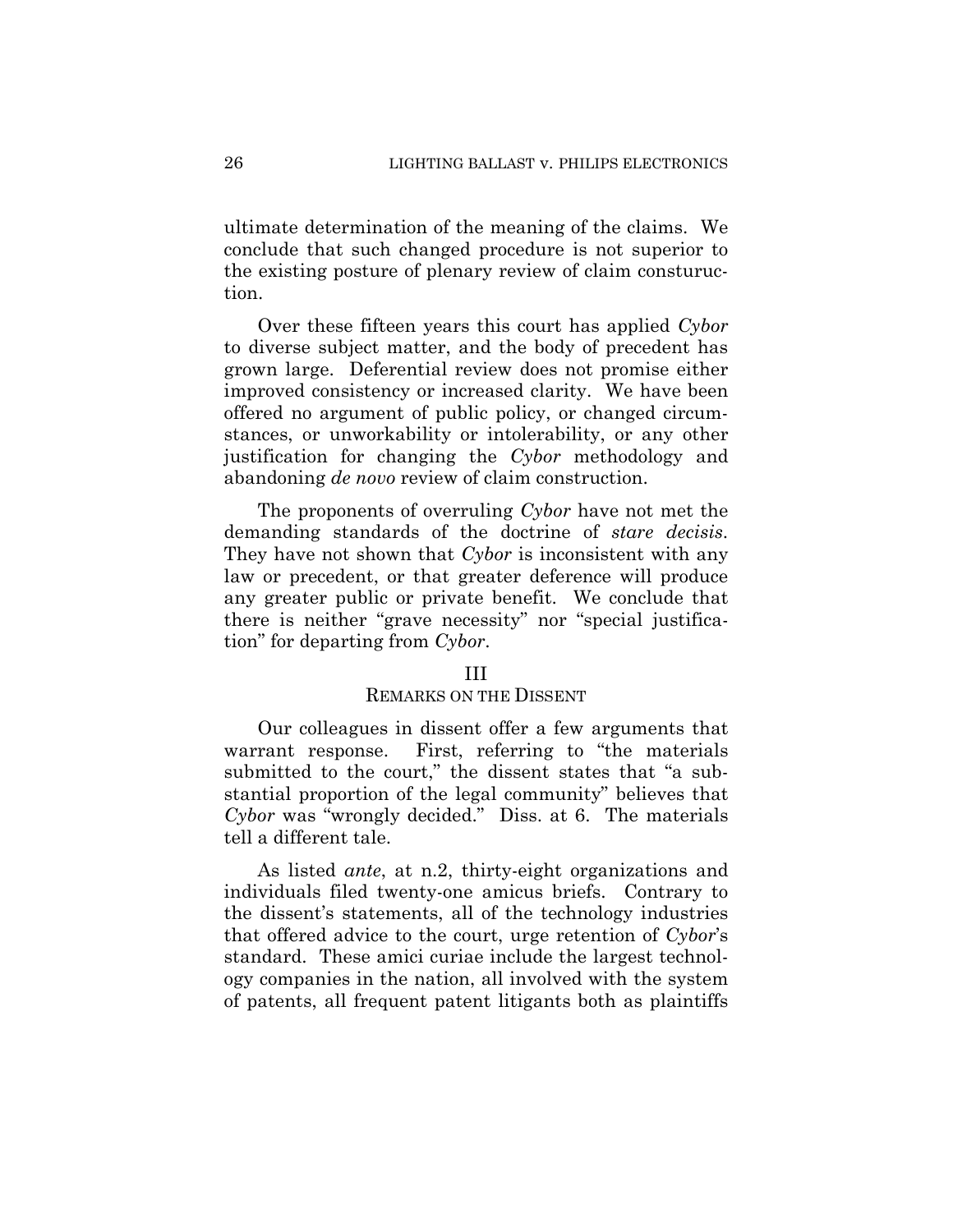ultimate determination of the meaning of the claims. We conclude that such changed procedure is not superior to the existing posture of plenary review of claim consturuction.

Over these fifteen years this court has applied *Cybor* to diverse subject matter, and the body of precedent has grown large. Deferential review does not promise either improved consistency or increased clarity. We have been offered no argument of public policy, or changed circumstances, or unworkability or intolerability, or any other justification for changing the *Cybor* methodology and abandoning *de novo* review of claim construction.

The proponents of overruling *Cybor* have not met the demanding standards of the doctrine of *stare decisis*. They have not shown that *Cybor* is inconsistent with any law or precedent, or that greater deference will produce any greater public or private benefit. We conclude that there is neither "grave necessity" nor "special justification" for departing from *Cybor*.

#### III

#### REMARKS ON THE DISSENT

Our colleagues in dissent offer a few arguments that warrant response. First, referring to "the materials submitted to the court," the dissent states that "a substantial proportion of the legal community" believes that *Cybor* was "wrongly decided." Diss. at 6. The materials tell a different tale.

As listed *ante*, at n.2, thirty-eight organizations and individuals filed twenty-one amicus briefs. Contrary to the dissent's statements, all of the technology industries that offered advice to the court, urge retention of *Cybor*'s standard. These amici curiae include the largest technology companies in the nation, all involved with the system of patents, all frequent patent litigants both as plaintiffs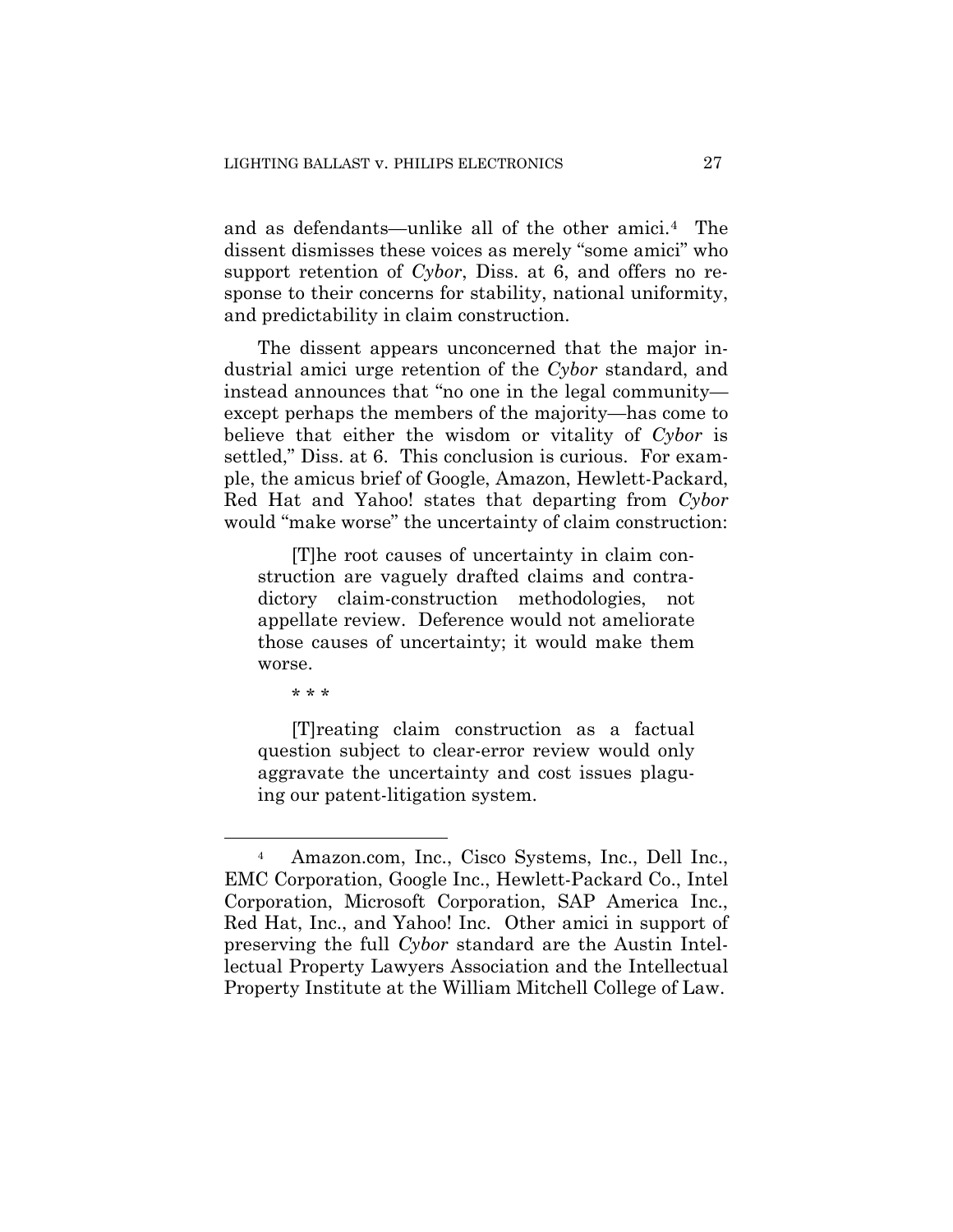and as defendants—unlike all of the other amici.4 The dissent dismisses these voices as merely "some amici" who support retention of *Cybor*, Diss. at 6, and offers no response to their concerns for stability, national uniformity, and predictability in claim construction.

The dissent appears unconcerned that the major industrial amici urge retention of the *Cybor* standard, and instead announces that "no one in the legal community except perhaps the members of the majority—has come to believe that either the wisdom or vitality of *Cybor* is settled," Diss. at 6. This conclusion is curious. For example, the amicus brief of Google, Amazon, Hewlett-Packard, Red Hat and Yahoo! states that departing from *Cybor* would "make worse" the uncertainty of claim construction:

[T]he root causes of uncertainty in claim construction are vaguely drafted claims and contradictory claim-construction methodologies, not appellate review. Deference would not ameliorate those causes of uncertainty; it would make them worse.

\* \* \*

 $\overline{a}$ 

[T]reating claim construction as a factual question subject to clear-error review would only aggravate the uncertainty and cost issues plaguing our patent-litigation system.

<sup>4</sup> Amazon.com, Inc., Cisco Systems, Inc., Dell Inc., EMC Corporation, Google Inc., Hewlett-Packard Co., Intel Corporation, Microsoft Corporation, SAP America Inc., Red Hat, Inc., and Yahoo! Inc. Other amici in support of preserving the full *Cybor* standard are the Austin Intellectual Property Lawyers Association and the Intellectual Property Institute at the William Mitchell College of Law.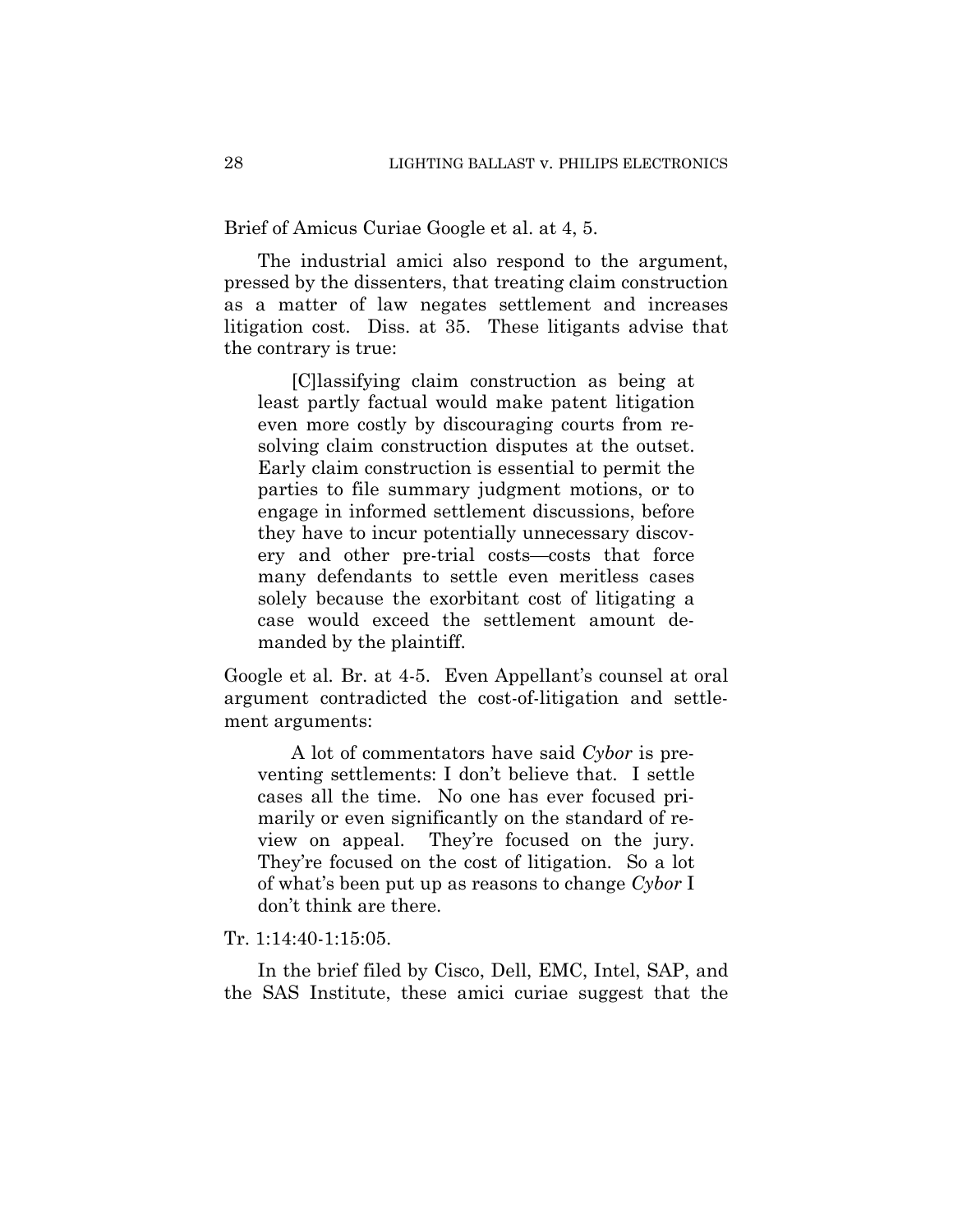Brief of Amicus Curiae Google et al. at 4, 5.

The industrial amici also respond to the argument, pressed by the dissenters, that treating claim construction as a matter of law negates settlement and increases litigation cost. Diss. at 35. These litigants advise that the contrary is true:

[C]lassifying claim construction as being at least partly factual would make patent litigation even more costly by discouraging courts from resolving claim construction disputes at the outset. Early claim construction is essential to permit the parties to file summary judgment motions, or to engage in informed settlement discussions, before they have to incur potentially unnecessary discovery and other pre-trial costs—costs that force many defendants to settle even meritless cases solely because the exorbitant cost of litigating a case would exceed the settlement amount demanded by the plaintiff.

Google et al*.* Br. at 4-5. Even Appellant's counsel at oral argument contradicted the cost-of-litigation and settlement arguments:

A lot of commentators have said *Cybor* is preventing settlements: I don't believe that. I settle cases all the time. No one has ever focused primarily or even significantly on the standard of review on appeal. They're focused on the jury. They're focused on the cost of litigation. So a lot of what's been put up as reasons to change *Cybor* I don't think are there.

Tr. 1:14:40-1:15:05.

In the brief filed by Cisco, Dell, EMC, Intel, SAP, and the SAS Institute, these amici curiae suggest that the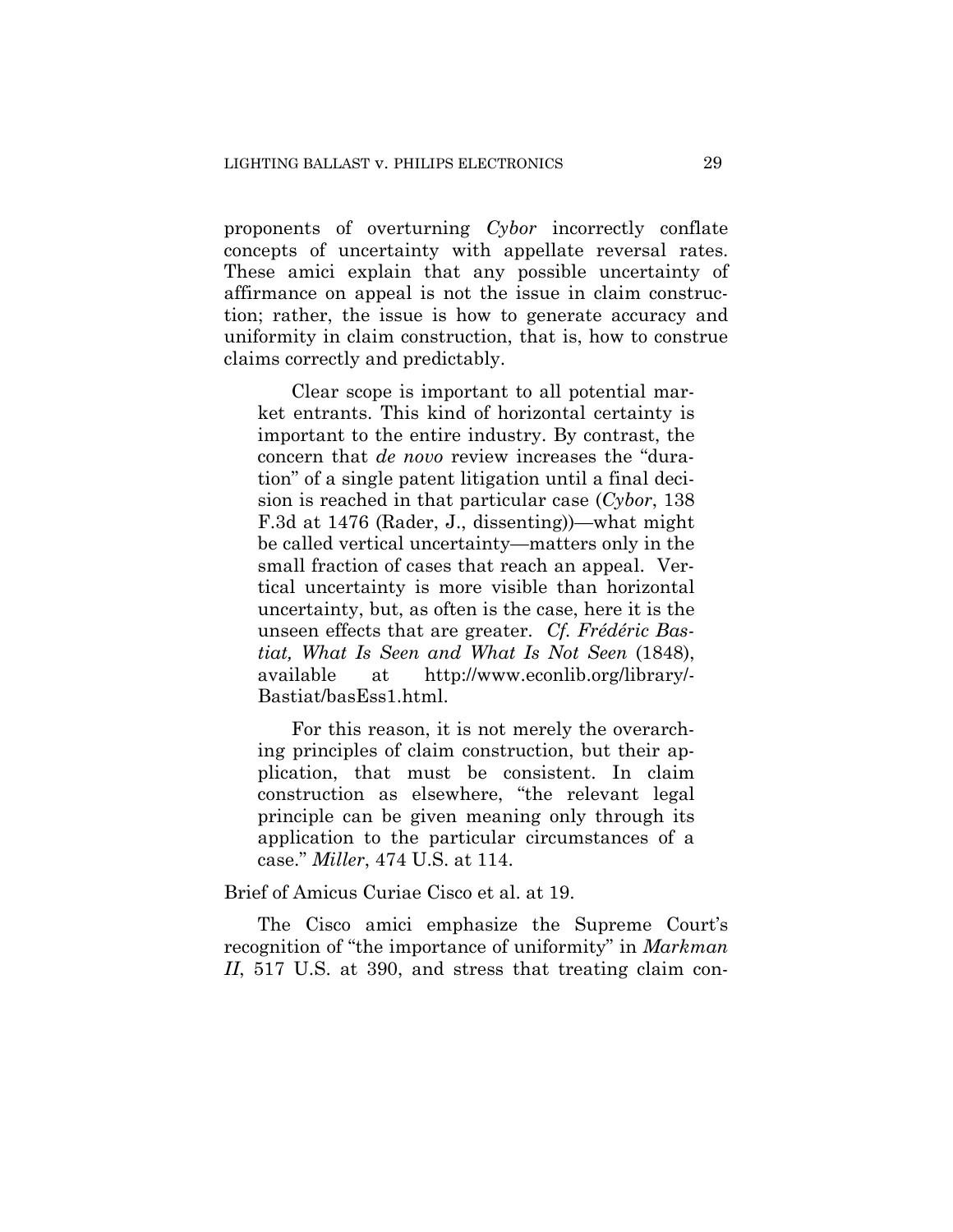proponents of overturning *Cybor* incorrectly conflate concepts of uncertainty with appellate reversal rates. These amici explain that any possible uncertainty of affirmance on appeal is not the issue in claim construction; rather, the issue is how to generate accuracy and uniformity in claim construction, that is, how to construe claims correctly and predictably.

Clear scope is important to all potential market entrants. This kind of horizontal certainty is important to the entire industry. By contrast, the concern that *de novo* review increases the "duration" of a single patent litigation until a final decision is reached in that particular case (*Cybor*, 138 F.3d at 1476 (Rader, J., dissenting))—what might be called vertical uncertainty—matters only in the small fraction of cases that reach an appeal. Vertical uncertainty is more visible than horizontal uncertainty, but, as often is the case, here it is the unseen effects that are greater. *Cf. Frédéric Bastiat, What Is Seen and What Is Not Seen* (1848), available at http://www.econlib.org/library/- Bastiat/basEss1.html.

For this reason, it is not merely the overarching principles of claim construction, but their application, that must be consistent. In claim construction as elsewhere, "the relevant legal principle can be given meaning only through its application to the particular circumstances of a case." *Miller*, 474 U.S. at 114.

#### Brief of Amicus Curiae Cisco et al. at 19.

The Cisco amici emphasize the Supreme Court's recognition of "the importance of uniformity" in *Markman II*, 517 U.S. at 390, and stress that treating claim con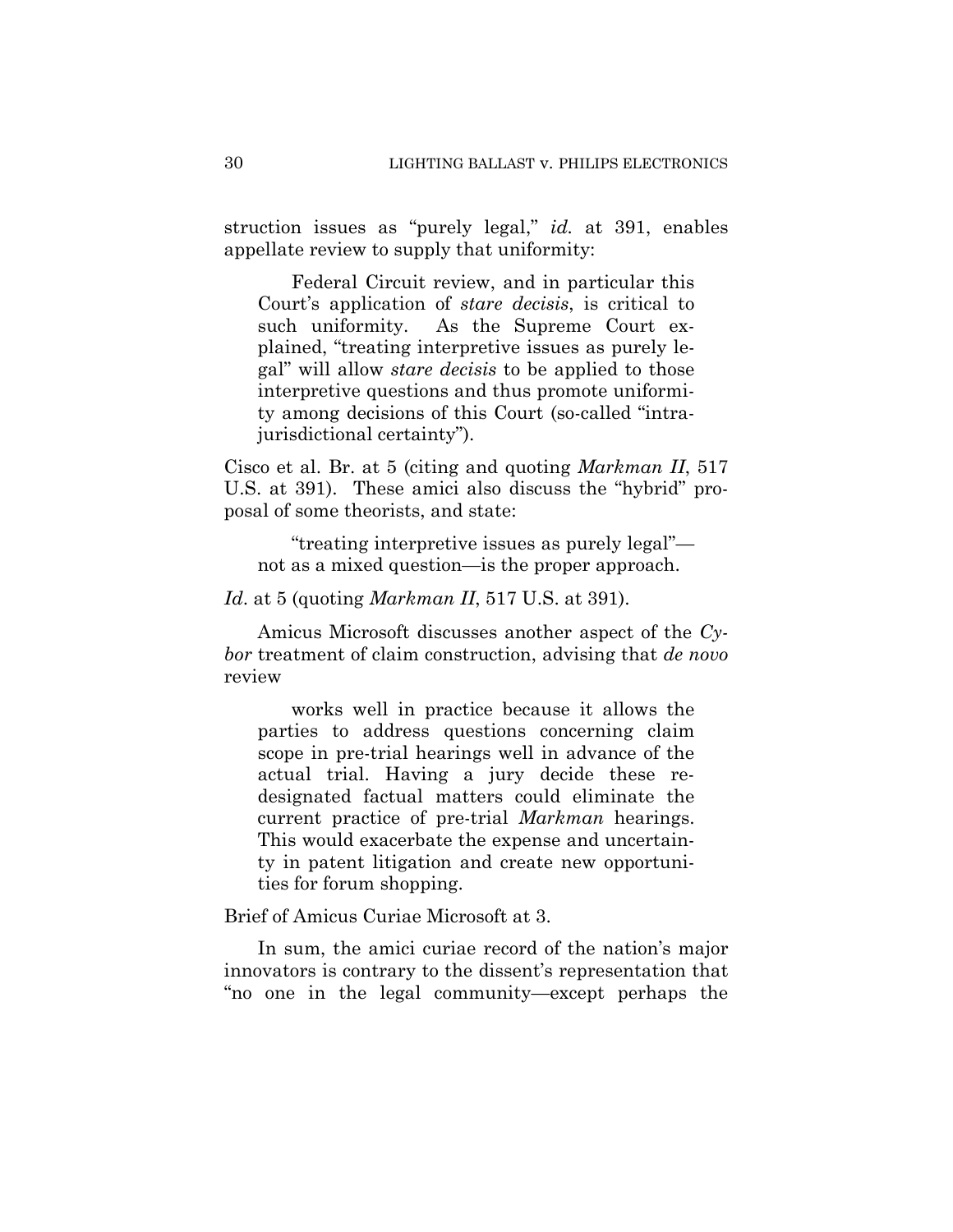struction issues as "purely legal," *id.* at 391, enables appellate review to supply that uniformity:

Federal Circuit review, and in particular this Court's application of *stare decisis*, is critical to such uniformity. As the Supreme Court explained, "treating interpretive issues as purely legal" will allow *stare decisis* to be applied to those interpretive questions and thus promote uniformity among decisions of this Court (so-called "intrajurisdictional certainty").

Cisco et al. Br. at 5 (citing and quoting *Markman II*, 517 U.S. at 391). These amici also discuss the "hybrid" proposal of some theorists, and state:

"treating interpretive issues as purely legal" not as a mixed question—is the proper approach.

*Id*. at 5 (quoting *Markman II*, 517 U.S. at 391).

Amicus Microsoft discusses another aspect of the *Cybor* treatment of claim construction, advising that *de novo* review

works well in practice because it allows the parties to address questions concerning claim scope in pre-trial hearings well in advance of the actual trial. Having a jury decide these redesignated factual matters could eliminate the current practice of pre-trial *Markman* hearings. This would exacerbate the expense and uncertainty in patent litigation and create new opportunities for forum shopping.

Brief of Amicus Curiae Microsoft at 3.

In sum, the amici curiae record of the nation's major innovators is contrary to the dissent's representation that "no one in the legal community—except perhaps the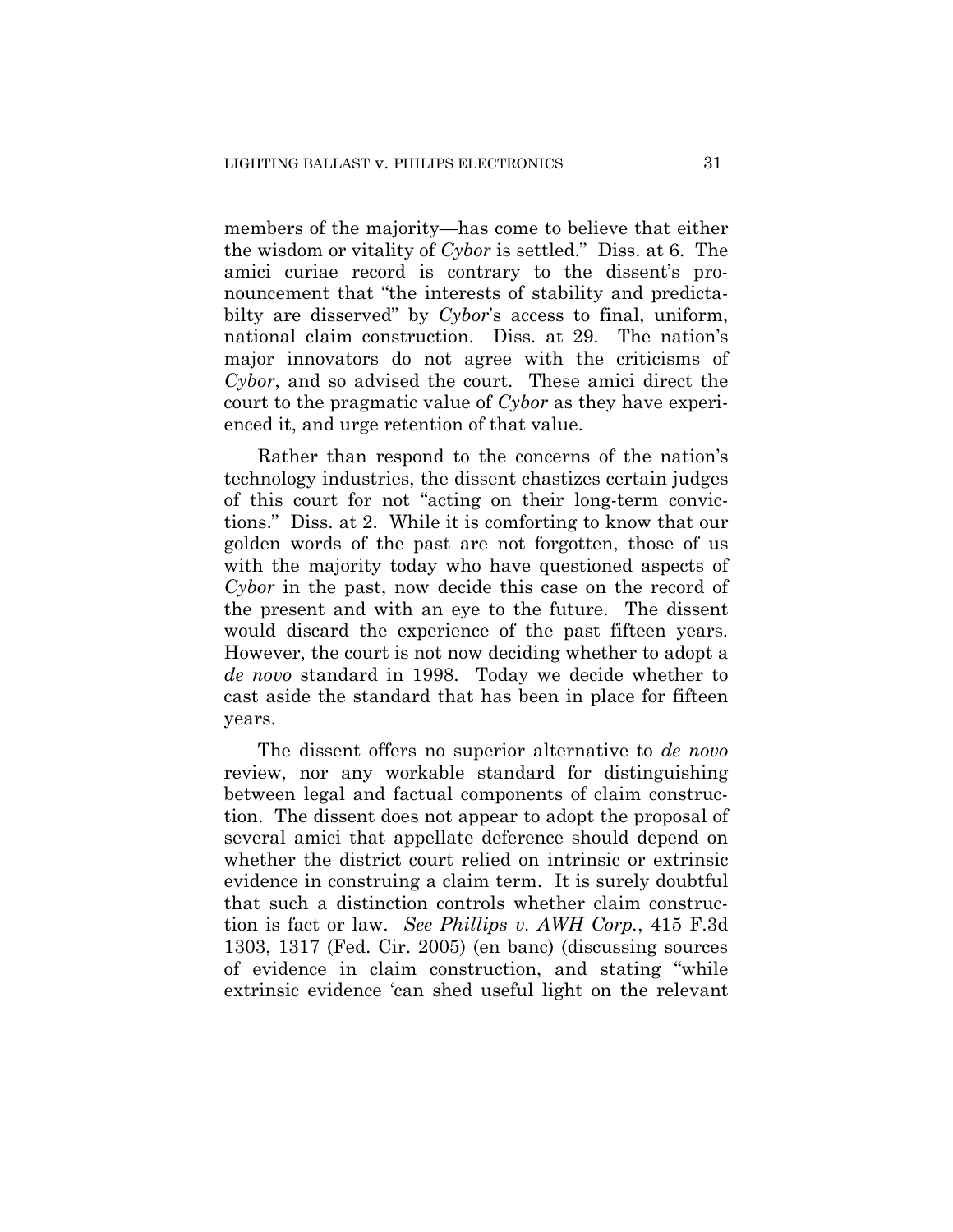members of the majority—has come to believe that either the wisdom or vitality of *Cybor* is settled." Diss. at 6. The amici curiae record is contrary to the dissent's pronouncement that "the interests of stability and predictabilty are disserved" by *Cybor*'s access to final, uniform, national claim construction. Diss. at 29. The nation's major innovators do not agree with the criticisms of *Cybor*, and so advised the court. These amici direct the court to the pragmatic value of *Cybor* as they have experienced it, and urge retention of that value.

Rather than respond to the concerns of the nation's technology industries, the dissent chastizes certain judges of this court for not "acting on their long-term convictions." Diss. at 2. While it is comforting to know that our golden words of the past are not forgotten, those of us with the majority today who have questioned aspects of *Cybor* in the past, now decide this case on the record of the present and with an eye to the future. The dissent would discard the experience of the past fifteen years. However, the court is not now deciding whether to adopt a *de novo* standard in 1998. Today we decide whether to cast aside the standard that has been in place for fifteen years.

The dissent offers no superior alternative to *de novo* review, nor any workable standard for distinguishing between legal and factual components of claim construction. The dissent does not appear to adopt the proposal of several amici that appellate deference should depend on whether the district court relied on intrinsic or extrinsic evidence in construing a claim term. It is surely doubtful that such a distinction controls whether claim construction is fact or law. *See Phillips v. AWH Corp.*, 415 F.3d 1303, 1317 (Fed. Cir. 2005) (en banc) (discussing sources of evidence in claim construction, and stating "while extrinsic evidence 'can shed useful light on the relevant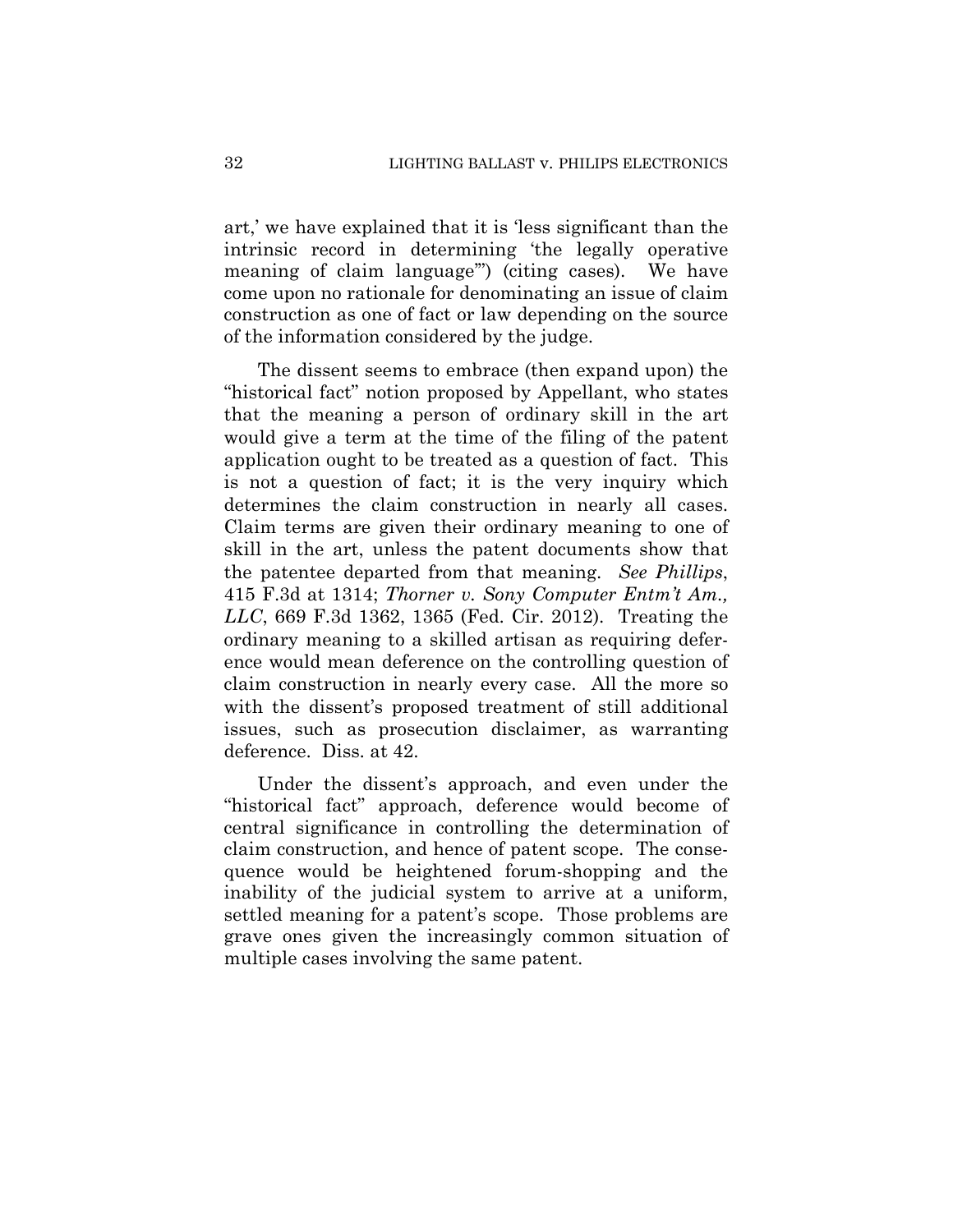art,' we have explained that it is 'less significant than the intrinsic record in determining 'the legally operative meaning of claim language'") (citing cases). We have come upon no rationale for denominating an issue of claim construction as one of fact or law depending on the source of the information considered by the judge.

The dissent seems to embrace (then expand upon) the "historical fact" notion proposed by Appellant, who states that the meaning a person of ordinary skill in the art would give a term at the time of the filing of the patent application ought to be treated as a question of fact. This is not a question of fact; it is the very inquiry which determines the claim construction in nearly all cases. Claim terms are given their ordinary meaning to one of skill in the art, unless the patent documents show that the patentee departed from that meaning. *See Phillips*, 415 F.3d at 1314; *Thorner v. Sony Computer Entm't Am., LLC*, 669 F.3d 1362, 1365 (Fed. Cir. 2012). Treating the ordinary meaning to a skilled artisan as requiring deference would mean deference on the controlling question of claim construction in nearly every case. All the more so with the dissent's proposed treatment of still additional issues, such as prosecution disclaimer, as warranting deference. Diss. at 42.

Under the dissent's approach, and even under the "historical fact" approach, deference would become of central significance in controlling the determination of claim construction, and hence of patent scope. The consequence would be heightened forum-shopping and the inability of the judicial system to arrive at a uniform, settled meaning for a patent's scope. Those problems are grave ones given the increasingly common situation of multiple cases involving the same patent.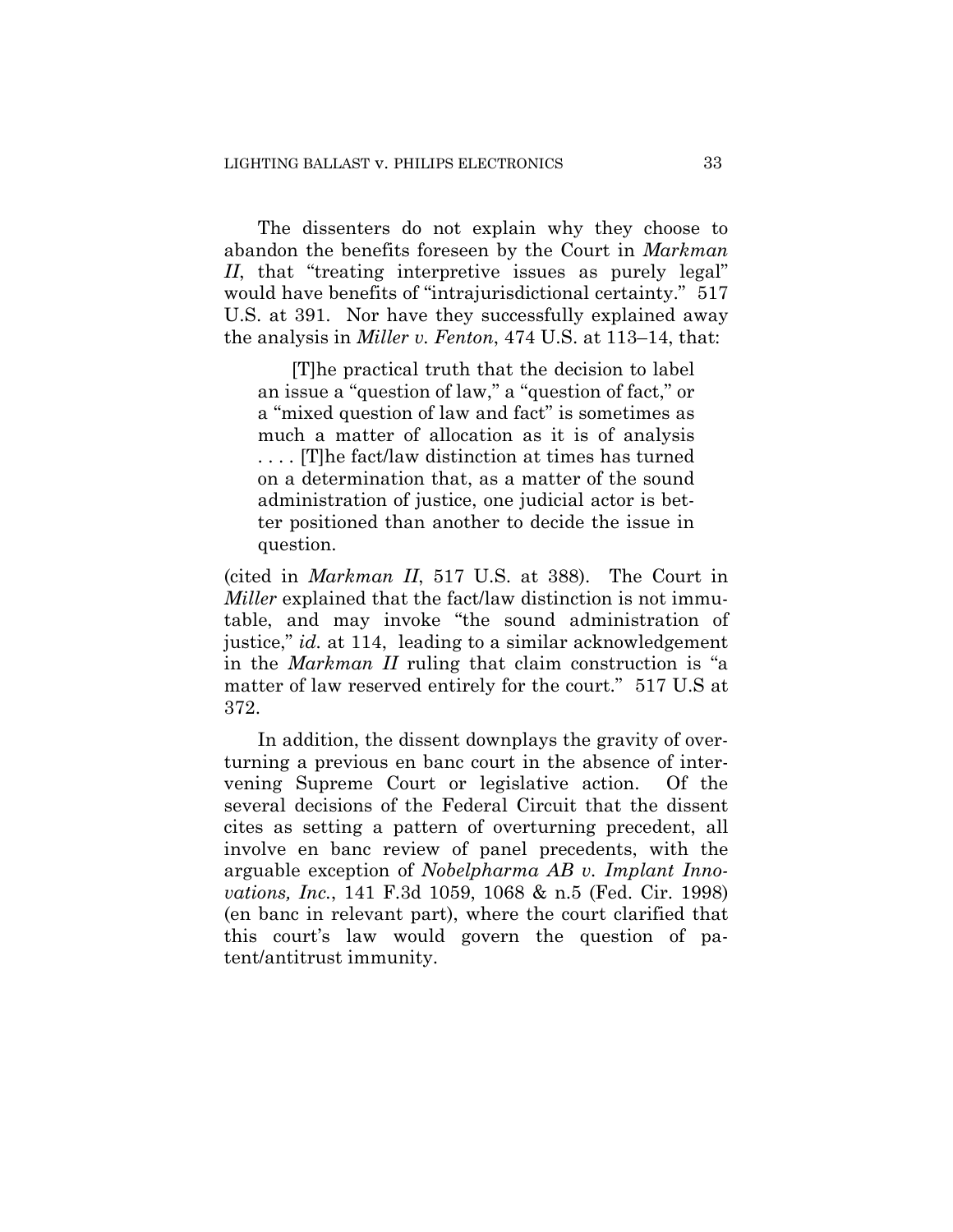The dissenters do not explain why they choose to abandon the benefits foreseen by the Court in *Markman II*, that "treating interpretive issues as purely legal" would have benefits of "intrajurisdictional certainty." 517 U.S. at 391. Nor have they successfully explained away the analysis in *Miller v. Fenton*, 474 U.S. at 113–14, that:

[T]he practical truth that the decision to label an issue a "question of law," a "question of fact," or a "mixed question of law and fact" is sometimes as much a matter of allocation as it is of analysis . . . . [T]he fact/law distinction at times has turned on a determination that, as a matter of the sound administration of justice, one judicial actor is better positioned than another to decide the issue in question.

(cited in *Markman II*, 517 U.S. at 388). The Court in *Miller* explained that the fact/law distinction is not immutable, and may invoke "the sound administration of justice," *id.* at 114, leading to a similar acknowledgement in the *Markman II* ruling that claim construction is "a matter of law reserved entirely for the court." 517 U.S at 372.

In addition, the dissent downplays the gravity of overturning a previous en banc court in the absence of intervening Supreme Court or legislative action. Of the several decisions of the Federal Circuit that the dissent cites as setting a pattern of overturning precedent, all involve en banc review of panel precedents, with the arguable exception of *Nobelpharma AB v. Implant Innovations, Inc.*, 141 F.3d 1059, 1068 & n.5 (Fed. Cir. 1998) (en banc in relevant part), where the court clarified that this court's law would govern the question of patent/antitrust immunity.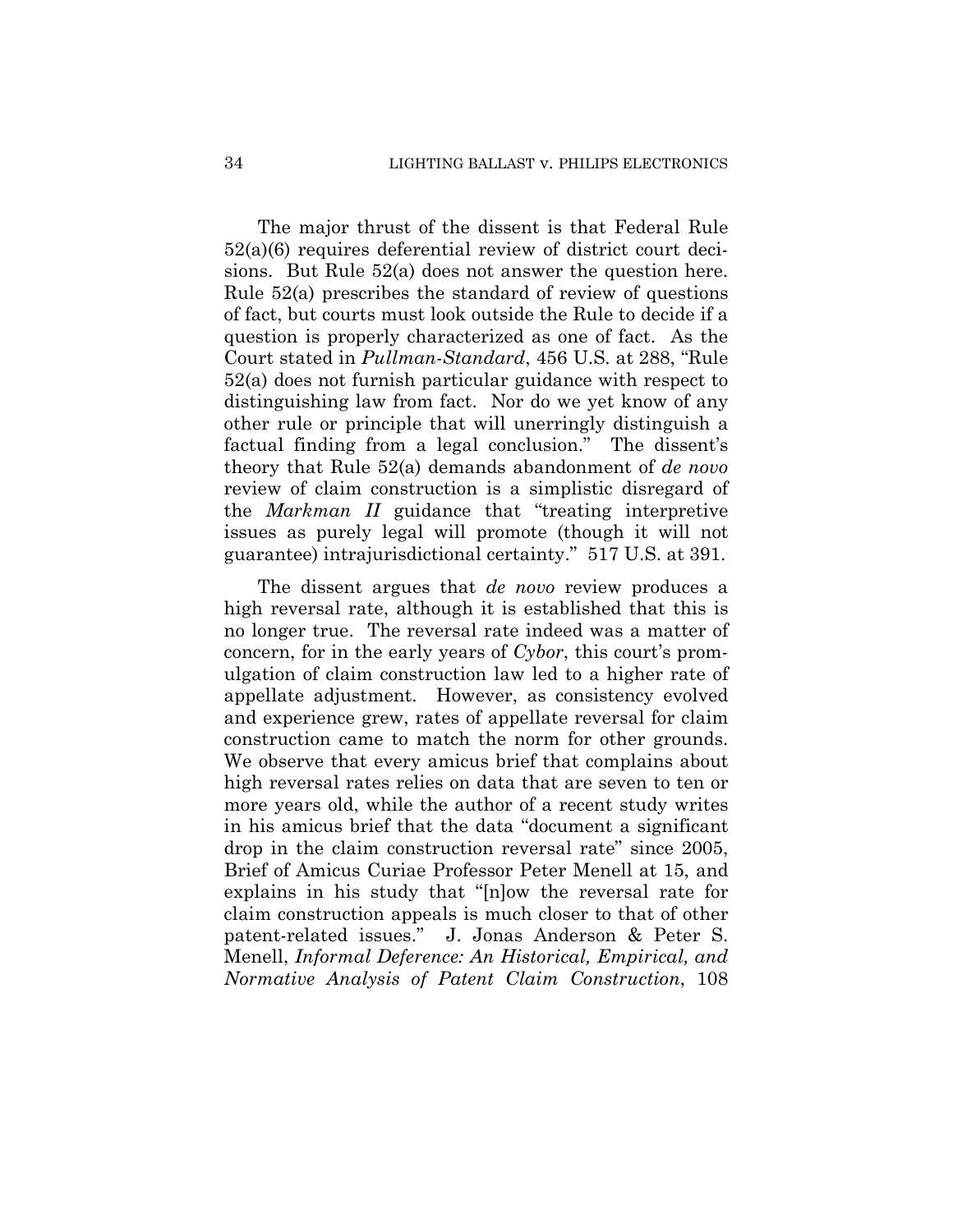The major thrust of the dissent is that Federal Rule 52(a)(6) requires deferential review of district court decisions. But Rule 52(a) does not answer the question here. Rule 52(a) prescribes the standard of review of questions of fact, but courts must look outside the Rule to decide if a question is properly characterized as one of fact. As the Court stated in *Pullman-Standard*, 456 U.S. at 288, "Rule 52(a) does not furnish particular guidance with respect to distinguishing law from fact. Nor do we yet know of any other rule or principle that will unerringly distinguish a factual finding from a legal conclusion." The dissent's theory that Rule 52(a) demands abandonment of *de novo* review of claim construction is a simplistic disregard of the *Markman II* guidance that "treating interpretive issues as purely legal will promote (though it will not guarantee) intrajurisdictional certainty." 517 U.S. at 391.

The dissent argues that *de novo* review produces a high reversal rate, although it is established that this is no longer true. The reversal rate indeed was a matter of concern, for in the early years of *Cybor*, this court's promulgation of claim construction law led to a higher rate of appellate adjustment. However, as consistency evolved and experience grew, rates of appellate reversal for claim construction came to match the norm for other grounds. We observe that every amicus brief that complains about high reversal rates relies on data that are seven to ten or more years old, while the author of a recent study writes in his amicus brief that the data "document a significant drop in the claim construction reversal rate" since 2005, Brief of Amicus Curiae Professor Peter Menell at 15, and explains in his study that "[n]ow the reversal rate for claim construction appeals is much closer to that of other patent-related issues." J. Jonas Anderson & Peter S. Menell, *Informal Deference: An Historical, Empirical, and Normative Analysis of Patent Claim Construction*, 108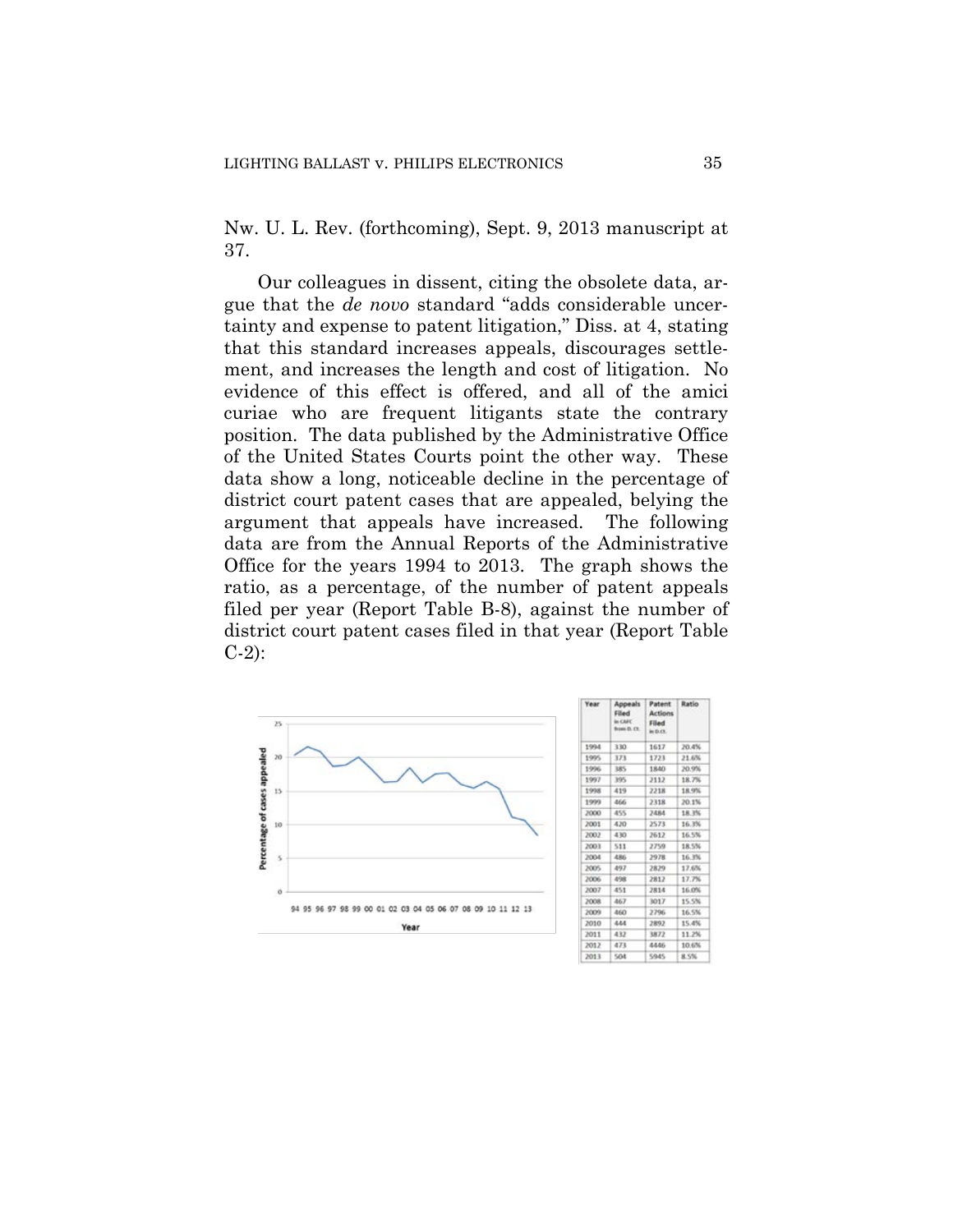Nw. U. L. Rev. (forthcoming), Sept. 9, 2013 manuscript at 37.

Our colleagues in dissent, citing the obsolete data, argue that the *de novo* standard "adds considerable uncertainty and expense to patent litigation," Diss. at 4, stating that this standard increases appeals, discourages settlement, and increases the length and cost of litigation. No evidence of this effect is offered, and all of the amici curiae who are frequent litigants state the contrary position. The data published by the Administrative Office of the United States Courts point the other way. These data show a long, noticeable decline in the percentage of district court patent cases that are appealed, belying the argument that appeals have increased. The following data are from the Annual Reports of the Administrative Office for the years 1994 to 2013. The graph shows the ratio, as a percentage, of the number of patent appeals filed per year (Report Table B-8), against the number of district court patent cases filed in that year (Report Table C-2):



| Year  | Appeals<br>Filed<br>in CAFE<br>from D. Ct. | Patent:<br><b>Actions</b><br><b>Filled</b><br>in the $C$ | Ratio |
|-------|--------------------------------------------|----------------------------------------------------------|-------|
| 1994  | 330                                        | 1617                                                     | 20.4% |
| 1995. | 373                                        | 1723                                                     | 21.6% |
| 1996  | 385                                        | 1840                                                     | 20.9% |
| 1997  | 395                                        | 2112                                                     | 18.7% |
| 1998  | 419                                        | 2218                                                     | 18.9% |
| 1999  | 466                                        | 2318                                                     | 20.1% |
| 2000  | 455                                        | 2484                                                     | 18.3% |
| 2001  | 420                                        | 2573                                                     | 16.3% |
| 2002  | 430                                        | 2612                                                     | 16.5% |
| 2003  | 511                                        | 2759                                                     | 18.5% |
| 2004  | 486                                        | 2978                                                     | 16.3% |
| 2005  | 497                                        | 2829                                                     | 17.6% |
| 2006  | 498                                        | 2812                                                     | 17.7% |
| 2007  | 451                                        | 2814                                                     | 16.0% |
| 2008  | 467                                        | 3017                                                     | 15.5% |
| 2009  | 460                                        | 2796                                                     | 16.5% |
| 2010  | 444                                        | 2892                                                     | 15.4% |
| 2011  | 432                                        | 3872                                                     | 11.2% |
| 2012  | 473                                        | 4446                                                     | 10.6% |
| 2013  | SO4                                        | 5945                                                     | 8.5%  |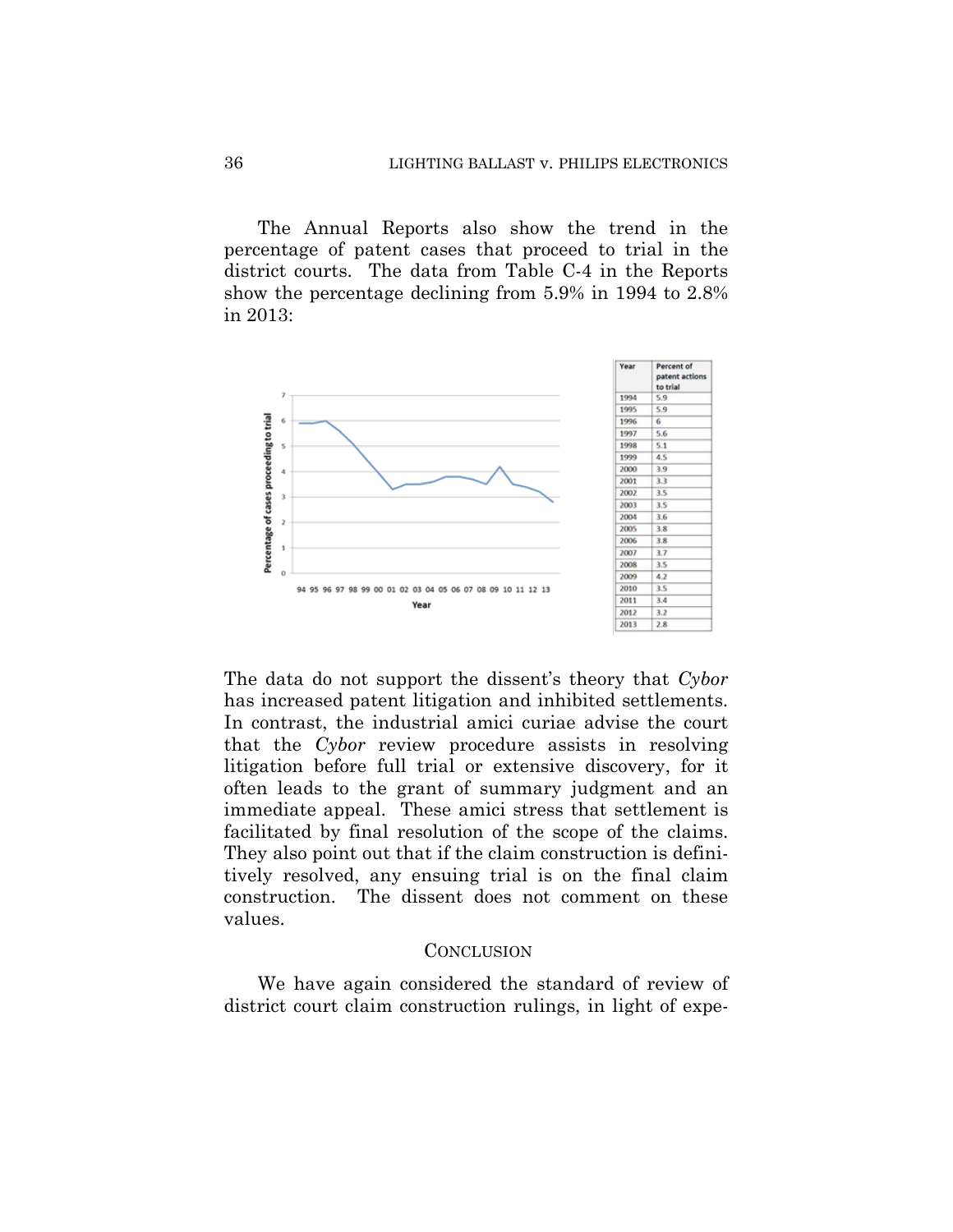The Annual Reports also show the trend in the percentage of patent cases that proceed to trial in the district courts. The data from Table C-4 in the Reports show the percentage declining from 5.9% in 1994 to 2.8% in 2013:



The data do not support the dissent's theory that *Cybor* has increased patent litigation and inhibited settlements. In contrast, the industrial amici curiae advise the court that the *Cybor* review procedure assists in resolving litigation before full trial or extensive discovery, for it often leads to the grant of summary judgment and an immediate appeal. These amici stress that settlement is facilitated by final resolution of the scope of the claims. They also point out that if the claim construction is definitively resolved, any ensuing trial is on the final claim construction. The dissent does not comment on these values.

#### **CONCLUSION**

We have again considered the standard of review of district court claim construction rulings, in light of expe-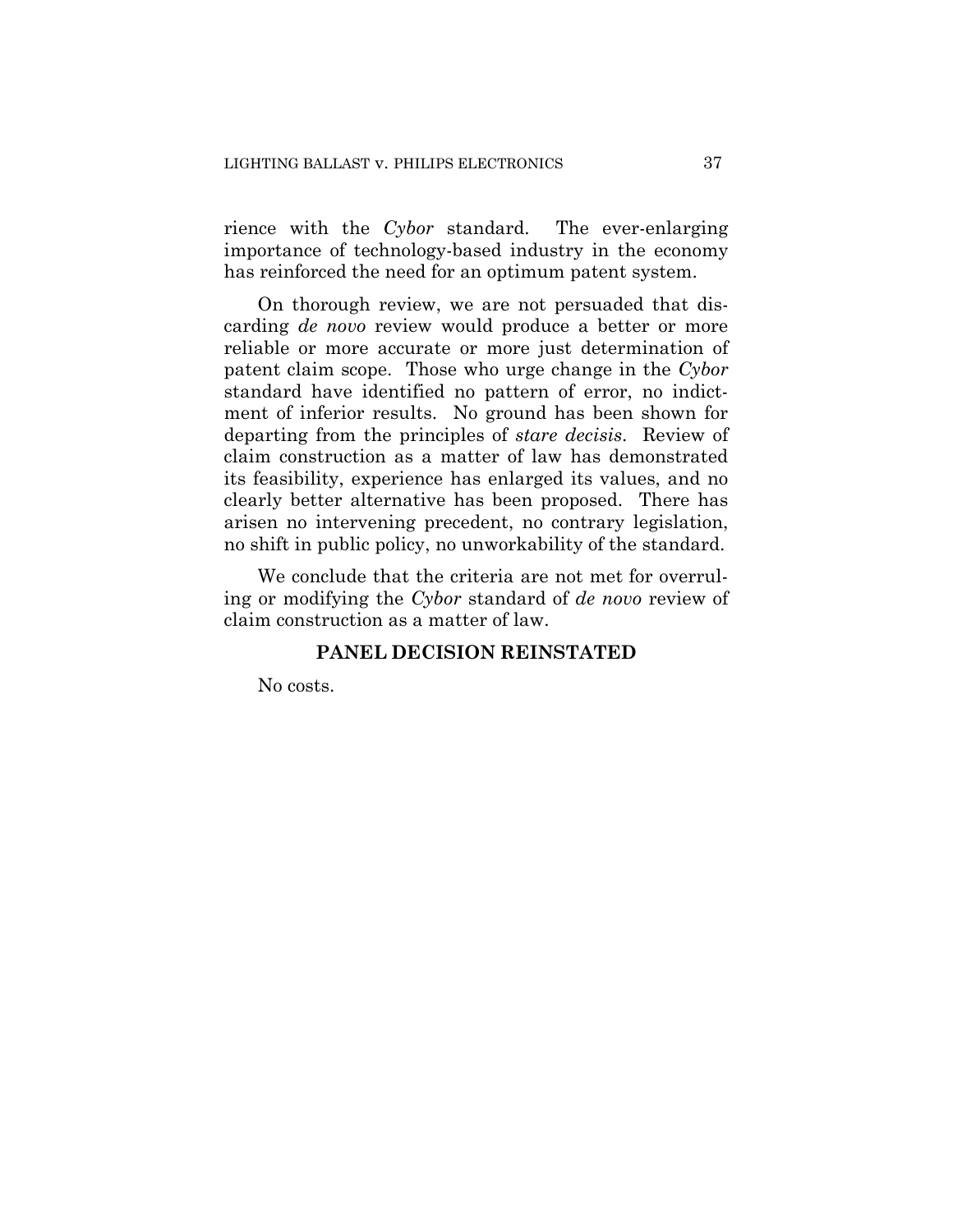rience with the *Cybor* standard. The ever-enlarging importance of technology-based industry in the economy has reinforced the need for an optimum patent system.

On thorough review, we are not persuaded that discarding *de novo* review would produce a better or more reliable or more accurate or more just determination of patent claim scope. Those who urge change in the *Cybor* standard have identified no pattern of error, no indictment of inferior results. No ground has been shown for departing from the principles of *stare decisis*. Review of claim construction as a matter of law has demonstrated its feasibility, experience has enlarged its values, and no clearly better alternative has been proposed. There has arisen no intervening precedent, no contrary legislation, no shift in public policy, no unworkability of the standard.

We conclude that the criteria are not met for overruling or modifying the *Cybor* standard of *de novo* review of claim construction as a matter of law.

## **PANEL DECISION REINSTATED**

No costs.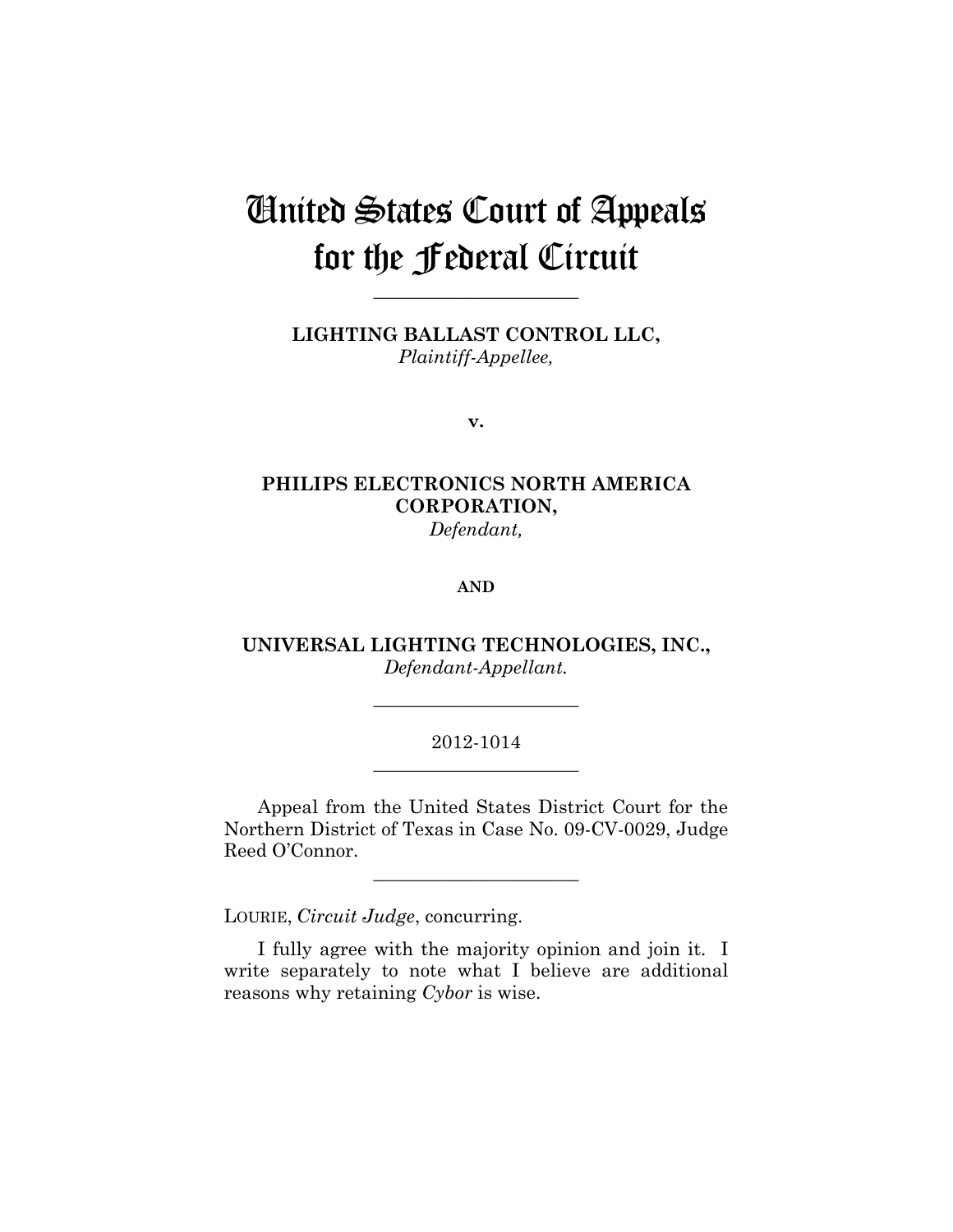# United States Court of Appeals for the Federal Circuit

**LIGHTING BALLAST CONTROL LLC,** *Plaintiff-Appellee,*

**\_\_\_\_\_\_\_\_\_\_\_\_\_\_\_\_\_\_\_\_\_\_** 

**v.**

# **PHILIPS ELECTRONICS NORTH AMERICA CORPORATION,** *Defendant,*

#### **AND**

**UNIVERSAL LIGHTING TECHNOLOGIES, INC.,** *Defendant-Appellant.*

**\_\_\_\_\_\_\_\_\_\_\_\_\_\_\_\_\_\_\_\_\_\_** 

## 2012-1014 **\_\_\_\_\_\_\_\_\_\_\_\_\_\_\_\_\_\_\_\_\_\_**

Appeal from the United States District Court for the Northern District of Texas in Case No. 09-CV-0029, Judge Reed O'Connor.

**\_\_\_\_\_\_\_\_\_\_\_\_\_\_\_\_\_\_\_\_\_\_** 

LOURIE, *Circuit Judge*, concurring.

I fully agree with the majority opinion and join it. I write separately to note what I believe are additional reasons why retaining *Cybor* is wise.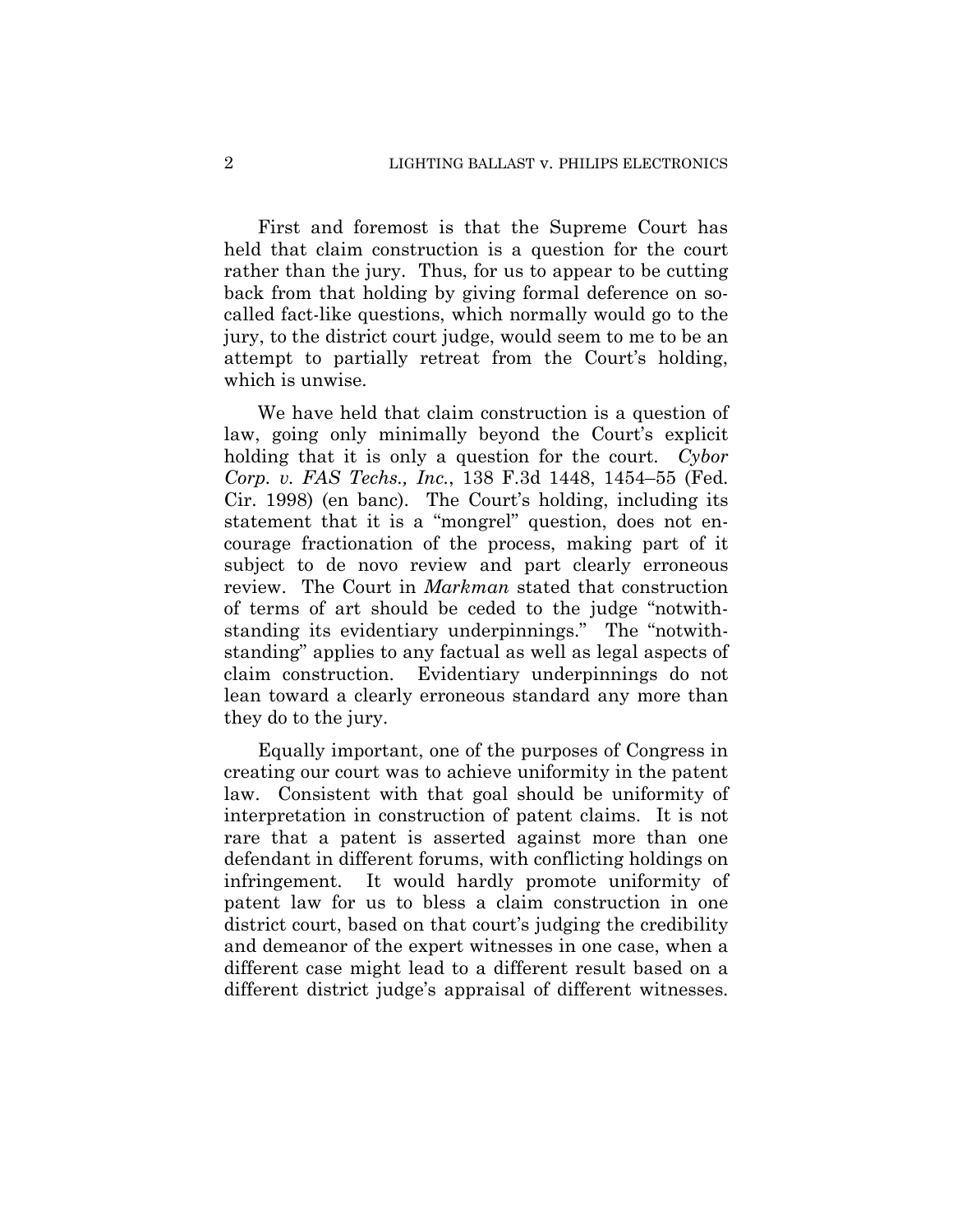First and foremost is that the Supreme Court has held that claim construction is a question for the court rather than the jury. Thus, for us to appear to be cutting back from that holding by giving formal deference on socalled fact-like questions, which normally would go to the jury, to the district court judge, would seem to me to be an attempt to partially retreat from the Court's holding, which is unwise.

We have held that claim construction is a question of law, going only minimally beyond the Court's explicit holding that it is only a question for the court. *Cybor Corp. v. FAS Techs., Inc.*, 138 F.3d 1448, 1454–55 (Fed. Cir. 1998) (en banc). The Court's holding, including its statement that it is a "mongrel" question, does not encourage fractionation of the process, making part of it subject to de novo review and part clearly erroneous review. The Court in *Markman* stated that construction of terms of art should be ceded to the judge "notwithstanding its evidentiary underpinnings." The "notwithstanding" applies to any factual as well as legal aspects of claim construction. Evidentiary underpinnings do not lean toward a clearly erroneous standard any more than they do to the jury.

Equally important, one of the purposes of Congress in creating our court was to achieve uniformity in the patent law. Consistent with that goal should be uniformity of interpretation in construction of patent claims. It is not rare that a patent is asserted against more than one defendant in different forums, with conflicting holdings on infringement. It would hardly promote uniformity of patent law for us to bless a claim construction in one district court, based on that court's judging the credibility and demeanor of the expert witnesses in one case, when a different case might lead to a different result based on a different district judge's appraisal of different witnesses.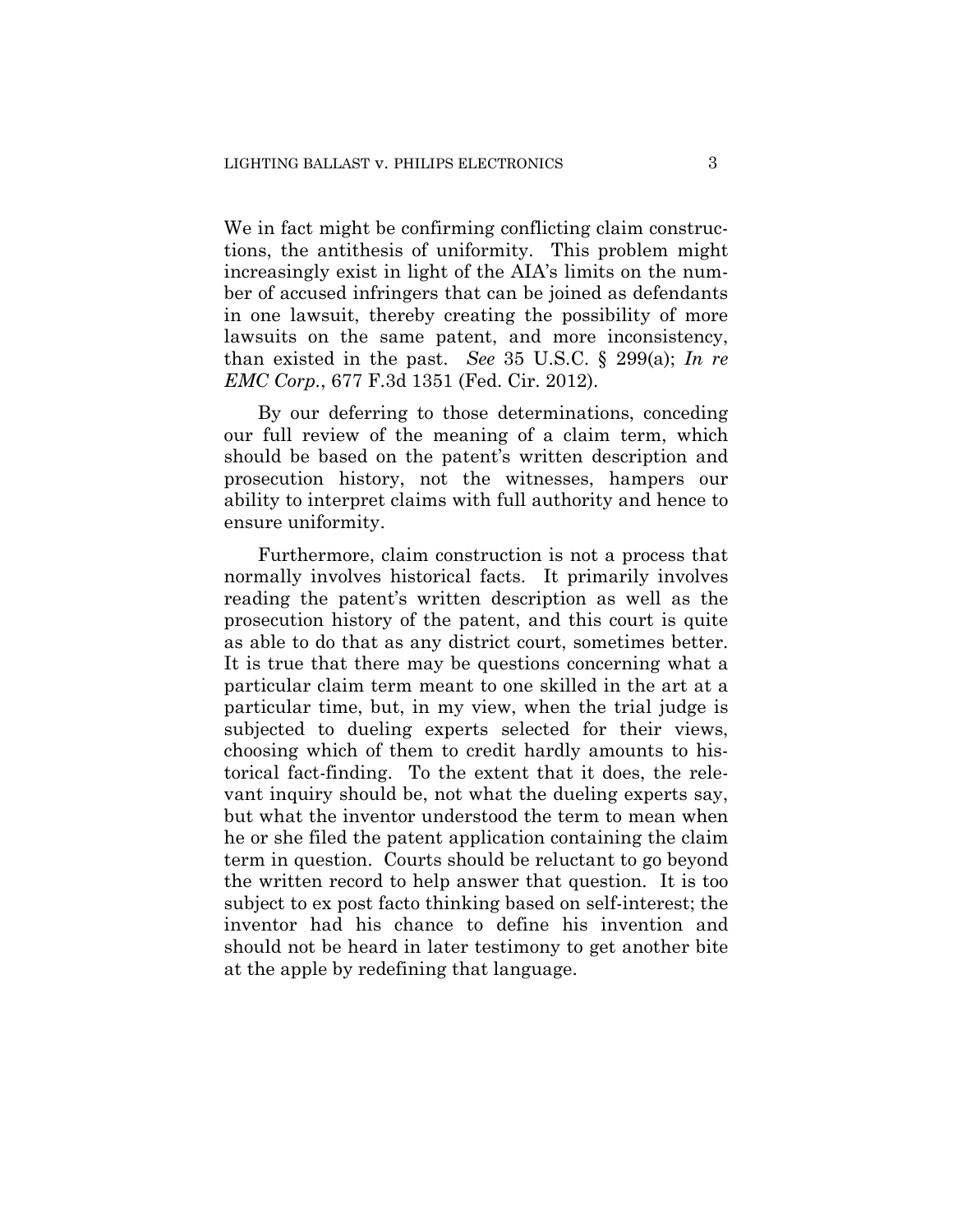We in fact might be confirming conflicting claim constructions, the antithesis of uniformity. This problem might increasingly exist in light of the AIA's limits on the number of accused infringers that can be joined as defendants in one lawsuit, thereby creating the possibility of more lawsuits on the same patent, and more inconsistency, than existed in the past. *See* 35 U.S.C. § 299(a); *In re EMC Corp.*, 677 F.3d 1351 (Fed. Cir. 2012).

By our deferring to those determinations, conceding our full review of the meaning of a claim term, which should be based on the patent's written description and prosecution history, not the witnesses, hampers our ability to interpret claims with full authority and hence to ensure uniformity.

Furthermore, claim construction is not a process that normally involves historical facts. It primarily involves reading the patent's written description as well as the prosecution history of the patent, and this court is quite as able to do that as any district court, sometimes better. It is true that there may be questions concerning what a particular claim term meant to one skilled in the art at a particular time, but, in my view, when the trial judge is subjected to dueling experts selected for their views, choosing which of them to credit hardly amounts to historical fact-finding. To the extent that it does, the relevant inquiry should be, not what the dueling experts say, but what the inventor understood the term to mean when he or she filed the patent application containing the claim term in question. Courts should be reluctant to go beyond the written record to help answer that question. It is too subject to ex post facto thinking based on self-interest; the inventor had his chance to define his invention and should not be heard in later testimony to get another bite at the apple by redefining that language.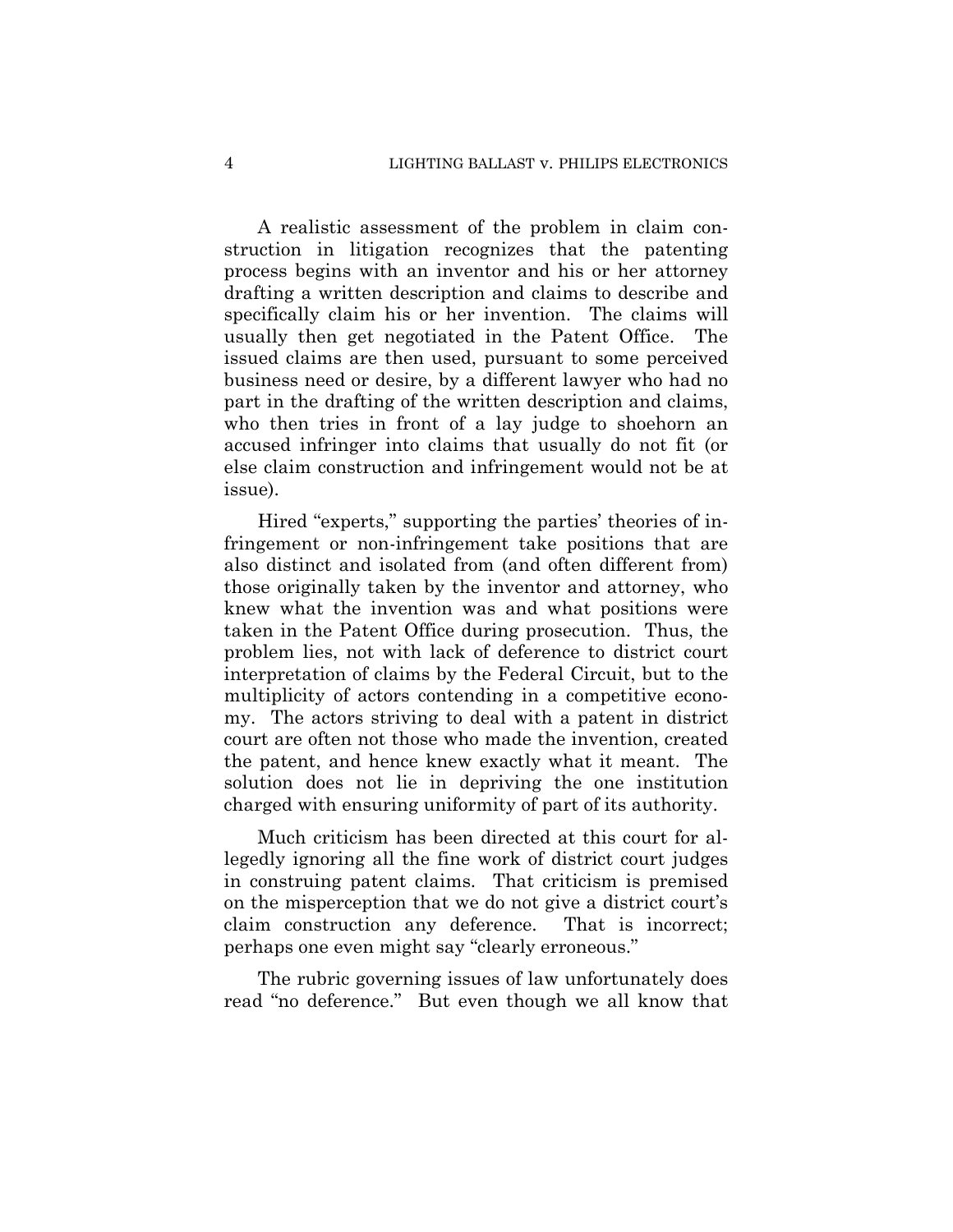A realistic assessment of the problem in claim construction in litigation recognizes that the patenting process begins with an inventor and his or her attorney drafting a written description and claims to describe and specifically claim his or her invention. The claims will usually then get negotiated in the Patent Office. The issued claims are then used, pursuant to some perceived business need or desire, by a different lawyer who had no part in the drafting of the written description and claims, who then tries in front of a lay judge to shoehorn an accused infringer into claims that usually do not fit (or else claim construction and infringement would not be at issue).

Hired "experts," supporting the parties' theories of infringement or non-infringement take positions that are also distinct and isolated from (and often different from) those originally taken by the inventor and attorney, who knew what the invention was and what positions were taken in the Patent Office during prosecution. Thus, the problem lies, not with lack of deference to district court interpretation of claims by the Federal Circuit, but to the multiplicity of actors contending in a competitive economy. The actors striving to deal with a patent in district court are often not those who made the invention, created the patent, and hence knew exactly what it meant. The solution does not lie in depriving the one institution charged with ensuring uniformity of part of its authority.

Much criticism has been directed at this court for allegedly ignoring all the fine work of district court judges in construing patent claims. That criticism is premised on the misperception that we do not give a district court's claim construction any deference. That is incorrect; perhaps one even might say "clearly erroneous."

The rubric governing issues of law unfortunately does read "no deference." But even though we all know that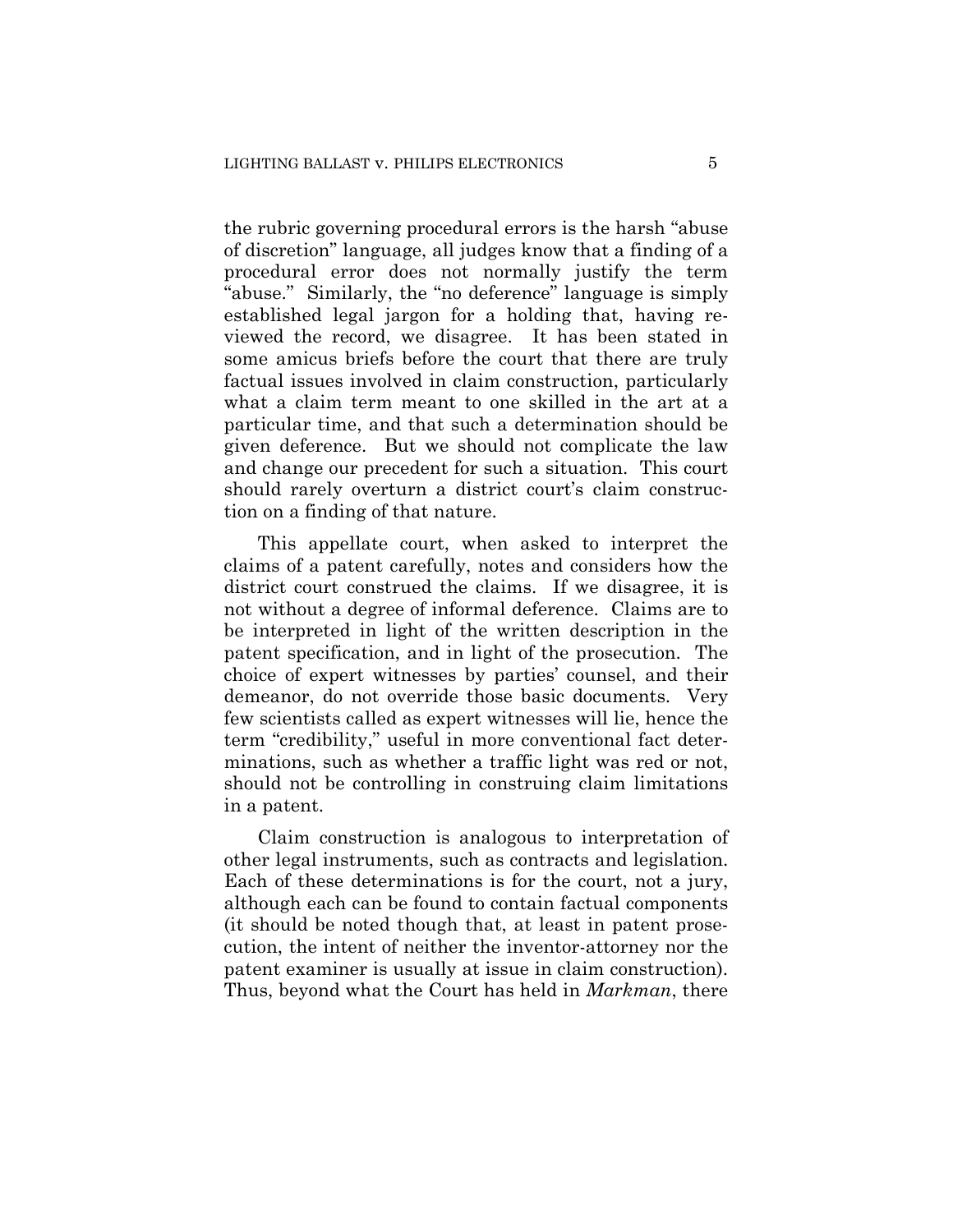the rubric governing procedural errors is the harsh "abuse of discretion" language, all judges know that a finding of a procedural error does not normally justify the term "abuse." Similarly, the "no deference" language is simply established legal jargon for a holding that, having reviewed the record, we disagree. It has been stated in some amicus briefs before the court that there are truly factual issues involved in claim construction, particularly what a claim term meant to one skilled in the art at a particular time, and that such a determination should be given deference. But we should not complicate the law and change our precedent for such a situation. This court should rarely overturn a district court's claim construction on a finding of that nature.

This appellate court, when asked to interpret the claims of a patent carefully, notes and considers how the district court construed the claims. If we disagree, it is not without a degree of informal deference. Claims are to be interpreted in light of the written description in the patent specification, and in light of the prosecution. The choice of expert witnesses by parties' counsel, and their demeanor, do not override those basic documents. Very few scientists called as expert witnesses will lie, hence the term "credibility," useful in more conventional fact determinations, such as whether a traffic light was red or not, should not be controlling in construing claim limitations in a patent.

Claim construction is analogous to interpretation of other legal instruments, such as contracts and legislation. Each of these determinations is for the court, not a jury, although each can be found to contain factual components (it should be noted though that, at least in patent prosecution, the intent of neither the inventor-attorney nor the patent examiner is usually at issue in claim construction). Thus, beyond what the Court has held in *Markman*, there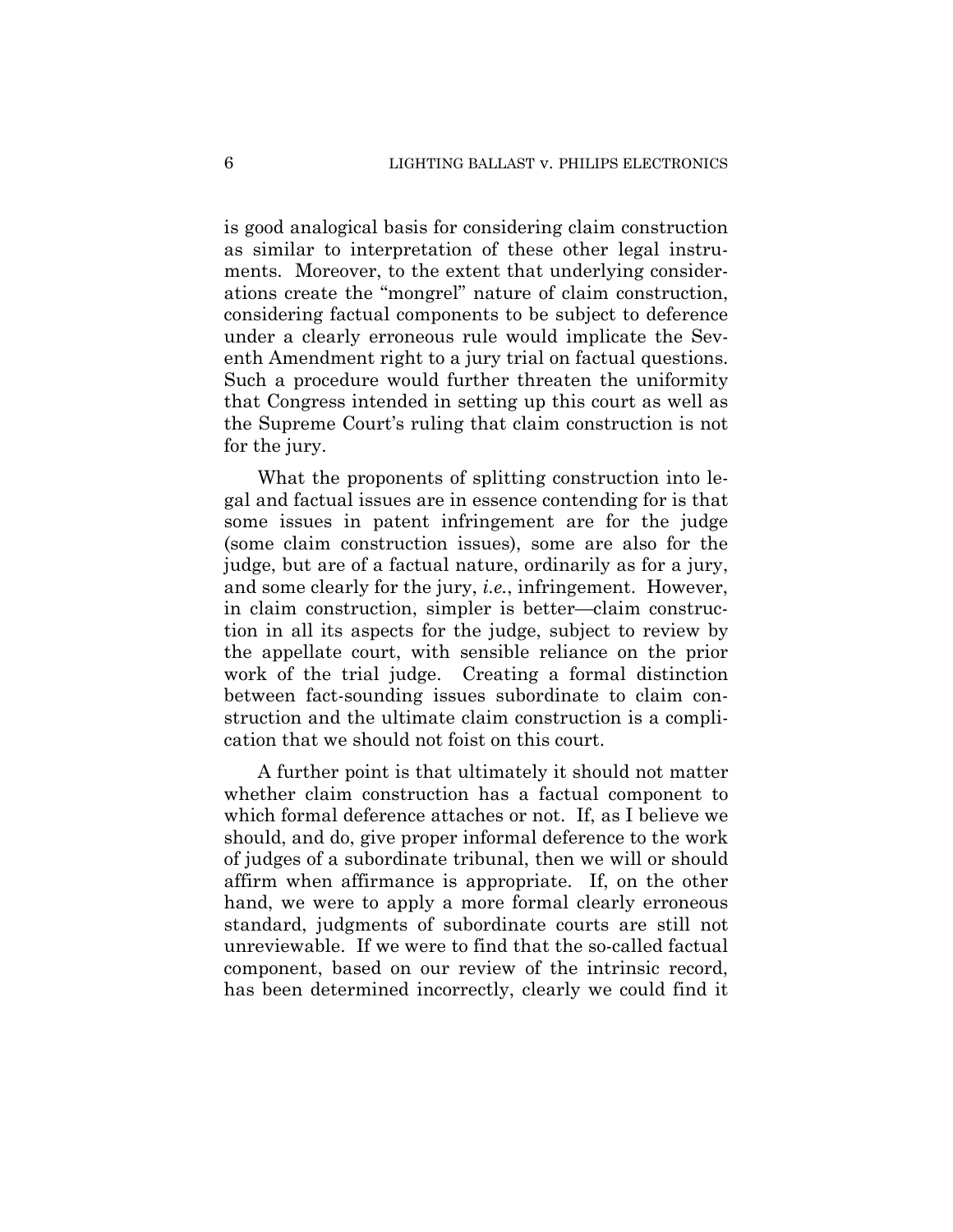is good analogical basis for considering claim construction as similar to interpretation of these other legal instruments. Moreover, to the extent that underlying considerations create the "mongrel" nature of claim construction, considering factual components to be subject to deference under a clearly erroneous rule would implicate the Seventh Amendment right to a jury trial on factual questions. Such a procedure would further threaten the uniformity that Congress intended in setting up this court as well as the Supreme Court's ruling that claim construction is not for the jury.

What the proponents of splitting construction into legal and factual issues are in essence contending for is that some issues in patent infringement are for the judge (some claim construction issues), some are also for the judge, but are of a factual nature, ordinarily as for a jury, and some clearly for the jury, *i.e.*, infringement. However, in claim construction, simpler is better—claim construction in all its aspects for the judge, subject to review by the appellate court, with sensible reliance on the prior work of the trial judge. Creating a formal distinction between fact-sounding issues subordinate to claim construction and the ultimate claim construction is a complication that we should not foist on this court.

A further point is that ultimately it should not matter whether claim construction has a factual component to which formal deference attaches or not. If, as I believe we should, and do, give proper informal deference to the work of judges of a subordinate tribunal, then we will or should affirm when affirmance is appropriate. If, on the other hand, we were to apply a more formal clearly erroneous standard, judgments of subordinate courts are still not unreviewable. If we were to find that the so-called factual component, based on our review of the intrinsic record, has been determined incorrectly, clearly we could find it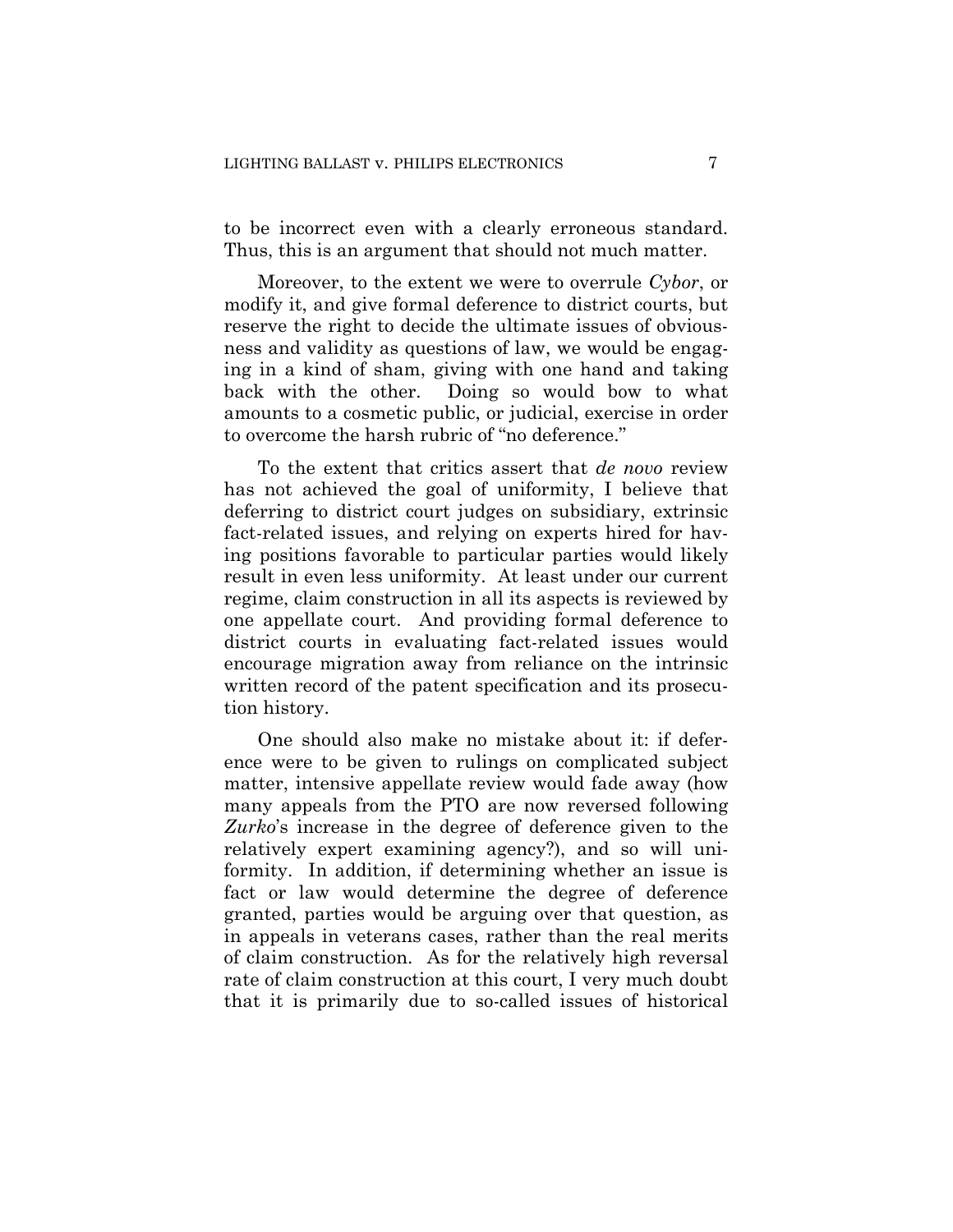to be incorrect even with a clearly erroneous standard. Thus, this is an argument that should not much matter.

Moreover, to the extent we were to overrule *Cybor*, or modify it, and give formal deference to district courts, but reserve the right to decide the ultimate issues of obviousness and validity as questions of law, we would be engaging in a kind of sham, giving with one hand and taking back with the other. Doing so would bow to what amounts to a cosmetic public, or judicial, exercise in order to overcome the harsh rubric of "no deference."

To the extent that critics assert that *de novo* review has not achieved the goal of uniformity, I believe that deferring to district court judges on subsidiary, extrinsic fact-related issues, and relying on experts hired for having positions favorable to particular parties would likely result in even less uniformity. At least under our current regime, claim construction in all its aspects is reviewed by one appellate court. And providing formal deference to district courts in evaluating fact-related issues would encourage migration away from reliance on the intrinsic written record of the patent specification and its prosecution history.

One should also make no mistake about it: if deference were to be given to rulings on complicated subject matter, intensive appellate review would fade away (how many appeals from the PTO are now reversed following *Zurko*'s increase in the degree of deference given to the relatively expert examining agency?), and so will uniformity. In addition, if determining whether an issue is fact or law would determine the degree of deference granted, parties would be arguing over that question, as in appeals in veterans cases, rather than the real merits of claim construction. As for the relatively high reversal rate of claim construction at this court, I very much doubt that it is primarily due to so-called issues of historical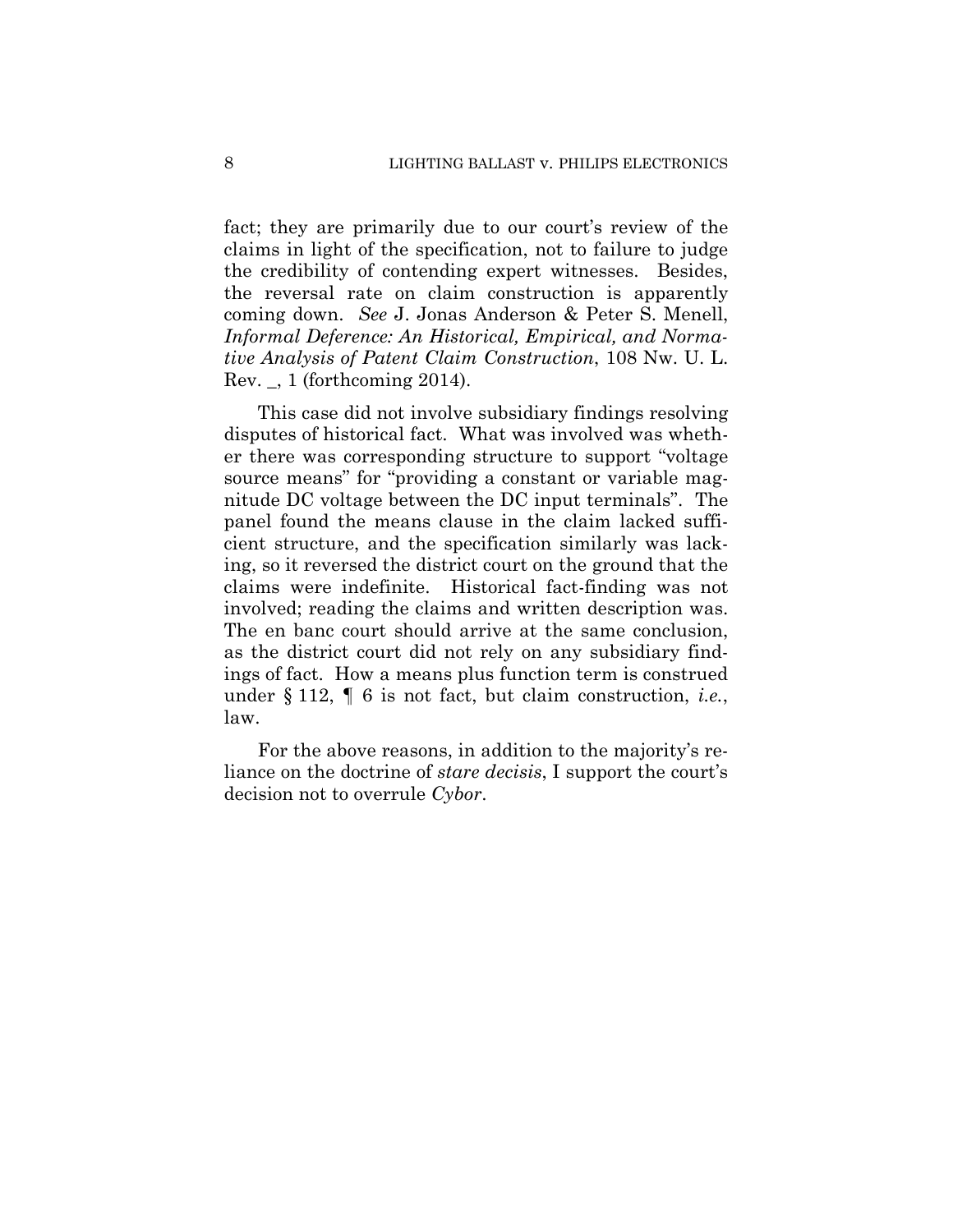fact; they are primarily due to our court's review of the claims in light of the specification, not to failure to judge the credibility of contending expert witnesses. Besides, the reversal rate on claim construction is apparently coming down. *See* J. Jonas Anderson & Peter S. Menell, *Informal Deference: An Historical, Empirical, and Normative Analysis of Patent Claim Construction*, 108 Nw. U. L. Rev. \_, 1 (forthcoming 2014).

This case did not involve subsidiary findings resolving disputes of historical fact. What was involved was whether there was corresponding structure to support "voltage source means" for "providing a constant or variable magnitude DC voltage between the DC input terminals". The panel found the means clause in the claim lacked sufficient structure, and the specification similarly was lacking, so it reversed the district court on the ground that the claims were indefinite. Historical fact-finding was not involved; reading the claims and written description was. The en banc court should arrive at the same conclusion, as the district court did not rely on any subsidiary findings of fact. How a means plus function term is construed under § 112, ¶ 6 is not fact, but claim construction, *i.e.*, law.

For the above reasons, in addition to the majority's reliance on the doctrine of *stare decisis*, I support the court's decision not to overrule *Cybor*.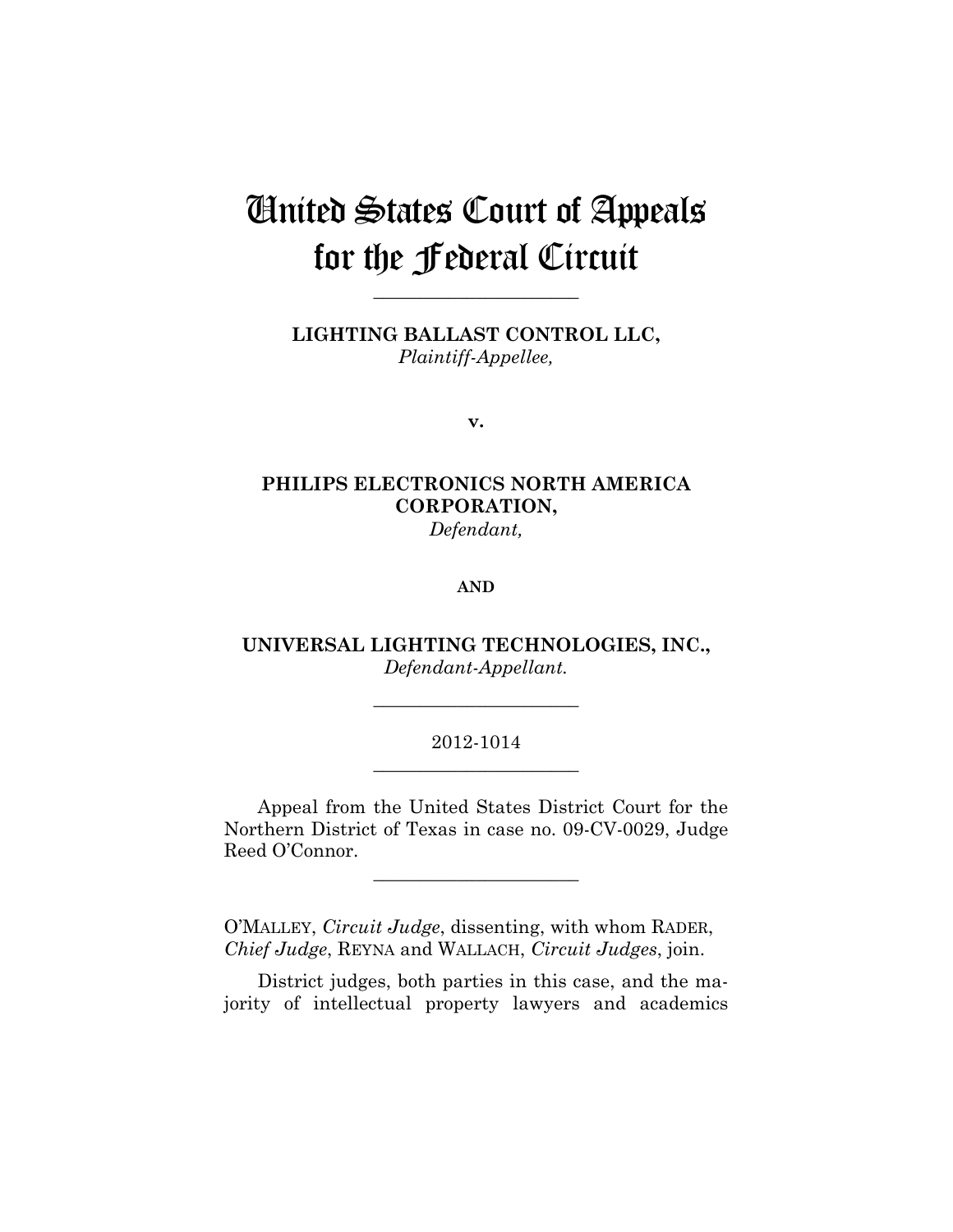# United States Court of Appeals for the Federal Circuit

**LIGHTING BALLAST CONTROL LLC,** *Plaintiff-Appellee,*

**\_\_\_\_\_\_\_\_\_\_\_\_\_\_\_\_\_\_\_\_\_\_** 

**v.**

## **PHILIPS ELECTRONICS NORTH AMERICA CORPORATION,** *Defendant,*

#### **AND**

**UNIVERSAL LIGHTING TECHNOLOGIES, INC.,** *Defendant-Appellant.*

**\_\_\_\_\_\_\_\_\_\_\_\_\_\_\_\_\_\_\_\_\_\_** 

## 2012-1014 **\_\_\_\_\_\_\_\_\_\_\_\_\_\_\_\_\_\_\_\_\_\_**

Appeal from the United States District Court for the Northern District of Texas in case no. 09-CV-0029, Judge Reed O'Connor.

**\_\_\_\_\_\_\_\_\_\_\_\_\_\_\_\_\_\_\_\_\_\_** 

O'MALLEY, *Circuit Judge*, dissenting, with whom RADER, *Chief Judge*, REYNA and WALLACH, *Circuit Judges*, join.

District judges, both parties in this case, and the majority of intellectual property lawyers and academics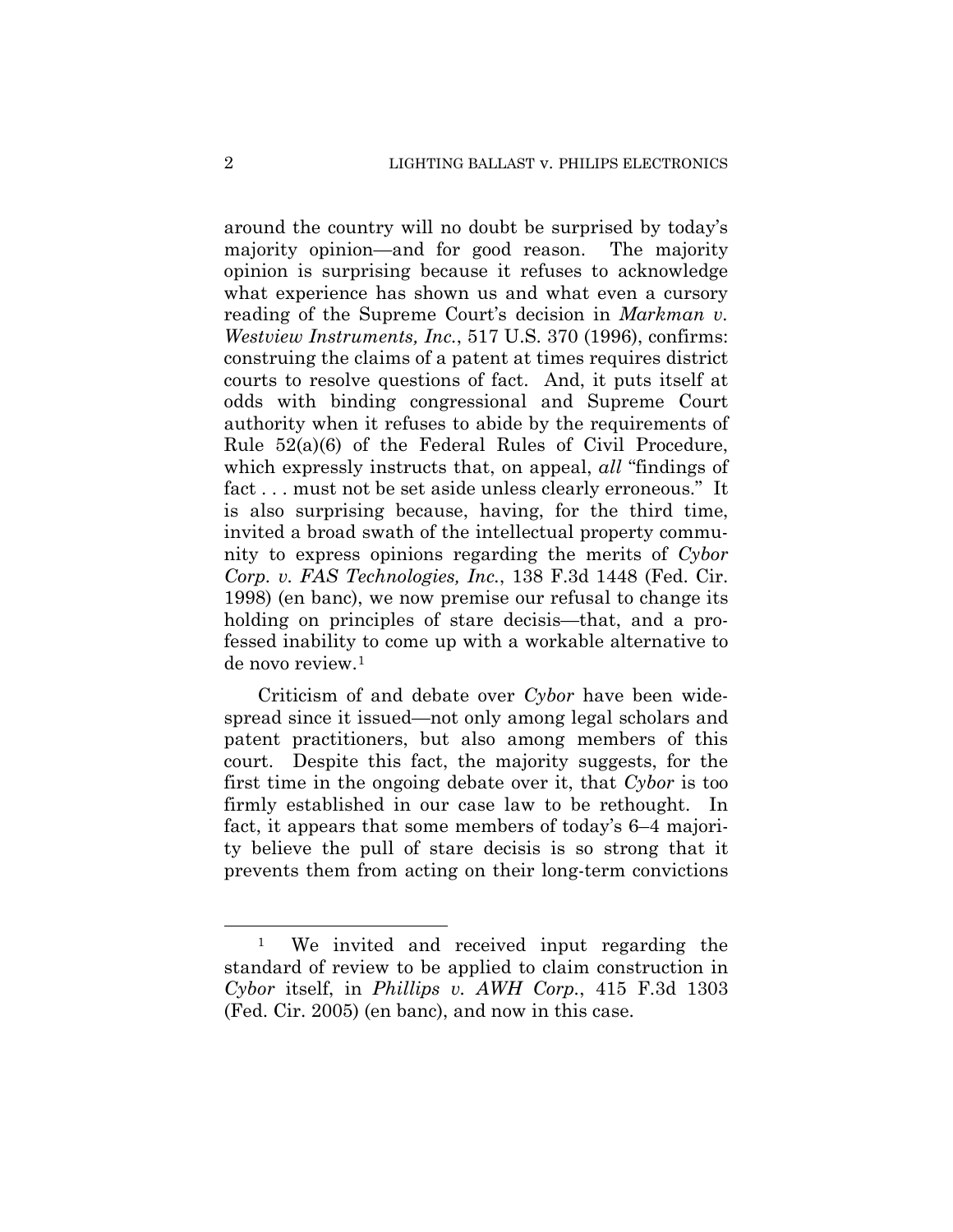around the country will no doubt be surprised by today's majority opinion—and for good reason. The majority opinion is surprising because it refuses to acknowledge what experience has shown us and what even a cursory reading of the Supreme Court's decision in *Markman v. Westview Instruments, Inc.*, 517 U.S. 370 (1996), confirms: construing the claims of a patent at times requires district courts to resolve questions of fact. And, it puts itself at odds with binding congressional and Supreme Court authority when it refuses to abide by the requirements of Rule 52(a)(6) of the Federal Rules of Civil Procedure, which expressly instructs that, on appeal, *all* "findings of fact ... must not be set aside unless clearly erroneous." It is also surprising because, having, for the third time, invited a broad swath of the intellectual property community to express opinions regarding the merits of *Cybor Corp. v. FAS Technologies, Inc.*, 138 F.3d 1448 (Fed. Cir. 1998) (en banc), we now premise our refusal to change its holding on principles of stare decisis—that, and a professed inability to come up with a workable alternative to de novo review.1

Criticism of and debate over *Cybor* have been widespread since it issued—not only among legal scholars and patent practitioners, but also among members of this court. Despite this fact, the majority suggests, for the first time in the ongoing debate over it, that *Cybor* is too firmly established in our case law to be rethought. In fact, it appears that some members of today's 6–4 majority believe the pull of stare decisis is so strong that it prevents them from acting on their long-term convictions

 $\overline{a}$ 

<sup>1</sup> We invited and received input regarding the standard of review to be applied to claim construction in *Cybor* itself, in *Phillips v. AWH Corp.*, 415 F.3d 1303 (Fed. Cir. 2005) (en banc), and now in this case.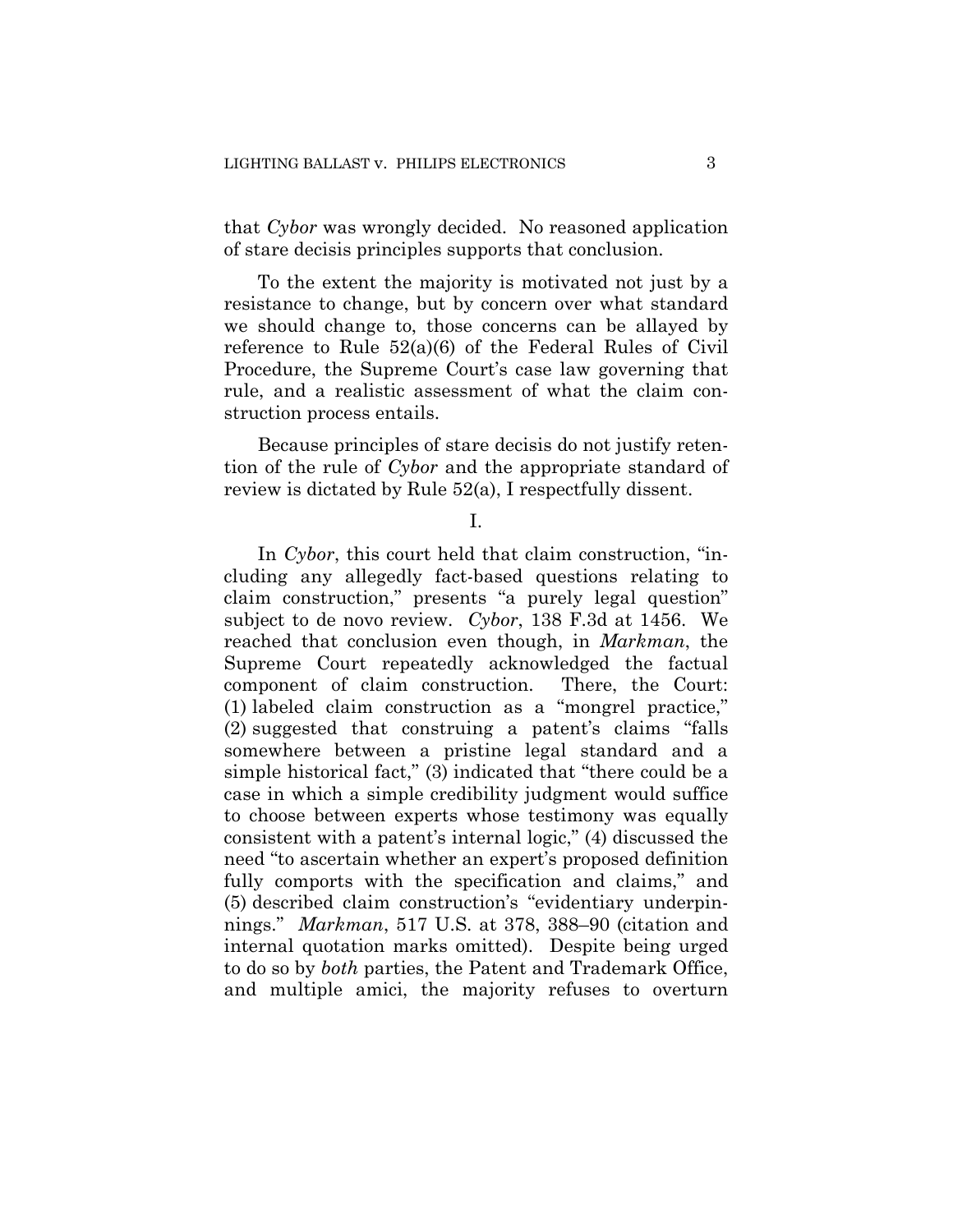that *Cybor* was wrongly decided. No reasoned application of stare decisis principles supports that conclusion.

To the extent the majority is motivated not just by a resistance to change, but by concern over what standard we should change to, those concerns can be allayed by reference to Rule 52(a)(6) of the Federal Rules of Civil Procedure, the Supreme Court's case law governing that rule, and a realistic assessment of what the claim construction process entails.

Because principles of stare decisis do not justify retention of the rule of *Cybor* and the appropriate standard of review is dictated by Rule 52(a), I respectfully dissent.

I.

In *Cybor*, this court held that claim construction, "including any allegedly fact-based questions relating to claim construction," presents "a purely legal question" subject to de novo review. *Cybor*, 138 F.3d at 1456. We reached that conclusion even though, in *Markman*, the Supreme Court repeatedly acknowledged the factual component of claim construction. There, the Court: (1) labeled claim construction as a "mongrel practice," (2) suggested that construing a patent's claims "falls somewhere between a pristine legal standard and a simple historical fact," (3) indicated that "there could be a case in which a simple credibility judgment would suffice to choose between experts whose testimony was equally consistent with a patent's internal logic," (4) discussed the need "to ascertain whether an expert's proposed definition fully comports with the specification and claims," and (5) described claim construction's "evidentiary underpinnings." *Markman*, 517 U.S. at 378, 388–90 (citation and internal quotation marks omitted). Despite being urged to do so by *both* parties, the Patent and Trademark Office, and multiple amici, the majority refuses to overturn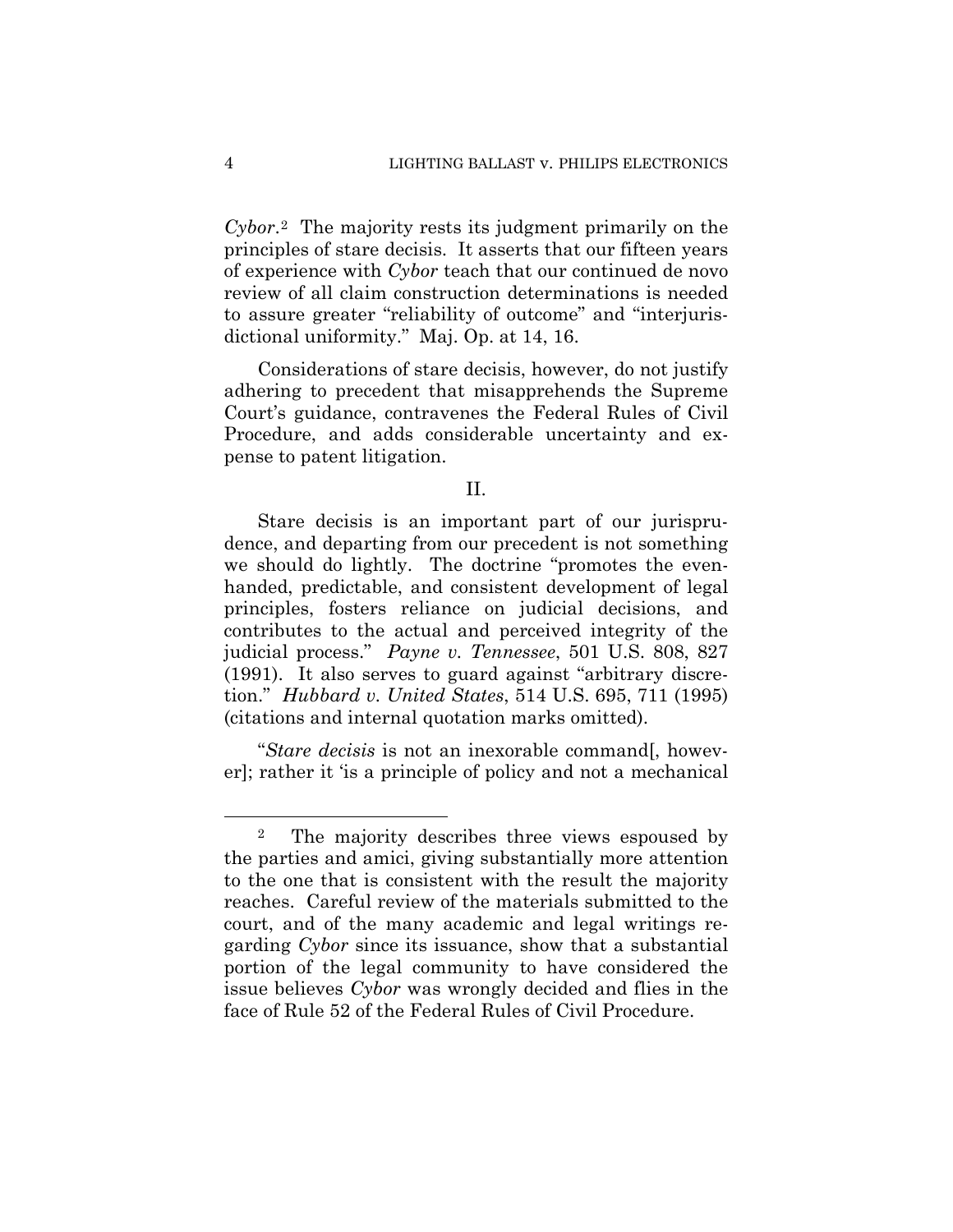*Cybor*.2 The majority rests its judgment primarily on the principles of stare decisis. It asserts that our fifteen years of experience with *Cybor* teach that our continued de novo review of all claim construction determinations is needed to assure greater "reliability of outcome" and "interjurisdictional uniformity." Maj. Op. at 14, 16.

Considerations of stare decisis, however, do not justify adhering to precedent that misapprehends the Supreme Court's guidance, contravenes the Federal Rules of Civil Procedure, and adds considerable uncertainty and expense to patent litigation.

### II.

Stare decisis is an important part of our jurisprudence, and departing from our precedent is not something we should do lightly. The doctrine "promotes the evenhanded, predictable, and consistent development of legal principles, fosters reliance on judicial decisions, and contributes to the actual and perceived integrity of the judicial process." *Payne v. Tennessee*, 501 U.S. 808, 827 (1991). It also serves to guard against "arbitrary discretion." *Hubbard v. United States*, 514 U.S. 695, 711 (1995) (citations and internal quotation marks omitted).

"*Stare decisis* is not an inexorable command[, however]; rather it 'is a principle of policy and not a mechanical

 $\overline{a}$ 

<sup>&</sup>lt;sup>2</sup> The majority describes three views espoused by the parties and amici, giving substantially more attention to the one that is consistent with the result the majority reaches. Careful review of the materials submitted to the court, and of the many academic and legal writings regarding *Cybor* since its issuance, show that a substantial portion of the legal community to have considered the issue believes *Cybor* was wrongly decided and flies in the face of Rule 52 of the Federal Rules of Civil Procedure.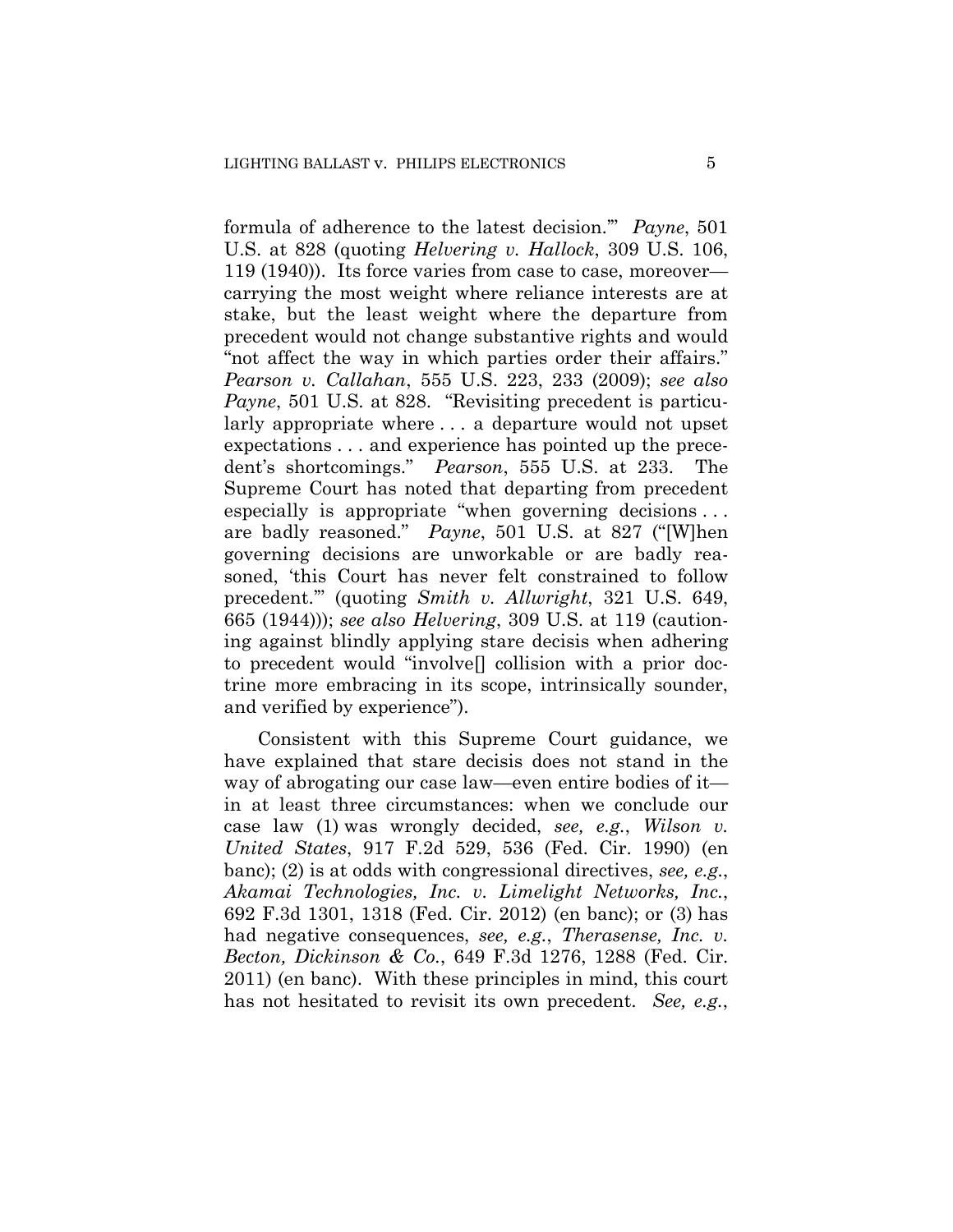formula of adherence to the latest decision.'" *Payne*, 501 U.S. at 828 (quoting *Helvering v. Hallock*, 309 U.S. 106, 119 (1940)). Its force varies from case to case, moreover carrying the most weight where reliance interests are at stake, but the least weight where the departure from precedent would not change substantive rights and would "not affect the way in which parties order their affairs." *Pearson v. Callahan*, 555 U.S. 223, 233 (2009); *see also Payne*, 501 U.S. at 828. "Revisiting precedent is particularly appropriate where . . . a departure would not upset expectations . . . and experience has pointed up the precedent's shortcomings." *Pearson*, 555 U.S. at 233. The Supreme Court has noted that departing from precedent especially is appropriate "when governing decisions . . . are badly reasoned." *Payne*, 501 U.S. at 827 ("[W]hen governing decisions are unworkable or are badly reasoned, 'this Court has never felt constrained to follow precedent.'" (quoting *Smith v. Allwright*, 321 U.S. 649, 665 (1944))); *see also Helvering*, 309 U.S. at 119 (cautioning against blindly applying stare decisis when adhering to precedent would "involve[] collision with a prior doctrine more embracing in its scope, intrinsically sounder, and verified by experience").

Consistent with this Supreme Court guidance, we have explained that stare decisis does not stand in the way of abrogating our case law—even entire bodies of it in at least three circumstances: when we conclude our case law (1) was wrongly decided, *see, e.g.*, *Wilson v. United States*, 917 F.2d 529, 536 (Fed. Cir. 1990) (en banc); (2) is at odds with congressional directives, *see, e.g.*, *Akamai Technologies, Inc. v. Limelight Networks, Inc.*, 692 F.3d 1301, 1318 (Fed. Cir. 2012) (en banc); or (3) has had negative consequences, *see, e.g.*, *Therasense, Inc. v. Becton, Dickinson & Co.*, 649 F.3d 1276, 1288 (Fed. Cir. 2011) (en banc). With these principles in mind, this court has not hesitated to revisit its own precedent. *See, e.g.*,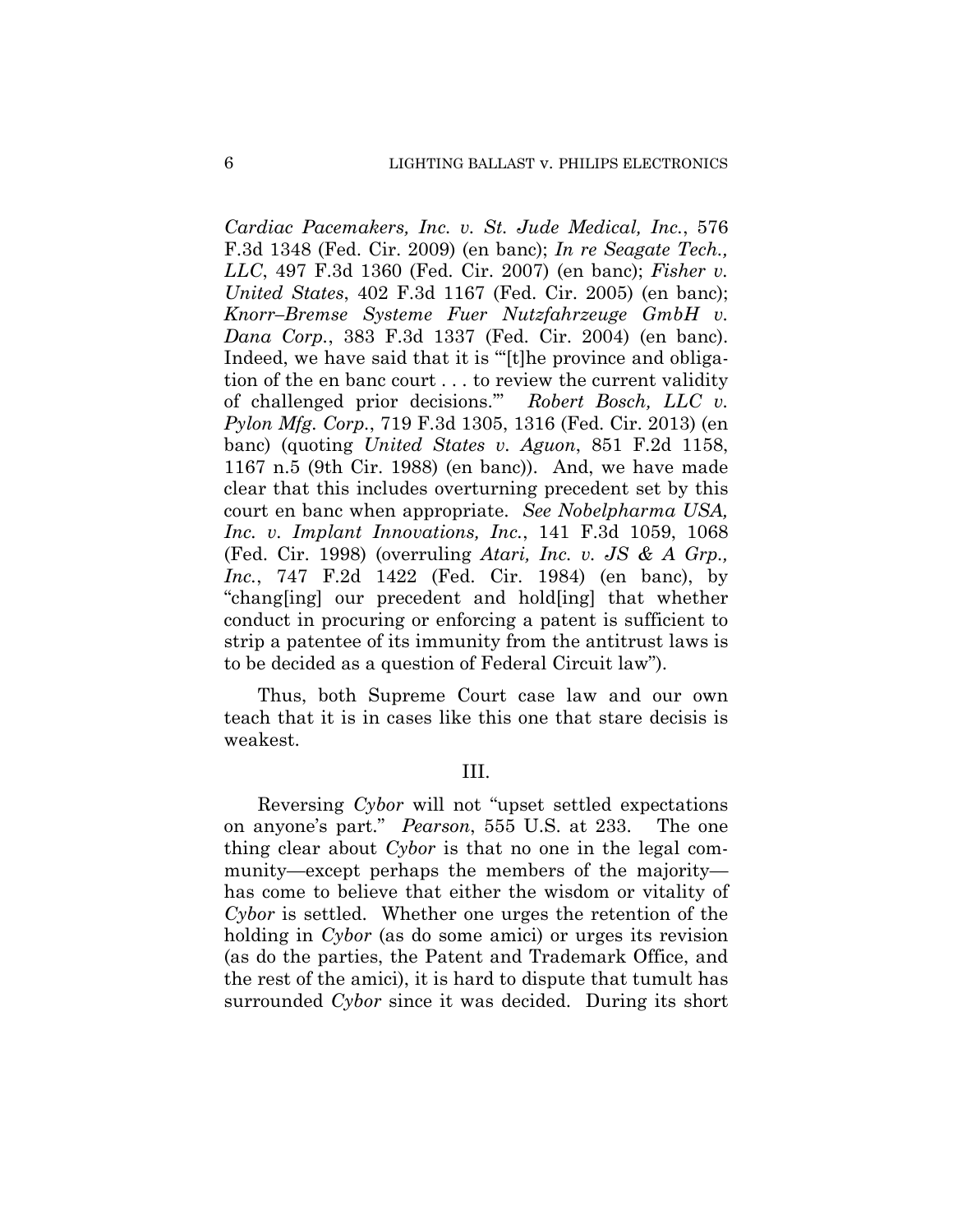*Cardiac Pacemakers, Inc. v. St. Jude Medical, Inc.*, 576 F.3d 1348 (Fed. Cir. 2009) (en banc); *In re Seagate Tech., LLC*, 497 F.3d 1360 (Fed. Cir. 2007) (en banc); *Fisher v. United States*, 402 F.3d 1167 (Fed. Cir. 2005) (en banc); *Knorr–Bremse Systeme Fuer Nutzfahrzeuge GmbH v. Dana Corp.*, 383 F.3d 1337 (Fed. Cir. 2004) (en banc). Indeed, we have said that it is "'[t]he province and obligation of the en banc court . . . to review the current validity of challenged prior decisions.'" *Robert Bosch, LLC v. Pylon Mfg. Corp.*, 719 F.3d 1305, 1316 (Fed. Cir. 2013) (en banc) (quoting *United States v. Aguon*, 851 F.2d 1158, 1167 n.5 (9th Cir. 1988) (en banc)). And, we have made clear that this includes overturning precedent set by this court en banc when appropriate. *See Nobelpharma USA, Inc. v. Implant Innovations, Inc.*, 141 F.3d 1059, 1068 (Fed. Cir. 1998) (overruling *Atari, Inc. v. JS & A Grp., Inc.*, 747 F.2d 1422 (Fed. Cir. 1984) (en banc), by "chang[ing] our precedent and hold[ing] that whether conduct in procuring or enforcing a patent is sufficient to strip a patentee of its immunity from the antitrust laws is to be decided as a question of Federal Circuit law").

Thus, both Supreme Court case law and our own teach that it is in cases like this one that stare decisis is weakest.

III.

Reversing *Cybor* will not "upset settled expectations on anyone's part." *Pearson*, 555 U.S. at 233. The one thing clear about *Cybor* is that no one in the legal community—except perhaps the members of the majority has come to believe that either the wisdom or vitality of *Cybor* is settled. Whether one urges the retention of the holding in *Cybor* (as do some amici) or urges its revision (as do the parties, the Patent and Trademark Office, and the rest of the amici), it is hard to dispute that tumult has surrounded *Cybor* since it was decided. During its short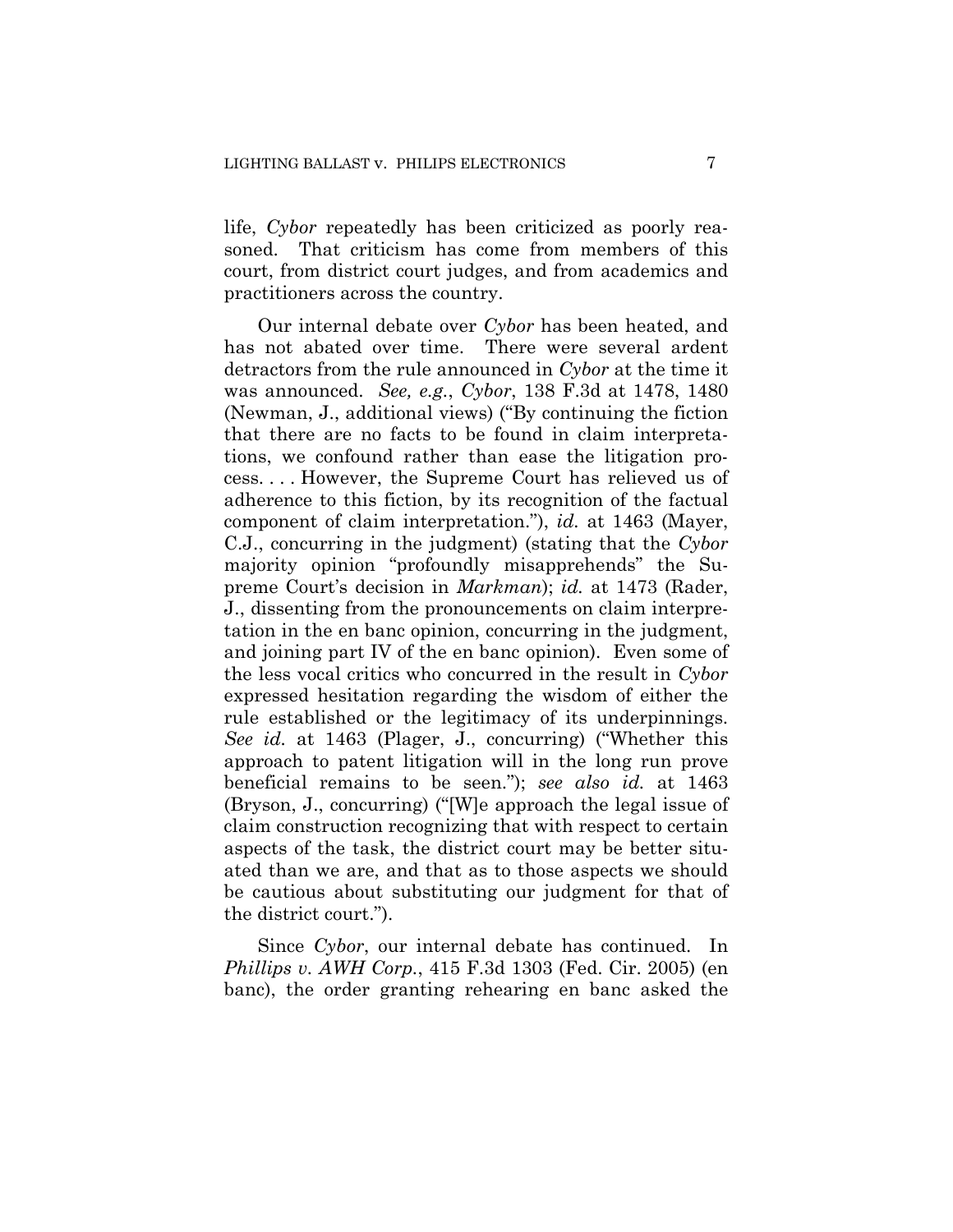life, *Cybor* repeatedly has been criticized as poorly reasoned. That criticism has come from members of this court, from district court judges, and from academics and practitioners across the country.

Our internal debate over *Cybor* has been heated, and has not abated over time. There were several ardent detractors from the rule announced in *Cybor* at the time it was announced. *See, e.g.*, *Cybor*, 138 F.3d at 1478, 1480 (Newman, J., additional views) ("By continuing the fiction that there are no facts to be found in claim interpretations, we confound rather than ease the litigation process. . . . However, the Supreme Court has relieved us of adherence to this fiction, by its recognition of the factual component of claim interpretation."), *id.* at 1463 (Mayer, C.J., concurring in the judgment) (stating that the *Cybor*  majority opinion "profoundly misapprehends" the Supreme Court's decision in *Markman*); *id.* at 1473 (Rader, J., dissenting from the pronouncements on claim interpretation in the en banc opinion, concurring in the judgment, and joining part IV of the en banc opinion). Even some of the less vocal critics who concurred in the result in *Cybor*  expressed hesitation regarding the wisdom of either the rule established or the legitimacy of its underpinnings. *See id.* at 1463 (Plager, J., concurring) ("Whether this approach to patent litigation will in the long run prove beneficial remains to be seen."); *see also id.* at 1463 (Bryson, J., concurring) ("[W]e approach the legal issue of claim construction recognizing that with respect to certain aspects of the task, the district court may be better situated than we are, and that as to those aspects we should be cautious about substituting our judgment for that of the district court.").

Since *Cybor*, our internal debate has continued. In *Phillips v. AWH Corp.*, 415 F.3d 1303 (Fed. Cir. 2005) (en banc), the order granting rehearing en banc asked the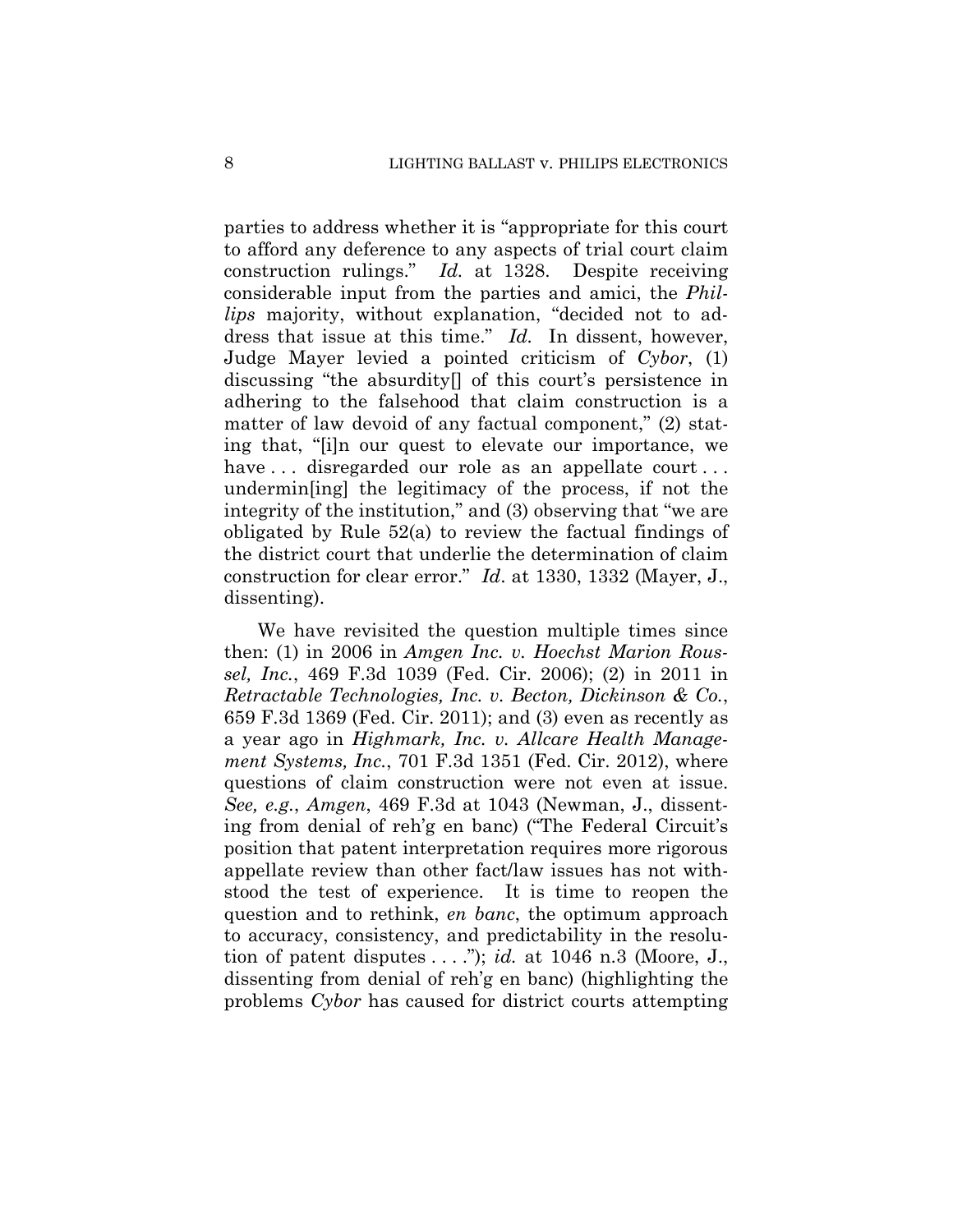parties to address whether it is "appropriate for this court to afford any deference to any aspects of trial court claim construction rulings." *Id.* at 1328. Despite receiving considerable input from the parties and amici, the *Phillips* majority, without explanation, "decided not to address that issue at this time." *Id.* In dissent, however, Judge Mayer levied a pointed criticism of *Cybor*, (1) discussing "the absurdity[] of this court's persistence in adhering to the falsehood that claim construction is a matter of law devoid of any factual component," (2) stating that, "[i]n our quest to elevate our importance, we have ... disregarded our role as an appellate court... undermin[ing] the legitimacy of the process, if not the integrity of the institution," and (3) observing that "we are obligated by Rule 52(a) to review the factual findings of the district court that underlie the determination of claim construction for clear error." *Id*. at 1330, 1332 (Mayer, J., dissenting).

We have revisited the question multiple times since then: (1) in 2006 in *Amgen Inc. v. Hoechst Marion Roussel, Inc.*, 469 F.3d 1039 (Fed. Cir. 2006); (2) in 2011 in *Retractable Technologies, Inc. v. Becton, Dickinson & Co.*, 659 F.3d 1369 (Fed. Cir. 2011); and (3) even as recently as a year ago in *Highmark, Inc. v. Allcare Health Management Systems, Inc.*, 701 F.3d 1351 (Fed. Cir. 2012), where questions of claim construction were not even at issue. *See, e.g.*, *Amgen*, 469 F.3d at 1043 (Newman, J., dissenting from denial of reh'g en banc) ("The Federal Circuit's position that patent interpretation requires more rigorous appellate review than other fact/law issues has not withstood the test of experience. It is time to reopen the question and to rethink, *en banc*, the optimum approach to accuracy, consistency, and predictability in the resolution of patent disputes . . . ."); *id.* at 1046 n.3 (Moore, J., dissenting from denial of reh'g en banc) (highlighting the problems *Cybor* has caused for district courts attempting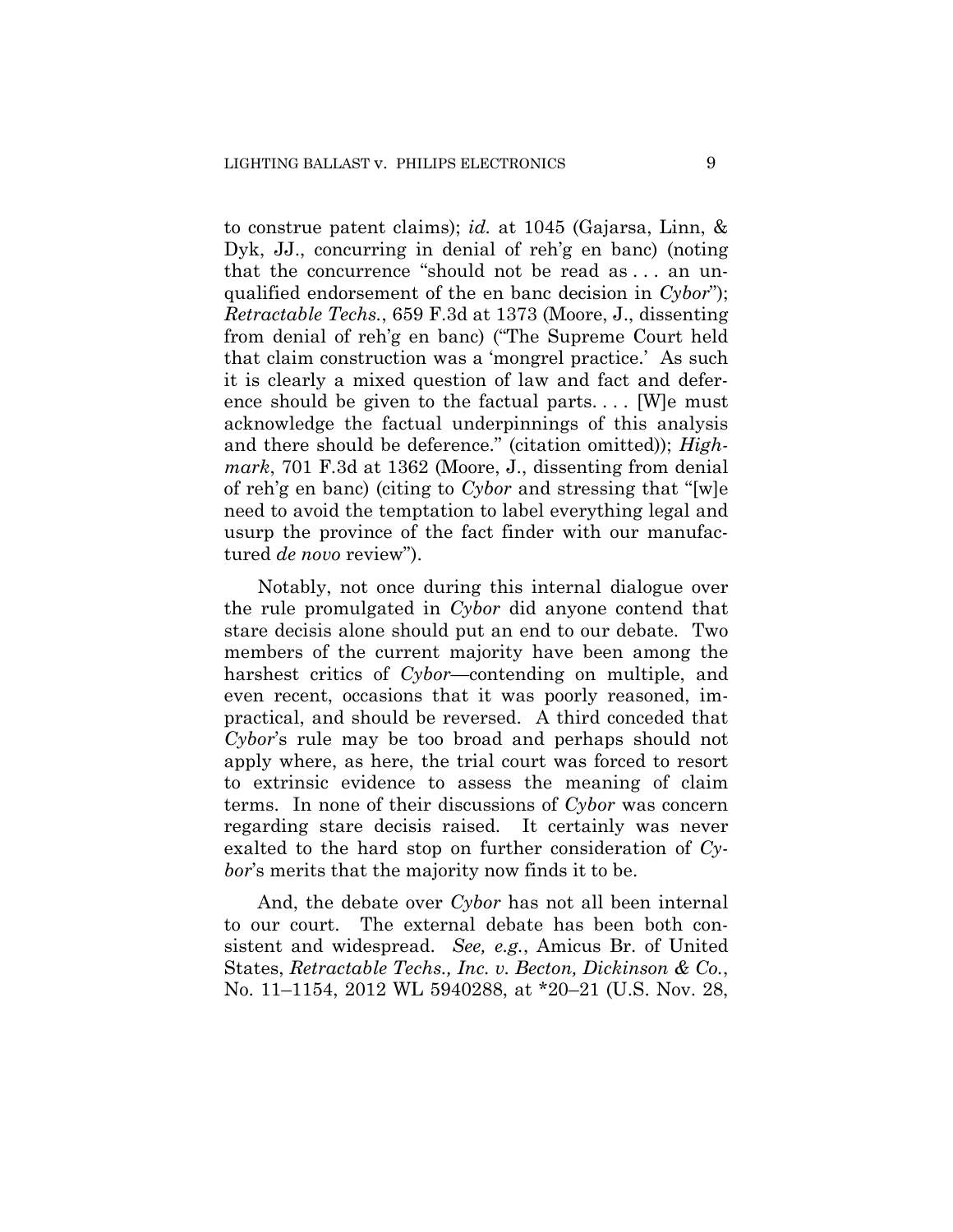to construe patent claims); *id.* at 1045 (Gajarsa, Linn, & Dyk, JJ., concurring in denial of reh'g en banc) (noting that the concurrence "should not be read as . . . an unqualified endorsement of the en banc decision in *Cybor*"); *Retractable Techs.*, 659 F.3d at 1373 (Moore, J., dissenting from denial of reh'g en banc) ("The Supreme Court held that claim construction was a 'mongrel practice.' As such it is clearly a mixed question of law and fact and deference should be given to the factual parts. . . . [W]e must acknowledge the factual underpinnings of this analysis and there should be deference." (citation omitted)); *Highmark*, 701 F.3d at 1362 (Moore, J., dissenting from denial of reh'g en banc) (citing to *Cybor* and stressing that "[w]e need to avoid the temptation to label everything legal and usurp the province of the fact finder with our manufactured *de novo* review").

Notably, not once during this internal dialogue over the rule promulgated in *Cybor* did anyone contend that stare decisis alone should put an end to our debate. Two members of the current majority have been among the harshest critics of *Cybor*—contending on multiple, and even recent, occasions that it was poorly reasoned, impractical, and should be reversed. A third conceded that *Cybor*'s rule may be too broad and perhaps should not apply where, as here, the trial court was forced to resort to extrinsic evidence to assess the meaning of claim terms. In none of their discussions of *Cybor* was concern regarding stare decisis raised. It certainly was never exalted to the hard stop on further consideration of *Cybor*'s merits that the majority now finds it to be.

And, the debate over *Cybor* has not all been internal to our court. The external debate has been both consistent and widespread. *See, e.g.*, Amicus Br. of United States, *Retractable Techs., Inc. v. Becton, Dickinson & Co.*, No. 11–1154, 2012 WL 5940288, at \*20–21 (U.S. Nov. 28,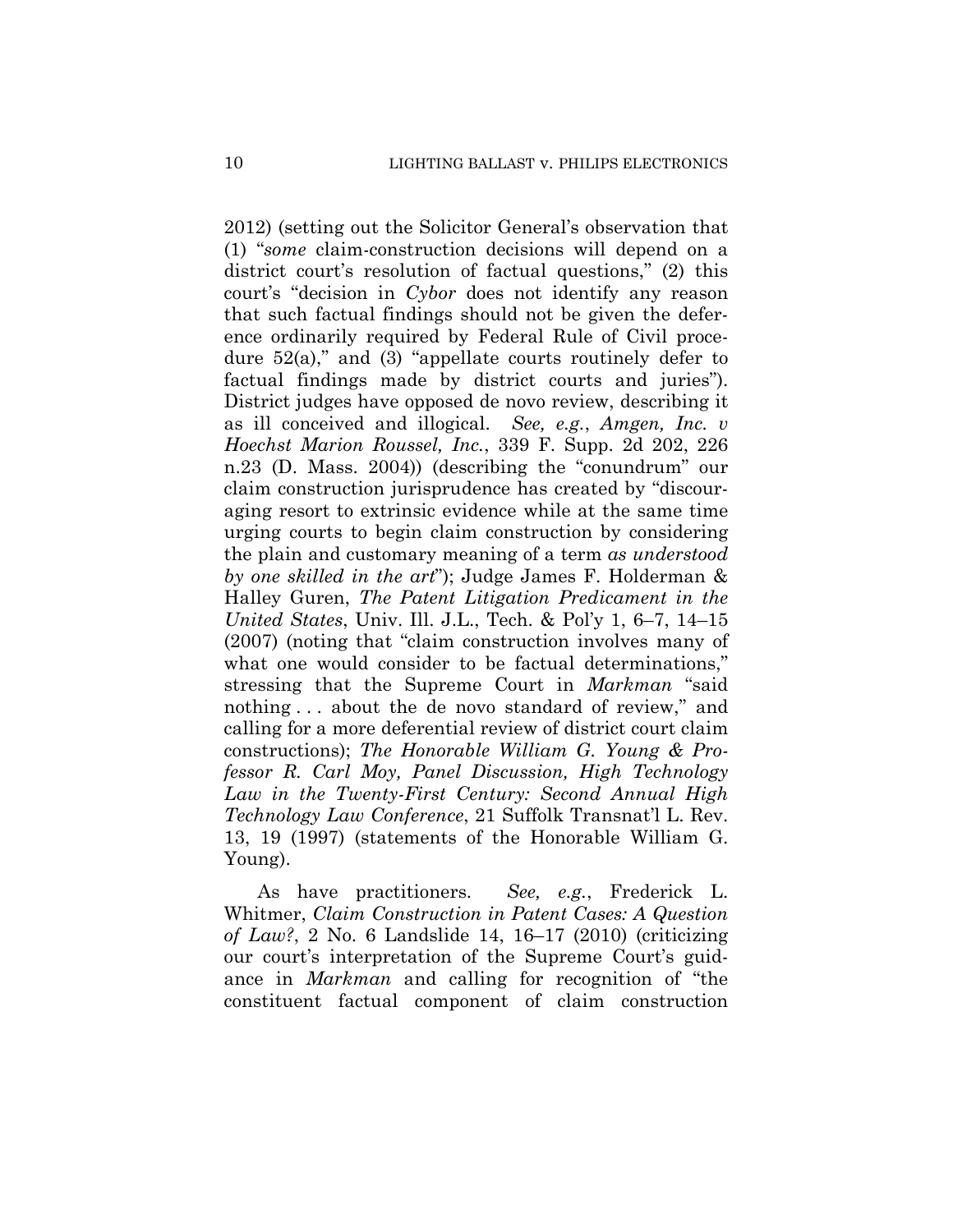2012) (setting out the Solicitor General's observation that (1) "*some* claim-construction decisions will depend on a district court's resolution of factual questions," (2) this court's "decision in *Cybor* does not identify any reason that such factual findings should not be given the deference ordinarily required by Federal Rule of Civil procedure  $52(a)$ ," and  $(3)$  "appellate courts routinely defer to factual findings made by district courts and juries"). District judges have opposed de novo review, describing it as ill conceived and illogical. *See, e.g.*, *Amgen, Inc. v Hoechst Marion Roussel, Inc.*, 339 F. Supp. 2d 202, 226 n.23 (D. Mass. 2004)) (describing the "conundrum" our claim construction jurisprudence has created by "discouraging resort to extrinsic evidence while at the same time urging courts to begin claim construction by considering the plain and customary meaning of a term *as understood by one skilled in the art*"); Judge James F. Holderman & Halley Guren, *The Patent Litigation Predicament in the United States*, Univ. Ill. J.L., Tech. & Pol'y 1, 6–7, 14–15 (2007) (noting that "claim construction involves many of what one would consider to be factual determinations," stressing that the Supreme Court in *Markman* "said nothing . . . about the de novo standard of review," and calling for a more deferential review of district court claim constructions); *The Honorable William G. Young & Professor R. Carl Moy, Panel Discussion, High Technology Law in the Twenty-First Century: Second Annual High Technology Law Conference*, 21 Suffolk Transnat'l L. Rev. 13, 19 (1997) (statements of the Honorable William G. Young).

As have practitioners. *See, e.g.*, Frederick L. Whitmer, *Claim Construction in Patent Cases: A Question of Law?*, 2 No. 6 Landslide 14, 16–17 (2010) (criticizing our court's interpretation of the Supreme Court's guidance in *Markman* and calling for recognition of "the constituent factual component of claim construction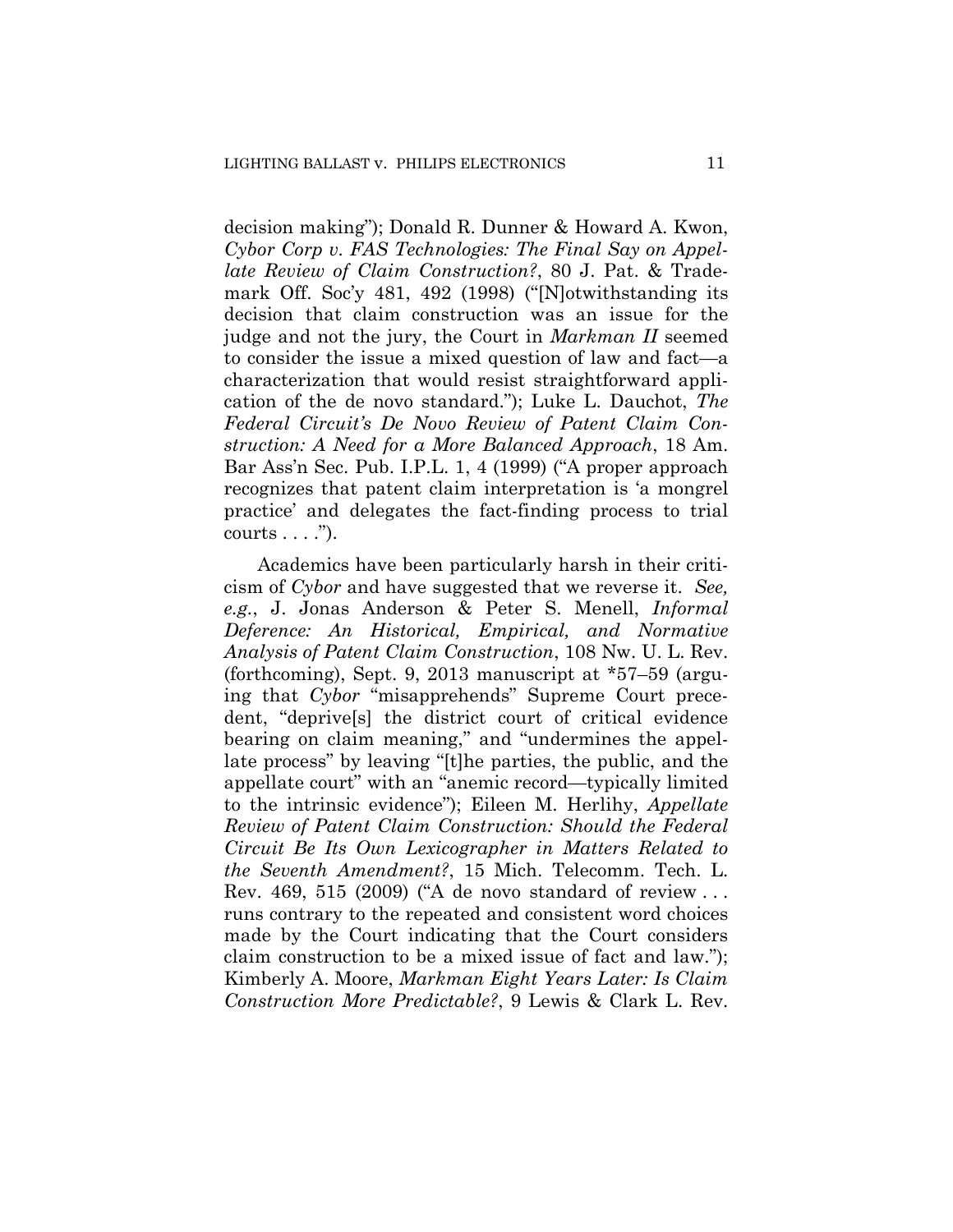decision making"); Donald R. Dunner & Howard A. Kwon, *Cybor Corp v. FAS Technologies: The Final Say on Appellate Review of Claim Construction?*, 80 J. Pat. & Trademark Off. Soc'y 481, 492 (1998) ("[N]otwithstanding its decision that claim construction was an issue for the judge and not the jury, the Court in *Markman II* seemed to consider the issue a mixed question of law and fact—a characterization that would resist straightforward application of the de novo standard."); Luke L. Dauchot, *The Federal Circuit's De Novo Review of Patent Claim Construction: A Need for a More Balanced Approach*, 18 Am. Bar Ass'n Sec. Pub. I.P.L. 1, 4 (1999) ("A proper approach recognizes that patent claim interpretation is 'a mongrel practice' and delegates the fact-finding process to trial  $counts \ldots$ ").

Academics have been particularly harsh in their criticism of *Cybor* and have suggested that we reverse it. *See, e.g.*, J. Jonas Anderson & Peter S. Menell, *Informal Deference: An Historical, Empirical, and Normative Analysis of Patent Claim Construction*, 108 Nw. U. L. Rev. (forthcoming), Sept. 9, 2013 manuscript at \*57–59 (arguing that *Cybor* "misapprehends" Supreme Court precedent, "deprive[s] the district court of critical evidence bearing on claim meaning," and "undermines the appellate process" by leaving "[t]he parties, the public, and the appellate court" with an "anemic record—typically limited to the intrinsic evidence"); Eileen M. Herlihy, *Appellate Review of Patent Claim Construction: Should the Federal Circuit Be Its Own Lexicographer in Matters Related to the Seventh Amendment?*, 15 Mich. Telecomm. Tech. L. Rev. 469, 515 (2009) ("A de novo standard of review . . . runs contrary to the repeated and consistent word choices made by the Court indicating that the Court considers claim construction to be a mixed issue of fact and law."); Kimberly A. Moore, *Markman Eight Years Later: Is Claim Construction More Predictable?*, 9 Lewis & Clark L. Rev.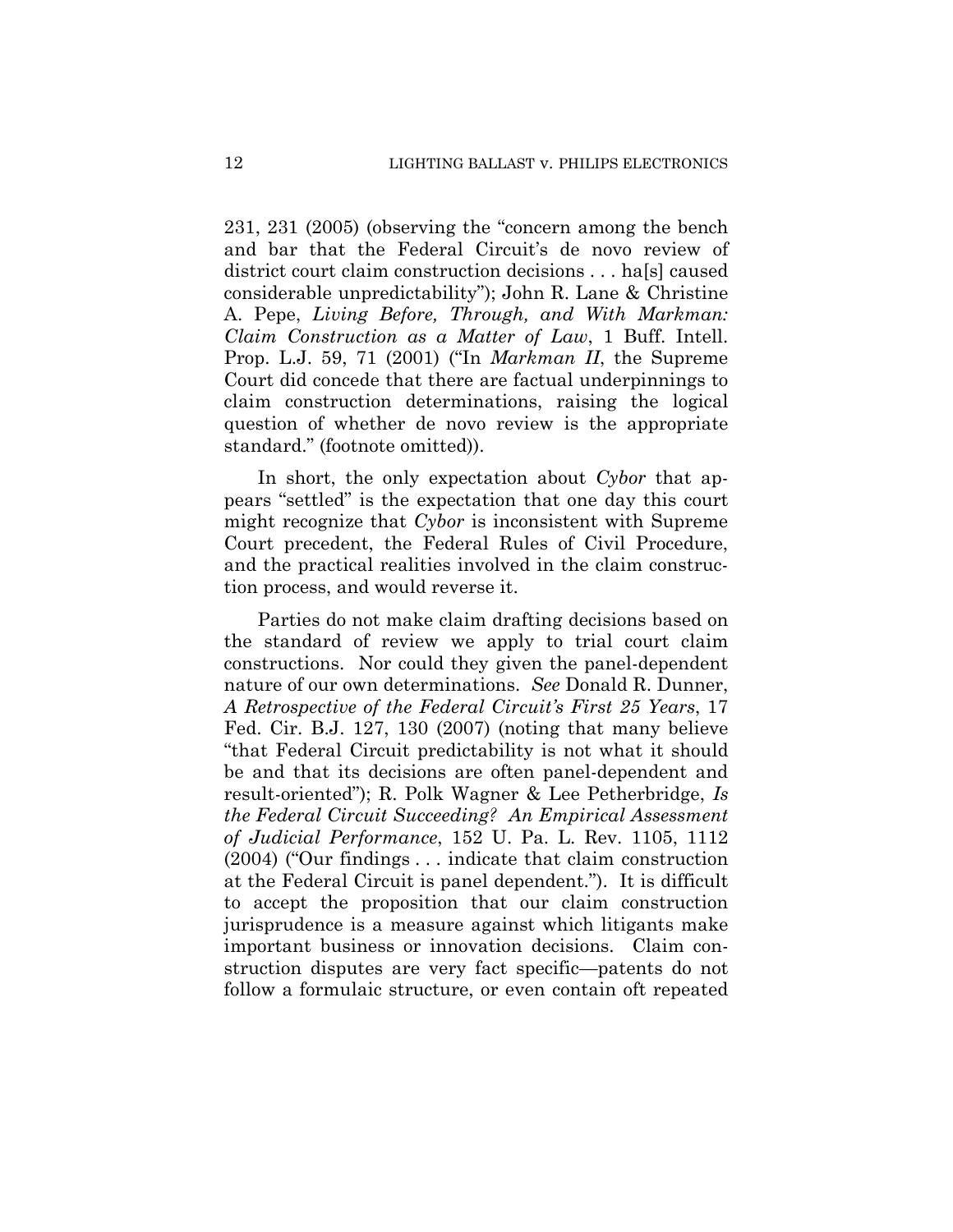231, 231 (2005) (observing the "concern among the bench and bar that the Federal Circuit's de novo review of district court claim construction decisions . . . halse caused considerable unpredictability"); John R. Lane & Christine A. Pepe, *Living Before, Through, and With Markman: Claim Construction as a Matter of Law*, 1 Buff. Intell. Prop. L.J. 59, 71 (2001) ("In *Markman II*, the Supreme Court did concede that there are factual underpinnings to claim construction determinations, raising the logical question of whether de novo review is the appropriate standard." (footnote omitted)).

In short, the only expectation about *Cybor* that appears "settled" is the expectation that one day this court might recognize that *Cybor* is inconsistent with Supreme Court precedent, the Federal Rules of Civil Procedure, and the practical realities involved in the claim construction process, and would reverse it.

Parties do not make claim drafting decisions based on the standard of review we apply to trial court claim constructions. Nor could they given the panel-dependent nature of our own determinations. *See* Donald R. Dunner, *A Retrospective of the Federal Circuit's First 25 Years*, 17 Fed. Cir. B.J. 127, 130 (2007) (noting that many believe "that Federal Circuit predictability is not what it should be and that its decisions are often panel-dependent and result-oriented"); R. Polk Wagner & Lee Petherbridge, *Is the Federal Circuit Succeeding? An Empirical Assessment of Judicial Performance*, 152 U. Pa. L. Rev. 1105, 1112 (2004) ("Our findings . . . indicate that claim construction at the Federal Circuit is panel dependent."). It is difficult to accept the proposition that our claim construction jurisprudence is a measure against which litigants make important business or innovation decisions. Claim construction disputes are very fact specific—patents do not follow a formulaic structure, or even contain oft repeated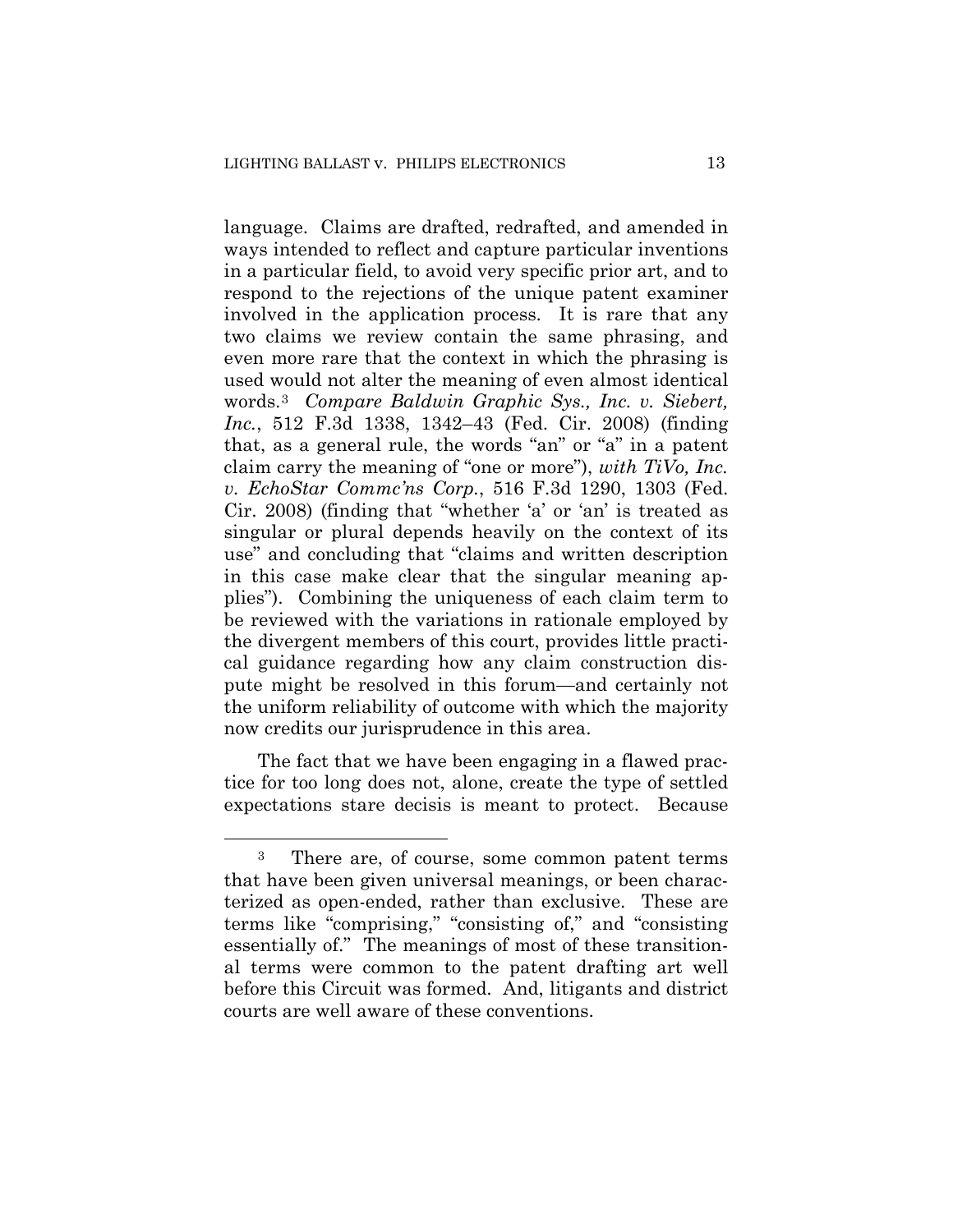language. Claims are drafted, redrafted, and amended in ways intended to reflect and capture particular inventions in a particular field, to avoid very specific prior art, and to respond to the rejections of the unique patent examiner involved in the application process. It is rare that any two claims we review contain the same phrasing, and even more rare that the context in which the phrasing is used would not alter the meaning of even almost identical words.3 *Compare Baldwin Graphic Sys., Inc. v. Siebert, Inc.*, 512 F.3d 1338, 1342–43 (Fed. Cir. 2008) (finding that, as a general rule, the words "an" or "a" in a patent claim carry the meaning of "one or more"), *with TiVo, Inc. v. EchoStar Commc'ns Corp.*, 516 F.3d 1290, 1303 (Fed. Cir. 2008) (finding that "whether 'a' or 'an' is treated as singular or plural depends heavily on the context of its use" and concluding that "claims and written description in this case make clear that the singular meaning applies"). Combining the uniqueness of each claim term to be reviewed with the variations in rationale employed by the divergent members of this court, provides little practical guidance regarding how any claim construction dispute might be resolved in this forum—and certainly not the uniform reliability of outcome with which the majority now credits our jurisprudence in this area.

The fact that we have been engaging in a flawed practice for too long does not, alone, create the type of settled expectations stare decisis is meant to protect. Because

 $\overline{a}$ 

<sup>&</sup>lt;sup>3</sup> There are, of course, some common patent terms that have been given universal meanings, or been characterized as open-ended, rather than exclusive. These are terms like "comprising," "consisting of," and "consisting essentially of." The meanings of most of these transitional terms were common to the patent drafting art well before this Circuit was formed. And, litigants and district courts are well aware of these conventions.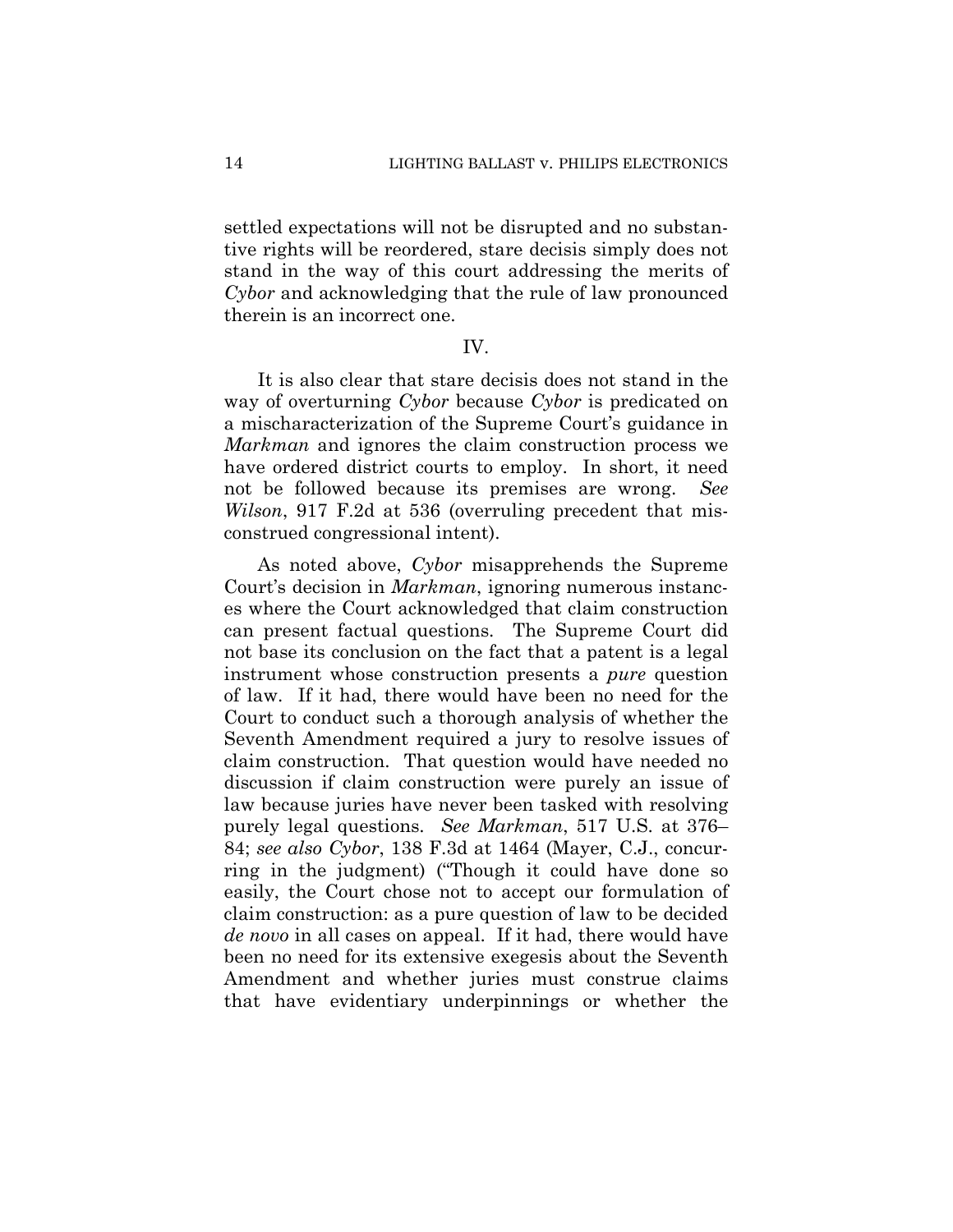settled expectations will not be disrupted and no substantive rights will be reordered, stare decisis simply does not stand in the way of this court addressing the merits of *Cybor* and acknowledging that the rule of law pronounced therein is an incorrect one.

### IV.

It is also clear that stare decisis does not stand in the way of overturning *Cybor* because *Cybor* is predicated on a mischaracterization of the Supreme Court's guidance in *Markman* and ignores the claim construction process we have ordered district courts to employ. In short, it need not be followed because its premises are wrong. *See Wilson*, 917 F.2d at 536 (overruling precedent that misconstrued congressional intent).

As noted above, *Cybor* misapprehends the Supreme Court's decision in *Markman*, ignoring numerous instances where the Court acknowledged that claim construction can present factual questions. The Supreme Court did not base its conclusion on the fact that a patent is a legal instrument whose construction presents a *pure* question of law. If it had, there would have been no need for the Court to conduct such a thorough analysis of whether the Seventh Amendment required a jury to resolve issues of claim construction. That question would have needed no discussion if claim construction were purely an issue of law because juries have never been tasked with resolving purely legal questions. *See Markman*, 517 U.S. at 376– 84; *see also Cybor*, 138 F.3d at 1464 (Mayer, C.J., concurring in the judgment) ("Though it could have done so easily, the Court chose not to accept our formulation of claim construction: as a pure question of law to be decided *de novo* in all cases on appeal. If it had, there would have been no need for its extensive exegesis about the Seventh Amendment and whether juries must construe claims that have evidentiary underpinnings or whether the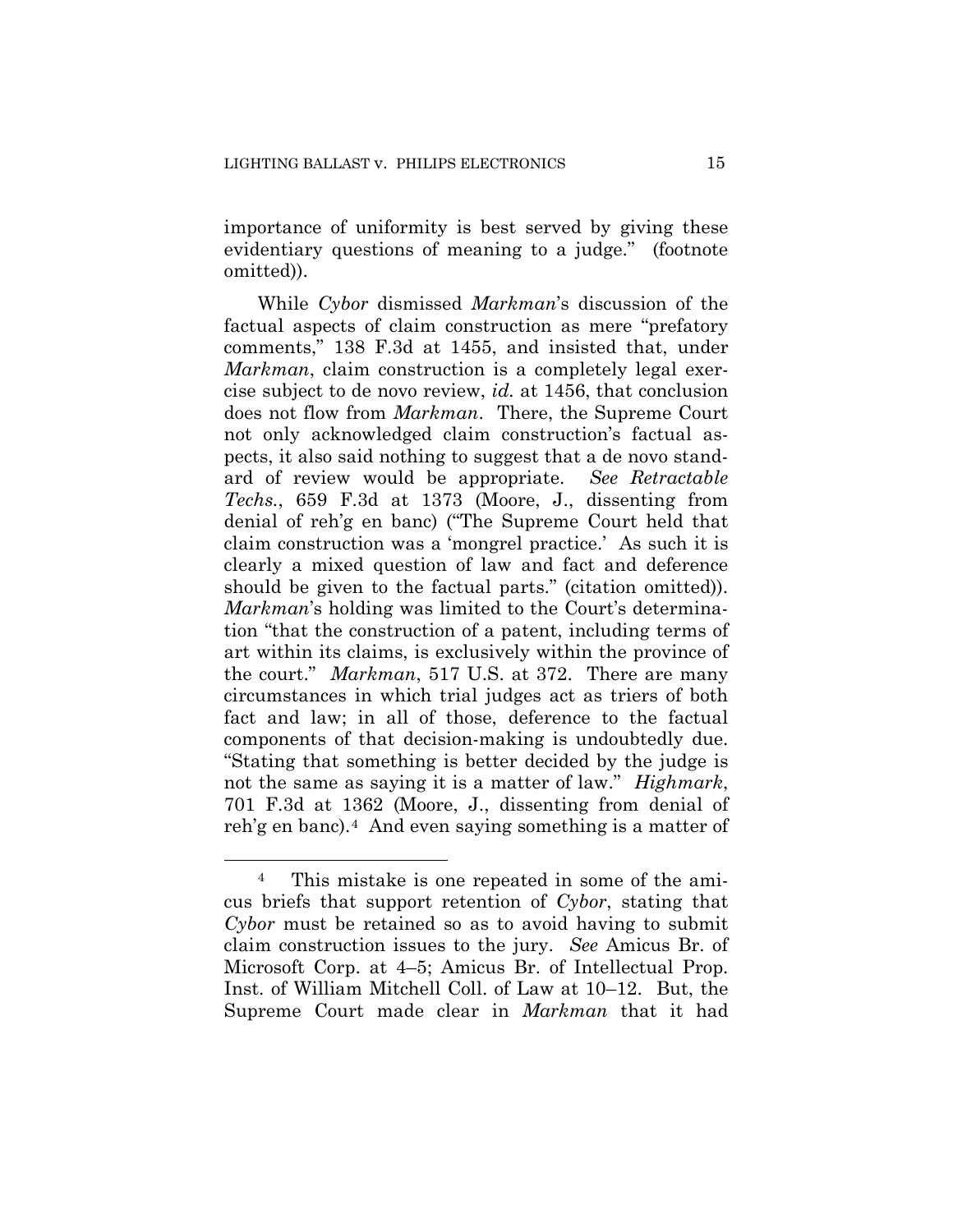importance of uniformity is best served by giving these evidentiary questions of meaning to a judge." (footnote omitted)).

While *Cybor* dismissed *Markman*'s discussion of the factual aspects of claim construction as mere "prefatory comments," 138 F.3d at 1455, and insisted that, under *Markman*, claim construction is a completely legal exercise subject to de novo review, *id.* at 1456, that conclusion does not flow from *Markman*. There, the Supreme Court not only acknowledged claim construction's factual aspects, it also said nothing to suggest that a de novo standard of review would be appropriate. *See Retractable Techs.*, 659 F.3d at 1373 (Moore, J., dissenting from denial of reh'g en banc) ("The Supreme Court held that claim construction was a 'mongrel practice.' As such it is clearly a mixed question of law and fact and deference should be given to the factual parts." (citation omitted)). *Markman*'s holding was limited to the Court's determination "that the construction of a patent, including terms of art within its claims, is exclusively within the province of the court." *Markman*, 517 U.S. at 372. There are many circumstances in which trial judges act as triers of both fact and law; in all of those, deference to the factual components of that decision-making is undoubtedly due. "Stating that something is better decided by the judge is not the same as saying it is a matter of law." *Highmark*, 701 F.3d at 1362 (Moore, J., dissenting from denial of reh'g en banc).4 And even saying something is a matter of

 $\overline{a}$ 

<sup>4</sup> This mistake is one repeated in some of the amicus briefs that support retention of *Cybor*, stating that *Cybor* must be retained so as to avoid having to submit claim construction issues to the jury. *See* Amicus Br. of Microsoft Corp. at 4–5; Amicus Br. of Intellectual Prop. Inst. of William Mitchell Coll. of Law at 10–12. But, the Supreme Court made clear in *Markman* that it had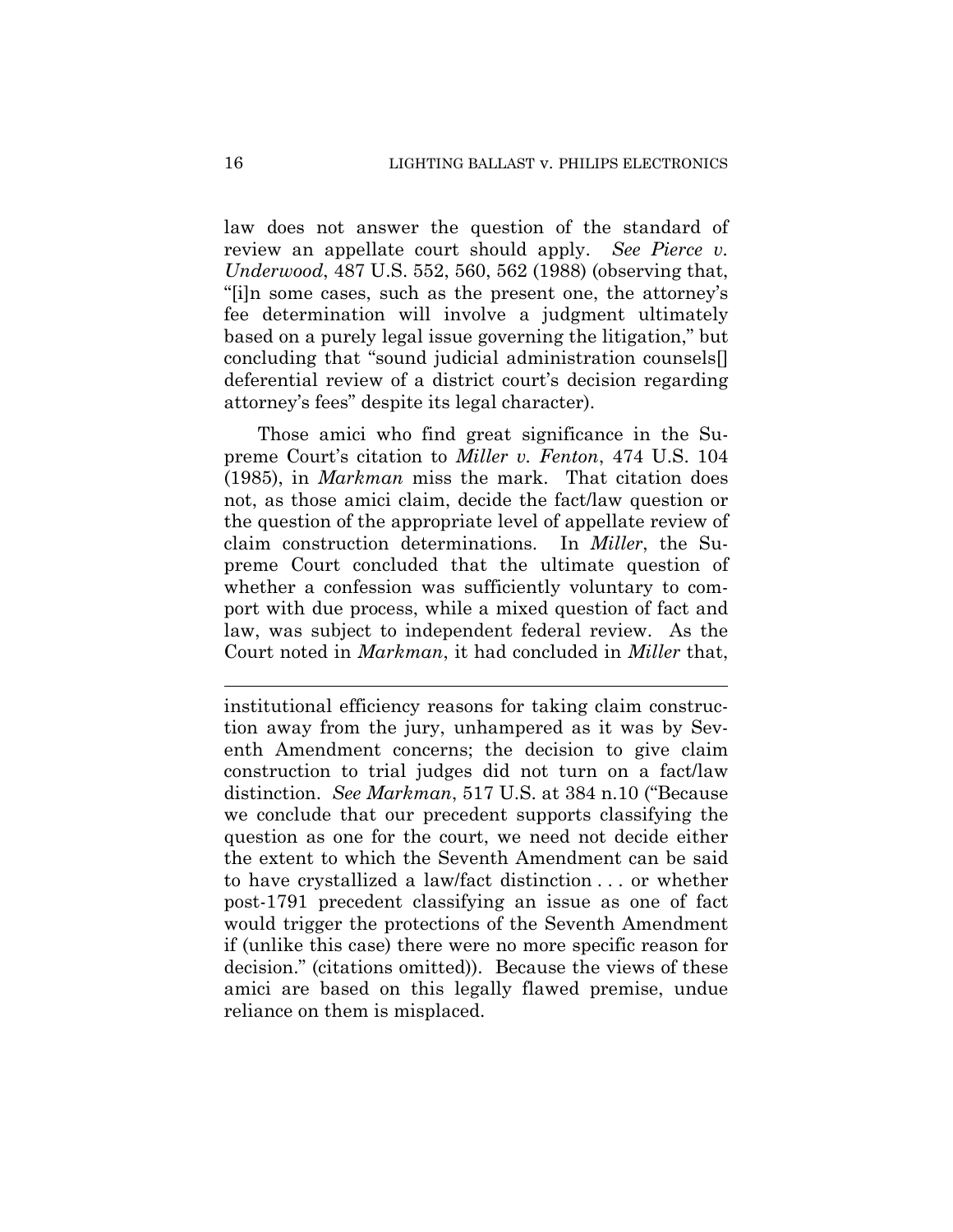law does not answer the question of the standard of review an appellate court should apply. *See Pierce v. Underwood*, 487 U.S. 552, 560, 562 (1988) (observing that, "[i]n some cases, such as the present one, the attorney's fee determination will involve a judgment ultimately based on a purely legal issue governing the litigation," but concluding that "sound judicial administration counsels[] deferential review of a district court's decision regarding attorney's fees" despite its legal character).

Those amici who find great significance in the Supreme Court's citation to *Miller v. Fenton*, 474 U.S. 104 (1985), in *Markman* miss the mark. That citation does not, as those amici claim, decide the fact/law question or the question of the appropriate level of appellate review of claim construction determinations. In *Miller*, the Supreme Court concluded that the ultimate question of whether a confession was sufficiently voluntary to comport with due process, while a mixed question of fact and law, was subject to independent federal review. As the Court noted in *Markman*, it had concluded in *Miller* that,

institutional efficiency reasons for taking claim construction away from the jury, unhampered as it was by Seventh Amendment concerns; the decision to give claim construction to trial judges did not turn on a fact/law distinction. *See Markman*, 517 U.S. at 384 n.10 ("Because we conclude that our precedent supports classifying the question as one for the court, we need not decide either the extent to which the Seventh Amendment can be said to have crystallized a law/fact distinction . . . or whether post-1791 precedent classifying an issue as one of fact would trigger the protections of the Seventh Amendment if (unlike this case) there were no more specific reason for decision." (citations omitted)). Because the views of these amici are based on this legally flawed premise, undue reliance on them is misplaced.

 $\overline{a}$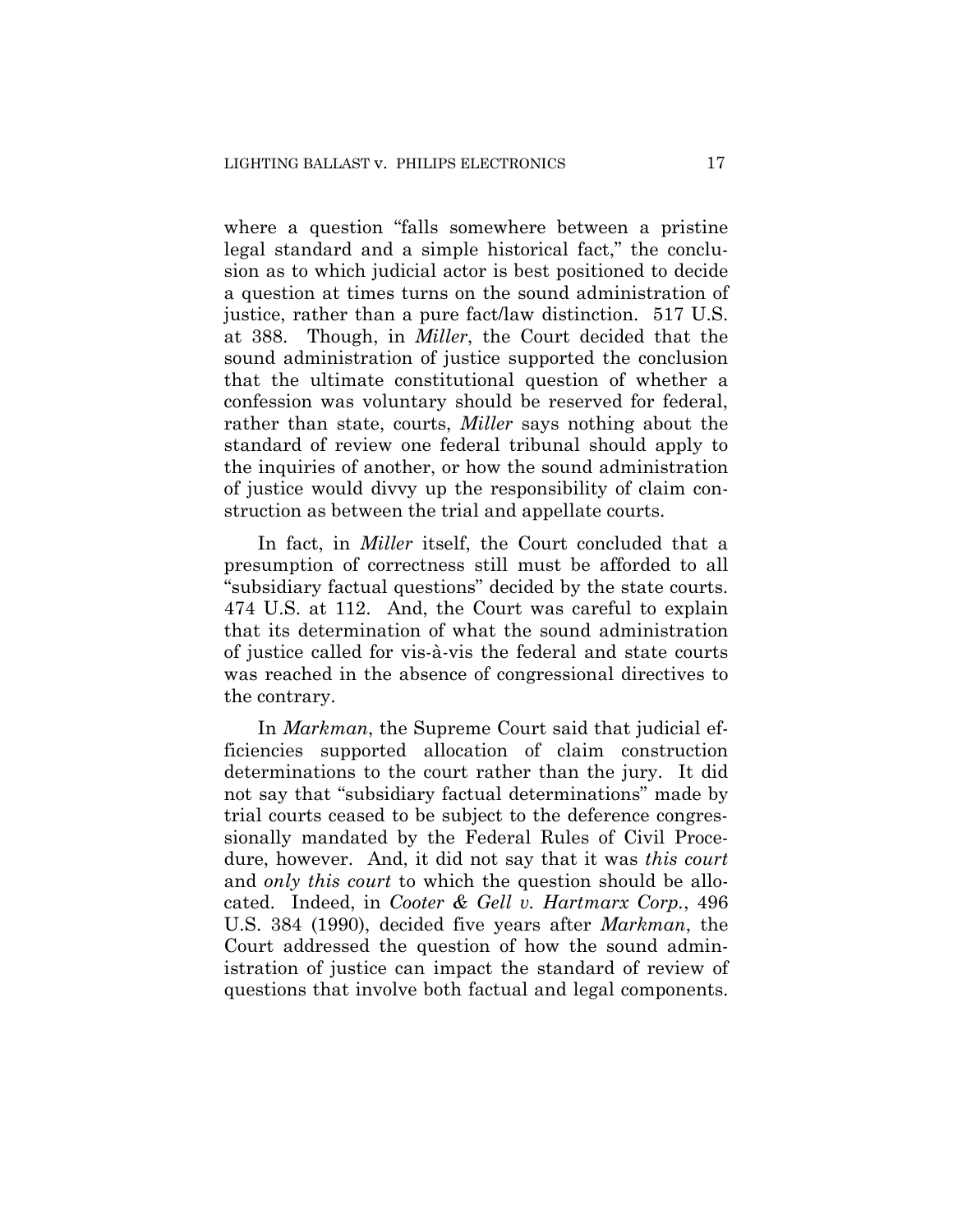where a question "falls somewhere between a pristine legal standard and a simple historical fact," the conclusion as to which judicial actor is best positioned to decide a question at times turns on the sound administration of justice, rather than a pure fact/law distinction. 517 U.S. at 388. Though, in *Miller*, the Court decided that the sound administration of justice supported the conclusion that the ultimate constitutional question of whether a confession was voluntary should be reserved for federal, rather than state, courts, *Miller* says nothing about the standard of review one federal tribunal should apply to the inquiries of another, or how the sound administration of justice would divvy up the responsibility of claim construction as between the trial and appellate courts.

In fact, in *Miller* itself, the Court concluded that a presumption of correctness still must be afforded to all "subsidiary factual questions" decided by the state courts. 474 U.S. at 112. And, the Court was careful to explain that its determination of what the sound administration of justice called for vis-à-vis the federal and state courts was reached in the absence of congressional directives to the contrary.

In *Markman*, the Supreme Court said that judicial efficiencies supported allocation of claim construction determinations to the court rather than the jury. It did not say that "subsidiary factual determinations" made by trial courts ceased to be subject to the deference congressionally mandated by the Federal Rules of Civil Procedure, however. And, it did not say that it was *this court* and *only this court* to which the question should be allocated. Indeed, in *Cooter & Gell v. Hartmarx Corp.*, 496 U.S. 384 (1990), decided five years after *Markman*, the Court addressed the question of how the sound administration of justice can impact the standard of review of questions that involve both factual and legal components.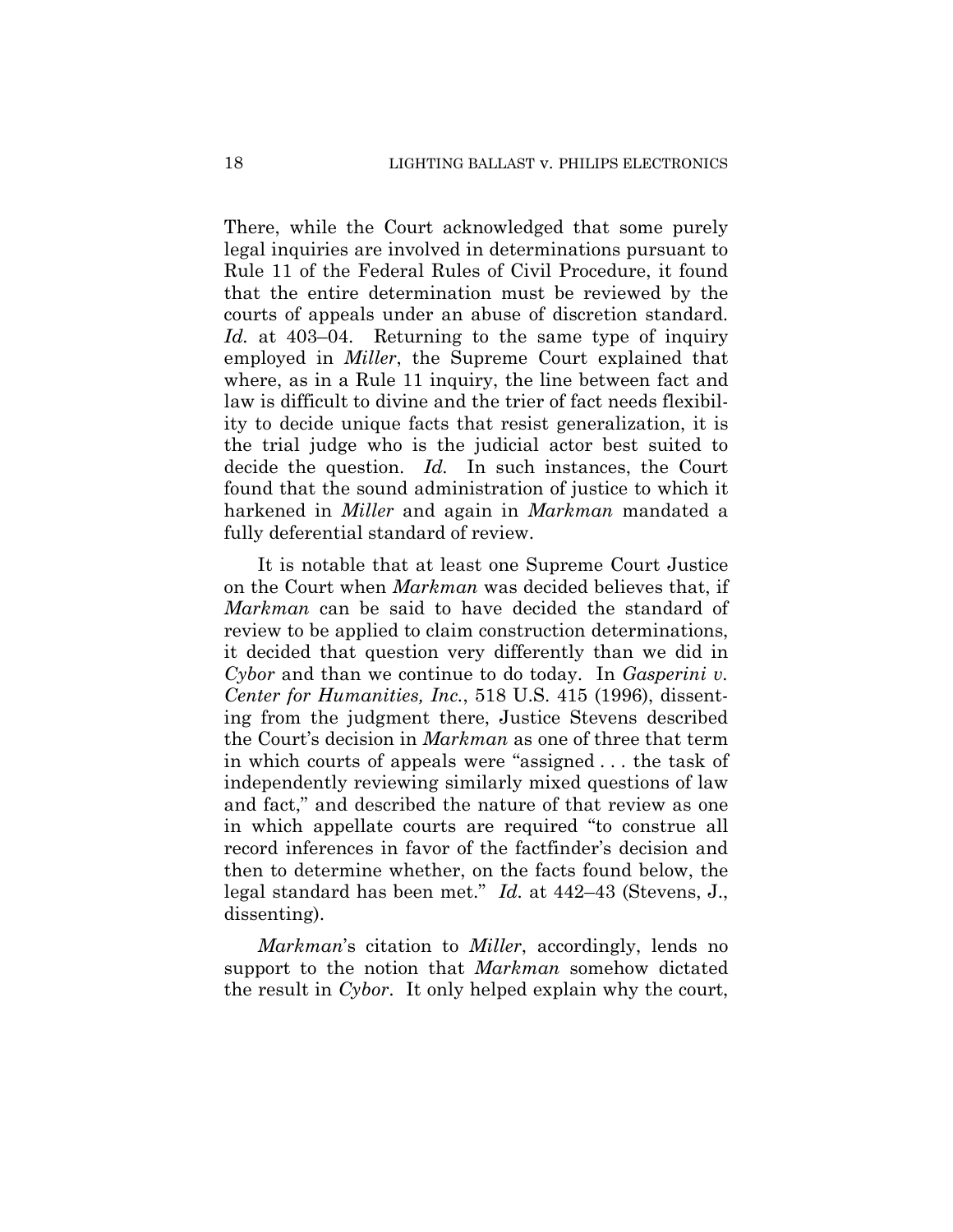There, while the Court acknowledged that some purely legal inquiries are involved in determinations pursuant to Rule 11 of the Federal Rules of Civil Procedure, it found that the entire determination must be reviewed by the courts of appeals under an abuse of discretion standard. *Id.* at 403–04. Returning to the same type of inquiry employed in *Miller*, the Supreme Court explained that where, as in a Rule 11 inquiry, the line between fact and law is difficult to divine and the trier of fact needs flexibility to decide unique facts that resist generalization, it is the trial judge who is the judicial actor best suited to decide the question. *Id.* In such instances, the Court found that the sound administration of justice to which it harkened in *Miller* and again in *Markman* mandated a fully deferential standard of review.

It is notable that at least one Supreme Court Justice on the Court when *Markman* was decided believes that, if *Markman* can be said to have decided the standard of review to be applied to claim construction determinations, it decided that question very differently than we did in *Cybor* and than we continue to do today. In *Gasperini v. Center for Humanities, Inc.*, 518 U.S. 415 (1996), dissenting from the judgment there, Justice Stevens described the Court's decision in *Markman* as one of three that term in which courts of appeals were "assigned . . . the task of independently reviewing similarly mixed questions of law and fact," and described the nature of that review as one in which appellate courts are required "to construe all record inferences in favor of the factfinder's decision and then to determine whether, on the facts found below, the legal standard has been met." *Id.* at 442–43 (Stevens, J., dissenting).

*Markman*'s citation to *Miller*, accordingly, lends no support to the notion that *Markman* somehow dictated the result in *Cybor*. It only helped explain why the court,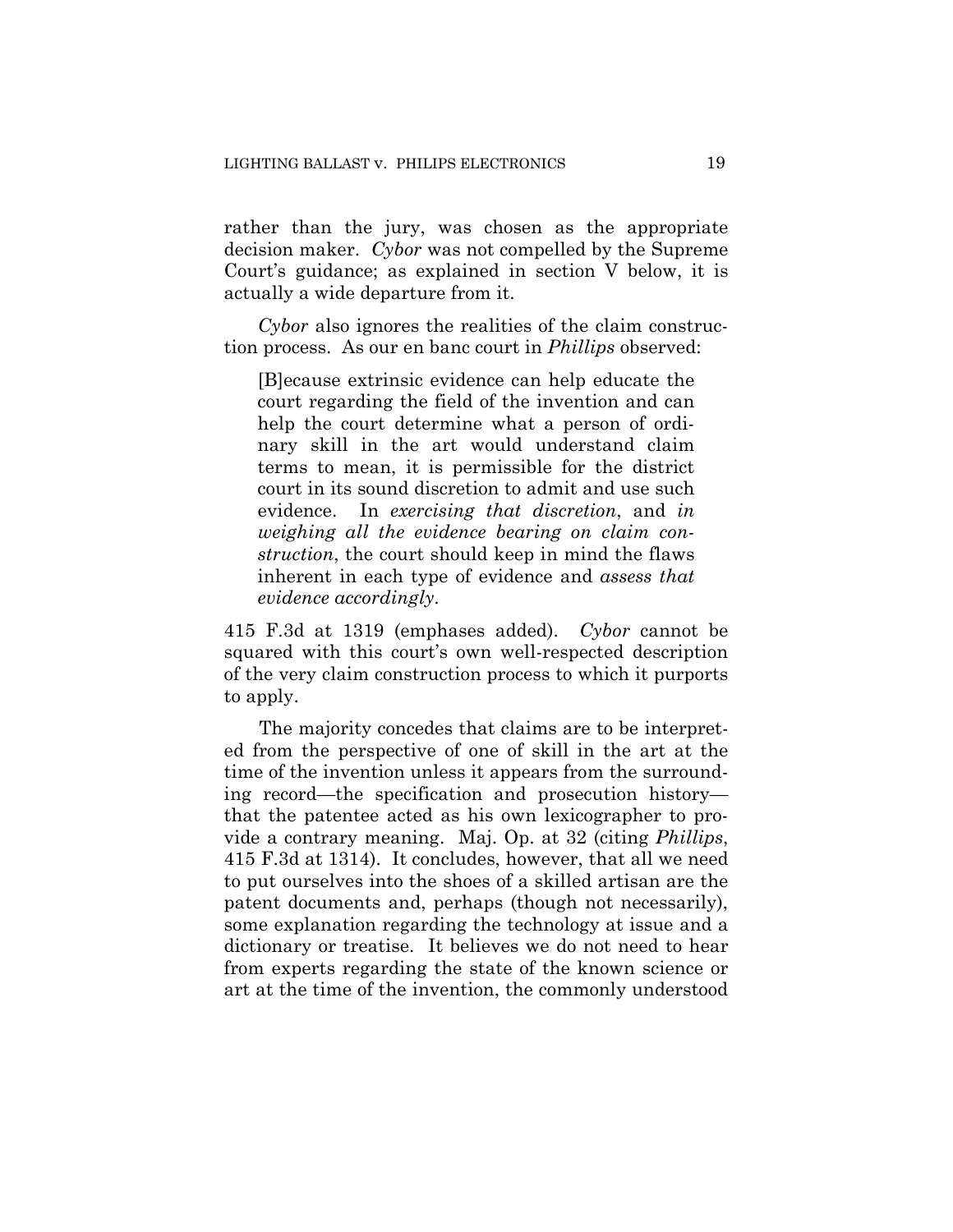rather than the jury, was chosen as the appropriate decision maker. *Cybor* was not compelled by the Supreme Court's guidance; as explained in section V below, it is actually a wide departure from it.

*Cybor* also ignores the realities of the claim construction process. As our en banc court in *Phillips* observed:

[B]ecause extrinsic evidence can help educate the court regarding the field of the invention and can help the court determine what a person of ordinary skill in the art would understand claim terms to mean, it is permissible for the district court in its sound discretion to admit and use such evidence. In *exercising that discretion*, and *in weighing all the evidence bearing on claim construction*, the court should keep in mind the flaws inherent in each type of evidence and *assess that evidence accordingly*.

415 F.3d at 1319 (emphases added). *Cybor* cannot be squared with this court's own well-respected description of the very claim construction process to which it purports to apply.

The majority concedes that claims are to be interpreted from the perspective of one of skill in the art at the time of the invention unless it appears from the surrounding record—the specification and prosecution history that the patentee acted as his own lexicographer to provide a contrary meaning. Maj. Op. at 32 (citing *Phillips*, 415 F.3d at 1314). It concludes, however, that all we need to put ourselves into the shoes of a skilled artisan are the patent documents and, perhaps (though not necessarily), some explanation regarding the technology at issue and a dictionary or treatise. It believes we do not need to hear from experts regarding the state of the known science or art at the time of the invention, the commonly understood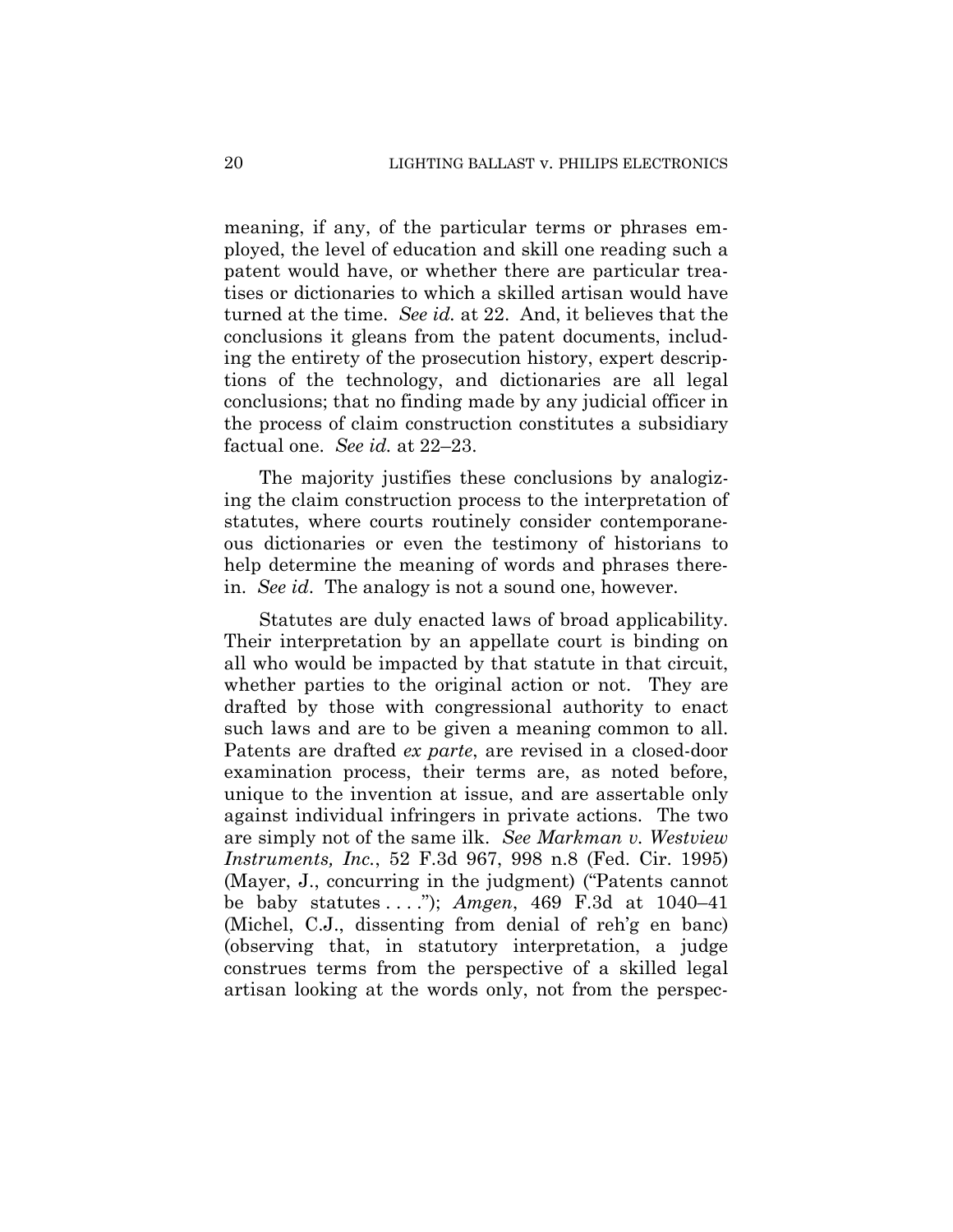meaning, if any, of the particular terms or phrases employed, the level of education and skill one reading such a patent would have, or whether there are particular treatises or dictionaries to which a skilled artisan would have turned at the time. *See id.* at 22. And, it believes that the conclusions it gleans from the patent documents, including the entirety of the prosecution history, expert descriptions of the technology, and dictionaries are all legal conclusions; that no finding made by any judicial officer in the process of claim construction constitutes a subsidiary factual one. *See id.* at 22–23.

The majority justifies these conclusions by analogizing the claim construction process to the interpretation of statutes, where courts routinely consider contemporaneous dictionaries or even the testimony of historians to help determine the meaning of words and phrases therein. *See id*. The analogy is not a sound one, however.

Statutes are duly enacted laws of broad applicability. Their interpretation by an appellate court is binding on all who would be impacted by that statute in that circuit, whether parties to the original action or not. They are drafted by those with congressional authority to enact such laws and are to be given a meaning common to all. Patents are drafted *ex parte*, are revised in a closed-door examination process, their terms are, as noted before, unique to the invention at issue, and are assertable only against individual infringers in private actions. The two are simply not of the same ilk. *See Markman v. Westview Instruments, Inc.*, 52 F.3d 967, 998 n.8 (Fed. Cir. 1995) (Mayer, J., concurring in the judgment) ("Patents cannot be baby statutes . . . ."); *Amgen*, 469 F.3d at 1040–41 (Michel, C.J., dissenting from denial of reh'g en banc) (observing that, in statutory interpretation, a judge construes terms from the perspective of a skilled legal artisan looking at the words only, not from the perspec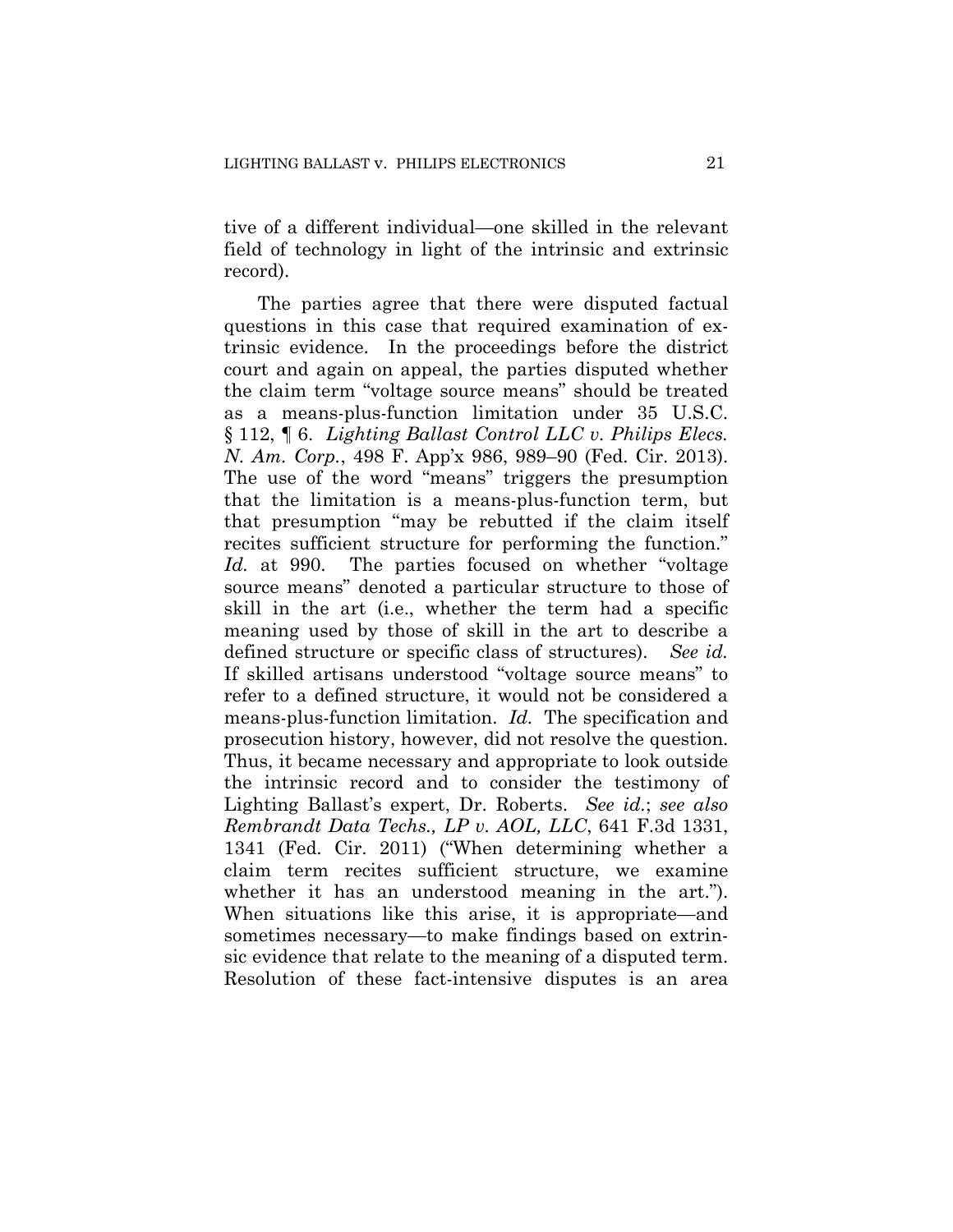tive of a different individual—one skilled in the relevant field of technology in light of the intrinsic and extrinsic record).

The parties agree that there were disputed factual questions in this case that required examination of extrinsic evidence. In the proceedings before the district court and again on appeal, the parties disputed whether the claim term "voltage source means" should be treated as a means-plus-function limitation under 35 U.S.C. § 112, ¶ 6. *Lighting Ballast Control LLC v. Philips Elecs. N. Am. Corp.*, 498 F. App'x 986, 989–90 (Fed. Cir. 2013). The use of the word "means" triggers the presumption that the limitation is a means-plus-function term, but that presumption "may be rebutted if the claim itself recites sufficient structure for performing the function." *Id.* at 990. The parties focused on whether "voltage source means" denoted a particular structure to those of skill in the art (i.e., whether the term had a specific meaning used by those of skill in the art to describe a defined structure or specific class of structures). *See id.*  If skilled artisans understood "voltage source means" to refer to a defined structure, it would not be considered a means-plus-function limitation. *Id.* The specification and prosecution history, however, did not resolve the question. Thus, it became necessary and appropriate to look outside the intrinsic record and to consider the testimony of Lighting Ballast's expert, Dr. Roberts. *See id.*; *see also Rembrandt Data Techs., LP v. AOL, LLC*, 641 F.3d 1331, 1341 (Fed. Cir. 2011) ("When determining whether a claim term recites sufficient structure, we examine whether it has an understood meaning in the art."). When situations like this arise, it is appropriate—and sometimes necessary—to make findings based on extrinsic evidence that relate to the meaning of a disputed term. Resolution of these fact-intensive disputes is an area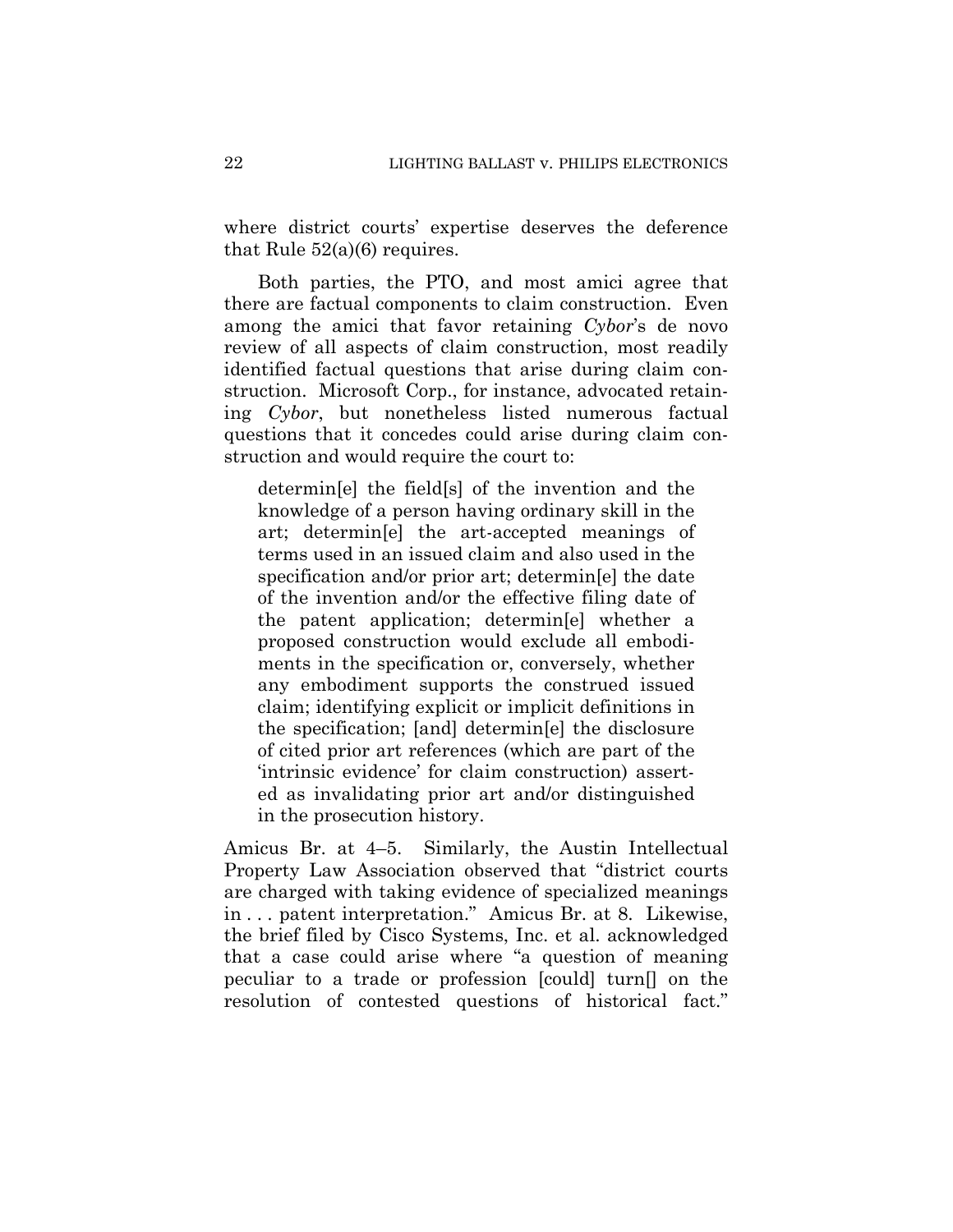where district courts' expertise deserves the deference that Rule 52(a)(6) requires.

Both parties, the PTO, and most amici agree that there are factual components to claim construction. Even among the amici that favor retaining *Cybor*'s de novo review of all aspects of claim construction, most readily identified factual questions that arise during claim construction. Microsoft Corp., for instance, advocated retaining *Cybor*, but nonetheless listed numerous factual questions that it concedes could arise during claim construction and would require the court to:

determin[e] the field[s] of the invention and the knowledge of a person having ordinary skill in the art; determin[e] the art-accepted meanings of terms used in an issued claim and also used in the specification and/or prior art; determin[e] the date of the invention and/or the effective filing date of the patent application; determin[e] whether a proposed construction would exclude all embodiments in the specification or, conversely, whether any embodiment supports the construed issued claim; identifying explicit or implicit definitions in the specification; [and] determin[e] the disclosure of cited prior art references (which are part of the 'intrinsic evidence' for claim construction) asserted as invalidating prior art and/or distinguished in the prosecution history.

Amicus Br. at 4–5. Similarly, the Austin Intellectual Property Law Association observed that "district courts are charged with taking evidence of specialized meanings in . . . patent interpretation." Amicus Br. at 8. Likewise, the brief filed by Cisco Systems, Inc. et al. acknowledged that a case could arise where "a question of meaning peculiar to a trade or profession [could] turn[] on the resolution of contested questions of historical fact."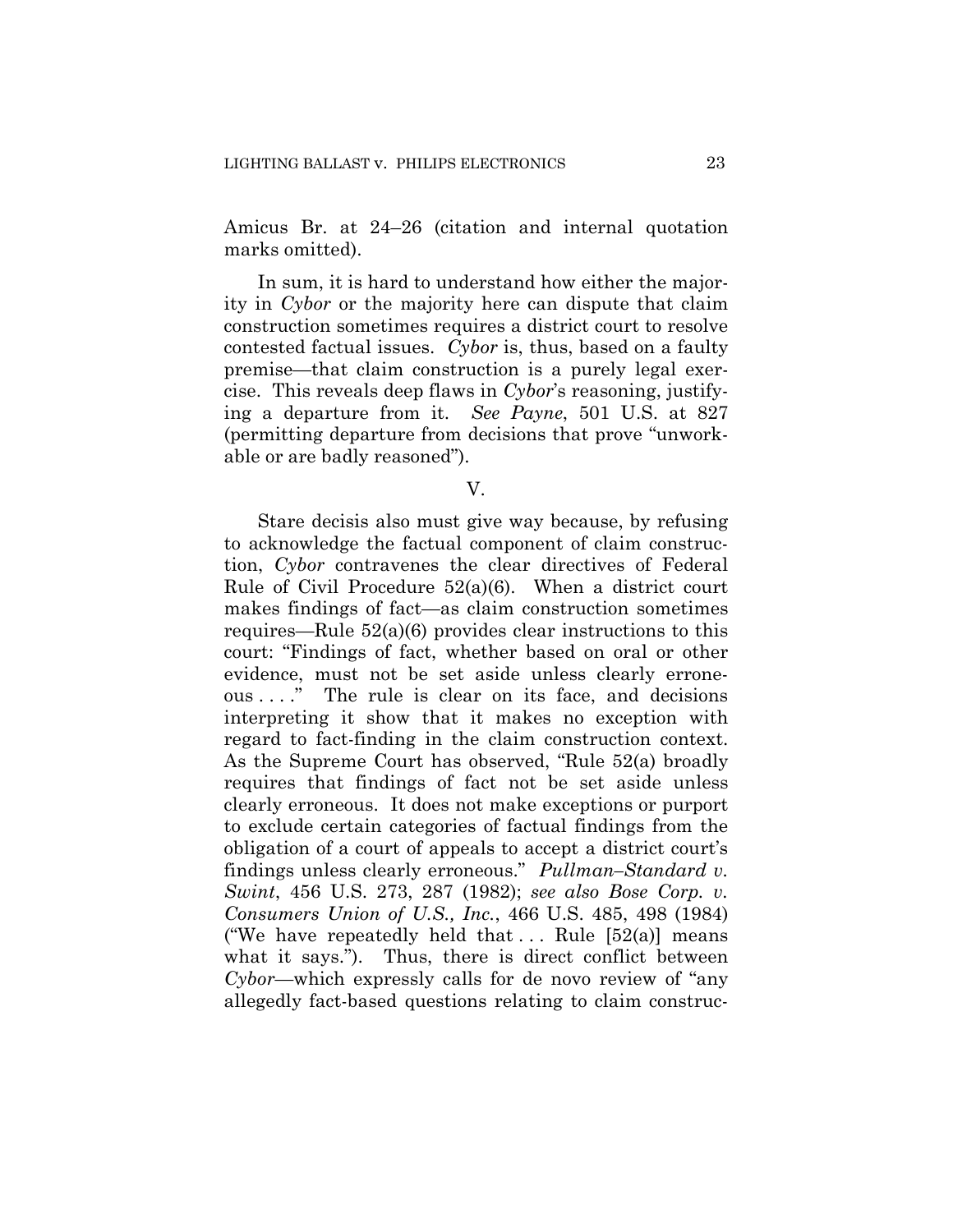Amicus Br. at 24–26 (citation and internal quotation marks omitted).

In sum, it is hard to understand how either the majority in *Cybor* or the majority here can dispute that claim construction sometimes requires a district court to resolve contested factual issues. *Cybor* is, thus, based on a faulty premise—that claim construction is a purely legal exercise. This reveals deep flaws in *Cybor*'s reasoning, justifying a departure from it. *See Payne*, 501 U.S. at 827 (permitting departure from decisions that prove "unworkable or are badly reasoned").

V.

Stare decisis also must give way because, by refusing to acknowledge the factual component of claim construction, *Cybor* contravenes the clear directives of Federal Rule of Civil Procedure 52(a)(6). When a district court makes findings of fact—as claim construction sometimes requires—Rule 52(a)(6) provides clear instructions to this court: "Findings of fact, whether based on oral or other evidence, must not be set aside unless clearly erroneous . . . ." The rule is clear on its face, and decisions interpreting it show that it makes no exception with regard to fact-finding in the claim construction context. As the Supreme Court has observed, "Rule 52(a) broadly requires that findings of fact not be set aside unless clearly erroneous. It does not make exceptions or purport to exclude certain categories of factual findings from the obligation of a court of appeals to accept a district court's findings unless clearly erroneous." *Pullman–Standard v. Swint*, 456 U.S. 273, 287 (1982); *see also Bose Corp. v. Consumers Union of U.S., Inc.*, 466 U.S. 485, 498 (1984) ("We have repeatedly held that ... Rule  $[52(a)]$  means what it says."). Thus, there is direct conflict between *Cybor*—which expressly calls for de novo review of "any allegedly fact-based questions relating to claim construc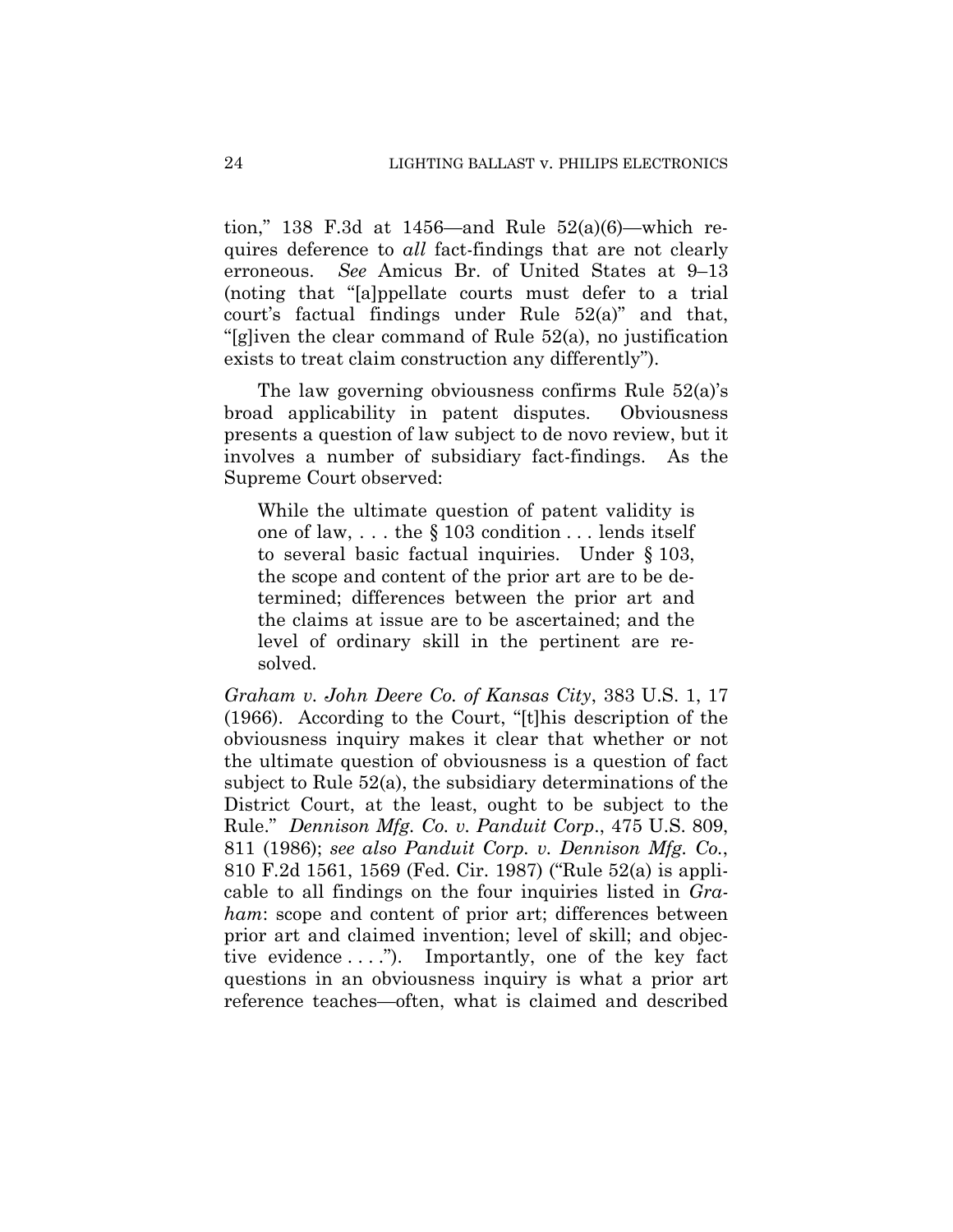tion," 138 F.3d at 1456—and Rule  $52(a)(6)$ —which requires deference to *all* fact-findings that are not clearly erroneous. *See* Amicus Br. of United States at 9–13 (noting that "[a]ppellate courts must defer to a trial court's factual findings under Rule 52(a)" and that, "[g]iven the clear command of Rule 52(a), no justification exists to treat claim construction any differently").

The law governing obviousness confirms Rule 52(a)'s broad applicability in patent disputes. Obviousness presents a question of law subject to de novo review, but it involves a number of subsidiary fact-findings. As the Supreme Court observed:

While the ultimate question of patent validity is one of law, . . . the § 103 condition . . . lends itself to several basic factual inquiries. Under § 103, the scope and content of the prior art are to be determined; differences between the prior art and the claims at issue are to be ascertained; and the level of ordinary skill in the pertinent are resolved.

*Graham v. John Deere Co. of Kansas City*, 383 U.S. 1, 17 (1966). According to the Court, "[t]his description of the obviousness inquiry makes it clear that whether or not the ultimate question of obviousness is a question of fact subject to Rule 52(a), the subsidiary determinations of the District Court, at the least, ought to be subject to the Rule." *Dennison Mfg. Co. v. Panduit Corp*., 475 U.S. 809, 811 (1986); *see also Panduit Corp. v. Dennison Mfg. Co.*, 810 F.2d 1561, 1569 (Fed. Cir. 1987) ("Rule 52(a) is applicable to all findings on the four inquiries listed in *Graham*: scope and content of prior art; differences between prior art and claimed invention; level of skill; and objective evidence  $\dots$ ."). Importantly, one of the key fact questions in an obviousness inquiry is what a prior art reference teaches—often, what is claimed and described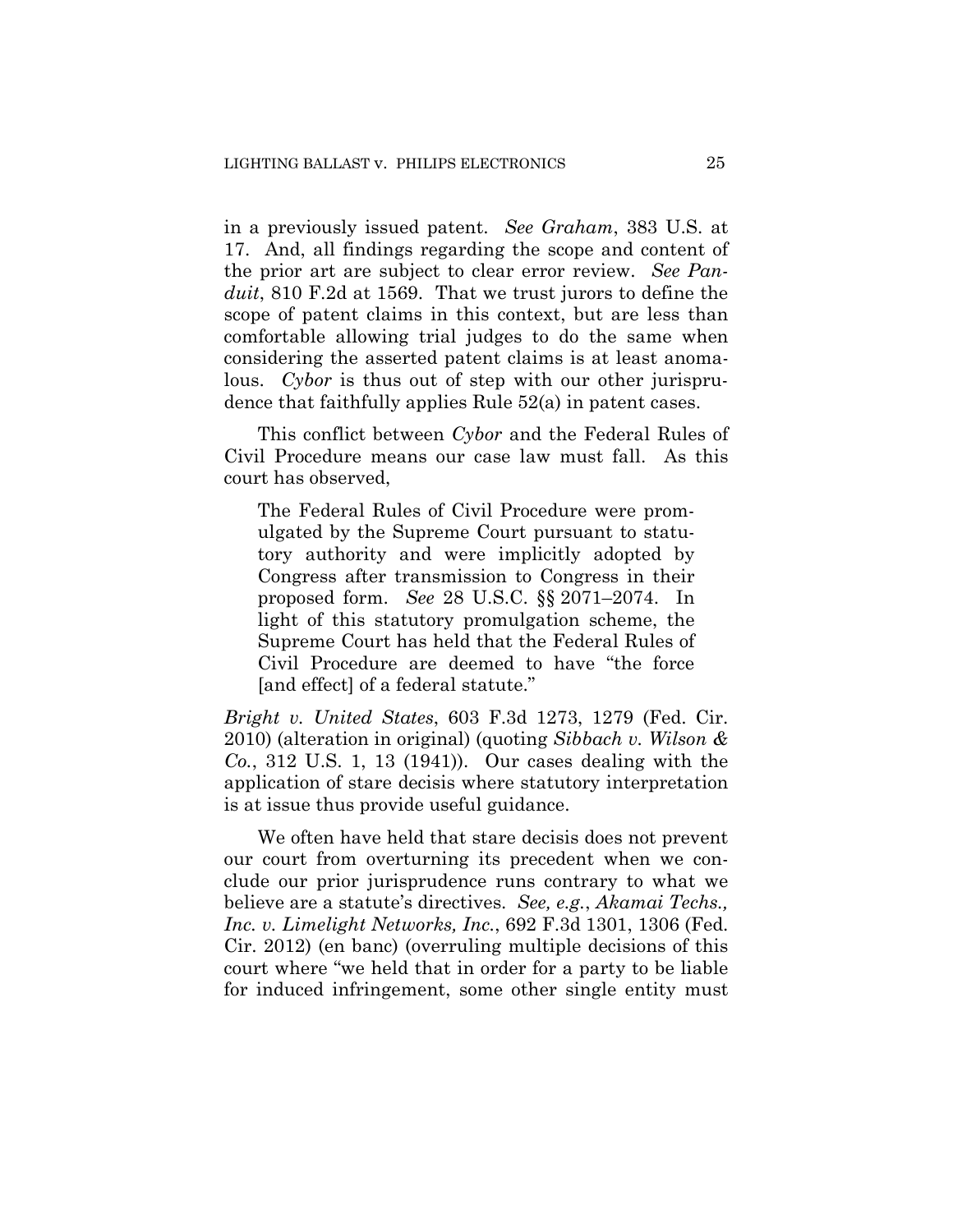in a previously issued patent. *See Graham*, 383 U.S. at 17. And, all findings regarding the scope and content of the prior art are subject to clear error review. *See Panduit*, 810 F.2d at 1569. That we trust jurors to define the scope of patent claims in this context, but are less than comfortable allowing trial judges to do the same when considering the asserted patent claims is at least anomalous. *Cybor* is thus out of step with our other jurisprudence that faithfully applies Rule 52(a) in patent cases.

This conflict between *Cybor* and the Federal Rules of Civil Procedure means our case law must fall. As this court has observed,

The Federal Rules of Civil Procedure were promulgated by the Supreme Court pursuant to statutory authority and were implicitly adopted by Congress after transmission to Congress in their proposed form. *See* 28 U.S.C. §§ 2071–2074. In light of this statutory promulgation scheme, the Supreme Court has held that the Federal Rules of Civil Procedure are deemed to have "the force [and effect] of a federal statute."

*Bright v. United States*, 603 F.3d 1273, 1279 (Fed. Cir. 2010) (alteration in original) (quoting *Sibbach v. Wilson & Co.*, 312 U.S. 1, 13 (1941)). Our cases dealing with the application of stare decisis where statutory interpretation is at issue thus provide useful guidance.

We often have held that stare decisis does not prevent our court from overturning its precedent when we conclude our prior jurisprudence runs contrary to what we believe are a statute's directives. *See, e.g.*, *Akamai Techs., Inc. v. Limelight Networks, Inc.*, 692 F.3d 1301, 1306 (Fed. Cir. 2012) (en banc) (overruling multiple decisions of this court where "we held that in order for a party to be liable for induced infringement, some other single entity must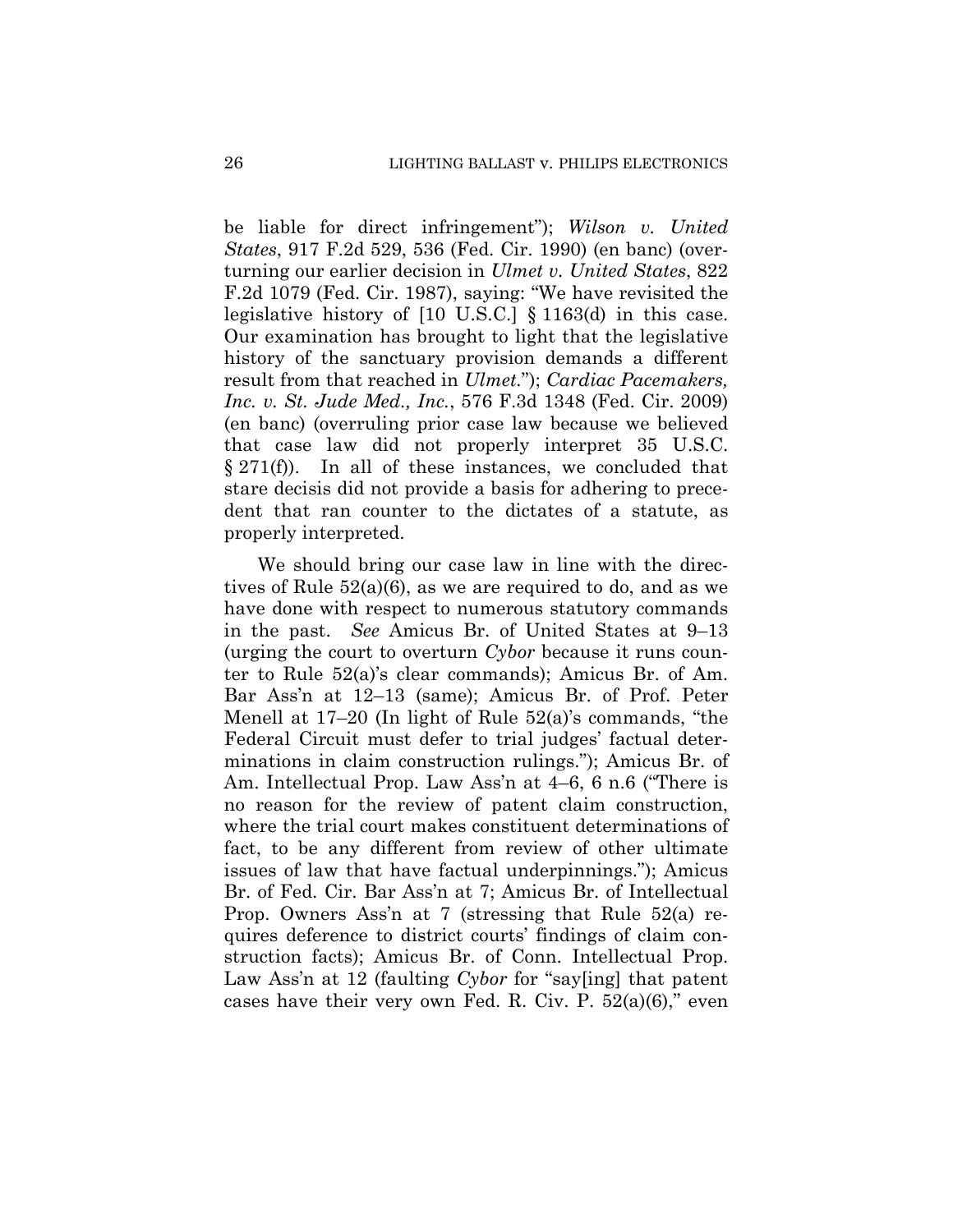be liable for direct infringement"); *Wilson v. United States*, 917 F.2d 529, 536 (Fed. Cir. 1990) (en banc) (overturning our earlier decision in *Ulmet v. United States*, 822 F.2d 1079 (Fed. Cir. 1987), saying: "We have revisited the legislative history of [10 U.S.C.] § 1163(d) in this case. Our examination has brought to light that the legislative history of the sanctuary provision demands a different result from that reached in *Ulmet.*"); *Cardiac Pacemakers, Inc. v. St. Jude Med., Inc.*, 576 F.3d 1348 (Fed. Cir. 2009) (en banc) (overruling prior case law because we believed that case law did not properly interpret 35 U.S.C.  $\S 271(f)$ . In all of these instances, we concluded that stare decisis did not provide a basis for adhering to precedent that ran counter to the dictates of a statute, as properly interpreted.

We should bring our case law in line with the directives of Rule 52(a)(6), as we are required to do, and as we have done with respect to numerous statutory commands in the past. *See* Amicus Br. of United States at 9–13 (urging the court to overturn *Cybor* because it runs counter to Rule 52(a)'s clear commands); Amicus Br. of Am. Bar Ass'n at 12–13 (same); Amicus Br. of Prof. Peter Menell at 17–20 (In light of Rule 52(a)'s commands, "the Federal Circuit must defer to trial judges' factual determinations in claim construction rulings."); Amicus Br. of Am. Intellectual Prop. Law Ass'n at 4–6, 6 n.6 ("There is no reason for the review of patent claim construction, where the trial court makes constituent determinations of fact, to be any different from review of other ultimate issues of law that have factual underpinnings."); Amicus Br. of Fed. Cir. Bar Ass'n at 7; Amicus Br. of Intellectual Prop. Owners Ass'n at 7 (stressing that Rule 52(a) requires deference to district courts' findings of claim construction facts); Amicus Br. of Conn. Intellectual Prop. Law Ass'n at 12 (faulting *Cybor* for "say[ing] that patent cases have their very own Fed. R. Civ. P.  $52(a)(6)$ ," even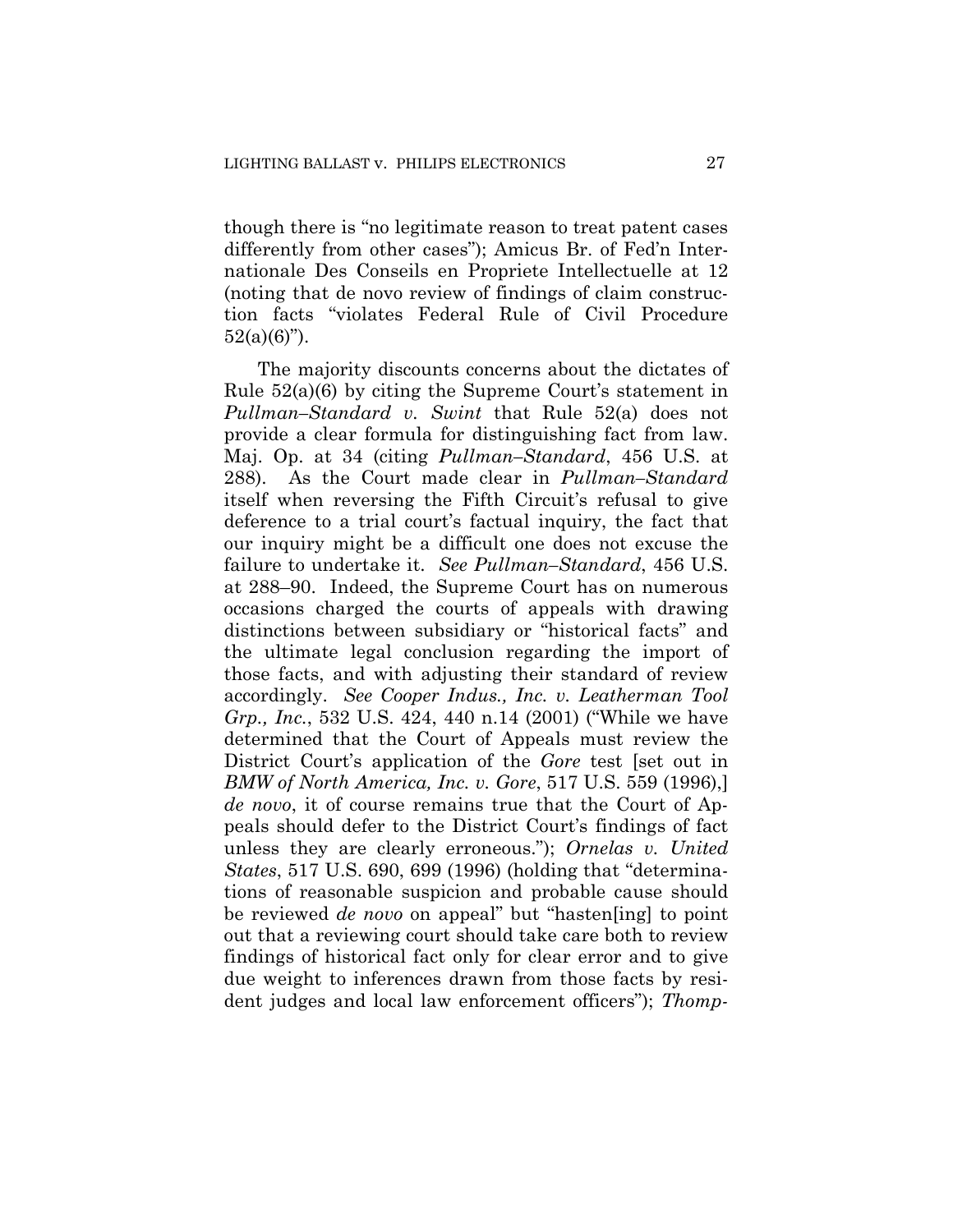though there is "no legitimate reason to treat patent cases differently from other cases"); Amicus Br. of Fed'n Internationale Des Conseils en Propriete Intellectuelle at 12 (noting that de novo review of findings of claim construction facts "violates Federal Rule of Civil Procedure  $52(a)(6)$ ").

The majority discounts concerns about the dictates of Rule 52(a)(6) by citing the Supreme Court's statement in *Pullman–Standard v. Swint* that Rule 52(a) does not provide a clear formula for distinguishing fact from law. Maj. Op. at 34 (citing *Pullman–Standard*, 456 U.S. at 288). As the Court made clear in *Pullman–Standard*  itself when reversing the Fifth Circuit's refusal to give deference to a trial court's factual inquiry, the fact that our inquiry might be a difficult one does not excuse the failure to undertake it. *See Pullman–Standard*, 456 U.S. at 288–90. Indeed, the Supreme Court has on numerous occasions charged the courts of appeals with drawing distinctions between subsidiary or "historical facts" and the ultimate legal conclusion regarding the import of those facts, and with adjusting their standard of review accordingly. *See Cooper Indus., Inc. v. Leatherman Tool Grp., Inc.*, 532 U.S. 424, 440 n.14 (2001) ("While we have determined that the Court of Appeals must review the District Court's application of the *Gore* test [set out in *BMW of North America, Inc. v. Gore*, 517 U.S. 559 (1996),] *de novo*, it of course remains true that the Court of Appeals should defer to the District Court's findings of fact unless they are clearly erroneous."); *Ornelas v. United States*, 517 U.S. 690, 699 (1996) (holding that "determinations of reasonable suspicion and probable cause should be reviewed *de novo* on appeal" but "hasten[ing] to point out that a reviewing court should take care both to review findings of historical fact only for clear error and to give due weight to inferences drawn from those facts by resident judges and local law enforcement officers"); *Thomp-*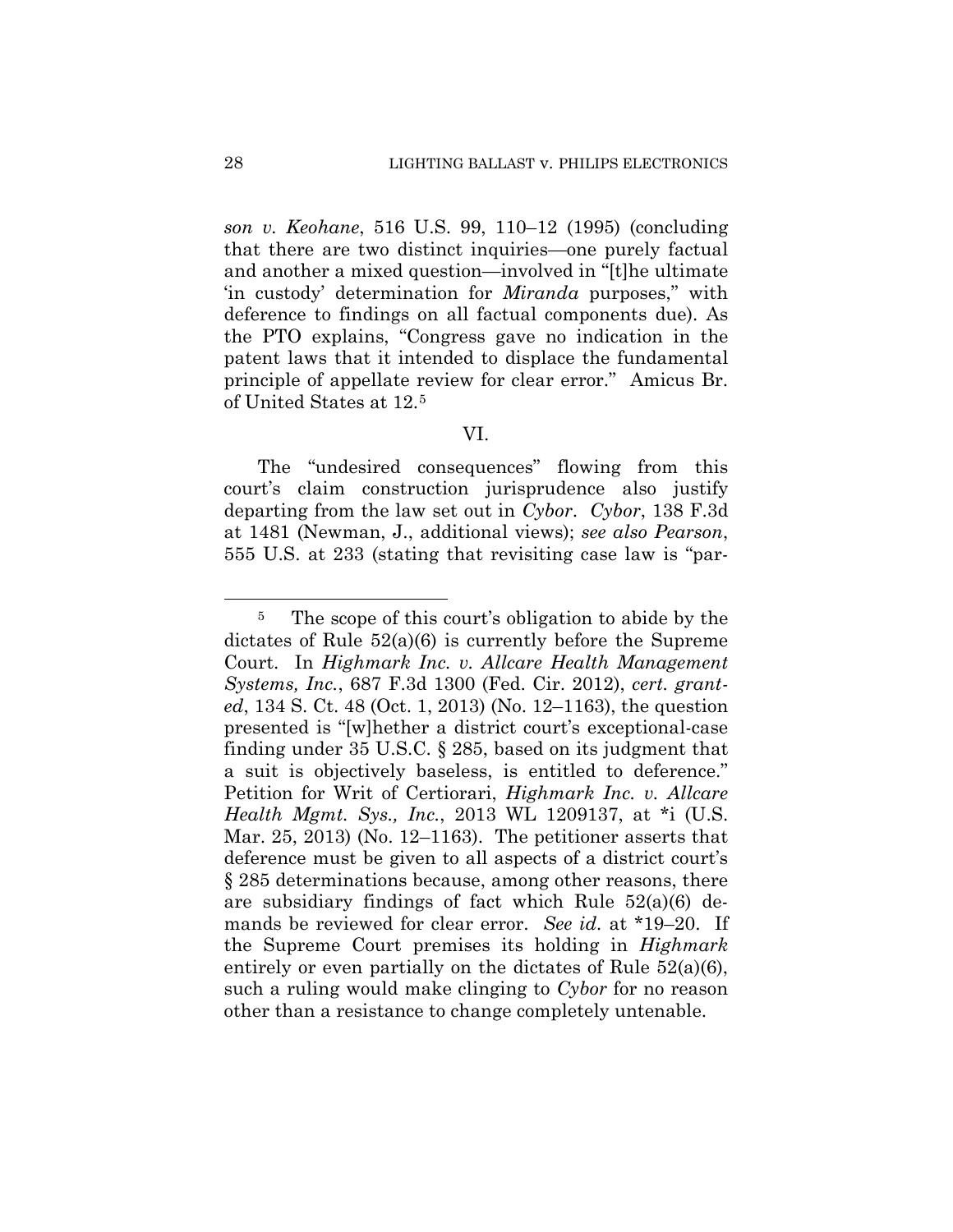*son v. Keohane*, 516 U.S. 99, 110–12 (1995) (concluding that there are two distinct inquiries—one purely factual and another a mixed question—involved in "[t]he ultimate 'in custody' determination for *Miranda* purposes," with deference to findings on all factual components due). As the PTO explains, "Congress gave no indication in the patent laws that it intended to displace the fundamental principle of appellate review for clear error." Amicus Br. of United States at 12.5

## VI.

The "undesired consequences" flowing from this court's claim construction jurisprudence also justify departing from the law set out in *Cybor*. *Cybor*, 138 F.3d at 1481 (Newman, J., additional views); *see also Pearson*, 555 U.S. at 233 (stating that revisiting case law is "par-

<sup>&</sup>lt;sup>5</sup> The scope of this court's obligation to abide by the dictates of Rule 52(a)(6) is currently before the Supreme Court. In *Highmark Inc. v. Allcare Health Management Systems, Inc.*, 687 F.3d 1300 (Fed. Cir. 2012), *cert. granted*, 134 S. Ct. 48 (Oct. 1, 2013) (No. 12–1163), the question presented is "[w]hether a district court's exceptional-case finding under 35 U.S.C. § 285, based on its judgment that a suit is objectively baseless, is entitled to deference." Petition for Writ of Certiorari, *Highmark Inc. v. Allcare Health Mgmt. Sys., Inc.*, 2013 WL 1209137, at \*i (U.S. Mar. 25, 2013) (No. 12–1163). The petitioner asserts that deference must be given to all aspects of a district court's § 285 determinations because, among other reasons, there are subsidiary findings of fact which Rule 52(a)(6) demands be reviewed for clear error. *See id.* at \*19–20. If the Supreme Court premises its holding in *Highmark*  entirely or even partially on the dictates of Rule 52(a)(6), such a ruling would make clinging to *Cybor* for no reason other than a resistance to change completely untenable.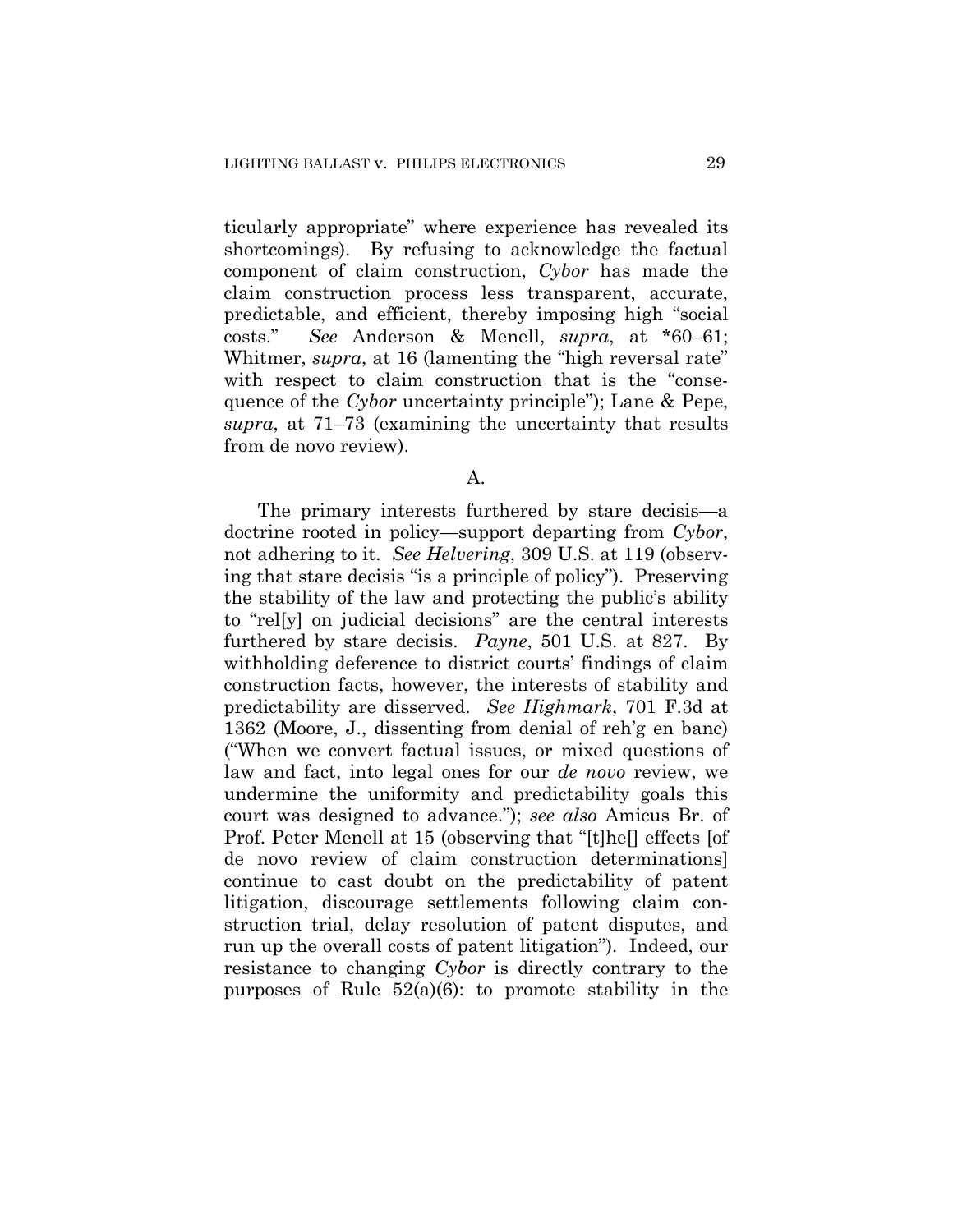ticularly appropriate" where experience has revealed its shortcomings). By refusing to acknowledge the factual component of claim construction, *Cybor* has made the claim construction process less transparent, accurate, predictable, and efficient, thereby imposing high "social costs." *See* Anderson & Menell, *supra*, at \*60–61; Whitmer, *supra*, at 16 (lamenting the "high reversal rate" with respect to claim construction that is the "consequence of the *Cybor* uncertainty principle"); Lane & Pepe, *supra*, at 71–73 (examining the uncertainty that results from de novo review).

## A.

The primary interests furthered by stare decisis—a doctrine rooted in policy—support departing from *Cybor*, not adhering to it. *See Helvering*, 309 U.S. at 119 (observing that stare decisis "is a principle of policy"). Preserving the stability of the law and protecting the public's ability to "rel[y] on judicial decisions" are the central interests furthered by stare decisis. *Payne*, 501 U.S. at 827. By withholding deference to district courts' findings of claim construction facts, however, the interests of stability and predictability are disserved. *See Highmark*, 701 F.3d at 1362 (Moore, J., dissenting from denial of reh'g en banc) ("When we convert factual issues, or mixed questions of law and fact, into legal ones for our *de novo* review, we undermine the uniformity and predictability goals this court was designed to advance."); *see also* Amicus Br. of Prof. Peter Menell at 15 (observing that "[t]he[] effects [of de novo review of claim construction determinations] continue to cast doubt on the predictability of patent litigation, discourage settlements following claim construction trial, delay resolution of patent disputes, and run up the overall costs of patent litigation"). Indeed, our resistance to changing *Cybor* is directly contrary to the purposes of Rule  $52(a)(6)$ : to promote stability in the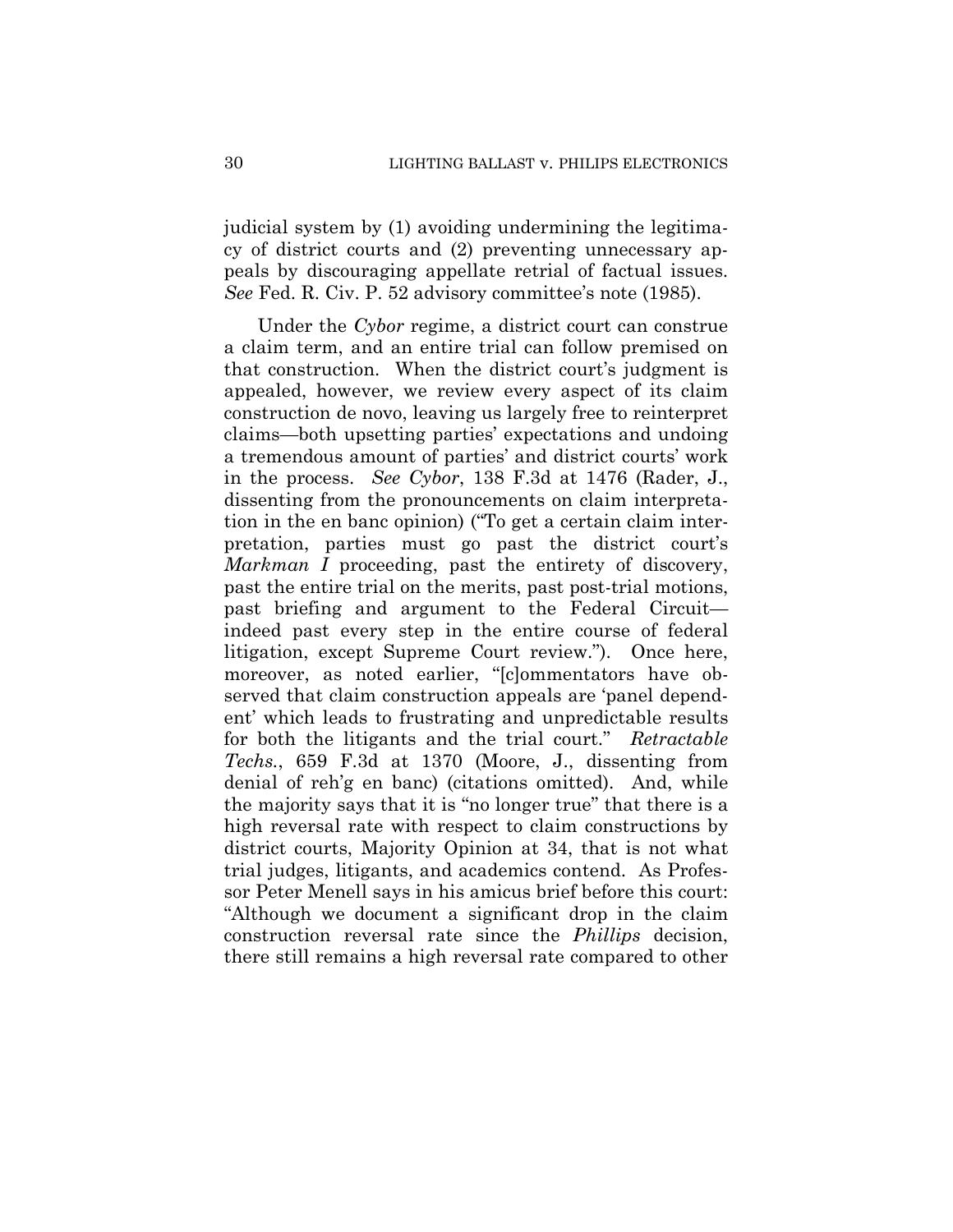judicial system by (1) avoiding undermining the legitimacy of district courts and (2) preventing unnecessary appeals by discouraging appellate retrial of factual issues. *See* Fed. R. Civ. P. 52 advisory committee's note (1985).

Under the *Cybor* regime, a district court can construe a claim term, and an entire trial can follow premised on that construction. When the district court's judgment is appealed, however, we review every aspect of its claim construction de novo, leaving us largely free to reinterpret claims—both upsetting parties' expectations and undoing a tremendous amount of parties' and district courts' work in the process. *See Cybor*, 138 F.3d at 1476 (Rader, J., dissenting from the pronouncements on claim interpretation in the en banc opinion) ("To get a certain claim interpretation, parties must go past the district court's *Markman I* proceeding, past the entirety of discovery, past the entire trial on the merits, past post-trial motions, past briefing and argument to the Federal Circuit indeed past every step in the entire course of federal litigation, except Supreme Court review."). Once here, moreover, as noted earlier, "[c]ommentators have observed that claim construction appeals are 'panel dependent' which leads to frustrating and unpredictable results for both the litigants and the trial court." *Retractable Techs.*, 659 F.3d at 1370 (Moore, J., dissenting from denial of reh'g en banc) (citations omitted). And, while the majority says that it is "no longer true" that there is a high reversal rate with respect to claim constructions by district courts, Majority Opinion at 34, that is not what trial judges, litigants, and academics contend. As Professor Peter Menell says in his amicus brief before this court: "Although we document a significant drop in the claim construction reversal rate since the *Phillips* decision, there still remains a high reversal rate compared to other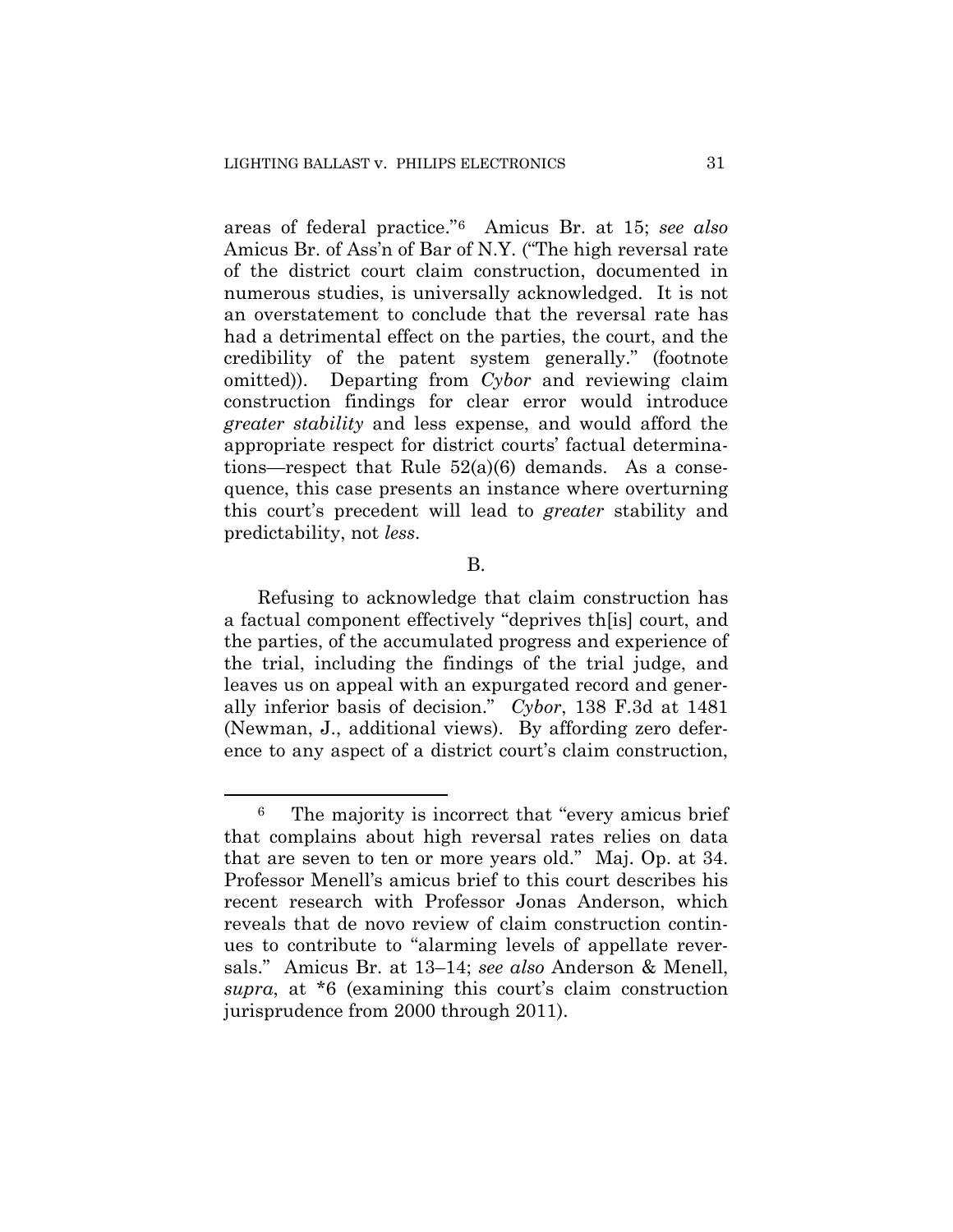areas of federal practice."6 Amicus Br. at 15; *see also*  Amicus Br. of Ass'n of Bar of N.Y. ("The high reversal rate of the district court claim construction, documented in numerous studies, is universally acknowledged. It is not an overstatement to conclude that the reversal rate has had a detrimental effect on the parties, the court, and the credibility of the patent system generally." (footnote omitted)). Departing from *Cybor* and reviewing claim construction findings for clear error would introduce *greater stability* and less expense, and would afford the appropriate respect for district courts' factual determinations—respect that Rule  $52(a)(6)$  demands. As a consequence, this case presents an instance where overturning this court's precedent will lead to *greater* stability and predictability, not *less*.

B.

Refusing to acknowledge that claim construction has a factual component effectively "deprives th[is] court, and the parties, of the accumulated progress and experience of the trial, including the findings of the trial judge, and leaves us on appeal with an expurgated record and generally inferior basis of decision." *Cybor*, 138 F.3d at 1481 (Newman, J., additional views). By affording zero deference to any aspect of a district court's claim construction,

<sup>6</sup> The majority is incorrect that "every amicus brief that complains about high reversal rates relies on data that are seven to ten or more years old." Maj. Op. at 34. Professor Menell's amicus brief to this court describes his recent research with Professor Jonas Anderson, which reveals that de novo review of claim construction continues to contribute to "alarming levels of appellate reversals." Amicus Br. at 13–14; *see also* Anderson & Menell, *supra*, at \*6 (examining this court's claim construction jurisprudence from 2000 through 2011).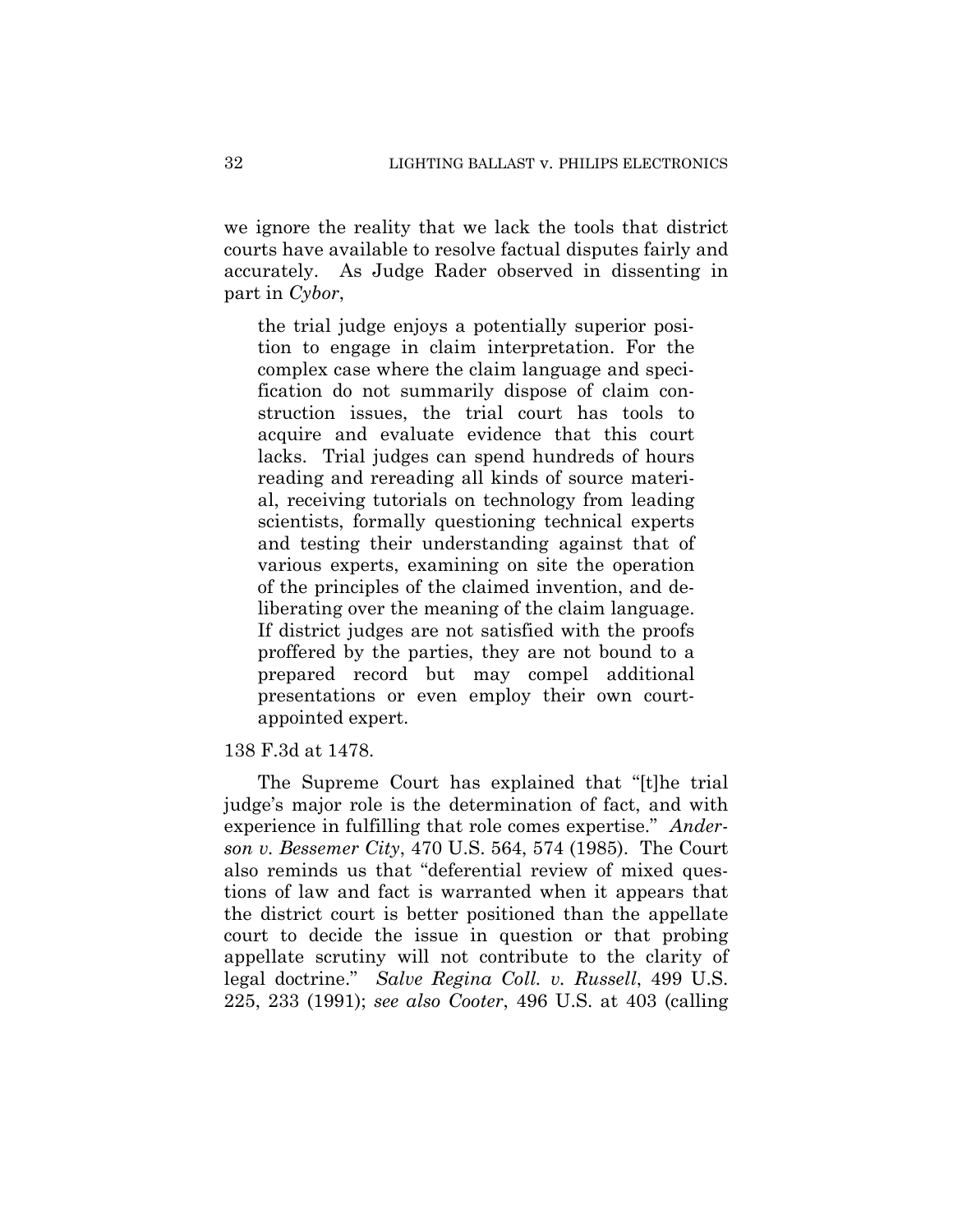we ignore the reality that we lack the tools that district courts have available to resolve factual disputes fairly and accurately. As Judge Rader observed in dissenting in part in *Cybor*,

the trial judge enjoys a potentially superior position to engage in claim interpretation. For the complex case where the claim language and specification do not summarily dispose of claim construction issues, the trial court has tools to acquire and evaluate evidence that this court lacks. Trial judges can spend hundreds of hours reading and rereading all kinds of source material, receiving tutorials on technology from leading scientists, formally questioning technical experts and testing their understanding against that of various experts, examining on site the operation of the principles of the claimed invention, and deliberating over the meaning of the claim language. If district judges are not satisfied with the proofs proffered by the parties, they are not bound to a prepared record but may compel additional presentations or even employ their own courtappointed expert.

138 F.3d at 1478.

The Supreme Court has explained that "[t]he trial judge's major role is the determination of fact, and with experience in fulfilling that role comes expertise." *Anderson v. Bessemer City*, 470 U.S. 564, 574 (1985).The Court also reminds us that "deferential review of mixed questions of law and fact is warranted when it appears that the district court is better positioned than the appellate court to decide the issue in question or that probing appellate scrutiny will not contribute to the clarity of legal doctrine." *Salve Regina Coll. v. Russell*, 499 U.S. 225, 233 (1991); *see also Cooter*, 496 U.S. at 403 (calling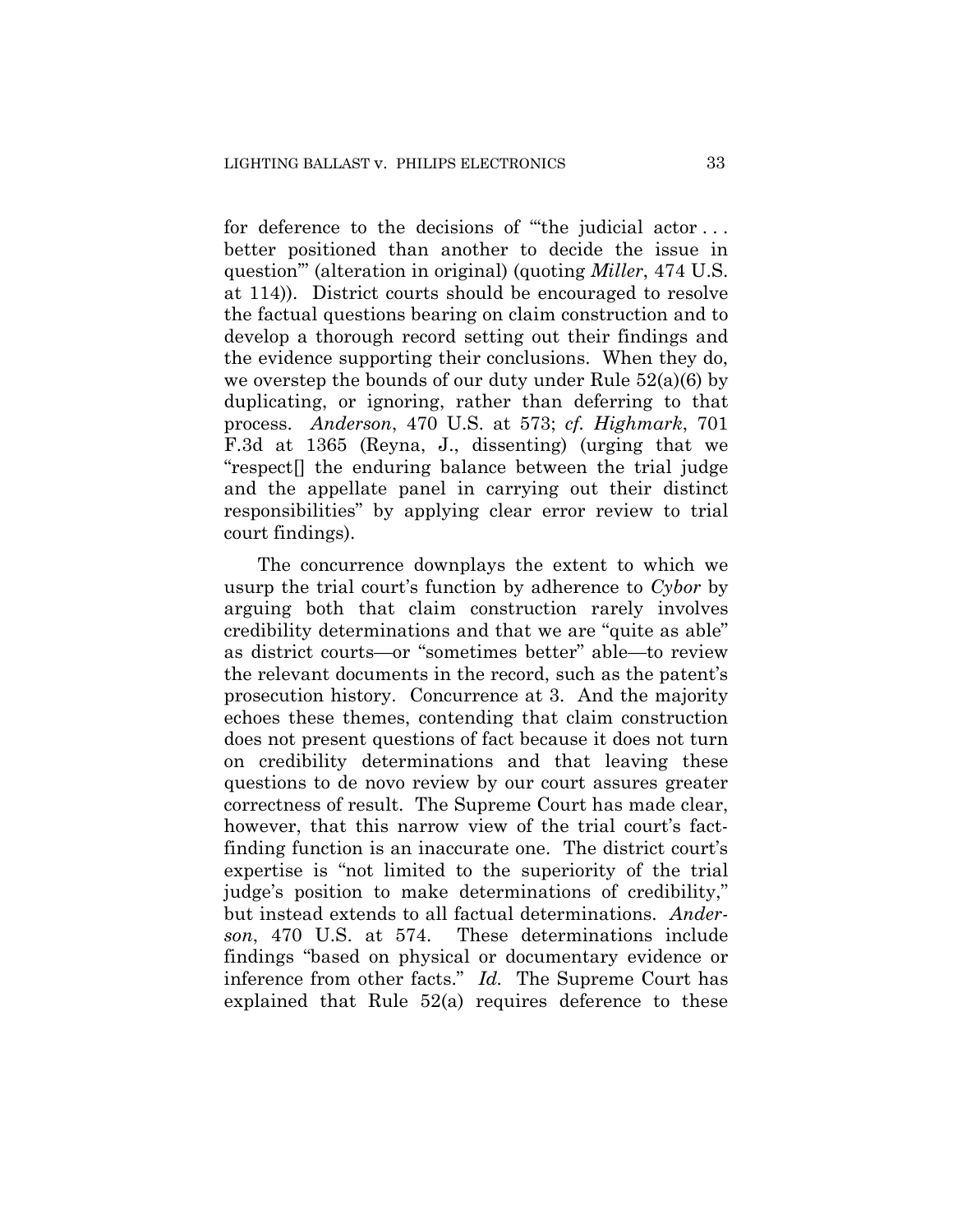for deference to the decisions of "the judicial actor... better positioned than another to decide the issue in question'" (alteration in original) (quoting *Miller*, 474 U.S. at 114)). District courts should be encouraged to resolve the factual questions bearing on claim construction and to develop a thorough record setting out their findings and the evidence supporting their conclusions. When they do, we overstep the bounds of our duty under Rule 52(a)(6) by duplicating, or ignoring, rather than deferring to that process. *Anderson*, 470 U.S. at 573; *cf. Highmark*, 701 F.3d at 1365 (Reyna, J., dissenting) (urging that we "respect[] the enduring balance between the trial judge and the appellate panel in carrying out their distinct responsibilities" by applying clear error review to trial court findings).

The concurrence downplays the extent to which we usurp the trial court's function by adherence to *Cybor* by arguing both that claim construction rarely involves credibility determinations and that we are "quite as able" as district courts—or "sometimes better" able—to review the relevant documents in the record, such as the patent's prosecution history. Concurrence at 3. And the majority echoes these themes, contending that claim construction does not present questions of fact because it does not turn on credibility determinations and that leaving these questions to de novo review by our court assures greater correctness of result. The Supreme Court has made clear, however, that this narrow view of the trial court's factfinding function is an inaccurate one. The district court's expertise is "not limited to the superiority of the trial judge's position to make determinations of credibility," but instead extends to all factual determinations. *Anderson*, 470 U.S. at 574. These determinations include findings "based on physical or documentary evidence or inference from other facts." *Id.* The Supreme Court has explained that Rule  $52(a)$  requires deference to these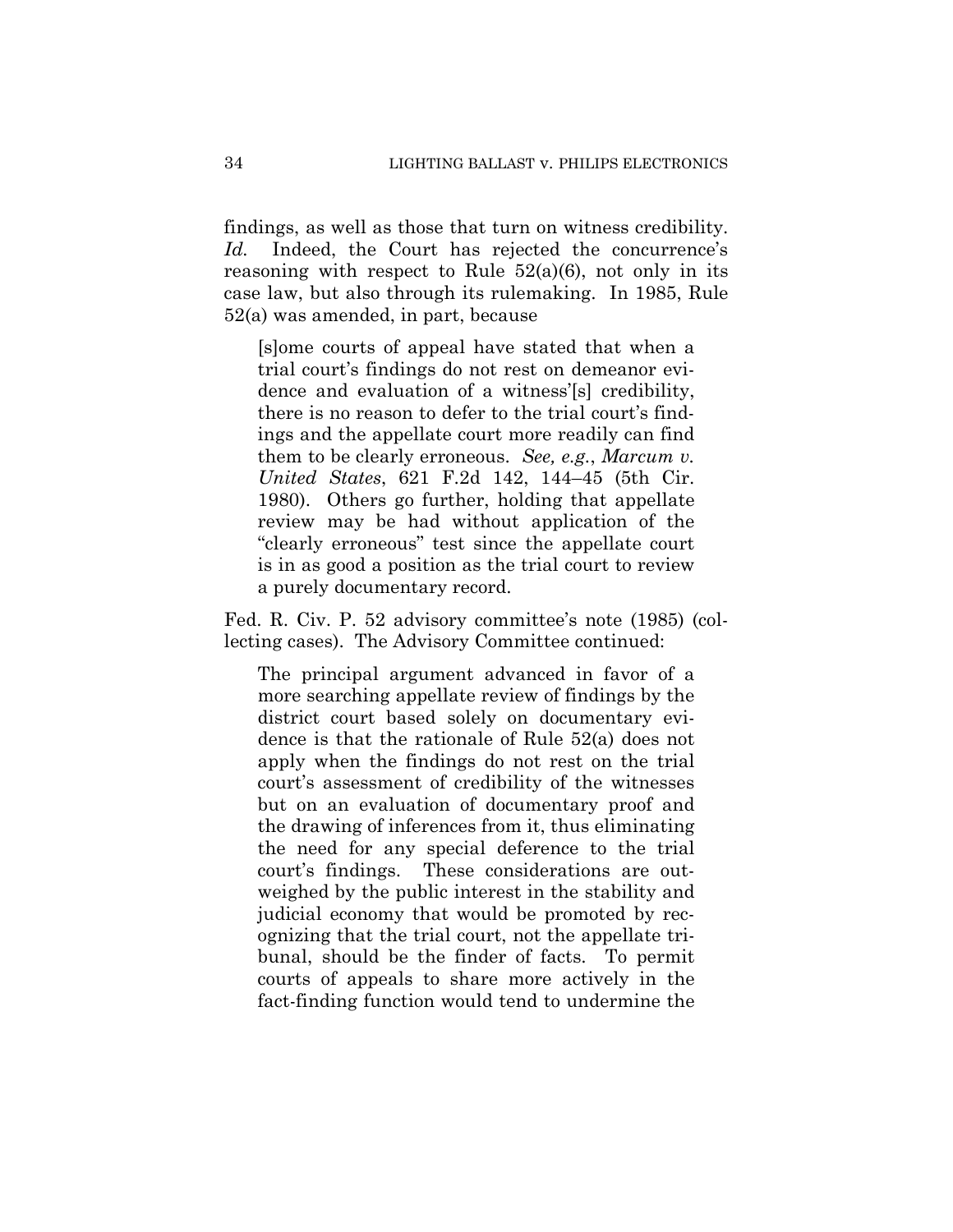findings, as well as those that turn on witness credibility. Id. Indeed, the Court has rejected the concurrence's reasoning with respect to Rule  $52(a)(6)$ , not only in its case law, but also through its rulemaking. In 1985, Rule 52(a) was amended, in part, because

[s]ome courts of appeal have stated that when a trial court's findings do not rest on demeanor evidence and evaluation of a witness'[s] credibility, there is no reason to defer to the trial court's findings and the appellate court more readily can find them to be clearly erroneous. *See, e.g.*, *Marcum v. United States*, 621 F.2d 142, 144–45 (5th Cir. 1980). Others go further, holding that appellate review may be had without application of the "clearly erroneous" test since the appellate court is in as good a position as the trial court to review a purely documentary record.

Fed. R. Civ. P. 52 advisory committee's note (1985) (collecting cases). The Advisory Committee continued:

The principal argument advanced in favor of a more searching appellate review of findings by the district court based solely on documentary evidence is that the rationale of Rule 52(a) does not apply when the findings do not rest on the trial court's assessment of credibility of the witnesses but on an evaluation of documentary proof and the drawing of inferences from it, thus eliminating the need for any special deference to the trial court's findings. These considerations are outweighed by the public interest in the stability and judicial economy that would be promoted by recognizing that the trial court, not the appellate tribunal, should be the finder of facts. To permit courts of appeals to share more actively in the fact-finding function would tend to undermine the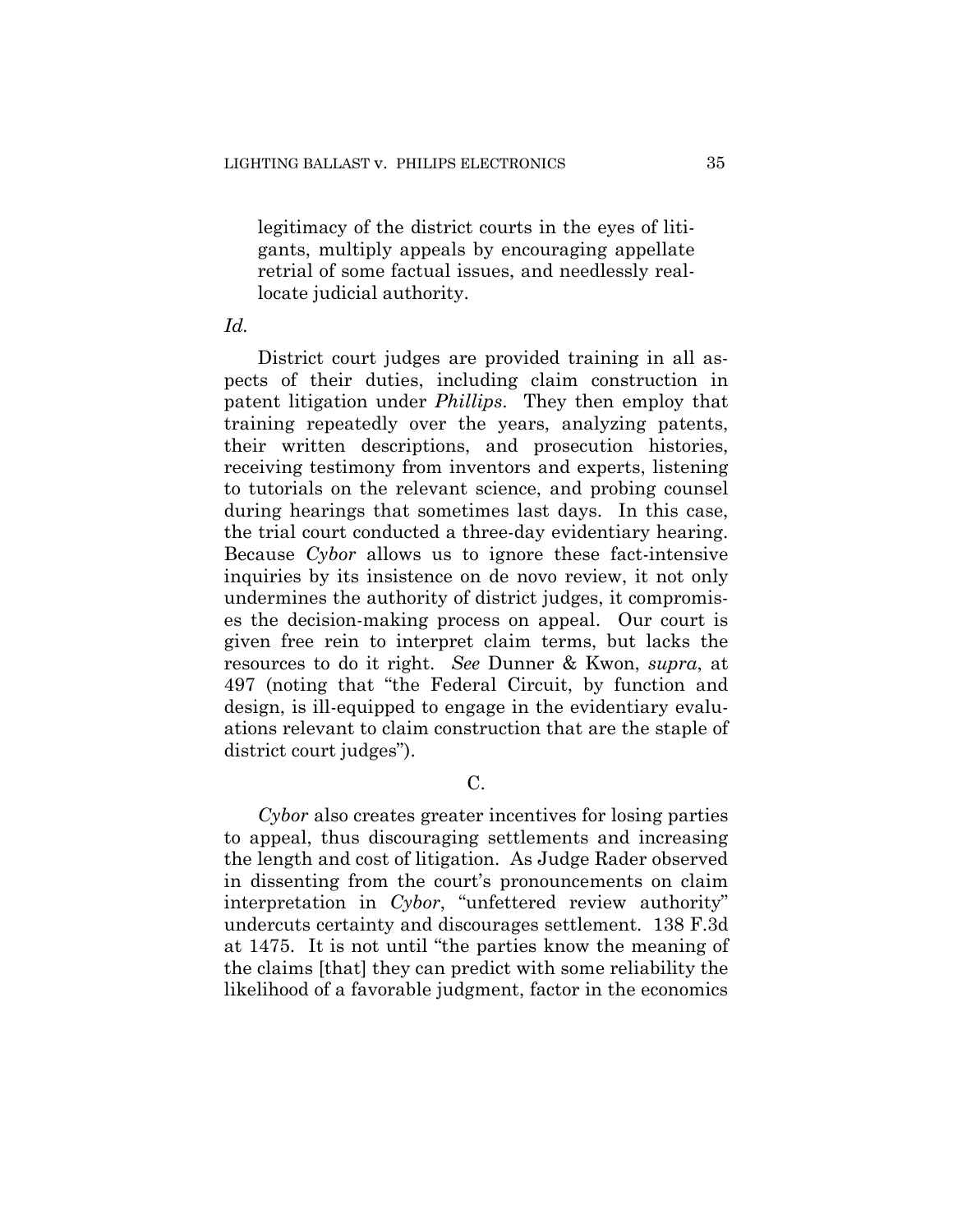legitimacy of the district courts in the eyes of litigants, multiply appeals by encouraging appellate retrial of some factual issues, and needlessly reallocate judicial authority.

### *Id.*

District court judges are provided training in all aspects of their duties, including claim construction in patent litigation under *Phillips*. They then employ that training repeatedly over the years, analyzing patents, their written descriptions, and prosecution histories, receiving testimony from inventors and experts, listening to tutorials on the relevant science, and probing counsel during hearings that sometimes last days. In this case, the trial court conducted a three-day evidentiary hearing. Because *Cybor* allows us to ignore these fact-intensive inquiries by its insistence on de novo review, it not only undermines the authority of district judges, it compromises the decision-making process on appeal. Our court is given free rein to interpret claim terms, but lacks the resources to do it right. *See* Dunner & Kwon, *supra*, at 497 (noting that "the Federal Circuit, by function and design, is ill-equipped to engage in the evidentiary evaluations relevant to claim construction that are the staple of district court judges").

# C.

*Cybor* also creates greater incentives for losing parties to appeal, thus discouraging settlements and increasing the length and cost of litigation. As Judge Rader observed in dissenting from the court's pronouncements on claim interpretation in *Cybor*, "unfettered review authority" undercuts certainty and discourages settlement. 138 F.3d at 1475. It is not until "the parties know the meaning of the claims [that] they can predict with some reliability the likelihood of a favorable judgment, factor in the economics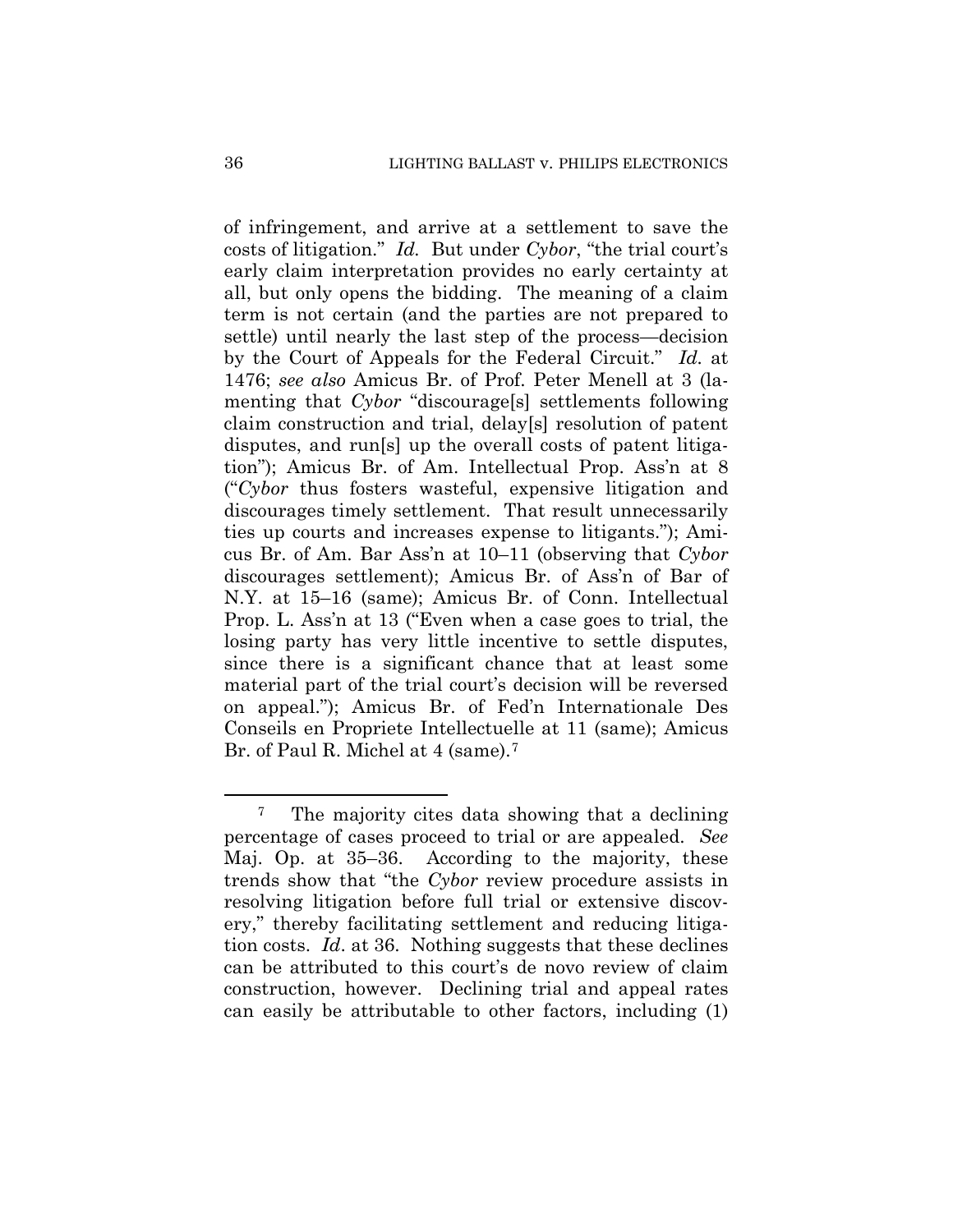of infringement, and arrive at a settlement to save the costs of litigation." *Id.* But under *Cybor*, "the trial court's early claim interpretation provides no early certainty at all, but only opens the bidding. The meaning of a claim term is not certain (and the parties are not prepared to settle) until nearly the last step of the process—decision by the Court of Appeals for the Federal Circuit." *Id.* at 1476; *see also* Amicus Br. of Prof. Peter Menell at 3 (lamenting that *Cybor* "discourage[s] settlements following claim construction and trial, delay[s] resolution of patent disputes, and run[s] up the overall costs of patent litigation"); Amicus Br. of Am. Intellectual Prop. Ass'n at 8 ("*Cybor* thus fosters wasteful, expensive litigation and discourages timely settlement. That result unnecessarily ties up courts and increases expense to litigants."); Amicus Br. of Am. Bar Ass'n at 10–11 (observing that *Cybor*  discourages settlement); Amicus Br. of Ass'n of Bar of N.Y. at 15–16 (same); Amicus Br. of Conn. Intellectual Prop. L. Ass'n at 13 ("Even when a case goes to trial, the losing party has very little incentive to settle disputes, since there is a significant chance that at least some material part of the trial court's decision will be reversed on appeal."); Amicus Br. of Fed'n Internationale Des Conseils en Propriete Intellectuelle at 11 (same); Amicus Br. of Paul R. Michel at 4 (same).<sup>7</sup>

<sup>7</sup> The majority cites data showing that a declining percentage of cases proceed to trial or are appealed. *See*  Maj. Op. at 35–36. According to the majority, these trends show that "the *Cybor* review procedure assists in resolving litigation before full trial or extensive discovery," thereby facilitating settlement and reducing litigation costs. *Id*. at 36. Nothing suggests that these declines can be attributed to this court's de novo review of claim construction, however. Declining trial and appeal rates can easily be attributable to other factors, including (1)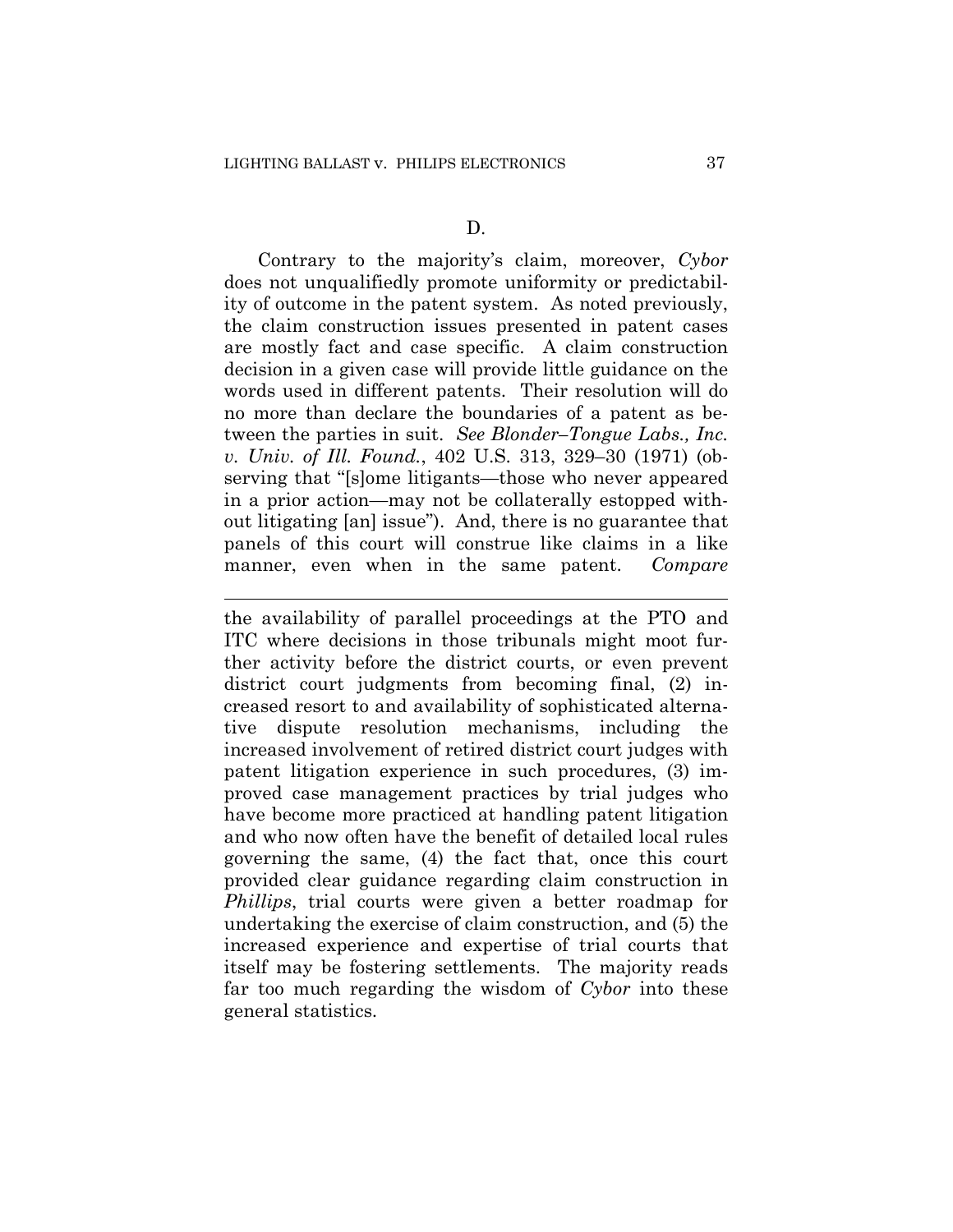$\overline{a}$ 

Contrary to the majority's claim, moreover, *Cybor*  does not unqualifiedly promote uniformity or predictability of outcome in the patent system. As noted previously, the claim construction issues presented in patent cases are mostly fact and case specific. A claim construction decision in a given case will provide little guidance on the words used in different patents. Their resolution will do no more than declare the boundaries of a patent as between the parties in suit. *See Blonder–Tongue Labs., Inc. v. Univ. of Ill. Found.*, 402 U.S. 313, 329–30 (1971) (observing that "[s]ome litigants—those who never appeared in a prior action—may not be collaterally estopped without litigating [an] issue"). And, there is no guarantee that panels of this court will construe like claims in a like manner, even when in the same patent. *Compare* 

the availability of parallel proceedings at the PTO and ITC where decisions in those tribunals might moot further activity before the district courts, or even prevent district court judgments from becoming final, (2) increased resort to and availability of sophisticated alternative dispute resolution mechanisms, including the increased involvement of retired district court judges with patent litigation experience in such procedures, (3) improved case management practices by trial judges who have become more practiced at handling patent litigation and who now often have the benefit of detailed local rules governing the same, (4) the fact that, once this court provided clear guidance regarding claim construction in *Phillips*, trial courts were given a better roadmap for undertaking the exercise of claim construction, and (5) the increased experience and expertise of trial courts that itself may be fostering settlements. The majority reads far too much regarding the wisdom of *Cybor* into these general statistics.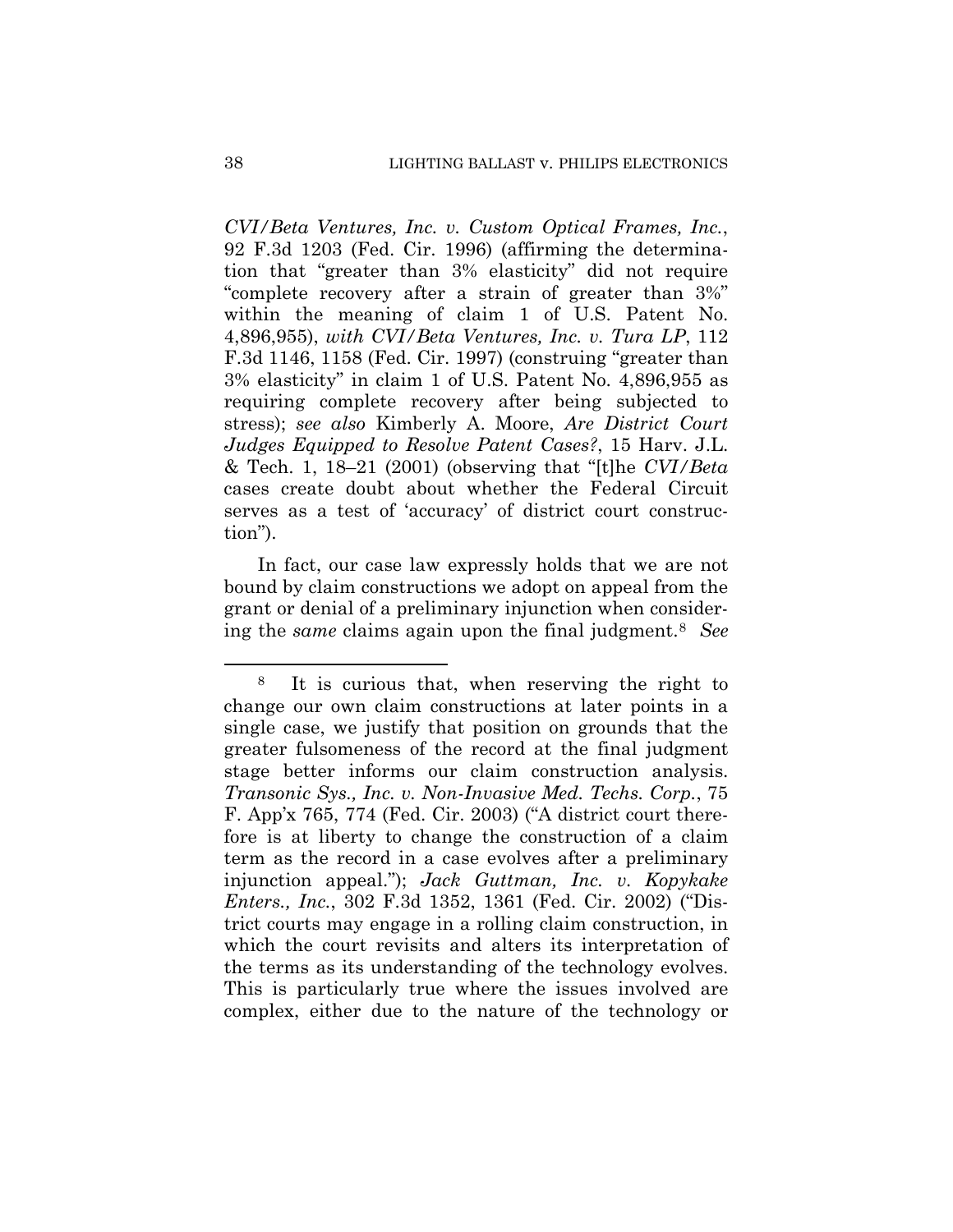*CVI/Beta Ventures, Inc. v. Custom Optical Frames, Inc.*, 92 F.3d 1203 (Fed. Cir. 1996) (affirming the determination that "greater than 3% elasticity" did not require "complete recovery after a strain of greater than 3%" within the meaning of claim 1 of U.S. Patent No. 4,896,955), *with CVI/Beta Ventures, Inc. v. Tura LP*, 112 F.3d 1146, 1158 (Fed. Cir. 1997) (construing "greater than 3% elasticity" in claim 1 of U.S. Patent No. 4,896,955 as requiring complete recovery after being subjected to stress); *see also* Kimberly A. Moore, *Are District Court Judges Equipped to Resolve Patent Cases?*, 15 Harv. J.L. & Tech. 1, 18–21 (2001) (observing that "[t]he *CVI/Beta* cases create doubt about whether the Federal Circuit serves as a test of 'accuracy' of district court construction").

In fact, our case law expressly holds that we are not bound by claim constructions we adopt on appeal from the grant or denial of a preliminary injunction when considering the *same* claims again upon the final judgment.8 *See* 

<sup>8</sup> It is curious that, when reserving the right to change our own claim constructions at later points in a single case, we justify that position on grounds that the greater fulsomeness of the record at the final judgment stage better informs our claim construction analysis. *Transonic Sys., Inc. v. Non-Invasive Med. Techs. Corp.*, 75 F. App'x 765, 774 (Fed. Cir. 2003) ("A district court therefore is at liberty to change the construction of a claim term as the record in a case evolves after a preliminary injunction appeal."); *Jack Guttman, Inc. v. Kopykake Enters., Inc.*, 302 F.3d 1352, 1361 (Fed. Cir. 2002) ("District courts may engage in a rolling claim construction, in which the court revisits and alters its interpretation of the terms as its understanding of the technology evolves. This is particularly true where the issues involved are complex, either due to the nature of the technology or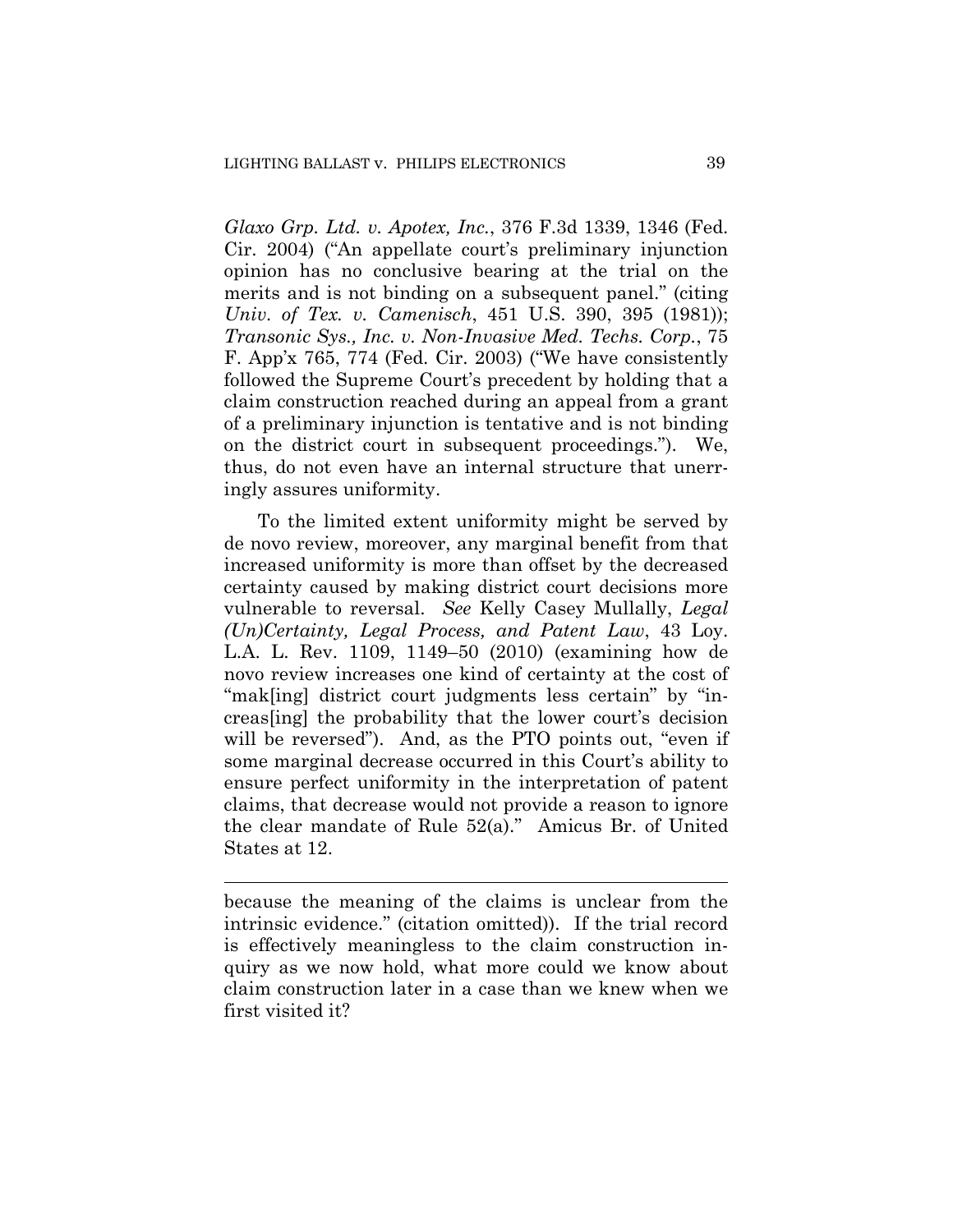*Glaxo Grp. Ltd. v. Apotex, Inc.*, 376 F.3d 1339, 1346 (Fed. Cir. 2004) ("An appellate court's preliminary injunction opinion has no conclusive bearing at the trial on the merits and is not binding on a subsequent panel." (citing *Univ. of Tex. v. Camenisch*, 451 U.S. 390, 395 (1981)); *Transonic Sys., Inc. v. Non-Invasive Med. Techs. Corp.*, 75 F. App'x 765, 774 (Fed. Cir. 2003) ("We have consistently followed the Supreme Court's precedent by holding that a claim construction reached during an appeal from a grant of a preliminary injunction is tentative and is not binding on the district court in subsequent proceedings."). We, thus, do not even have an internal structure that unerringly assures uniformity.

To the limited extent uniformity might be served by de novo review, moreover, any marginal benefit from that increased uniformity is more than offset by the decreased certainty caused by making district court decisions more vulnerable to reversal. *See* Kelly Casey Mullally, *Legal (Un)Certainty, Legal Process, and Patent Law*, 43 Loy. L.A. L. Rev. 1109, 1149–50 (2010) (examining how de novo review increases one kind of certainty at the cost of "mak[ing] district court judgments less certain" by "increas[ing] the probability that the lower court's decision will be reversed"). And, as the PTO points out, "even if some marginal decrease occurred in this Court's ability to ensure perfect uniformity in the interpretation of patent claims, that decrease would not provide a reason to ignore the clear mandate of Rule 52(a)." Amicus Br. of United States at 12.

because the meaning of the claims is unclear from the intrinsic evidence." (citation omitted)). If the trial record is effectively meaningless to the claim construction inquiry as we now hold, what more could we know about claim construction later in a case than we knew when we first visited it?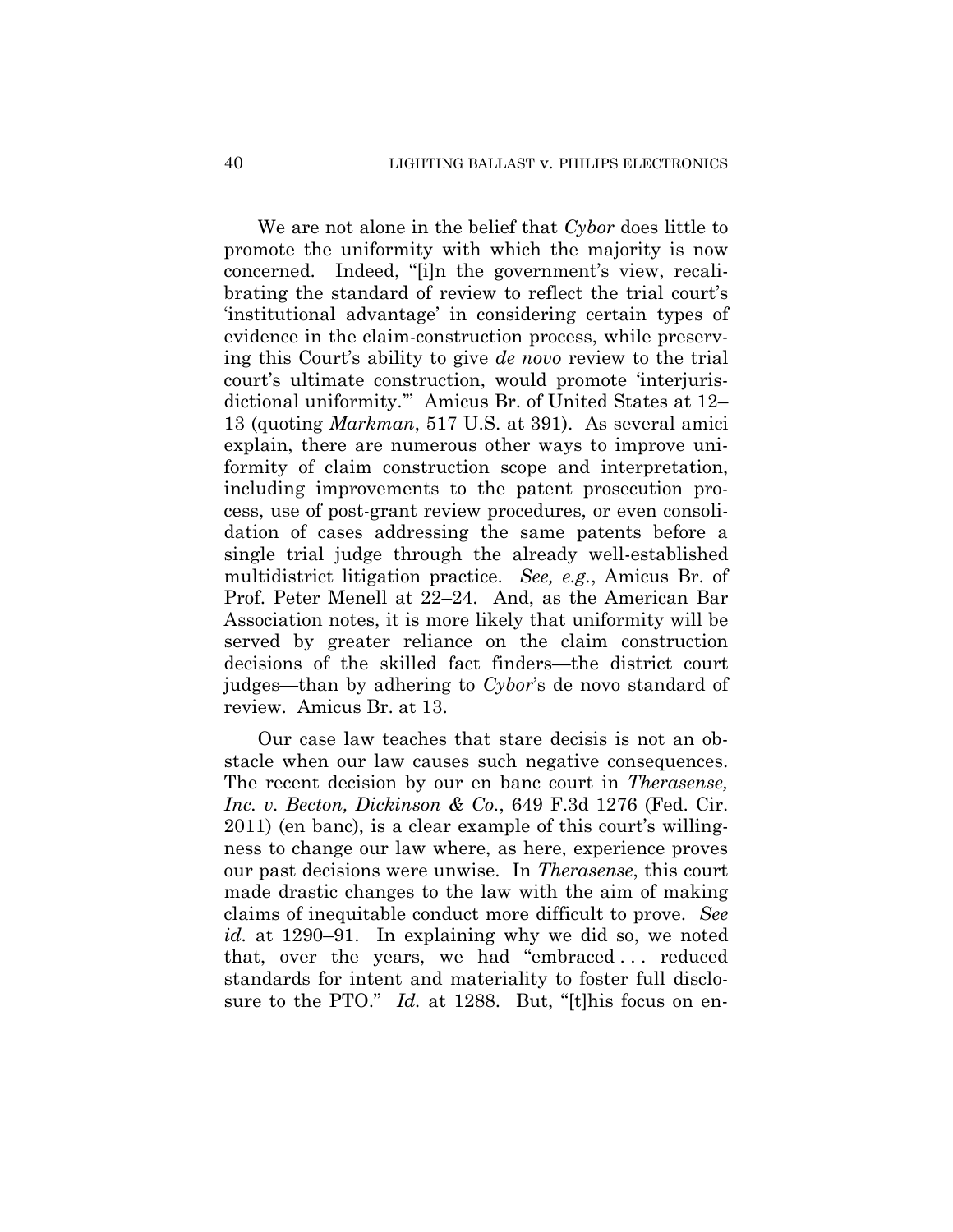We are not alone in the belief that *Cybor* does little to promote the uniformity with which the majority is now concerned. Indeed, "[i]n the government's view, recalibrating the standard of review to reflect the trial court's 'institutional advantage' in considering certain types of evidence in the claim-construction process, while preserving this Court's ability to give *de novo* review to the trial court's ultimate construction, would promote 'interjurisdictional uniformity.'" Amicus Br. of United States at 12– 13 (quoting *Markman*, 517 U.S. at 391). As several amici explain, there are numerous other ways to improve uniformity of claim construction scope and interpretation, including improvements to the patent prosecution process, use of post-grant review procedures, or even consolidation of cases addressing the same patents before a single trial judge through the already well-established multidistrict litigation practice. *See, e.g.*, Amicus Br. of Prof. Peter Menell at 22–24. And, as the American Bar Association notes, it is more likely that uniformity will be served by greater reliance on the claim construction decisions of the skilled fact finders—the district court judges—than by adhering to *Cybor*'s de novo standard of review. Amicus Br. at 13.

Our case law teaches that stare decisis is not an obstacle when our law causes such negative consequences. The recent decision by our en banc court in *Therasense, Inc. v. Becton, Dickinson & Co.*, 649 F.3d 1276 (Fed. Cir. 2011) (en banc), is a clear example of this court's willingness to change our law where, as here, experience proves our past decisions were unwise. In *Therasense*, this court made drastic changes to the law with the aim of making claims of inequitable conduct more difficult to prove. *See id.* at 1290–91. In explaining why we did so, we noted that, over the years, we had "embraced . . . reduced standards for intent and materiality to foster full disclosure to the PTO." *Id.* at 1288. But, "[t]his focus on en-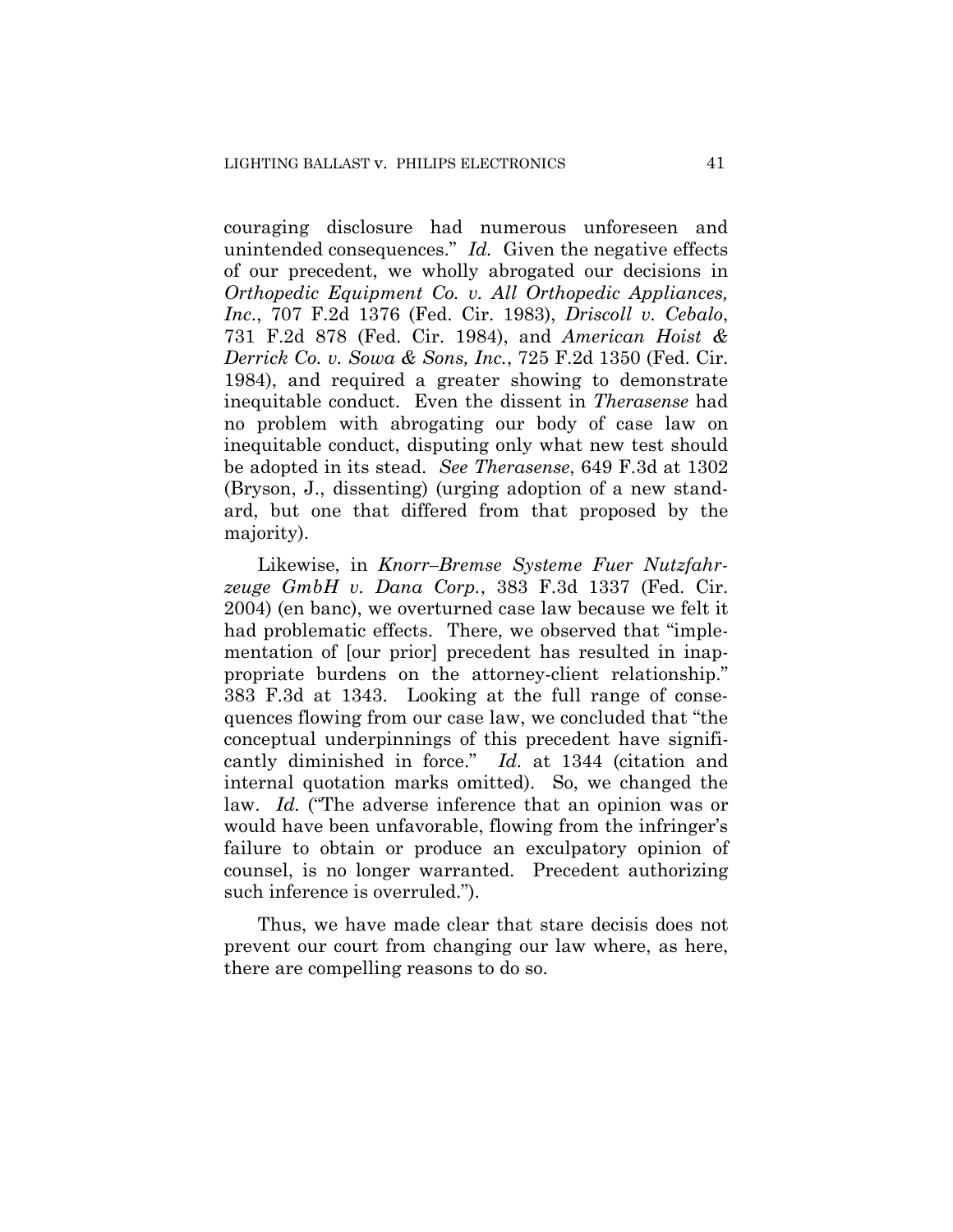couraging disclosure had numerous unforeseen and unintended consequences." *Id.* Given the negative effects of our precedent, we wholly abrogated our decisions in *Orthopedic Equipment Co. v. All Orthopedic Appliances, Inc*., 707 F.2d 1376 (Fed. Cir. 1983), *Driscoll v. Cebalo*, 731 F.2d 878 (Fed. Cir. 1984), and *American Hoist & Derrick Co. v. Sowa & Sons, Inc.*, 725 F.2d 1350 (Fed. Cir. 1984), and required a greater showing to demonstrate inequitable conduct. Even the dissent in *Therasense* had no problem with abrogating our body of case law on inequitable conduct, disputing only what new test should be adopted in its stead. *See Therasense*, 649 F.3d at 1302 (Bryson, J., dissenting) (urging adoption of a new standard, but one that differed from that proposed by the majority).

Likewise, in *Knorr–Bremse Systeme Fuer Nutzfahrzeuge GmbH v. Dana Corp.*, 383 F.3d 1337 (Fed. Cir. 2004) (en banc), we overturned case law because we felt it had problematic effects. There, we observed that "implementation of [our prior] precedent has resulted in inappropriate burdens on the attorney-client relationship." 383 F.3d at 1343. Looking at the full range of consequences flowing from our case law, we concluded that "the conceptual underpinnings of this precedent have significantly diminished in force." *Id.* at 1344 (citation and internal quotation marks omitted). So, we changed the law. *Id.* ("The adverse inference that an opinion was or would have been unfavorable, flowing from the infringer's failure to obtain or produce an exculpatory opinion of counsel, is no longer warranted. Precedent authorizing such inference is overruled.").

Thus, we have made clear that stare decisis does not prevent our court from changing our law where, as here, there are compelling reasons to do so.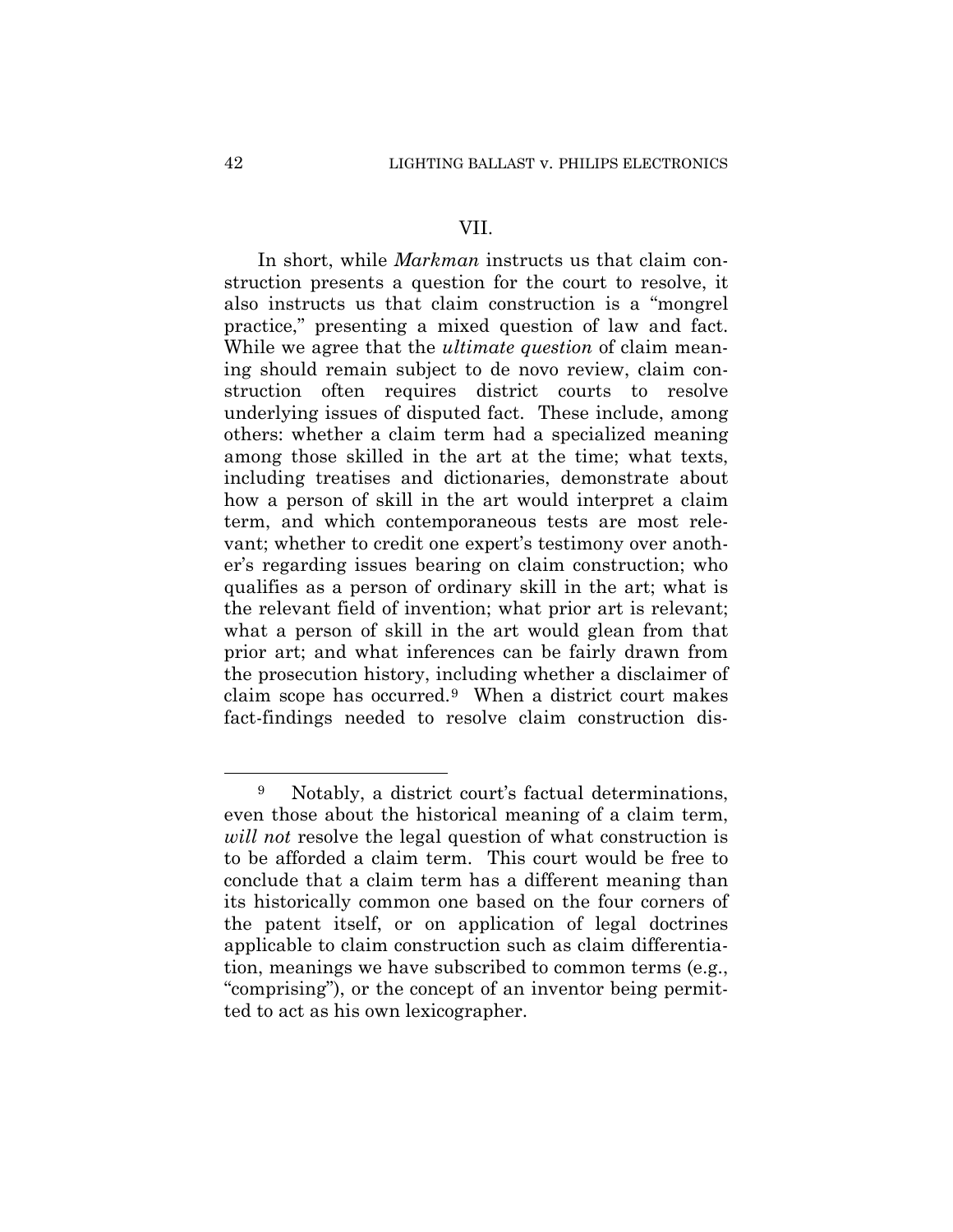#### VII.

In short, while *Markman* instructs us that claim construction presents a question for the court to resolve, it also instructs us that claim construction is a "mongrel practice," presenting a mixed question of law and fact. While we agree that the *ultimate question* of claim meaning should remain subject to de novo review, claim construction often requires district courts to resolve underlying issues of disputed fact. These include, among others: whether a claim term had a specialized meaning among those skilled in the art at the time; what texts, including treatises and dictionaries, demonstrate about how a person of skill in the art would interpret a claim term, and which contemporaneous tests are most relevant; whether to credit one expert's testimony over another's regarding issues bearing on claim construction; who qualifies as a person of ordinary skill in the art; what is the relevant field of invention; what prior art is relevant; what a person of skill in the art would glean from that prior art; and what inferences can be fairly drawn from the prosecution history, including whether a disclaimer of claim scope has occurred.9 When a district court makes fact-findings needed to resolve claim construction dis-

<sup>9</sup> Notably, a district court's factual determinations, even those about the historical meaning of a claim term, *will not* resolve the legal question of what construction is to be afforded a claim term. This court would be free to conclude that a claim term has a different meaning than its historically common one based on the four corners of the patent itself, or on application of legal doctrines applicable to claim construction such as claim differentiation, meanings we have subscribed to common terms (e.g., "comprising"), or the concept of an inventor being permitted to act as his own lexicographer.